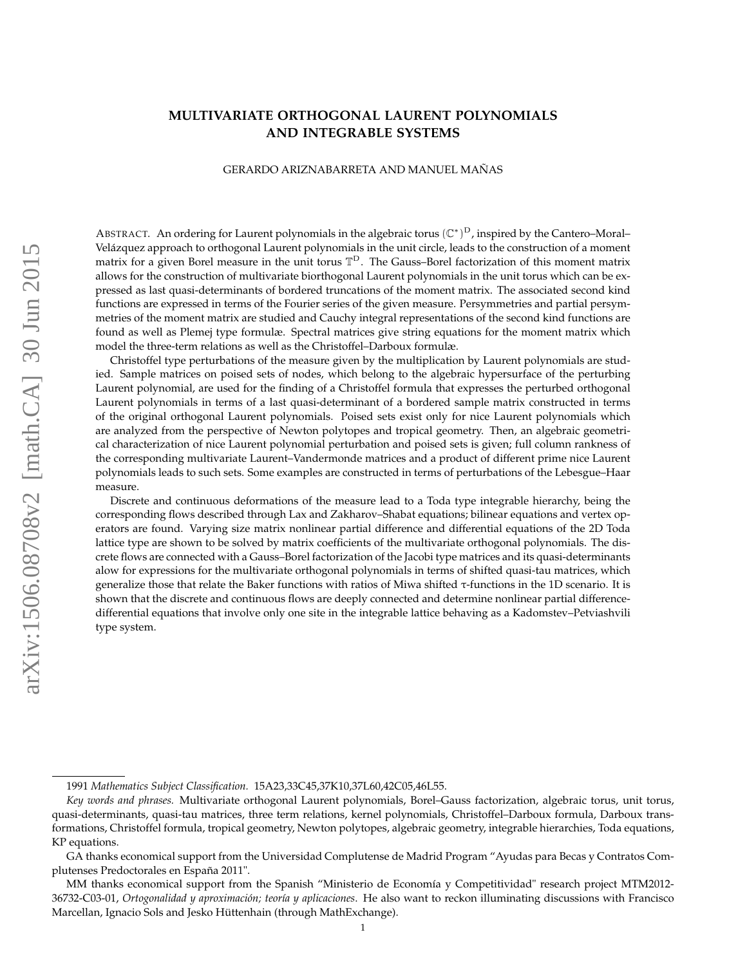## <span id="page-0-0"></span>**MULTIVARIATE ORTHOGONAL LAURENT POLYNOMIALS AND INTEGRABLE SYSTEMS**

#### GERARDO ARIZNABARRETA AND MANUEL MAÑAS

ABSTRACT. An ordering for Laurent polynomials in the algebraic torus  $(\mathbb{C}^*)^D$ , inspired by the Cantero–Moral– Velázquez approach to orthogonal Laurent polynomials in the unit circle, leads to the construction of a moment matrix for a given Borel measure in the unit torus  $\mathbb{T}^D$ . The Gauss-Borel factorization of this moment matrix allows for the construction of multivariate biorthogonal Laurent polynomials in the unit torus which can be expressed as last quasi-determinants of bordered truncations of the moment matrix. The associated second kind functions are expressed in terms of the Fourier series of the given measure. Persymmetries and partial persymmetries of the moment matrix are studied and Cauchy integral representations of the second kind functions are found as well as Plemej type formulæ. Spectral matrices give string equations for the moment matrix which model the three-term relations as well as the Christoffel–Darboux formulæ.

Christoffel type perturbations of the measure given by the multiplication by Laurent polynomials are studied. Sample matrices on poised sets of nodes, which belong to the algebraic hypersurface of the perturbing Laurent polynomial, are used for the finding of a Christoffel formula that expresses the perturbed orthogonal Laurent polynomials in terms of a last quasi-determinant of a bordered sample matrix constructed in terms of the original orthogonal Laurent polynomials. Poised sets exist only for nice Laurent polynomials which are analyzed from the perspective of Newton polytopes and tropical geometry. Then, an algebraic geometrical characterization of nice Laurent polynomial perturbation and poised sets is given; full column rankness of the corresponding multivariate Laurent–Vandermonde matrices and a product of different prime nice Laurent polynomials leads to such sets. Some examples are constructed in terms of perturbations of the Lebesgue–Haar measure.

Discrete and continuous deformations of the measure lead to a Toda type integrable hierarchy, being the corresponding flows described through Lax and Zakharov–Shabat equations; bilinear equations and vertex operators are found. Varying size matrix nonlinear partial difference and differential equations of the 2D Toda lattice type are shown to be solved by matrix coefficients of the multivariate orthogonal polynomials. The discrete flows are connected with a Gauss–Borel factorization of the Jacobi type matrices and its quasi-determinants alow for expressions for the multivariate orthogonal polynomials in terms of shifted quasi-tau matrices, which generalize those that relate the Baker functions with ratios of Miwa shifted τ-functions in the 1D scenario. It is shown that the discrete and continuous flows are deeply connected and determine nonlinear partial differencedifferential equations that involve only one site in the integrable lattice behaving as a Kadomstev–Petviashvili type system.

<sup>1991</sup> *Mathematics Subject Classification.* 15A23,33C45,37K10,37L60,42C05,46L55.

*Key words and phrases.* Multivariate orthogonal Laurent polynomials, Borel–Gauss factorization, algebraic torus, unit torus, quasi-determinants, quasi-tau matrices, three term relations, kernel polynomials, Christoffel–Darboux formula, Darboux transformations, Christoffel formula, tropical geometry, Newton polytopes, algebraic geometry, integrable hierarchies, Toda equations, KP equations.

GA thanks economical support from the Universidad Complutense de Madrid Program "Ayudas para Becas y Contratos Complutenses Predoctorales en España 2011".

MM thanks economical support from the Spanish "Ministerio de Economía y Competitividad" research project MTM2012- 36732-C03-01, *Ortogonalidad y aproximación; teoría y aplicaciones*. He also want to reckon illuminating discussions with Francisco Marcellan, Ignacio Sols and Jesko Hüttenhain (through MathExchange).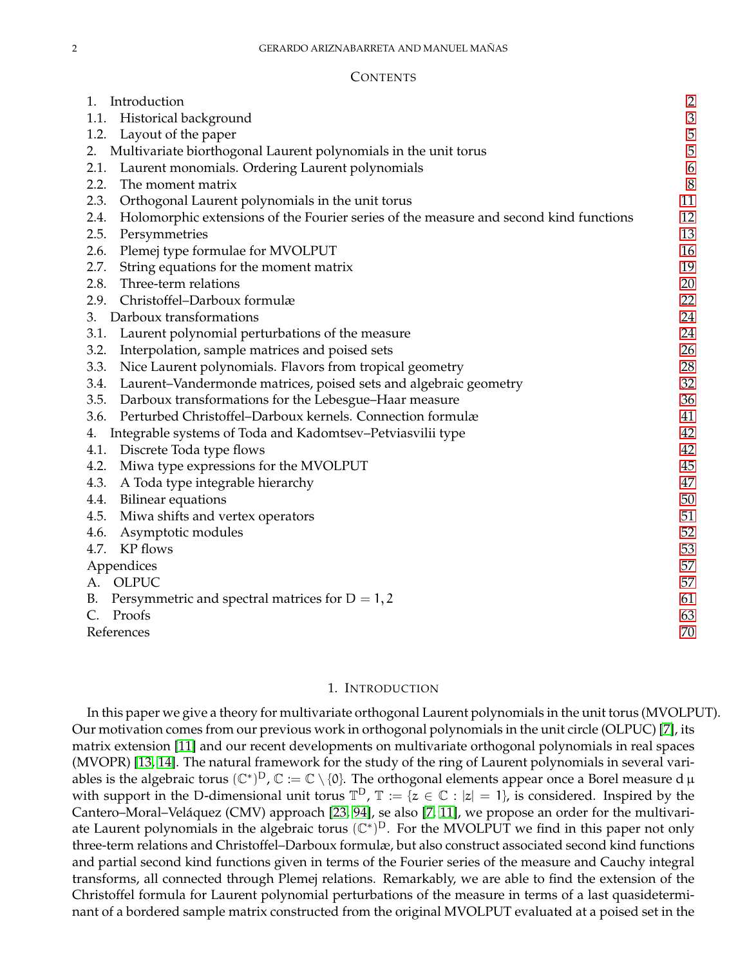#### **CONTENTS**

| Introduction<br>1.                                                                            | $\overline{c}$ |
|-----------------------------------------------------------------------------------------------|----------------|
| Historical background<br>1.1.                                                                 | $\mathfrak{Z}$ |
| Layout of the paper<br>1.2.                                                                   | 5              |
| Multivariate biorthogonal Laurent polynomials in the unit torus<br>2.                         | 5              |
| Laurent monomials. Ordering Laurent polynomials<br>2.1.                                       | 6              |
| 2.2.<br>The moment matrix                                                                     | 8              |
| 2.3.<br>Orthogonal Laurent polynomials in the unit torus                                      | 11             |
| 2.4.<br>Holomorphic extensions of the Fourier series of the measure and second kind functions | 12             |
| 2.5.<br>Persymmetries                                                                         | 13             |
| Plemej type formulae for MVOLPUT<br>2.6.                                                      | 16             |
| 2.7.<br>String equations for the moment matrix                                                | 19             |
| 2.8.<br>Three-term relations                                                                  | 20             |
| Christoffel-Darboux formulæ<br>2.9.                                                           | 22             |
| Darboux transformations<br>3.                                                                 | 24             |
| Laurent polynomial perturbations of the measure<br>3.1.                                       | 24             |
| 3.2.<br>Interpolation, sample matrices and poised sets                                        | 26             |
| 3.3.<br>Nice Laurent polynomials. Flavors from tropical geometry                              | 28             |
| Laurent-Vandermonde matrices, poised sets and algebraic geometry<br>3.4.                      | 32             |
| Darboux transformations for the Lebesgue-Haar measure<br>3.5.                                 | 36             |
| Perturbed Christoffel-Darboux kernels. Connection formulæ<br>3.6.                             | 41             |
| Integrable systems of Toda and Kadomtsev-Petviasvilii type<br>4.                              | 42             |
| Discrete Toda type flows<br>4.1.                                                              | 42             |
| Miwa type expressions for the MVOLPUT<br>4.2.                                                 | 45             |
| 4.3.<br>A Toda type integrable hierarchy                                                      | 47             |
| <b>Bilinear equations</b><br>4.4.                                                             | 50             |
| Miwa shifts and vertex operators<br>4.5.                                                      | 51             |
| Asymptotic modules<br>4.6.                                                                    | 52             |
| KP flows<br>4.7.                                                                              | 53             |
| Appendices                                                                                    | 57             |
| A. OLPUC                                                                                      | 57             |
| Persymmetric and spectral matrices for $D = 1, 2$<br>В.                                       | 61             |
| Proofs                                                                                        | 63             |
| References                                                                                    | 70             |

### 1. INTRODUCTION

<span id="page-1-0"></span>In this paper we give a theory for multivariate orthogonal Laurent polynomials in the unit torus (MVOLPUT). Our motivation comes from our previous work in orthogonal polynomials in the unit circle (OLPUC) [\[7\]](#page-69-1), its matrix extension [\[11\]](#page-69-2) and our recent developments on multivariate orthogonal polynomials in real spaces (MVOPR) [\[13,](#page-69-3) [14\]](#page-69-4). The natural framework for the study of the ring of Laurent polynomials in several variables is the algebraic torus  $(\mathbb{C}^*)^D$ ,  $\mathbb{C} := \mathbb{C} \setminus \{0\}$ . The orthogonal elements appear once a Borel measure d  $\mu$ with support in the D-dimensional unit torus  $\mathbb{T}^D$ ,  $\mathbb{T} := \{z \in \mathbb{C} : |z| = 1\}$ , is considered. Inspired by the Cantero–Moral–Veláquez (CMV) approach [\[23,](#page-69-5) [94\]](#page-71-0), se also [\[7,](#page-69-1) [11\]](#page-69-2), we propose an order for the multivariate Laurent polynomials in the algebraic torus  $(\mathbb{C}^*)^D$ . For the MVOLPUT we find in this paper not only three-term relations and Christoffel–Darboux formulæ, but also construct associated second kind functions and partial second kind functions given in terms of the Fourier series of the measure and Cauchy integral transforms, all connected through Plemej relations. Remarkably, we are able to find the extension of the Christoffel formula for Laurent polynomial perturbations of the measure in terms of a last quasideterminant of a bordered sample matrix constructed from the original MVOLPUT evaluated at a poised set in the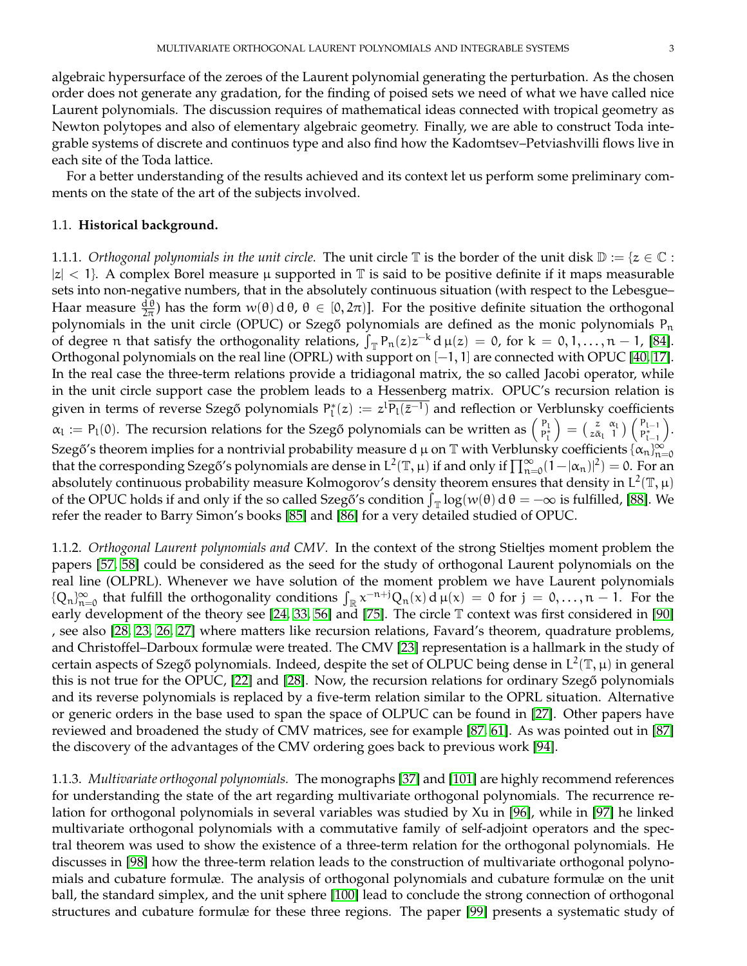algebraic hypersurface of the zeroes of the Laurent polynomial generating the perturbation. As the chosen order does not generate any gradation, for the finding of poised sets we need of what we have called nice Laurent polynomials. The discussion requires of mathematical ideas connected with tropical geometry as Newton polytopes and also of elementary algebraic geometry. Finally, we are able to construct Toda integrable systems of discrete and continuos type and also find how the Kadomtsev–Petviashvilli flows live in each site of the Toda lattice.

For a better understanding of the results achieved and its context let us perform some preliminary comments on the state of the art of the subjects involved.

## <span id="page-2-0"></span>1.1. **Historical background.**

1.1.1. *Orthogonal polynomials in the unit circle*. The unit circle  $\mathbb T$  is the border of the unit disk  $\mathbb D := \{z \in \mathbb C :$  $|z|$  < 1}. A complex Borel measure  $\mu$  supported in  $\mathbb T$  is said to be positive definite if it maps measurable sets into non-negative numbers, that in the absolutely continuous situation (with respect to the Lebesgue– Haar measure  $\frac{d\theta}{2\pi}$ ) has the form  $w(\theta) d\theta$ ,  $\theta \in [0, 2\pi]$ . For the positive definite situation the orthogonal polynomials in the unit circle (OPUC) or Szegő polynomials are defined as the monic polynomials  $P_n$ of degree n that satisfy the orthogonality relations,  $\int_{\mathbb{T}} P_n(z) z^{-k} d\mu(z) = 0$ , for  $k = 0, 1, ..., n - 1$ , [\[84\]](#page-71-1). Orthogonal polynomials on the real line (OPRL) with support on [−1, 1] are connected with OPUC [\[40,](#page-70-0) [17\]](#page-69-6). In the real case the three-term relations provide a tridiagonal matrix, the so called Jacobi operator, while in the unit circle support case the problem leads to a Hessenberg matrix. OPUC's recursion relation is given in terms of reverse Szegő polynomials  $P_l^*(z) := z^l \overline{P_l(\bar{z}^{-l})}$  and reflection or Verblunsky coefficients  $\alpha_l := P_l(0)$ . The recursion relations for the Szegő polynomials can be written as  $\begin{pmatrix} P_l \\ P_l^* \end{pmatrix}$  $\Big) = \big(\begin{smallmatrix} z & \alpha_\mathrm{l} \ z \bar\alpha_\mathrm{l} & 1 \end{smallmatrix}\big) \big(\begin{smallmatrix} \mathrm{P}_{\mathrm{l}-1} \ \mathrm{P}_{\mathrm{l}-1}^* \end{smallmatrix}$  $P_{l-1}^*$  . Szegő′s theorem implies for a nontrivial probability measure dµ on  $\mathbb T$  with Verblunsky coefficients  $\{\alpha_n\}_{n=0}^\infty$ that the corresponding Szegő's polynomials are dense in  $L^2(\mathbb{T}, \mu)$  if and only if  $\prod_{n=0}^{\infty} (1 - |\alpha_n|^2) = 0$ . For an absolutely continuous probability measure Kolmogorov's density theorem ensures that density in  $L^2(\mathbb{T}, \mu)$ of the OPUC holds if and only if the so called Szegő´s condition  $\int_{\mathbb{T}} \log(w(\theta)) d \theta = -\infty$  is fulfilled, [\[88\]](#page-71-2). We refer the reader to Barry Simon's books [\[85\]](#page-71-3) and [\[86\]](#page-71-4) for a very detailed studied of OPUC.

1.1.2. *Orthogonal Laurent polynomials and CMV.* In the context of the strong Stieltjes moment problem the papers [\[57,](#page-70-1) [58\]](#page-70-2) could be considered as the seed for the study of orthogonal Laurent polynomials on the real line (OLPRL). Whenever we have solution of the moment problem we have Laurent polynomials  ${Q_n}_{n=0}^{\infty}$  that fulfill the orthogonality conditions  $\int_{\mathbb{R}} x^{-n+j}Q_n(x) d\mu(x) = 0$  for  $j = 0, \ldots, n-1$ . For the early development of the theory see [\[24,](#page-69-7) [33,](#page-70-3) [56\]](#page-70-4) and [\[75\]](#page-71-5). The circle T context was first considered in [\[90\]](#page-71-6) , see also [\[28,](#page-69-8) [23,](#page-69-5) [26,](#page-69-9) [27\]](#page-69-10) where matters like recursion relations, Favard's theorem, quadrature problems, and Christoffel–Darboux formulæ were treated. The CMV [\[23\]](#page-69-5) representation is a hallmark in the study of certain aspects of Szegő polynomials. Indeed, despite the set of OLPUC being dense in  $L^2(\mathbb{T}, \mu)$  in general this is not true for the OPUC, [\[22\]](#page-69-11) and [\[28\]](#page-69-8). Now, the recursion relations for ordinary Szegő polynomials and its reverse polynomials is replaced by a five-term relation similar to the OPRL situation. Alternative or generic orders in the base used to span the space of OLPUC can be found in [\[27\]](#page-69-10). Other papers have reviewed and broadened the study of CMV matrices, see for example [\[87,](#page-71-7) [61\]](#page-71-8). As was pointed out in [\[87\]](#page-71-7) the discovery of the advantages of the CMV ordering goes back to previous work [\[94\]](#page-71-0).

1.1.3. *Multivariate orthogonal polynomials.* The monographs [\[37\]](#page-70-5) and [\[101\]](#page-72-0) are highly recommend references for understanding the state of the art regarding multivariate orthogonal polynomials. The recurrence relation for orthogonal polynomials in several variables was studied by Xu in [\[96\]](#page-72-1), while in [\[97\]](#page-72-2) he linked multivariate orthogonal polynomials with a commutative family of self-adjoint operators and the spectral theorem was used to show the existence of a three-term relation for the orthogonal polynomials. He discusses in [\[98\]](#page-72-3) how the three-term relation leads to the construction of multivariate orthogonal polynomials and cubature formulæ. The analysis of orthogonal polynomials and cubature formulæ on the unit ball, the standard simplex, and the unit sphere [\[100\]](#page-72-4) lead to conclude the strong connection of orthogonal structures and cubature formulæ for these three regions. The paper [\[99\]](#page-72-5) presents a systematic study of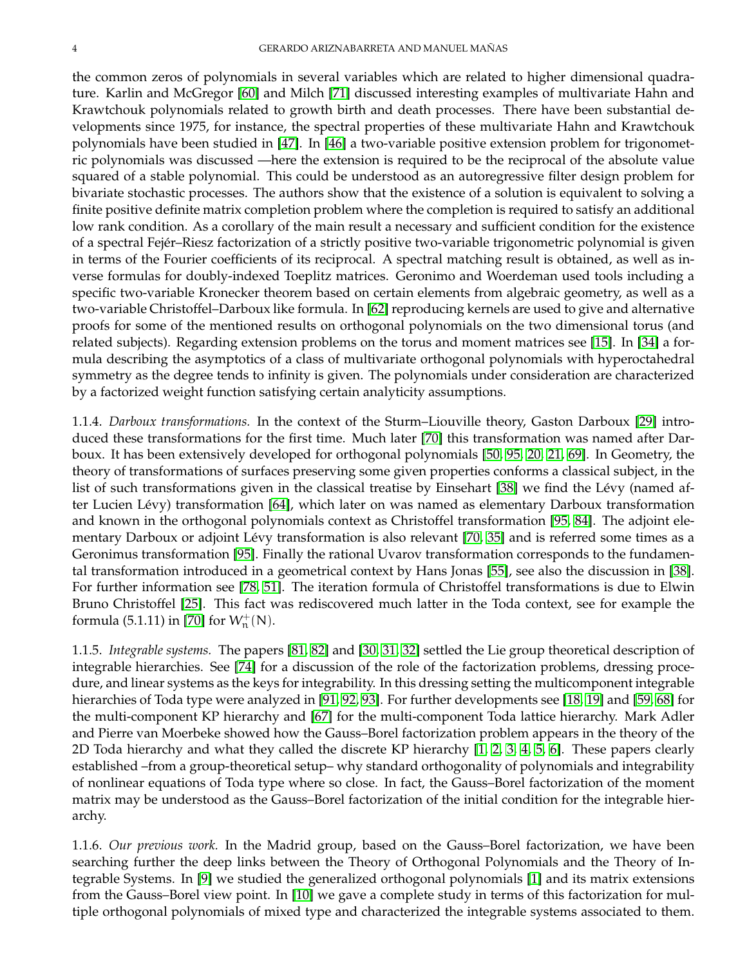the common zeros of polynomials in several variables which are related to higher dimensional quadrature. Karlin and McGregor [\[60\]](#page-71-9) and Milch [\[71\]](#page-71-10) discussed interesting examples of multivariate Hahn and Krawtchouk polynomials related to growth birth and death processes. There have been substantial developments since 1975, for instance, the spectral properties of these multivariate Hahn and Krawtchouk polynomials have been studied in [\[47\]](#page-70-6). In [\[46\]](#page-70-7) a two-variable positive extension problem for trigonometric polynomials was discussed —here the extension is required to be the reciprocal of the absolute value squared of a stable polynomial. This could be understood as an autoregressive filter design problem for bivariate stochastic processes. The authors show that the existence of a solution is equivalent to solving a finite positive definite matrix completion problem where the completion is required to satisfy an additional low rank condition. As a corollary of the main result a necessary and sufficient condition for the existence of a spectral Fejér–Riesz factorization of a strictly positive two-variable trigonometric polynomial is given in terms of the Fourier coefficients of its reciprocal. A spectral matching result is obtained, as well as inverse formulas for doubly-indexed Toeplitz matrices. Geronimo and Woerdeman used tools including a specific two-variable Kronecker theorem based on certain elements from algebraic geometry, as well as a two-variable Christoffel–Darboux like formula. In [\[62\]](#page-71-11) reproducing kernels are used to give and alternative proofs for some of the mentioned results on orthogonal polynomials on the two dimensional torus (and related subjects). Regarding extension problems on the torus and moment matrices see [\[15\]](#page-69-12). In [\[34\]](#page-70-8) a formula describing the asymptotics of a class of multivariate orthogonal polynomials with hyperoctahedral symmetry as the degree tends to infinity is given. The polynomials under consideration are characterized by a factorized weight function satisfying certain analyticity assumptions.

1.1.4. *Darboux transformations.* In the context of the Sturm–Liouville theory, Gaston Darboux [\[29\]](#page-70-9) introduced these transformations for the first time. Much later [\[70\]](#page-71-12) this transformation was named after Darboux. It has been extensively developed for orthogonal polynomials [\[50,](#page-70-10) [95,](#page-72-6) [20,](#page-69-13) [21,](#page-69-14) [69\]](#page-71-13). In Geometry, the theory of transformations of surfaces preserving some given properties conforms a classical subject, in the list of such transformations given in the classical treatise by Einsehart [\[38\]](#page-70-11) we find the Lévy (named after Lucien Lévy) transformation [\[64\]](#page-71-14), which later on was named as elementary Darboux transformation and known in the orthogonal polynomials context as Christoffel transformation [\[95,](#page-72-6) [84\]](#page-71-1). The adjoint elementary Darboux or adjoint Lévy transformation is also relevant [\[70,](#page-71-12) [35\]](#page-70-12) and is referred some times as a Geronimus transformation [\[95\]](#page-72-6). Finally the rational Uvarov transformation corresponds to the fundamental transformation introduced in a geometrical context by Hans Jonas [\[55\]](#page-70-13), see also the discussion in [\[38\]](#page-70-11). For further information see [\[78,](#page-71-15) [51\]](#page-70-14). The iteration formula of Christoffel transformations is due to Elwin Bruno Christoffel [\[25\]](#page-69-15). This fact was rediscovered much latter in the Toda context, see for example the formula (5.1.11) in [\[70\]](#page-71-12) for  $W^+_{n}(N)$ .

1.1.5. *Integrable systems.* The papers [\[81,](#page-71-16) [82\]](#page-71-17) and [\[30,](#page-70-15) [31,](#page-70-16) [32\]](#page-70-17) settled the Lie group theoretical description of integrable hierarchies. See [\[74\]](#page-71-18) for a discussion of the role of the factorization problems, dressing procedure, and linear systems as the keys for integrability. In this dressing setting the multicomponent integrable hierarchies of Toda type were analyzed in [\[91,](#page-71-19) [92,](#page-71-20) [93\]](#page-71-21). For further developments see [\[18,](#page-69-16) [19\]](#page-69-17) and [\[59,](#page-70-18) [68\]](#page-71-22) for the multi-component KP hierarchy and [\[67\]](#page-71-23) for the multi-component Toda lattice hierarchy. Mark Adler and Pierre van Moerbeke showed how the Gauss–Borel factorization problem appears in the theory of the 2D Toda hierarchy and what they called the discrete KP hierarchy [\[1,](#page-69-18) [2,](#page-69-19) [3,](#page-69-20) [4,](#page-69-21) [5,](#page-69-22) [6\]](#page-69-23). These papers clearly established –from a group-theoretical setup– why standard orthogonality of polynomials and integrability of nonlinear equations of Toda type where so close. In fact, the Gauss–Borel factorization of the moment matrix may be understood as the Gauss–Borel factorization of the initial condition for the integrable hierarchy.

1.1.6. *Our previous work.* In the Madrid group, based on the Gauss–Borel factorization, we have been searching further the deep links between the Theory of Orthogonal Polynomials and the Theory of Integrable Systems. In [\[9\]](#page-69-24) we studied the generalized orthogonal polynomials [\[1\]](#page-69-18) and its matrix extensions from the Gauss–Borel view point. In [\[10\]](#page-69-25) we gave a complete study in terms of this factorization for multiple orthogonal polynomials of mixed type and characterized the integrable systems associated to them.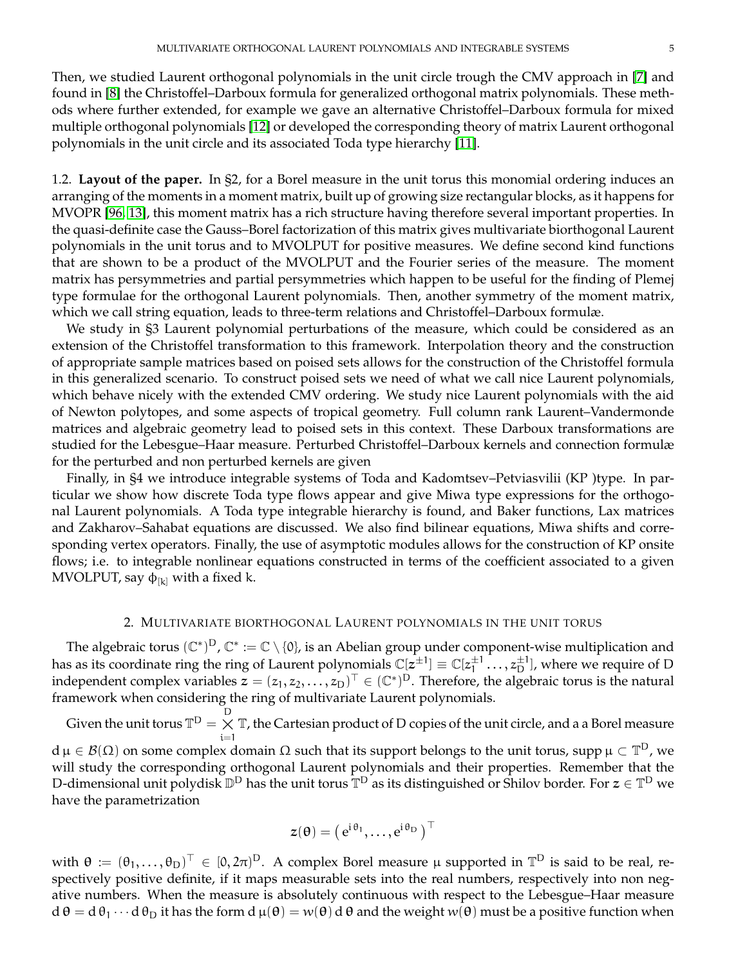Then, we studied Laurent orthogonal polynomials in the unit circle trough the CMV approach in [\[7\]](#page-69-1) and found in [\[8\]](#page-69-26) the Christoffel–Darboux formula for generalized orthogonal matrix polynomials. These methods where further extended, for example we gave an alternative Christoffel–Darboux formula for mixed multiple orthogonal polynomials [\[12\]](#page-69-27) or developed the corresponding theory of matrix Laurent orthogonal polynomials in the unit circle and its associated Toda type hierarchy [\[11\]](#page-69-2).

<span id="page-4-0"></span>1.2. **Layout of the paper.** In §2, for a Borel measure in the unit torus this monomial ordering induces an arranging of the moments in a moment matrix, built up of growing size rectangular blocks, as it happens for MVOPR [\[96,](#page-72-1) [13\]](#page-69-3), this moment matrix has a rich structure having therefore several important properties. In the quasi-definite case the Gauss–Borel factorization of this matrix gives multivariate biorthogonal Laurent polynomials in the unit torus and to MVOLPUT for positive measures. We define second kind functions that are shown to be a product of the MVOLPUT and the Fourier series of the measure. The moment matrix has persymmetries and partial persymmetries which happen to be useful for the finding of Plemej type formulae for the orthogonal Laurent polynomials. Then, another symmetry of the moment matrix, which we call string equation, leads to three-term relations and Christoffel–Darboux formulæ.

We study in §3 Laurent polynomial perturbations of the measure, which could be considered as an extension of the Christoffel transformation to this framework. Interpolation theory and the construction of appropriate sample matrices based on poised sets allows for the construction of the Christoffel formula in this generalized scenario. To construct poised sets we need of what we call nice Laurent polynomials, which behave nicely with the extended CMV ordering. We study nice Laurent polynomials with the aid of Newton polytopes, and some aspects of tropical geometry. Full column rank Laurent–Vandermonde matrices and algebraic geometry lead to poised sets in this context. These Darboux transformations are studied for the Lebesgue–Haar measure. Perturbed Christoffel–Darboux kernels and connection formulæ for the perturbed and non perturbed kernels are given

Finally, in §4 we introduce integrable systems of Toda and Kadomtsev–Petviasvilii (KP )type. In particular we show how discrete Toda type flows appear and give Miwa type expressions for the orthogonal Laurent polynomials. A Toda type integrable hierarchy is found, and Baker functions, Lax matrices and Zakharov–Sahabat equations are discussed. We also find bilinear equations, Miwa shifts and corresponding vertex operators. Finally, the use of asymptotic modules allows for the construction of KP onsite flows; i.e. to integrable nonlinear equations constructed in terms of the coefficient associated to a given MVOLPUT, say  $\phi_{[k]}$  with a fixed k.

## 2. MULTIVARIATE BIORTHOGONAL LAURENT POLYNOMIALS IN THE UNIT TORUS

<span id="page-4-1"></span>The algebraic torus  $(\mathbb{C}^*)^D$ ,  $\mathbb{C}^*:=\mathbb{C}\setminus\{0\}$ , is an Abelian group under component-wise multiplication and has as its coordinate ring the ring of Laurent polynomials  $\mathbb{C}[z^{\pm 1}] \equiv \mathbb{C}[z_1^{\pm 1}]$  $\frac{\pm 1}{1} \ldots, z_D^{\pm 1}$ , where we require of D independent complex variables  $z=(z_1,z_2,\ldots,z_D)^\top\in (\mathbb{C}^*)^D$ . Therefore, the algebraic torus is the natural framework when considering the ring of multivariate Laurent polynomials.

Given the unit torus  $\mathbb{T}^{\mathsf{D}} = \underset{\mathfrak{i}=1}{\overset{\mathsf{D}}{\times}}$ T, the Cartesian product of D copies of the unit circle, and a a Borel measure  $d \mu \in \mathcal{B}(\Omega)$  on some complex domain  $\Omega$  such that its support belongs to the unit torus, supp  $\mu \subset \mathbb{T}^D$ , we will study the corresponding orthogonal Laurent polynomials and their properties. Remember that the D-dimensional unit polydisk  $\mathbb{D}^D$  has the unit torus  $\mathbb{T}^D$  as its distinguished or Shilov border. For  $z\in\mathbb{T}^D$  we have the parametrization

$$
z(\theta) = \left(\,e^{i\,\theta_1},\ldots,e^{i\,\theta_D}\,\right)^\top
$$

with  $\theta := (\theta_1, \ldots, \theta_D)^\top \in [0, 2\pi)^D$ . A complex Borel measure  $\mu$  supported in  $\mathbb{T}^D$  is said to be real, respectively positive definite, if it maps measurable sets into the real numbers, respectively into non negative numbers. When the measure is absolutely continuous with respect to the Lebesgue–Haar measure  $d \theta = d \theta_1 \cdots d \theta_D$  it has the form  $d \mu(\theta) = w(\theta) d \theta$  and the weight  $w(\theta)$  must be a positive function when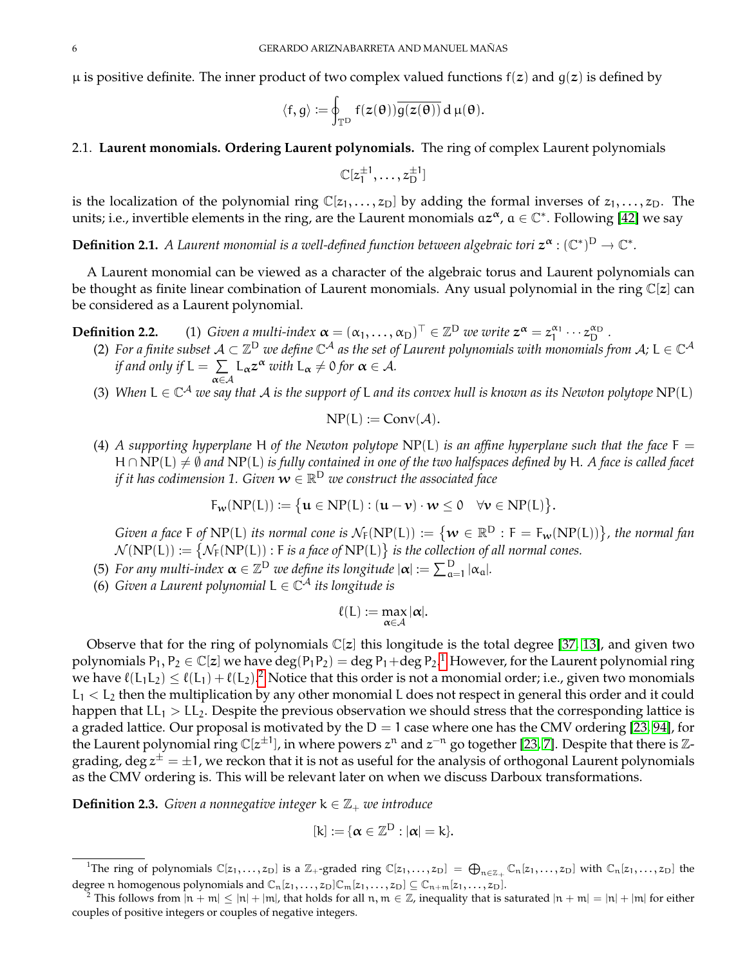$\mu$  is positive definite. The inner product of two complex valued functions  $f(z)$  and  $g(z)$  is defined by

$$
\langle f,g\rangle:=\oint_{\mathbb{T}^D}f(z(\theta))\overline{g(z(\theta))}\,d\,\mu(\theta).
$$

## <span id="page-5-0"></span>2.1. **Laurent monomials. Ordering Laurent polynomials.** The ring of complex Laurent polynomials

$$
\mathbb{C}[z_1^{\pm 1},\ldots,z_D^{\pm 1}]
$$

is the localization of the polynomial ring  $\mathbb{C}[z_1, \ldots, z_D]$  by adding the formal inverses of  $z_1, \ldots, z_D$ . The units; i.e., invertible elements in the ring, are the Laurent monomials  $az^\alpha$ ,  $a \in \mathbb{C}^*$ . Following [\[42\]](#page-70-19) we say

**Definition 2.1.** A Laurent monomial is a well-defined function between algebraic tori  $z^{\alpha}$  :  $(\mathbb{C}^*)^D \to \mathbb{C}^*$ .

A Laurent monomial can be viewed as a character of the algebraic torus and Laurent polynomials can be thought as finite linear combination of Laurent monomials. Any usual polynomial in the ring  $\mathbb{C}[z]$  can be considered as a Laurent polynomial.

 $\mathbb{T} \in \mathbb{Z}^{\mathsf{D}}$  we write  $z^{\alpha} = z_1^{\alpha_1} \cdots z_{\mathsf{D}}^{\alpha_{\mathsf{D}}}$ .

- **Definition 2.2.** (1) *Given a multi-index*  $\boldsymbol{\alpha} = (\alpha_1, ..., \alpha_D)^{\top} \in \mathbb{Z}^D$  *we write*  $z^{\alpha} = z_1^{\alpha_1} \cdots z_D^{\alpha_D}$ .<br>(2) For a finite subset  $A \subset \mathbb{Z}^D$  we define  $\mathbb{C}^A$  as the set of Laurent polynomials with monomi *if and only if*  $L = \sum$ α∈A  $L_{\alpha}z^{\alpha}$  *with*  $L_{\alpha} \neq 0$  *for*  $\alpha \in \mathcal{A}$ *.* 
	- (3) When  $L \in \mathbb{C}^{\mathcal{A}}$  we say that  $\mathcal A$  is the support of L and its convex hull is known as its Newton polytope  $\text{NP} (L)$

$$
NP(L) := Conv(\mathcal{A}).
$$

(4) *A supporting hyperplane* H of the Newton polytope  $NP(L)$  *is an affine hyperplane such that the face*  $F =$ H∩ NP(L)  $\neq$  *©* and NP(L) *is fully contained in one of the two halfspaces defined by* H. A face *is called facet* if it has codimension 1. Given  $\boldsymbol{w}\in\mathbb{R}^{\textsf{D}}$  we construct the associated face

$$
F_{\mathbf{w}}(NP(L)) \coloneqq \big\{ \mathbf{u} \in NP(L) : (\mathbf{u} - \mathbf{v}) \cdot \mathbf{w} \leq 0 \quad \forall \mathbf{v} \in NP(L) \big\}.
$$

*Given a face* F of NP(L) its normal cone is  $\mathcal{N}_F(NP(L)) := \{ w \in \mathbb{R}^D : F = F_w(NP(L)) \}$ , the normal fan  $\mathcal{N}(NP(L)) \coloneqq \{ \mathcal{N}_F(NP(L)) : F \text{ is a face of } NP(L) \}$  is the collection of all normal cones.

(5) For any multi-index  $\alpha \in \mathbb{Z}^D$  we define its longitude  $|\alpha| := \sum_{\alpha=1}^D |\alpha_\alpha|$ .

(6) *Given a Laurent polynomial* L ∈ C <sup>A</sup> *its longitude is*

$$
\ell(L) := \max_{\alpha \in \mathcal{A}} |\alpha|.
$$

Observe that for the ring of polynomials  $\mathbb{C}[z]$  this longitude is the total degree [\[37,](#page-70-5) [13\]](#page-69-3), and given two polynomials  $P_1, P_2 \in \mathbb{C}[z]$  $P_1, P_2 \in \mathbb{C}[z]$  $P_1, P_2 \in \mathbb{C}[z]$  we have  $\deg(P_1 P_2) = \deg P_1 + \deg P_2$ .<sup>1</sup> However, for the Laurent polynomial ring we have  $\ell(L_1L_2) \leq \ell(L_1) + \ell(L_2).$  $\ell(L_1L_2) \leq \ell(L_1) + \ell(L_2).$  $\ell(L_1L_2) \leq \ell(L_1) + \ell(L_2).$ <sup>2</sup> Notice that this order is not a monomial order; i.e., given two monomials  $L_1 < L_2$  then the multiplication by any other monomial L does not respect in general this order and it could happen that  $LL_1 > LL_2$ . Despite the previous observation we should stress that the corresponding lattice is a graded lattice. Our proposal is motivated by the  $D = 1$  case where one has the CMV ordering [\[23,](#page-69-5) [94\]](#page-71-0), for the Laurent polynomial ring  $\mathbb{C}[z^{\pm 1}]$ , in where powers  $z^n$  and  $z^{-n}$  go together [\[23,](#page-69-5) [7\]](#page-69-1). Despite that there is Zgrading, deg  $z^\pm=\pm 1$ , we reckon that it is not as useful for the analysis of orthogonal Laurent polynomials as the CMV ordering is. This will be relevant later on when we discuss Darboux transformations.

**Definition 2.3.** *Given a nonnegative integer*  $k \in \mathbb{Z}_+$  *we introduce* 

$$
[k]:=\{\alpha\in\mathbb{Z}^D:|\alpha|=k\}.
$$

<span id="page-5-1"></span><sup>&</sup>lt;sup>1</sup>The ring of polynomials  $\mathbb{C}[z_1,\ldots,z_D]$  is a  $\mathbb{Z}_+$ -graded ring  $\mathbb{C}[z_1,\ldots,z_D] = \bigoplus_{n \in \mathbb{Z}_+} \mathbb{C}_n[z_1,\ldots,z_D]$  with  $\mathbb{C}_n[z_1,\ldots,z_D]$  the degree n homogenous polynomials and  $\mathbb{C}_n[z_1,\ldots,z_D]\mathbb{C}_m[z_1,\ldots,z_D]\subseteq \mathbb{C}_{n+m}[z_1,\ldots,z_D].$ 

<span id="page-5-2"></span><sup>&</sup>lt;sup>2</sup> This follows from  $|n + m| \le |n| + |m|$ , that holds for all  $n, m \in \mathbb{Z}$ , inequality that is saturated  $|n + m| = |n| + |m|$  for either couples of positive integers or couples of negative integers.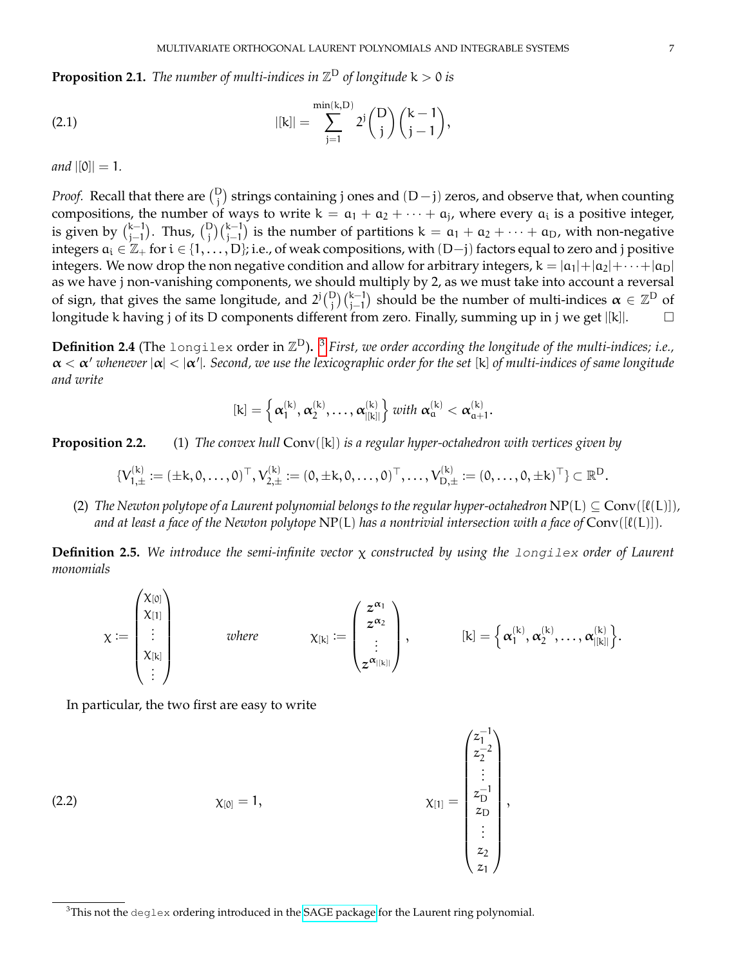**Proposition 2.1.** The number of multi-indices in  $\mathbb{Z}^{\text{D}}$  of longitude  $k > 0$  is

(2.1) 
$$
|[k]| = \sum_{j=1}^{\min(k, D)} 2^j {D \choose j} {k-1 \choose j-1},
$$

*and*  $|[0]| = 1$ .

*Proof.* Recall that there are  $\binom{D}{j}$  strings containing j ones and  $(D-j)$  zeros, and observe that, when counting compositions, the number of ways to write  $k = a_1 + a_2 + \cdots + a_j$ , where every  $a_i$  is a positive integer, is given by  $\binom{k-1}{i-1}$  $j_{j-1}^{k-1}$ ). Thus,  ${D \choose j}{k-1 \choose j-1}$  is the number of partitions  $k = a_1 + a_2 + \cdots + a_D$ , with non-negative integers  $a_i\in\Z_+$  for  $i\in\{1,\ldots,D\}$ ; i.e., of weak compositions, with  $(D-j)$  factors equal to zero and j positive integers. We now drop the non negative condition and allow for arbitrary integers,  $k = |a_1| + |a_2| + \cdots + |a_D|$ as we have j non-vanishing components, we should multiply by 2, as we must take into account a reversal of sign, that gives the same longitude, and  $2^j {D \choose j}{k-1 \choose j-1}$  should be the number of multi-indices  $\alpha \in \mathbb{Z}^D$  of longitude k having j of its D components different from zero. Finally, summing up in j we get |[k]|.

<span id="page-6-1"></span>**Definition 2.4** (The longilex order in  $\mathbb{Z}^D$ ). <sup>[3](#page-6-0)</sup> *First, we order according the longitude of the multi-indices; i.e.,* α < α <sup>0</sup> *whenever* |α| < |α 0 |*. Second, we use the lexicographic order for the set* [k] *of multi-indices of same longitude and write*

$$
[k]=\left\{\alpha_{1}^{(k)},\alpha_{2}^{(k)},\ldots,\alpha_{|[k]|}^{(k)}\right\} \text{ with }\alpha_{\alpha}^{(k)}<\alpha_{\alpha+1}^{(k)}.
$$

**Proposition 2.2.** (1) *The convex hull* Conv([k]) *is a regular hyper-octahedron with vertices given by*

$$
\{V_{1,\pm}^{(k)}:=(\pm k,0,\ldots,0)^\top,V_{2,\pm}^{(k)}:=(0,\pm k,0,\ldots,0)^\top,\ldots,V_{D,\pm}^{(k)}:=(0,\ldots,0,\pm k)^\top\}\subset\mathbb{R}^D.
$$

(2) *The Newton polytope of a Laurent polynomial belongs to the regular hyper-octahedron*  $NP(L) \subseteq Conv([\ell(L)])$ *,* and at least a face of the Newton polytope  $NP(L)$  has a nontrivial intersection with a face of  $Conv([l(L)])$ .

**Definition 2.5.** *We introduce the semi-infinite vector* χ *constructed by using the* longilex *order of Laurent monomials*

$$
\chi := \begin{pmatrix} \chi_{[0]} \\ \chi_{[1]} \\ \vdots \\ \chi_{[k]} \\ \vdots \end{pmatrix} \qquad \text{where} \qquad \qquad \chi_{[k]} := \begin{pmatrix} z^{\alpha_1} \\ z^{\alpha_2} \\ \vdots \\ z^{\alpha_{|[k]|}} \end{pmatrix}, \qquad \qquad [k] = \left\{ \alpha_1^{(k)}, \alpha_2^{(k)}, \ldots, \alpha_{|[k]|}^{(k)} \right\}.
$$

In particular, the two first are easy to write

(2.2) 
$$
\chi_{[0]} = 1, \qquad \chi_{[1]} = \begin{pmatrix} z_1^{-1} \\ z_2^{-2} \\ \vdots \\ z_D^{-1} \\ z_1 \\ z_2 \\ z_1 \end{pmatrix},
$$

<span id="page-6-0"></span> $3$ This not the deglex ordering introduced in the [SAGE package](http://www.sagemath.org/doc/reference/polynomial_rings/sage/rings/polynomial/laurent_polynomial_ring.html) for the Laurent ring polynomial.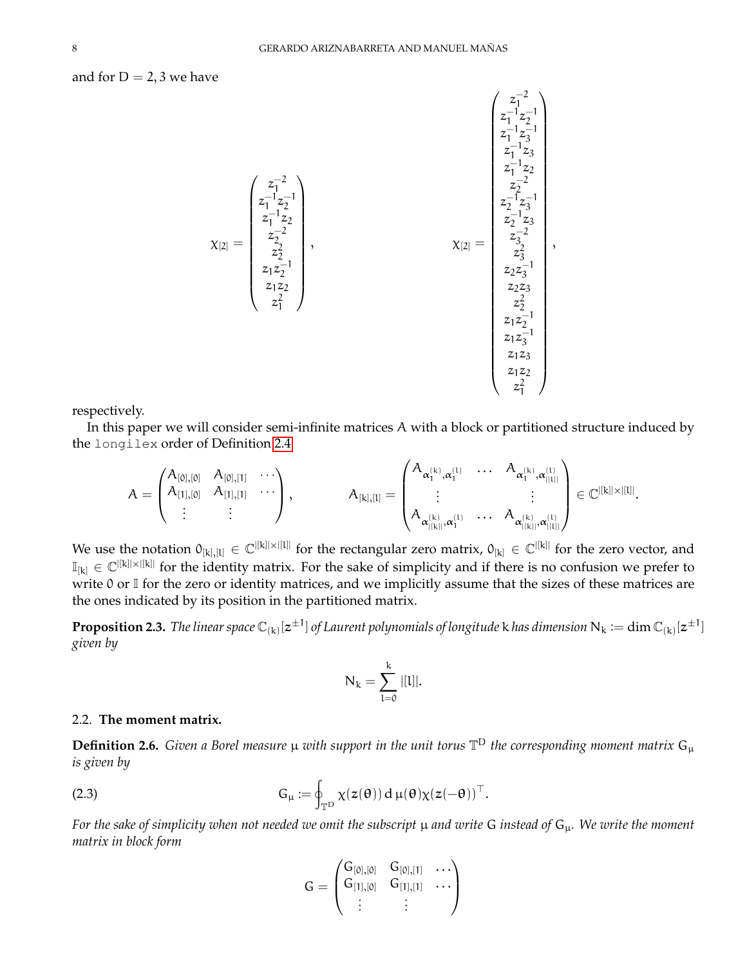and for  $D = 2$ , 3 we have

$$
\chi_{[2]} = \begin{pmatrix} z_1^{-2} \\ z_1^{-1}z_2^{-1} \\ z_1^{-1}z_2 \\ z_1^{-1}z_2 \\ z_2^{-2} \\ z_1z_2 \\ z_1^2 \\ z_1^2 \\ z_1^2 \\ z_1^2 \\ z_1^2 \\ z_1^2 \\ z_1^2 \\ z_1^2 \\ z_1^2 \\ z_1^2 \\ z_1^2 \\ z_1z_2^2 \\ z_1z_2^2 \\ z_1z_2^2 \\ z_1z_2^2 \\ z_1z_2^2 \\ z_1z_2^2 \\ z_1z_2^2 \\ z_1z_2^2 \\ z_1z_2^2 \\ z_1z_2^2 \\ z_1z_2^2 \\ z_1z_2^2 \\ z_1z_2^2 \\ z_1z_2^2 \\ z_1z_2^2 \\ z_1z_2^2 \\ z_1z_2^2 \\ z_1z_2^2 \\ z_1z_2^2 \\ z_1z_2^2 \\ z_1z_2^2 \\ z_1z_2^2 \\ z_1z_2^2 \\ z_1z_2^2 \\ z_1z_2^2 \\ z_1z_2^2 \\ z_1z_2^2 \\ z_1z_2^2 \\ z_1z_2^2 \\ z_1z_2^2 \\ z_1z_2^2 \\ z_1z_2^2 \\ z_1z_2^2 \\ z_1z_2^2 \\ z_1z_2^2 \\ z_1z_2^2 \\ z_1z_2^2 \\ z_1z_2^2 \\ z_1z_2^2 \\ z_1z_2^2 \\ z_1z_2^2 \\ z_1z_2^2 \\ z_1z_2^2 \\ z_1z_2^2 \\ z_1z_2^2 \\ z_1z_2^2 \\ z_1z_2^2 \\ z_1z_2^2 \\ z_1z_2^2 \\ z_1z_2^2 \\ z_1z_2^2 \\ z_1z_2^2 \\ z_1z_2^2 \\ z_1z_2^2 \\ z_1z_2^2 \\ z_1z_2^2 \\ z_1z_2^2 \\ z_1z_2^2 \\ z_1z_2^2 \\ z_1z_2^2 \\ z_1z_2^2 \\ z_1z_2^2 \\ z_1z_2^2 \\ z_1z_2^2 \\ z_1z_2^2 \\ z_1z_2^2 \\ z_1z_2^2 \\ z_1z_2^2 \\ z_1z_2^2 \\ z_1z_2
$$

respectively.

In this paper we will consider semi-infinite matrices A with a block or partitioned structure induced by the longilex order of Definition [2.4](#page-6-1)

$$
A = \begin{pmatrix} A_{[0],[0]} & A_{[0],[1]} & \cdots \\ A_{[1],[0]} & A_{[1],[1]} & \cdots \\ \vdots & \vdots & \end{pmatrix}, \hspace{1cm} A_{[k],[l]} = \begin{pmatrix} A_{\alpha_{1}^{(k)},\alpha_{1}^{(l)}} & \cdots & A_{\alpha_{1}^{(k)},\alpha_{|[l]|}^{(l)}} \\ \vdots & & \vdots \\ A_{\alpha_{|[k]|}^{(k)},\alpha_{1}^{(l)}} & \cdots & A_{\alpha_{|[k]|}^{(k)},\alpha_{|[l]|}^{(l)}} \end{pmatrix} \in \mathbb{C}^{|[k]| \times |[l]|}.
$$

We use the notation  $0_{[k],[l]} \in \mathbb{C}^{|[k]| \times |[l]|}$  for the rectangular zero matrix,  $0_{[k]} \in \mathbb{C}^{|[k]|}$  for the zero vector, and  $\mathbb{I}_{[k]} \in \mathbb{C}^{|[k]| \times |[k]|}$  for the identity matrix. For the sake of simplicity and if there is no confusion we prefer to write 0 or I for the zero or identity matrices, and we implicitly assume that the sizes of these matrices are the ones indicated by its position in the partitioned matrix.

 ${\bf Proposition ~2.3.}$  The linear space  $\Bbb C_{(k)}[z^{\pm 1}]$  of Laurent polynomials of longitude  $k$  has dimension  $\Bbb N_k:=\dim \Bbb C_{(k)}[z^{\pm 1}]$ *given by*

$$
N_k = \sum_{l=0}^k |[l]|.
$$

## <span id="page-7-0"></span>2.2. **The moment matrix.**

<span id="page-7-1"></span>**Definition 2.6.** *Given a Borel measure* µ *with support in the unit torus* T <sup>D</sup> *the corresponding moment matrix* G<sup>µ</sup> *is given by*

(2.3) 
$$
G_{\mu} := \oint_{\mathbb{T}^D} \chi(z(\theta)) d \mu(\theta) \chi(z(-\theta))^{\top}.
$$

*For the sake of simplicity when not needed we omit the subscript* µ *and write* G *instead of* Gµ*. We write the moment matrix in block form*

$$
G=\begin{pmatrix}G_{[0],[0]} & G_{[0],[1]} & \dots \\ G_{[1],[0]} & G_{[1],[1]} & \dots \\ \vdots & \vdots & \ddots \end{pmatrix}
$$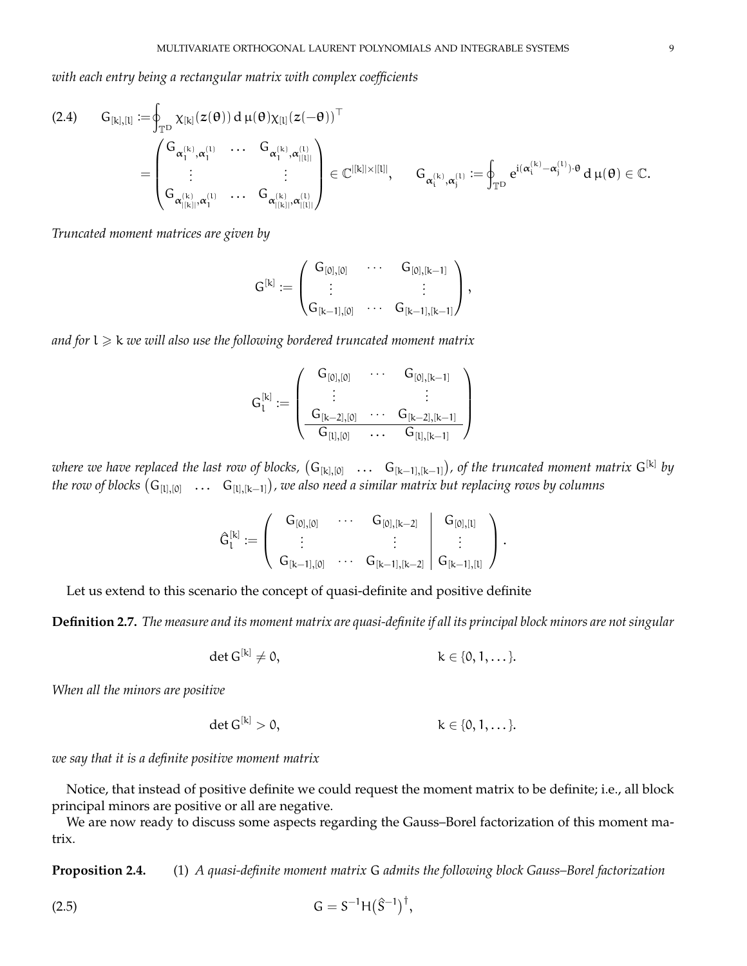*with each entry being a rectangular matrix with complex coefficients*

<span id="page-8-1"></span>
$$
\begin{array}{llll} \displaystyle (2.4) \qquad G_{[k],[l]} := & \oint_{\mathbb{T}^D} \chi_{[k]}(z(\theta)) \, d \, \mu(\theta) \chi_{[l]}(z(-\theta))^{\top} \\ & \hspace{2cm} = & \left( \begin{matrix} G_{\alpha_{1}^{(k)}, \alpha_{1}^{(l)}} & \cdots & G_{\alpha_{1}^{(k)}, \alpha_{|[l]|}^{(l)}} \\ \vdots & \vdots & \vdots \\ G_{\alpha_{|[k]|}^{(k)}, \alpha_{1}^{(l)}} & \cdots & G_{\alpha_{|[k]|}^{(k)}, \alpha_{|[l]|}^{(l)}} \end{matrix} \right) \in \mathbb{C}^{|[k]| \times |[l]|}, \qquad G_{\alpha_{i}^{(k)}, \alpha_{j}^{(l)}} := \oint_{\mathbb{T}^D} e^{i (\alpha_{i}^{(k)} - \alpha_{j}^{(l)}) \cdot \theta} \, d \, \mu(\theta) \in \mathbb{C}. \end{array}
$$

*Truncated moment matrices are given by*

$$
G^{[k]}:=\begin{pmatrix} G_{[0],[0]} & \cdots & G_{[0],[k-1]} \\ \vdots & & \vdots \\ G_{[k-1],[0]} & \cdots & G_{[k-1],[k-1]} \end{pmatrix},
$$

*and for*  $l \geq k$  *we will also use the following bordered truncated moment matrix* 

$$
G_l^{[k]} := \left( \begin{array}{ccc} G_{[0],[0]} & \cdots & G_{[0],[k-1]} \\ \vdots & & \vdots \\ G_{[k-2],[0]} & \cdots & G_{[k-2],[k-1]} \\ \hline G_{[l],[0]} & \cdots & G_{[l],[k-1]} \end{array} \right)
$$

where we have replaced the last row of blocks,  $(G_{[k],[0]} \quad ... \quad G_{[k-1],[k-1]} )$ , of the truncated moment matrix  $G^{[k]}$  by the row of blocks  $(\sf G_{[l],[0]}~~...~~\sf G_{[l],[k-1]})$ , we also need a similar matrix but replacing rows by columns

$$
\widehat{G}_l^{[k]} := \left( \begin{array}{ccc|c} G_{[0], [0]} & \cdots & G_{[0], [k-2]} & G_{[0], [l]} \\ \vdots & & \vdots & \vdots \\ G_{[k-1], [0]} & \cdots & G_{[k-1], [k-2]} & G_{[k-1], [l]} \end{array} \right).
$$

Let us extend to this scenario the concept of quasi-definite and positive definite

**Definition 2.7.** *The measure and its moment matrix are quasi-definite if all its principal block minors are not singular*

$$
\det G^{[k]} \neq 0, \qquad \qquad k \in \{0, 1, \dots\}.
$$

*When all the minors are positive*

$$
\det G^{[k]} > 0, \qquad \qquad k \in \{0, 1, \dots\}.
$$

*we say that it is a definite positive moment matrix*

Notice, that instead of positive definite we could request the moment matrix to be definite; i.e., all block principal minors are positive or all are negative.

We are now ready to discuss some aspects regarding the Gauss–Borel factorization of this moment matrix.

**Proposition 2.4.** (1) *A quasi-definite moment matrix* G *admits the following block Gauss–Borel factorization*

<span id="page-8-0"></span>(2.5) 
$$
G = S^{-1}H(\hat{S}^{-1})^{\dagger},
$$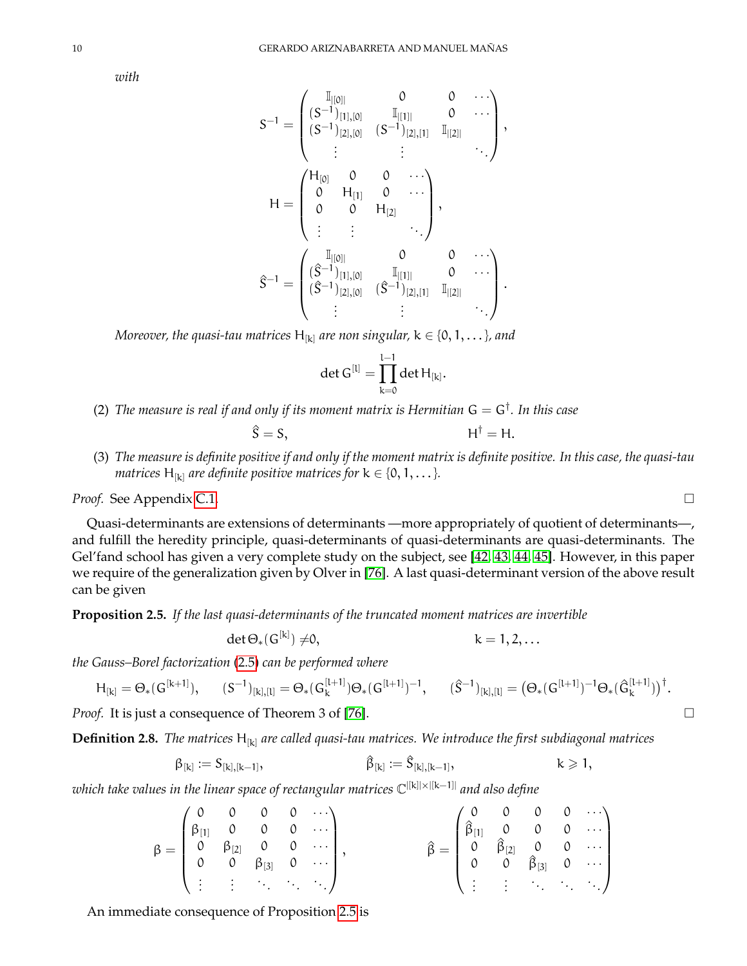*with*

$$
S^{-1}=\begin{pmatrix} \mathbb{I}_{][0]} & 0 & 0 & \cdots \\ (S^{-1})_{[1],[0]} & \mathbb{I}_{|[1]|} & 0 & \cdots \\ (S^{-1})_{[2],[0]} & (S^{-1})_{[2],[1]} & \mathbb{I}_{|[2]|} \\ \vdots & \vdots & \ddots \end{pmatrix}, \\ H=\begin{pmatrix} H_{[0]} & 0 & 0 & \cdots \\ 0 & H_{[1]} & 0 & \cdots \\ 0 & 0 & H_{[2]} & \\ \vdots & \vdots & \ddots \end{pmatrix}, \\ \hat{S}^{-1}=\begin{pmatrix} \mathbb{I}_{[[0]]} & 0 & 0 & \cdots \\ ( \hat{S}^{-1})_{[1],[0]} & \mathbb{I}_{[[1]]} & 0 & \cdots \\ ( \hat{S}^{-1})_{[2],[0]} & ( \hat{S}^{-1})_{[2],[1]} & \mathbb{I}_{[[2]]} & \cdots \end{pmatrix}.
$$

*Moreover, the quasi-tau matrices*  $H_{[k]}$  *are non singular,*  $k \in \{0, 1, \ldots\}$ *, and* 

$$
\det G^{[l]} = \prod_{k=0}^{l-1} \det H_{[k]}.
$$

(2) The measure is real if and only if its moment matrix is Hermitian  $G = G^{\dagger}$ . In this case

$$
\hat{S} = S, \qquad H^{\dagger} = H.
$$

(3) *The measure is definite positive if and only if the moment matrix is definite positive. In this case, the quasi-tau matrices*  $H_{[k]}$  *are definite positive matrices for*  $k \in \{0, 1, \ldots\}$ *.* 

### *Proof.* See Appendix [C.1.](#page-62-1)

Quasi-determinants are extensions of determinants —more appropriately of quotient of determinants—, and fulfill the heredity principle, quasi-determinants of quasi-determinants are quasi-determinants. The Gel'fand school has given a very complete study on the subject, see [\[42,](#page-70-19) [43,](#page-70-20) [44,](#page-70-21) [45\]](#page-70-22). However, in this paper we require of the generalization given by Olver in [\[76\]](#page-71-24). A last quasi-determinant version of the above result can be given

<span id="page-9-0"></span>**Proposition 2.5.** *If the last quasi-determinants of the truncated moment matrices are invertible*

$$
\det \Theta_*(G^{[k]}) \neq 0, \qquad k = 1, 2, \dots
$$

*the Gauss–Borel factorization* [\(2.5\)](#page-8-0) *can be performed where*

$$
H_{[k]} = \Theta_*(G^{[k+1]}), \qquad (S^{-1})_{[k], [l]} = \Theta_*(G^{[l+1]}_k) \Theta_*(G^{[l+1]})^{-1}, \qquad (\hat{S}^{-1})_{[k], [l]} = \big(\Theta_*(G^{[l+1]})^{-1} \Theta_*(\hat{G}^{[l+1]}_k)\big)^{\dagger}.
$$

*Proof.* It is just a consequence of Theorem 3 of [\[76\]](#page-71-24).

**Definition 2.8.** *The matrices* H[k] *are called quasi-tau matrices. We introduce the first subdiagonal matrices*

$$
\beta_{[k]}:=S_{[k],[k-1]},\qquad \qquad \widehat{\beta}_{[k]}:=\widehat{S}_{[k],[k-1]},\qquad \qquad k\geqslant 1,
$$

*which take values in the linear space of rectangular matrices* C |[k]|×|[k−1]| *and also define*

$$
\beta = \begin{pmatrix} 0 & 0 & 0 & 0 & \cdots \\ \beta_{[1]} & 0 & 0 & 0 & \cdots \\ 0 & \beta_{[2]} & 0 & 0 & \cdots \\ 0 & 0 & \beta_{[3]} & 0 & \cdots \\ \vdots & \vdots & \ddots & \ddots & \ddots \end{pmatrix}, \hspace{3.8cm} \hat{\beta} = \begin{pmatrix} 0 & 0 & 0 & 0 & \cdots \\ \hat{\beta}_{[1]} & 0 & 0 & 0 & \cdots \\ 0 & \hat{\beta}_{[2]} & 0 & 0 & \cdots \\ 0 & 0 & \hat{\beta}_{[3]} & 0 & \cdots \\ \vdots & \vdots & \ddots & \ddots & \ddots \end{pmatrix}
$$

An immediate consequence of Proposition [2.5](#page-9-0) is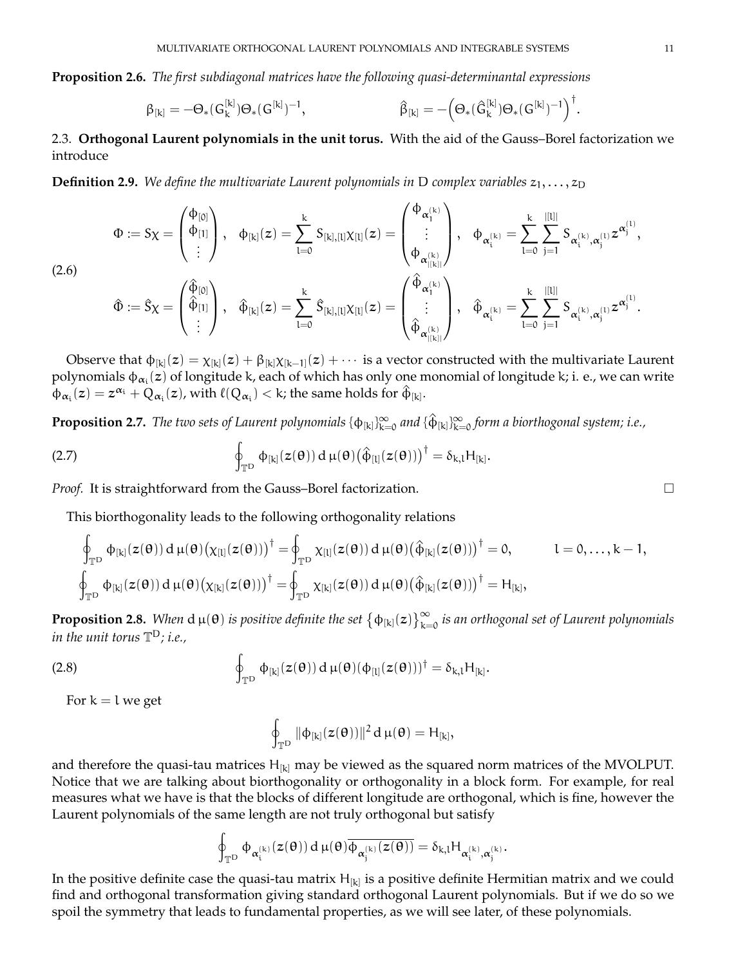**Proposition 2.6.** *The first subdiagonal matrices have the following quasi-determinantal expressions*

$$
\beta_{[k]} = -\Theta_*(G_k^{[k]})\Theta_*(G^{[k]})^{-1}, \qquad \qquad \ \ \, \hat{\beta}_{[k]} = -\Big(\Theta_*(\hat{G}_k^{[k]})\Theta_*(G^{[k]})^{-1}\Big)^{\dagger}.
$$

<span id="page-10-0"></span>2.3. **Orthogonal Laurent polynomials in the unit torus.** With the aid of the Gauss–Borel factorization we introduce

**Definition 2.9.** *We define the multivariate Laurent polynomials in* D *complex variables*  $z_1, \ldots, z_D$ 

$$
\Phi:=S\chi=\begin{pmatrix}\varphi_{[0]}\\ \varphi_{[1]}\\ \vdots \end{pmatrix},\hspace{3mm} \varphi_{[k]}(z)=\sum_{l=0}^{k}S_{[k],[l]}\chi_{[l]}(z)=\begin{pmatrix}\varphi_{\alpha_{1}^{(k)}}\\ \vdots\\ \varphi_{\alpha_{|[k]}^{(k)}} \end{pmatrix}, \hspace{3mm} \varphi_{\alpha_{i}^{(k)}}=\sum_{l=0}^{k}\sum_{j=1}^{|[l]|}S_{\alpha_{i}^{(k)},\alpha_{j}^{(l)}}z^{\alpha_{j}^{(l)}},
$$

<span id="page-10-1"></span>(2.6)

$$
\hat{\Phi}:=\hat{S}\chi=\left(\begin{matrix}\hat{\varphi}_{[0]}\\\hat{\varphi}_{[1]}\\\vdots\end{matrix}\right),\quad \hat{\varphi}_{[k]}(z)=\sum_{l=0}^k\hat{S}_{[k],[l]} \chi_{[l]}(z)=\left(\begin{matrix}\hat{\varphi}_{\alpha^{(k)}_1}\\\vdots\\\hat{\varphi}_{\alpha^{(k)}_{[|k|]}}\end{matrix}\right),\quad \hat{\varphi}_{\alpha^{(k)}_i}=\sum_{l=0}^k\sum_{j=1}^{|[l]|}S_{\alpha^{(k)}_i,\alpha^{(l)}_j}z^{\alpha^{(l)}_j}.
$$

Observe that  $\phi_{[k]}(z)=\chi_{[k]}(z)+\beta_{[k]}\chi_{[k-1]}(z)+\cdots$  is a vector constructed with the multivariate Laurent polynomials  $\phi_{\alpha_i}(z)$  of longitude k, each of which has only one monomial of longitude k; i. e., we can write  $\varphi_{\alpha_i}(z) = z^{\alpha_i} + \bar{Q}_{\alpha_i}(z)$ , with  $\ell(Q_{\alpha_i}) < k$ ; the same holds for  $\hat{\varphi}_{[k]}.$ 

 ${\bf Proposition~2.7.}$  The two sets of Laurent polynomials  $\{\Phi_{[k]}\}_{k=0}^\infty$  and  $\{\hat\Phi_{[k]}\}_{k=0}^\infty$  form a biorthogonal system; i.e.,

<span id="page-10-2"></span>(2.7) 
$$
\oint_{\mathbb{T}^D} \phi_{[k]}(z(\theta)) d \mu(\theta) (\hat{\phi}_{[l]}(z(\theta)))^{\dagger} = \delta_{k,l} H_{[k]}.
$$

*Proof.* It is straightforward from the Gauss–Borel factorization.

This biorthogonality leads to the following orthogonality relations

$$
\begin{array}{ll}\displaystyle\oint_{\mathbb{T}^D}\varphi_{[k]}(z(\theta))\,d\,\mu(\theta)\big(\chi_{[l]}(z(\theta))\big)^\dagger=\!\!\!\!\!\!\int_{\mathbb{T}^D}\chi_{[l]}(z(\theta))\,d\,\mu(\theta)\big(\hat\varphi_{[k]}(z(\theta))\big)^\dagger=0, & l=0,\ldots,k-1,\\ \displaystyle\oint_{\mathbb{T}^D}\varphi_{[k]}(z(\theta))\,d\,\mu(\theta)\big(\chi_{[k]}(z(\theta))\big)^\dagger=\!\!\!\!\!\int_{\mathbb{T}^D}\chi_{[k]}(z(\theta))\,d\,\mu(\theta)\big(\hat\varphi_{[k]}(z(\theta))\big)^\dagger=\mathrm{H}_{[k]}, \end{array}
$$

**Proposition 2.8.** When  $d \mu(\theta)$  is positive definite the set  $\{\phi_{[k]}(z)\}_{k=0}^\infty$  is an orthogonal set of Laurent polynomials *in the unit torus* T <sup>D</sup>*; i.e.,*

(2.8) 
$$
\oint_{\mathbb{T}^D} \Phi_{[k]}(z(\theta)) d \mu(\theta) (\Phi_{[l]}(z(\theta)))^{\dagger} = \delta_{k,l} H_{[k]}.
$$

For  $k = l$  we get

$$
\oint_{\mathbb{T}^D} \|\varphi_{[k]}(z(\theta))\|^2\,d\,\mu(\theta)=H_{[k]},
$$

and therefore the quasi-tau matrices  $H_{[k]}$  may be viewed as the squared norm matrices of the MVOLPUT. Notice that we are talking about biorthogonality or orthogonality in a block form. For example, for real measures what we have is that the blocks of different longitude are orthogonal, which is fine, however the Laurent polynomials of the same length are not truly orthogonal but satisfy

$$
\oint_{\mathbb T^D} \varphi_{\alpha_i^{(k)}}(z(\theta))\,d\,\mu(\theta)\overline{\varphi_{\alpha_j^{(k)}}(z(\theta))}=\delta_{k,l}H_{\alpha_i^{(k)},\alpha_j^{(k)}}.
$$

In the positive definite case the quasi-tau matrix  $H_{[k]}$  is a positive definite Hermitian matrix and we could find and orthogonal transformation giving standard orthogonal Laurent polynomials. But if we do so we spoil the symmetry that leads to fundamental properties, as we will see later, of these polynomials.

$$
\qquad \qquad \Box
$$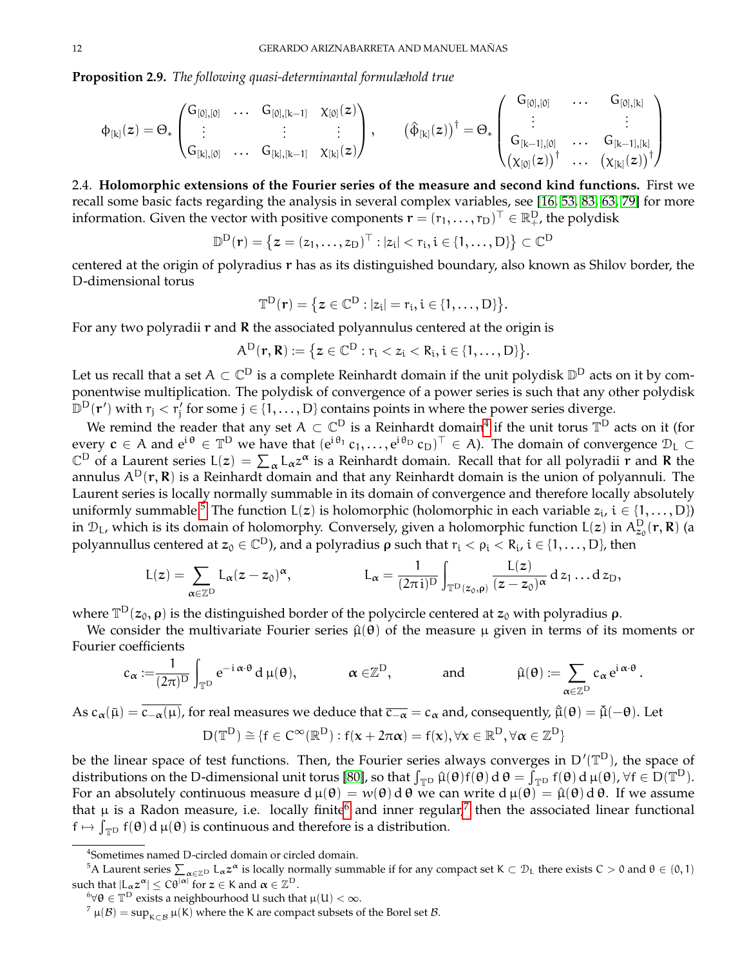**Proposition 2.9.** *The following quasi-determinantal formulæhold true*

$$
\varphi_{[k]}(z)=\Theta_*\begin{pmatrix}G_{[0],[0]}&\ldots&G_{[0],[k-1]}&\chi_{[0]}(z)\\ \vdots&\vdots&\vdots\\ G_{[k],[0]}&\ldots&G_{[k],[k-1]}&\chi_{[k]}(z) \end{pmatrix},\qquad \big(\hat{\varphi}_{[k]}(z)\big)^\dagger=\Theta_*\begin{pmatrix}G_{[0],[0]}&\ldots&G_{[0],[k]}\\ \vdots&\vdots\\ G_{[k-1],[0]}&\ldots&G_{[k-1],[k]}\\ \chi_{[0]}(z)\big)^\dagger&\ldots&\chi_{[k]}(z) \end{pmatrix}^\dagger
$$

<span id="page-11-0"></span>2.4. **Holomorphic extensions of the Fourier series of the measure and second kind functions.** First we recall some basic facts regarding the analysis in several complex variables, see [\[16,](#page-69-28) [53,](#page-70-23) [83,](#page-71-25) [63,](#page-71-26) [79\]](#page-71-27) for more information. Given the vector with positive components  $\mathbf{r} = (r_1, \ldots, r_D)^\top \in \mathbb{R}_+^D$ , the polydisk

$$
\mathbb{D}^{\mathrm{D}}(\mathbf{r}) = \left\{ \boldsymbol{z} = (z_1, \ldots, z_{\mathrm{D}})^{\top} : |z_i| < r_i, i \in \{1, \ldots, \mathrm{D}\} \right\} \subset \mathbb{C}^{\mathrm{D}}
$$

centered at the origin of polyradius r has as its distinguished boundary, also known as Shilov border, the D-dimensional torus

$$
\mathbb{T}^D(r)=\big\{z\in\mathbb{C}^D:|z_i|=r_i, i\in\{1,\ldots,D\}\big\}.
$$

For any two polyradii  $r$  and  $R$  the associated polyannulus centered at the origin is

$$
\mathsf{A}^D(r,\boldsymbol{R})\mathrel{\mathop:}= \big\{z\in\mathbb{C}^D: r_i< z_i< R_i, i\in\{1,\ldots,D\}\big\}.
$$

Let us recall that a set  $A\subset\mathbb{C}^{\mathsf{D}}$  is a complete Reinhardt domain if the unit polydisk  $\mathbb{D}^{\mathsf{D}}$  acts on it by componentwise multiplication. The polydisk of convergence of a power series is such that any other polydisk  $\mathbb{D}^D(\mathbf{r}')$  with  $r_j < r'_j$  for some  $j \in \{1, \ldots, D\}$  contains points in where the power series diverge.

We remind the reader that any set  $A\subset\mathbb{C}^{\textsf{D}}$  is a Reinhardt domain<sup>[4](#page-11-1)</sup> if the unit torus  $\mathbb{T}^{\textsf{D}}$  acts on it (for every  $c \in A$  and  $e^{i\theta} \in \mathbb{T}^D$  we have that  $(e^{i\theta_1}c_1,\ldots,e^{i\theta_D}c_D)^\top \in A$ ). The domain of convergence  $\mathcal{D}_L \subset$  $\mathbb{C}^D$  of a Laurent series  $L(z) = \sum_{\alpha} L_{\alpha} z^{\alpha}$  is a Reinhardt domain. Recall that for all polyradii r and R the annulus  $A^D(r, R)$  is a Reinhardt domain and that any Reinhardt domain is the union of polyannuli. The Laurent series is locally normally summable in its domain of convergence and therefore locally absolutely uniformly summable.<sup>[5](#page-11-2)</sup> The function L(z) is holomorphic (holomorphic in each variable  $z_i$ ,  $i \in \{1, ..., D\}$ ) in  $\mathcal{D}_L$ , which is its domain of holomorphy. Conversely, given a holomorphic function L(z) in  $A^D_{z_0}(r,R)$  (a polyannullus centered at  $z_0\in\mathbb{C}^D$ ), and a polyradius  $\rho$  such that  $r_i<\rho_i< R_i$ ,  $i\in\{1,\ldots,D\}$ , then

$$
L(z)=\sum_{\alpha\in\mathbb{Z}^D}L_\alpha(z-z_0)^\alpha,\qquad\qquad L_\alpha=\frac{1}{(2\pi\,i)^D}\int_{\mathbb{T}^D(z_0,\rho)}\frac{L(z)}{(z-z_0)^\alpha}\,d\,z_1\dots d\,z_D,
$$

where  $\mathbb{T}^{\text{D}}(z_0,\rho)$  is the distinguished border of the polycircle centered at  $z_0$  with polyradius  $\rho$ .

We consider the multivariate Fourier series  $\hat{\mu}(\theta)$  of the measure  $\mu$  given in terms of its moments or Fourier coefficients

$$
c_\alpha:=\!\frac{1}{(2\pi)^D}\int_{\mathbb{T}^D} e^{-\,\alpha\cdot\theta}\,d\,\mu(\theta),\qquad\qquad \alpha\in\!\mathbb{Z}^D,\qquad\qquad\text{and}\qquad\qquad \hat{\mu}(\theta):=\sum_{\alpha\in\mathbb{Z}^D}c_\alpha\,e^{i\,\alpha\cdot\theta}\,.
$$

As  $c_{\alpha}(\bar{\mu}) = \overline{c_{-\alpha}(\mu)}$ , for real measures we deduce that  $\overline{c_{-\alpha}} = c_{\alpha}$  and, consequently,  $\hat{\mu}(\theta) = \overline{\hat{\mu}}(-\theta)$ . Let

$$
D(\mathbb{T}^D) \cong \{f \in C^\infty(\mathbb{R}^D) : f(\boldsymbol{x} + 2\pi\boldsymbol{\alpha}) = f(\boldsymbol{x}), \forall \boldsymbol{x} \in \mathbb{R}^D, \forall \boldsymbol{\alpha} \in \mathbb{Z}^D\}
$$

be the linear space of test functions. Then, the Fourier series always converges in  $D'(\mathbb{T}^D)$ , the space of distributions on the D-dimensional unit torus [\[80\]](#page-71-28), so that  $\int_{\mathbb{T}^D} \hat{\mu}(\theta) f(\theta) d\theta = \int_{\mathbb{T}^D} f(\theta) d\mu(\theta)$ ,  $\forall f \in D(\mathbb{T}^D)$ . For an absolutely continuous measure  $d \mu(\theta) = w(\theta) d \theta$  we can write  $d \mu(\theta) = \hat{\mu}(\theta) d \theta$ . If we assume that  $\mu$  is a Radon measure, i.e. locally finite<sup>[6](#page-11-3)</sup> and inner regular,<sup>[7](#page-11-4)</sup> then the associated linear functional  $f \mapsto \int_{\mathbb{T}^D} f(\theta) d\mu(\theta)$  is continuous and therefore is a distribution.

<span id="page-11-2"></span><span id="page-11-1"></span><sup>4</sup> Sometimes named D-circled domain or circled domain.

<sup>&</sup>lt;sup>5</sup>A Laurent series  $\sum_{\alpha\in\mathbb{Z}^{\mathrm{D}}}$  L<sub>α</sub>z<sup>α</sup> is locally normally summable if for any compact set K  $\subset\mathcal{D}_\mathsf{L}$  there exists C  $>0$  and  $\theta\in(0,1)$ such that  $|L_{\alpha}z^{\alpha}|\leq C\theta^{|\alpha|}$  for  $z\in K$  and  $\alpha\in\mathbb{Z}^D$ .

<span id="page-11-3"></span> ${}^{6}\forall\theta\in\mathbb{T}^{\mathsf{D}}$  exists a neighbourhood U such that  $\mu(\mathsf{U})<\infty$ .

<span id="page-11-4"></span> $7 \mu(\mathcal{B}) = \sup_{K \subset \mathcal{B}} \mu(K)$  where the K are compact subsets of the Borel set  $\mathcal{B}$ .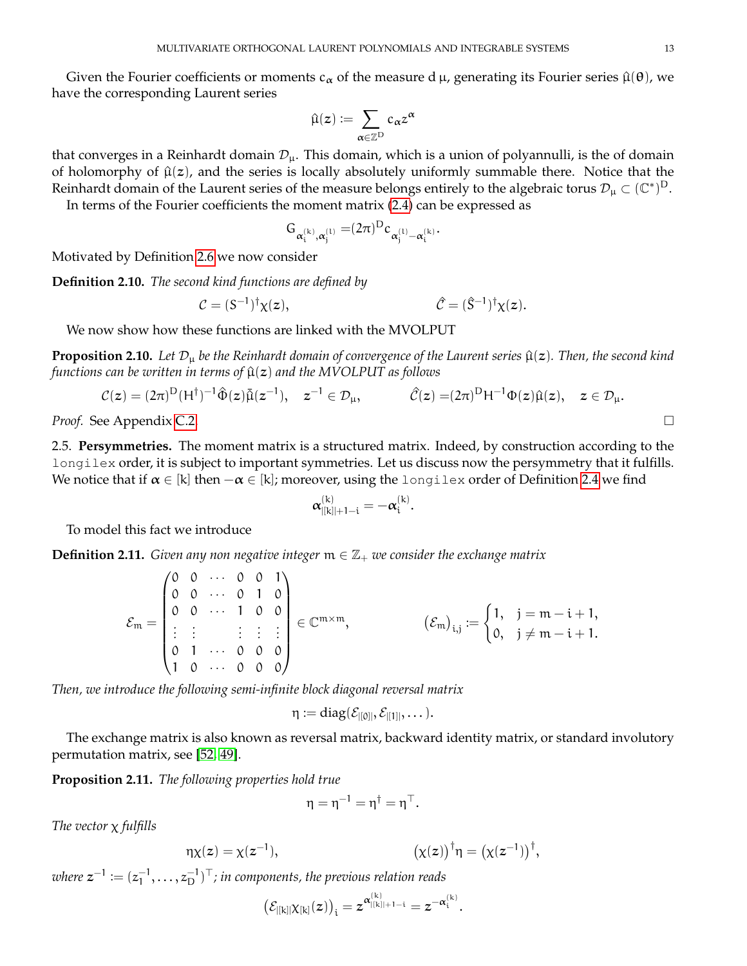Given the Fourier coefficients or moments  $c_{\alpha}$  of the measure d  $\mu$ , generating its Fourier series  $\hat{\mu}(\theta)$ , we have the corresponding Laurent series

$$
\hat{\mu}(z):=\sum_{\alpha\in\mathbb{Z}^{\mathrm{D}}}c_{\alpha}z^{\alpha}
$$

that converges in a Reinhardt domain  $\mathcal{D}_{\mu}$ . This domain, which is a union of polyannulli, is the of domain of holomorphy of  $\hat{\mu}(z)$ , and the series is locally absolutely uniformly summable there. Notice that the Reinhardt domain of the Laurent series of the measure belongs entirely to the algebraic torus  $\mathcal{D}_\mu\subset(\mathbb{C}^*)^D$ .

In terms of the Fourier coefficients the moment matrix [\(2.4\)](#page-8-1) can be expressed as

$$
G_{\alpha_i^{(k)},\alpha_j^{(1)}}=(2\pi)^D c_{\alpha_j^{(1)}-\alpha_i^{(k)}}.
$$

Motivated by Definition [2.6](#page-10-1) we now consider

**Definition 2.10.** *The second kind functions are defined by*

$$
\mathcal{C} = (S^{-1})^{\dagger} \chi(z), \qquad \mathcal{C} = (\hat{S}^{-1})^{\dagger} \chi(z).
$$

We now show how these functions are linked with the MVOLPUT

**Proposition 2.10.** Let  $\mathcal{D}_{\mu}$  be the Reinhardt domain of convergence of the Laurent series  $\hat{\mu}(z)$ . Then, the second kind *functions can be written in terms of*  $\hat{\mu}(z)$  *and the MVOLPUT as follows* 

$$
\mathcal{C}(z)=(2\pi)^D(H^\dagger)^{-1}\hat{\Phi}(z)\tilde{\mu}(z^{-1}),\quad z^{-1}\in\mathcal{D}_\mu,\qquad\qquad \hat{\mathcal{C}}(z)=(2\pi)^D H^{-1}\Phi(z)\hat{\mu}(z),\quad z\in\mathcal{D}_\mu.
$$

*Proof.* See Appendix [C.2.](#page-63-0)

<span id="page-12-0"></span>2.5. **Persymmetries.** The moment matrix is a structured matrix. Indeed, by construction according to the longilex order, it is subject to important symmetries. Let us discuss now the persymmetry that it fulfills. We notice that if  $\alpha \in [k]$  then  $-\alpha \in [k]$ ; moreover, using the longilex order of Definition [2.4](#page-6-1) we find

$$
\alpha_{|[k]|+1-i}^{(k)}=-\alpha_i^{(k)}.
$$

To model this fact we introduce

**Definition 2.11.** *Given any non negative integer*  $m \in \mathbb{Z}_+$  *we consider the exchange matrix* 

$$
\mathcal{E}_{m} = \begin{pmatrix} 0 & 0 & \cdots & 0 & 0 & 1 \\ 0 & 0 & \cdots & 0 & 1 & 0 \\ 0 & 0 & \cdots & 1 & 0 & 0 \\ \vdots & \vdots & & \vdots & \vdots & \vdots \\ 0 & 1 & \cdots & 0 & 0 & 0 \\ 1 & 0 & \cdots & 0 & 0 & 0 \end{pmatrix} \in \mathbb{C}^{m \times m}, \qquad (\mathcal{E}_{m})_{i,j} := \begin{cases} 1, & j = m - i + 1, \\ 0, & j \neq m - i + 1. \end{cases}
$$

*Then, we introduce the following semi-infinite block diagonal reversal matrix*

$$
\eta \mathrel{\mathop:}= diag(\mathcal{E}_{|[0]|}, \mathcal{E}_{|[1]|}, \dots).
$$

The exchange matrix is also known as reversal matrix, backward identity matrix, or standard involutory permutation matrix, see [\[52,](#page-70-24) [49\]](#page-70-25).

**Proposition 2.11.** *The following properties hold true*

$$
\eta = \eta^{-1} = \eta^{\dagger} = \eta^{\top}.
$$

*The vector* χ *fulfills*

$$
\eta \chi(z) = \chi(z^{-1}), \qquad (\chi(z))^\dagger \eta = \left(\chi(z^{-1})\right)^\dagger,
$$

 $\mathit{where}\; \mathsf{z}^{-1} := (z_1^{-1}, \ldots, z_{\mathrm{D}}^{-1})^{\top}$ ; in components, the previous relation reads

$$
\big(\mathcal{E}_{|[k]|}\chi_{[k]}(z)\big)_i = z^{\alpha^{(k)}_{|[k]|+1-i}} = z^{-\alpha^{(k)}_i}.
$$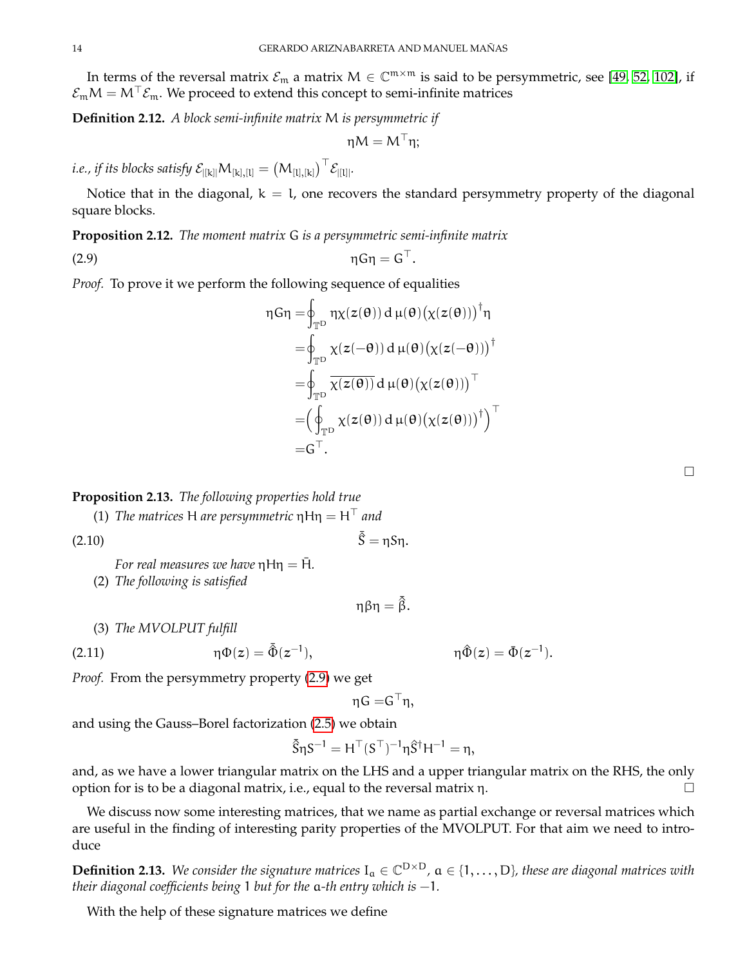In terms of the reversal matrix  $\mathcal{E}_{m}$  a matrix  $M \in \mathbb{C}^{m \times m}$  is said to be persymmetric, see [\[49,](#page-70-25) [52,](#page-70-24) [102\]](#page-72-7), if  $\mathcal{E}_{m}M = M^{\top}\mathcal{E}_{m}$ . We proceed to extend this concept to semi-infinite matrices

**Definition 2.12.** *A block semi-infinite matrix* M *is persymmetric if*

$$
\eta M = M^\top \eta;
$$

*i.e., if its blocks satisfy*  $\mathcal{E}_{[[\mathrm{k}]]}\mathsf{M}_{[\mathrm{k}],[\mathrm{l}]}= \left(\mathsf{M}_{[\mathrm{l}],[\mathrm{k}]}\right)^\top \mathcal{E}_{[[\mathrm{l}]]}.$ 

Notice that in the diagonal,  $k = l$ , one recovers the standard persymmetry property of the diagonal square blocks.

**Proposition 2.12.** *The moment matrix* G *is a persymmetric semi-infinite matrix*

<span id="page-13-0"></span>(2.9)  $\eta G \eta = G^{\top}$ .

*Proof.* To prove it we perform the following sequence of equalities

$$
\eta G \eta = \oint_{\mathbb{T}^D} \eta \chi(z(\theta)) d \mu(\theta) (\chi(z(\theta)))^{\dagger} \eta
$$
  
\n
$$
= \oint_{\mathbb{T}^D} \chi(z(-\theta)) d \mu(\theta) (\chi(z(-\theta)))^{\dagger}
$$
  
\n
$$
= \oint_{\mathbb{T}^D} \overline{\chi(z(\theta))} d \mu(\theta) (\chi(z(\theta)))^{\top}
$$
  
\n
$$
= (\oint_{\mathbb{T}^D} \chi(z(\theta)) d \mu(\theta) (\chi(z(\theta)))^{\dagger})^{\top}
$$
  
\n
$$
= G^{\top}.
$$

**Proposition 2.13.** *The following properties hold true*

(1) *The matrices* H *are persymmetric*  $\eta$ H $\eta = H^{\top}$  *and* 

$$
\bar{\hat{S}} = \eta S \eta.
$$

*For real measures we have*  $nHn = \overline{H}$ *.* 

(2) *The following is satisfied*

$$
\eta\beta\eta=\bar{\hat{\beta}}.
$$

(3) *The MVOLPUT fulfill*

<span id="page-13-1"></span>(2.11) 
$$
\eta \Phi(z) = \bar{\hat{\Phi}}(z^{-1}), \qquad \eta \hat{\Phi}(z) = \bar{\Phi}(z^{-1}).
$$

*Proof.* From the persymmetry property [\(2.9\)](#page-13-0) we get

$$
\eta \mathsf{G=} \mathsf{G}^\top \eta,
$$

),  $η\hat{Φ}(z) = Φ(z^{-1}$ 

and using the Gauss–Borel factorization [\(2.5\)](#page-8-0) we obtain

$$
\bar{\hat{S}}\eta S^{-1}=H^\top(S^\top)^{-1}\eta \hat{S}^\dagger H^{-1}=\eta,
$$

and, as we have a lower triangular matrix on the LHS and a upper triangular matrix on the RHS, the only option for is to be a diagonal matrix, i.e., equal to the reversal matrix η.  $\Box$ 

We discuss now some interesting matrices, that we name as partial exchange or reversal matrices which are useful in the finding of interesting parity properties of the MVOLPUT. For that aim we need to introduce

**Definition 2.13.** We consider the signature matrices  $I_a \in \mathbb{C}^{D\times D}$ ,  $a \in \{1,\ldots,D\}$ , these are diagonal matrices with *their diagonal coefficients being* 1 *but for the* a*-th entry which is* −1*.*

With the help of these signature matrices we define

 $\Box$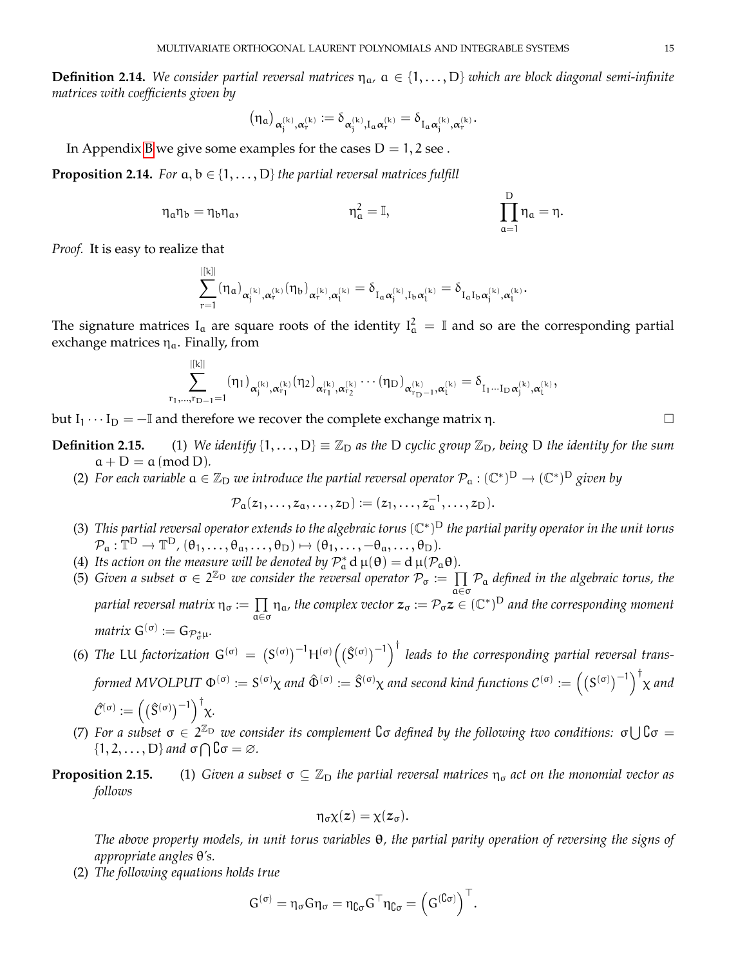**Definition 2.14.** We consider partial reversal matrices  $\eta_a$ ,  $a \in \{1, \ldots, D\}$  which are block diagonal semi-infinite *matrices with coefficients given by*

$$
(\eta_\alpha)_{\alpha_j^{(k)},\alpha_r^{(k)}}\coloneqq\delta_{\alpha_j^{(k)},I_\alpha\alpha_r^{(k)}}=\delta_{I_\alpha\alpha_j^{(k)},\alpha_r^{(k)}}.
$$

In Appendix [B](#page-60-0) we give some examples for the cases  $D = 1, 2$  see.

**Proposition 2.14.** *For*  $a, b \in \{1, \ldots, D\}$  *the partial reversal matrices fulfill* 

$$
\eta_a \eta_b = \eta_b \eta_a, \qquad \qquad \eta_a^2 = \mathbb{I}, \qquad \qquad \prod_{a=1}^D \eta_a = \eta.
$$

D

*Proof.* It is easy to realize that

$$
\sum_{r=1}^{|[k]|}(\eta_\alpha)_{\alpha_j^{(k)},\alpha_r^{(k)}}(\eta_b)_{\alpha_r^{(k)},\alpha_l^{(k)}}=\delta_{I_\alpha\alpha_j^{(k)},I_b\alpha_l^{(k)}}=\delta_{I_\alpha I_b\alpha_j^{(k)},\alpha_l^{(k)}}.
$$

The signature matrices  $I_a$  are square roots of the identity  $I_a^2 = \mathbb{I}$  and so are the corresponding partial exchange matrices  $\eta_a$ . Finally, from

$$
\sum_{r_1,\ldots,r_{D-1}=1}^{|[k]|}(\eta_1)_{\alpha_j^{(k)},\alpha_{r_1}^{(k)}}(\eta_2)_{\alpha_{r_1}^{(k)},\alpha_{r_2}^{(k)}}\cdots(\eta_D)_{\alpha_{r_{D-1}}^{(k)},\alpha_{l}^{(k)}}=\delta_{I_1\cdots I_D\alpha_j^{(k)},\alpha_{l}^{(k)}},
$$

but I<sub>1</sub> · · · I<sub>D</sub> = −I and therefore we recover the complete exchange matrix η.  $\Box$ 

**Definition 2.15.** (1) We identify  $\{1,\ldots,D\} \equiv \mathbb{Z}_D$  as the D cyclic group  $\mathbb{Z}_D$ , being D the identity for the sum  $a + D = a \pmod{D}$ .

(2) For each variable  $a \in \mathbb{Z}_D$  we introduce the partial reversal operator  $\mathcal{P}_a : (\mathbb{C}^*)^D \to (\mathbb{C}^*)^D$  given by

$$
\mathcal{P}_a(z_1,\ldots,z_a,\ldots,z_D):=(z_1,\ldots,z_a^{-1},\ldots,z_D).
$$

- (3) This partial reversal operator extends to the algebraic torus (ℂ<sup>\*</sup>)<sup>D</sup> the partial parity operator in the unit torus  $\mathcal{P}_a: \mathbb{T}^D \to \mathbb{T}^D, (\theta_1, \ldots, \theta_a, \ldots, \theta_D) \mapsto (\theta_1, \ldots, -\theta_a, \ldots, \theta_D).$
- (4) Its action on the measure will be denoted by  $\mathcal{P}_{a}^{*} d \mu(\theta) = d \mu(\mathcal{P}_{a} \theta)$ .
- (5) *Given a subset*  $\sigma \in 2^{\mathbb{Z}_D}$  *we consider the reversal operator*  $\mathcal{P}_{\sigma} := \prod$ a∈σ P<sup>a</sup> *defined in the algebraic torus, the*  $p$ artial reversal matrix  $η<sub>σ</sub> :=  $\prod$$  $\prod_{\alpha \in \sigma} \eta_{\alpha}$ , the complex vector  $z_{\sigma} := \mathcal{P}_{\sigma} z \in (\mathbb{C}^*)^D$  and the corresponding moment  $matrix\ G^{(\sigma)} := G_{\mathcal{P}_{\sigma}^*\mu}.$
- (6) The LU factorization  $G^{(\sigma)} = (S^{(\sigma)})^{-1}H^{(\sigma)}((\hat{S}^{(\sigma)})^{-1})^{\dagger}$  leads to the corresponding partial reversal trans*formed MVOLPUT*  $\Phi^{(\sigma)} := S^{(\sigma)}\chi$  *and*  $\hat{\Phi}^{(\sigma)} := \hat{S}^{(\sigma)}\chi$  *and second kind functions*  $\mathcal{C}^{(\sigma)} := \left(\left(S^{(\sigma)}\right)^{-1}\right)^\dagger\chi$  *and*  $\widehat{\mathcal{C}}^{(\sigma)} := \left( \left( \widehat{S}^{(\sigma)} \right)^{-1} \right)^{\dagger} \chi.$
- (7) For a subset  $\sigma \in 2^{\mathbb{Z}_{D}}$  we consider its complement  $\mathbb{G}$  defined by the following two conditions:  $\sigma \cup \mathbb{G} \sigma =$  $\{1, 2, \ldots, D\}$  and  $\sigma \bigcap \mathcal{C} \sigma = \varnothing$ .
- **Proposition 2.15.** (1) *Given a subset*  $\sigma \subseteq \mathbb{Z}_D$  *the partial reversal matrices*  $\eta_{\sigma}$  *act on the monomial vector as follows*

$$
\eta_{\sigma} \chi(z) = \chi(z_{\sigma}).
$$

*The above property models, in unit torus variables* θ*, the partial parity operation of reversing the signs of appropriate angles* θ*'s.*

(2) *The following equations holds true*

$$
G^{(\sigma)} = \eta_\sigma G \eta_\sigma = \eta_{\complement \sigma} G^\top \eta_{\complement \sigma} = \left( G^{(\complement \sigma)} \right)^\top.
$$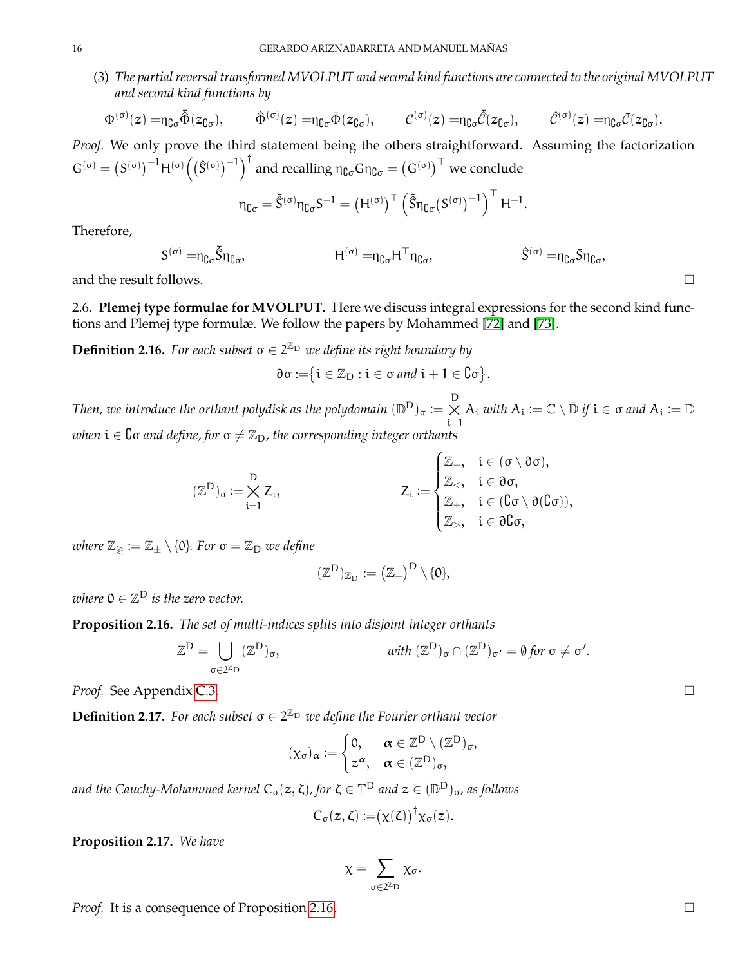(3) *The partial reversal transformed MVOLPUT and second kind functions are connected to the original MVOLPUT and second kind functions by*

$$
\Phi^{(\sigma)}(z) = \eta_{\complement \sigma} \tilde{\Phi}(z_{\complement \sigma}), \qquad \hat{\Phi}^{(\sigma)}(z) = \eta_{\complement \sigma} \Phi(z_{\complement \sigma}), \qquad \mathcal{C}^{(\sigma)}(z) = \eta_{\complement \sigma} \tilde{\mathcal{C}}(z_{\complement \sigma}), \qquad \hat{\mathcal{C}}^{(\sigma)}(z) = \eta_{\complement \sigma} \tilde{\mathcal{C}}(z_{\complement \sigma}).
$$

*Proof.* We only prove the third statement being the others straightforward. Assuming the factorization  $G^{(\sigma)} = (S^{(\sigma)})^{-1} H^{(\sigma)} (({\hat S}^{(\sigma)})^{-1})^{\dagger}$  and recalling  $\eta_{{\complement} \sigma} G \eta_{{\complement} \sigma} = (G^{(\sigma)})^{\top}$  we conclude

$$
\eta_{\complement \sigma} = \bar{\tilde{S}}^{(\sigma)} \eta_{\complement \sigma} S^{-1} = \left( H^{(\sigma)} \right)^\top \left( \bar{\tilde{S}} \eta_{\complement \sigma} (S^{(\sigma)})^{-1} \right)^\top H^{-1}.
$$

Therefore,

$$
S^{(\sigma)} = \eta_{\complement \sigma} \tilde{S} \eta_{\complement \sigma}, \qquad \qquad H^{(\sigma)} = \eta_{\complement \sigma} H^{\top} \eta_{\complement \sigma}, \qquad \qquad \ \ \, \hat{S}^{(\sigma)} = \eta_{\complement \sigma} \bar{S} \eta_{\complement \sigma},
$$

and the result follows.

<span id="page-15-0"></span>2.6. **Plemej type formulae for MVOLPUT.** Here we discuss integral expressions for the second kind functions and Plemej type formulæ. We follow the papers by Mohammed [\[72\]](#page-71-29) and [\[73\]](#page-71-30).

<span id="page-15-3"></span>**Definition 2.16.** For each subset  $\sigma \in 2^{\mathbb{Z}_D}$  we define its right boundary by

$$
\partial \sigma := \{ i \in \mathbb{Z}_D : i \in \sigma \text{ and } i + 1 \in C \sigma \}.
$$

*Then, we introduce the orthant polydisk as the polydomain*  $(\mathbb{D}^{\mathsf{D}})_{\sigma} := \underset{{\mathfrak{i}} = 1}{\times}$  $A_i$  *with*  $A_i := \mathbb{C} \setminus \overline{\mathbb{D}}$  *if*  $i \in \sigma$  *and*  $A_i := \mathbb{D}$ *when*  $i \in \mathbb{C}$  *and define, for*  $\sigma \neq \mathbb{Z}_D$ *, the corresponding integer orthants* 

$$
(\mathbb{Z}^D)_{\sigma}:=\bigtimes_{i=1}^D Z_i, \hspace{2cm} Z_i:=\begin{cases} \mathbb{Z}_-, & i\in(\sigma\setminus\partial\sigma), \\ \mathbb{Z}_<, & i\in\partial\sigma, \\ \mathbb{Z}_+, & i\in(\complement\sigma\setminus\partial(\complement\sigma)), \\ \mathbb{Z}_>, & i\in\partial\complement\sigma, \end{cases}
$$

*where*  $\mathbb{Z}_{\geqslant} := \mathbb{Z}_{\pm} \setminus \{0\}$ *. For*  $\sigma = \mathbb{Z}_{D}$  *we define* 

$$
(\mathbb{Z}^D)_{\mathbb{Z}_D}:=\big(\mathbb{Z}_-\big)^D\setminus\{\textbf{0}\},
$$

where  $\mathsf{0}\in\mathbb{Z}^{\mathsf{D}}$  is the zero vector.

<span id="page-15-1"></span>**Proposition 2.16.** *The set of multi-indices splits into disjoint integer orthants*

$$
\mathbb{Z}^{\mathsf{D}} = \bigcup_{\sigma \in 2^{\mathbb{Z}_{\mathsf{D}}}} (\mathbb{Z}^{\mathsf{D}})_{\sigma}, \qquad \qquad \text{with } (\mathbb{Z}^{\mathsf{D}})_{\sigma} \cap (\mathbb{Z}^{\mathsf{D}})_{\sigma'} = \emptyset \text{ for } \sigma \neq \sigma'.
$$

*Proof.* See Appendix [C.3.](#page-64-0)

<span id="page-15-2"></span>**Definition 2.17.** For each subset  $\sigma \in 2^{\mathbb{Z}_{D}}$  we define the Fourier orthant vector

$$
(\chi_{\sigma})_{\alpha}:=\begin{cases}0,&\alpha\in\mathbb{Z}^D\setminus(\mathbb{Z}^D)_{\sigma},\\z^{\alpha},&\alpha\in(\mathbb{Z}^D)_{\sigma},\end{cases}
$$

and the Cauchy-Mohammed kernel  $\mathsf{C}_\sigma(\bm{z},\bm{\zeta})$ , for  $\bm{\zeta} \in \mathbb{T}^{\textsf{D}}$  and  $\bm{z} \in (\mathbb{D}^{\textsf{D}})_{\sigma}$ , as follows

$$
C_{\sigma}(z,\zeta):=(\chi(\zeta))^{\dagger}\chi_{\sigma}(z).
$$

**Proposition 2.17.** *We have*

$$
\chi=\sum_{\sigma\in 2^{\mathbb{Z}}D}\chi_{\sigma}.
$$

*Proof.* It is a consequence of Proposition [2.16.](#page-15-1) □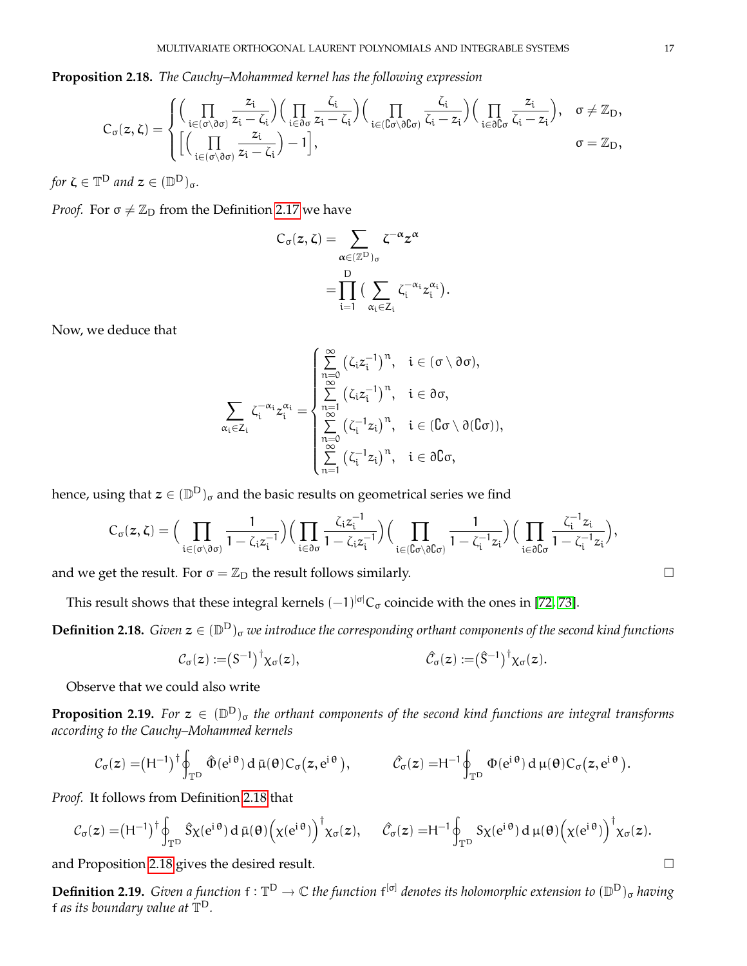<span id="page-16-1"></span>**Proposition 2.18.** *The Cauchy–Mohammed kernel has the following expression*

$$
C_{\sigma}(z,\zeta)=\begin{cases} \Big(\prod\limits_{i\in (\sigma\setminus\vartheta\sigma)}\frac{z_i}{z_i-\zeta_i}\Big)\Big(\prod\limits_{i\in \vartheta\sigma}\frac{\zeta_i}{z_i-\zeta_i}\Big)\Big(\prod\limits_{i\in (\complement\sigma\setminus\vartheta\complement\sigma)}\frac{\zeta_i}{\zeta_i-z_i}\Big)\Big(\prod\limits_{i\in \vartheta\complement\sigma}\frac{z_i}{\zeta_i-z_i}\Big), & \sigma\neq \mathbb{Z}_D, \\ \Big[\Big(\prod\limits_{i\in (\sigma\setminus\vartheta\sigma)}\frac{z_i}{z_i-\zeta_i}\Big)-1\Big], & \sigma=\mathbb{Z}_D, \end{cases}
$$

for  $\zeta \in \mathbb{T}^{\mathsf{D}}$  and  $\mathsf{z} \in (\mathbb{D}^{\mathsf{D}})_{\sigma}$ .

*Proof.* For  $\sigma \neq \mathbb{Z}_D$  from the Definition [2.17](#page-15-2) we have

$$
\begin{aligned} C_{\sigma}(z,\zeta) &= \sum_{\alpha \in (\mathbb{Z}^D)_{\sigma}} \zeta^{-\alpha} z^{\alpha} \\ &= \prod_{i=1}^D \big( \sum_{\alpha_i \in Z_i} \zeta_i^{-\alpha_i} z_i^{\alpha_i} \big) \end{aligned}
$$

.

Now, we deduce that

$$
\sum_{\alpha_i\in Z_i}\zeta_i^{-\alpha_i}z_i^{\alpha_i}=\begin{cases}\sum\limits_{n=0}^{\infty}\left(\zeta_iz_i^{-1}\right)^n, \quad i\in(\sigma\setminus\partial\sigma),\\ \sum\limits_{n=1}^{\infty}\left(\zeta_iz_i^{-1}\right)^n, \quad i\in\partial\sigma,\\ \sum\limits_{n=0}^{\infty}\left(\zeta_i^{-1}z_i\right)^n, \quad i\in(\complement\sigma\setminus\partial(\complement\sigma)),\\ \sum\limits_{n=1}^{\infty}\left(\zeta_i^{-1}z_i\right)^n, \quad i\in\partial\complement\sigma,\end{cases}
$$

hence, using that  $\bm{z} \in (\mathbb{D}^\mathsf{D})_\sigma$  and the basic results on geometrical series we find

$$
C_\sigma(z,\zeta)=\Big(\prod_{i\in(\sigma\setminus\partial\sigma)}\frac{1}{1-\zeta_i z_i^{-1}}\Big)\Big(\prod_{i\in\partial\sigma}\frac{\zeta_i z_i^{-1}}{1-\zeta_i z_i^{-1}}\Big)\Big(\prod_{i\in(\complement\sigma\setminus\partial\complement\sigma)}\frac{1}{1-\zeta_i^{-1} z_i}\Big)\Big(\prod_{i\in\partial\complement\sigma}\frac{\zeta_i^{-1} z_i}{1-\zeta_i^{-1} z_i}\Big),
$$

and we get the result. For  $\sigma = \mathbb{Z}_D$  the result follows similarly.

This result shows that these integral kernels  $(-1)^{|\sigma|}C_{\sigma}$  coincide with the ones in [\[72,](#page-71-29) [73\]](#page-71-30).

<span id="page-16-0"></span> $\bf{Definition 2.18.}$  *Given*  $z \in (\mathbb{D}^D)_\sigma$  we introduce the corresponding orthant components of the second kind functions

$$
C_{\sigma}(z) := (S^{-1})^{\dagger} \chi_{\sigma}(z), \qquad \hat{C}_{\sigma}(z) := (\hat{S}^{-1})^{\dagger} \chi_{\sigma}(z).
$$

Observe that we could also write

**Proposition 2.19.** For  $z \in (\mathbb{D}^D)_{\sigma}$  the orthant components of the second kind functions are integral transforms *according to the Cauchy–Mohammed kernels*

$$
\mathcal{C}_{\sigma}(z) = (H^{-1})^{\dagger} \oint_{\mathbb{T}^D} \hat{\Phi}(e^{i\theta}) d\bar{\mu}(\theta) C_{\sigma}(z, e^{i\theta}), \qquad \hat{\mathcal{C}}_{\sigma}(z) = H^{-1} \oint_{\mathbb{T}^D} \Phi(e^{i\theta}) d\mu(\theta) C_{\sigma}(z, e^{i\theta}).
$$

*Proof.* It follows from Definition [2.18](#page-16-0) that

$$
\mathcal{C}_\sigma(z) = (H^{-1})^\dagger \oint_{\mathbb{T}^D} \hat{S} \chi(e^{i\,\theta}) \, d\,\bar{\mu}(\theta) \Big(\chi(e^{i\,\theta})\Big)^\dagger \chi_\sigma(z), \quad \ \hat{\mathcal{C}}_\sigma(z) = H^{-1} \oint_{\mathbb{T}^D} S \chi(e^{i\,\theta}) \, d\,\mu(\theta) \Big(\chi(e^{i\,\theta})\Big)^\dagger \chi_\sigma(z).
$$

and Proposition [2.18](#page-16-1) gives the desired result.  $\Box$ 

**Definition 2.19.** *Given a function*  $f : \mathbb{T}^D \to \mathbb{C}$  *the function*  $f^{[\sigma]}$  *denotes its holomorphic extension to*  $(\mathbb{D}^D)_{\sigma}$  *having* f *as its boundary value at*  $\mathbb{T}^{\mathsf{D}}$ *.* 

$$
\Box
$$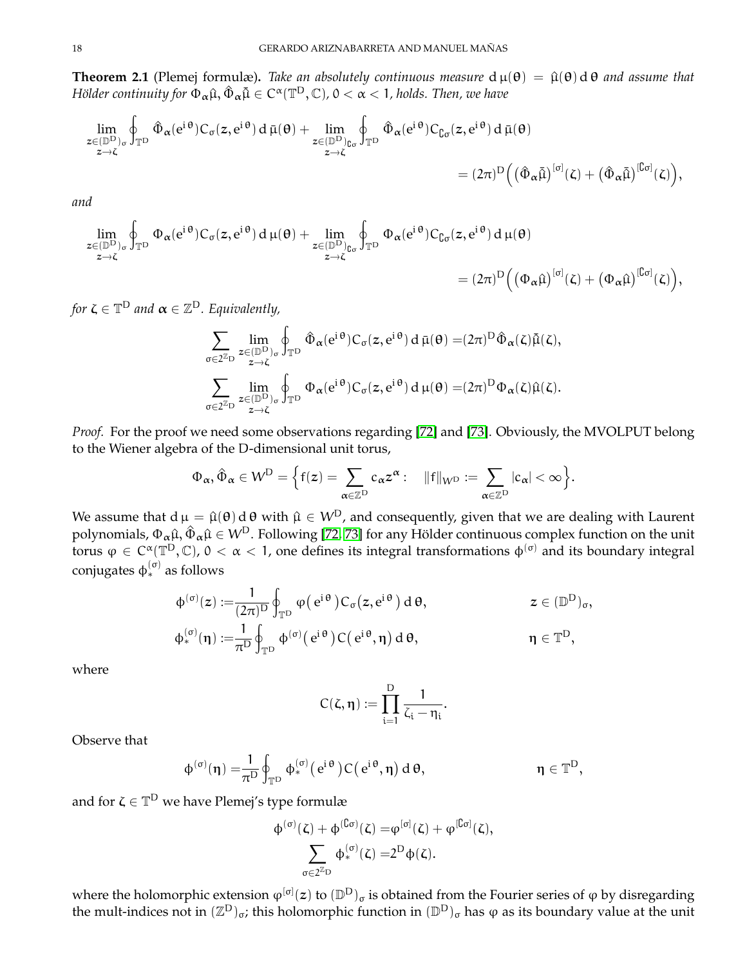**Theorem 2.1** (Plemej formulæ). *Take an absolutely continuous measure*  $d \mu(\theta) = \hat{\mu}(\theta) d \theta$  *and assume that*  $H$ ölder continuity for  $\Phi_{\bm{\alpha}} \hat{\mu}, \hat{\Phi}_{\bm{\alpha}} \tilde{\mu} \in C^{\bm{\alpha}}(\mathbb{T}^{\mathrm{D}},\mathbb{C})$ ,  $0<\alpha < 1$ , holds. Then, we have

$$
\lim_{\substack{z\in(\mathbb{D}^D)_{\sigma}\\ z\to \zeta}}\oint_{\mathbb{T}^D}\hat{\Phi}_\alpha(e^{i\,\theta})C_\sigma(z,e^{i\,\theta})\,d\,\bar{\mu}(\theta)+\lim_{\substack{z\in(\mathbb{D}^D)_{\complement_{\sigma}\\ z\to \zeta}}}\oint_{\mathbb{T}^D}\hat{\Phi}_\alpha(e^{i\,\theta})C_{\complement_{\sigma}}(z,e^{i\,\theta})\,d\,\bar{\mu}(\theta)\\qquad \qquad = (2\pi)^D\Big(\big(\hat{\Phi}_\alpha\tilde{\mu}\big)^{[\sigma]}(\zeta)+\big(\hat{\Phi}_\alpha\tilde{\mu}\big)^{[\complement_{\sigma]}}(\zeta)\Big),
$$

*and*

$$
\lim_{\substack{z \in (\mathbb{D}^D)_\sigma \\ z \to \zeta}} \oint_{\mathbb{T}^D} \Phi_\alpha(e^{i\theta}) C_\sigma(z, e^{i\theta}) d\mu(\theta) + \lim_{\substack{z \in (\mathbb{D}^D)_\mathbb{C}_\sigma \\ z \to \zeta}} \oint_{\mathbb{T}^D} \Phi_\alpha(e^{i\theta}) C_{\mathbb{G}_\sigma}(z, e^{i\theta}) d\mu(\theta) \n= (2\pi)^D \Big( \big( \Phi_\alpha \hat{\mu} \big)^{[\sigma]}(\zeta) + \big( \Phi_\alpha \hat{\mu} \big)^{[\mathbb{G}_\sigma]}(\zeta) \Big),
$$

for  $\bm{\zeta} \in \mathbb{T}^{\textsf{D}}$  and  $\bm{\alpha} \in \mathbb{Z}^{\textsf{D}}.$  Equivalently,

$$
\sum_{\sigma\in 2^{\mathbb{Z}_D}} \lim_{\substack{z\in (\mathbb{D}^D)_{\sigma}\\ z\to \zeta}} \oint_{\mathbb{T}^D} \hat{\Phi}_\alpha(e^{i\,\theta}) C_\sigma(z,e^{i\,\theta}) \, d\,\bar{\mu}(\theta) = (2\pi)^D \hat{\Phi}_\alpha(\zeta) \tilde{\mu}(\zeta),
$$
\n
$$
\sum_{\sigma\in 2^{\mathbb{Z}_D}} \lim_{\substack{z\in (\mathbb{D}^D)_{\sigma}\\ z\to \zeta}} \oint_{\mathbb{T}^D} \Phi_\alpha(e^{i\,\theta}) C_\sigma(z,e^{i\,\theta}) \, d\,\mu(\theta) = (2\pi)^D \Phi_\alpha(\zeta) \hat{\mu}(\zeta).
$$

*Proof.* For the proof we need some observations regarding [\[72\]](#page-71-29) and [\[73\]](#page-71-30). Obviously, the MVOLPUT belong to the Wiener algebra of the D-dimensional unit torus,

$$
\Phi_{\alpha}, \hat{\Phi}_{\alpha} \in W^D = \Big\{f(z) = \sum_{\alpha \in \mathbb{Z}^D} c_{\alpha} z^{\alpha} : \quad \|f\|_{W^D} := \sum_{\alpha \in \mathbb{Z}^D} |c_{\alpha}| < \infty \Big\}.
$$

We assume that  $d \mu = \hat{\mu}(\theta) d \theta$  with  $\hat{\mu} \in W^D$ , and consequently, given that we are dealing with Laurent polynomials,  $\Phi_{\alpha} \hat{\mu}, \hat{\Phi}_{\alpha} \hat{\mu} \in W^D$ . Following [\[72,](#page-71-29) [73\]](#page-71-30) for any Hölder continuous complex function on the unit torus  $\varphi \in C^{\alpha}(\mathbb{T}^D, \mathbb{C})$ ,  $0 < \alpha < 1$ , one defines its integral transformations  $\varphi^{(\sigma)}$  and its boundary integral conjugates  $\phi_*^{(\sigma)}$  as follows

$$
\begin{aligned} \varphi^{(\sigma)}(z) := & \frac{1}{(2\pi)^D} \oint_{\mathbb{T}^D} \phi(e^{i\theta}) C_{\sigma}(z, e^{i\theta}) d\theta, & z \in (\mathbb{D}^D)_{\sigma}, \\ \varphi^{(\sigma)}_*(\eta) := & \frac{1}{\pi^D} \oint_{\mathbb{T}^D} \varphi^{(\sigma)}(e^{i\theta}) C(e^{i\theta}, \eta) d\theta, & \eta \in \mathbb{T}^D, \end{aligned}
$$

where

$$
C(\zeta,\eta):=\prod_{i=1}^D\frac{1}{\zeta_i-\eta_i}.
$$

Observe that

$$
\varphi^{(\sigma)}(\eta)=\!\!\frac{1}{\pi^D}\oint_{\mathbb{T}^D}\varphi_*^{(\sigma)}\big(\,e^{i\,\theta}\,\big)C\big(\,e^{i\,\theta},\eta\big)\,d\,\theta,\hspace{2.5cm}\eta\in\mathbb{T}^D,
$$

and for  $\zeta \in \mathbb{T}^{\mathrm{D}}$  we have Plemej's type formulæ

$$
\begin{aligned} \varphi^{(\sigma)}(\zeta)+\varphi^{(\complement\sigma)}(\zeta)=&\phi^{[\sigma]}(\zeta)+\phi^{[\complement\sigma]}(\zeta),\\ \sum_{\sigma\in 2^{\mathbb{Z}}D}\varphi^{(\sigma)}_{*}(\zeta)=&2^{D}\varphi(\zeta). \end{aligned}
$$

where the holomorphic extension  $\phi^{[\sigma]}(z)$  to  $(\mathbb{D}^{\rm D})_{\sigma}$  is obtained from the Fourier series of  $\phi$  by disregarding the mult-indices not in  $(\mathbb{Z}^D)_{\sigma}$ ; this holomorphic function in  $(\mathbb{D}^D)_{\sigma}$  has φ as its boundary value at the unit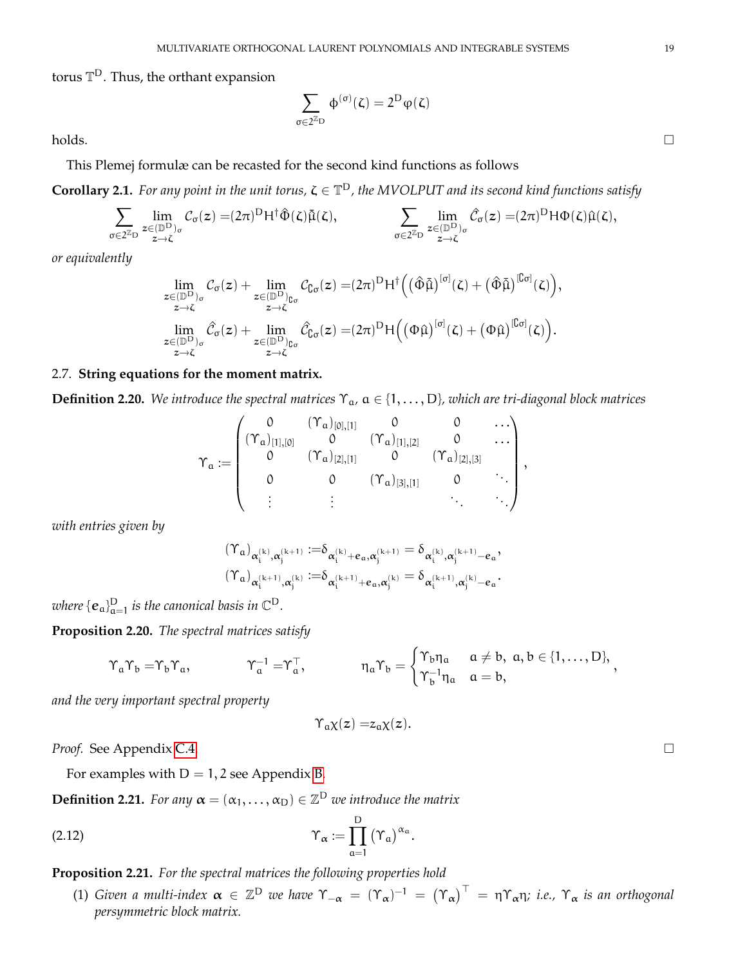torus  $\mathbb{T}^{\mathsf{D}}.$  Thus, the orthant expansion

$$
\sum_{\sigma\in 2^{\mathbb{Z}}\mathrm{D}}\,\varphi^{(\sigma)}(\zeta)=2^{\mathrm{D}}\phi(\zeta)
$$

 $\Box$ holds.

This Plemej formulæ can be recasted for the second kind functions as follows

**Corollary 2.1.** For any point in the unit torus,  $\zeta \in \mathbb{T}^D$ , the MVOLPUT and its second kind functions satisfy

$$
\sum_{\sigma\in 2^{\mathbb{Z}}\mathrm{D}}\lim_{\substack{z\in(\mathbb{D}^{\mathrm{D}})_{\sigma}\\ z\to \zeta}}\mathcal{C}_{\sigma}(z)=(2\pi)^{\mathrm{D}}\mathsf{H}^{\dagger}\hat{\Phi}(\zeta)\tilde{\mu}(\zeta),\qquad\qquad \sum_{\substack{\sigma\in 2^{\mathbb{Z}}\mathrm{D}\\ z\to \zeta}}\lim_{\substack{z\in(\mathbb{D}^{\mathrm{D}})_{\sigma}\\ z\to \zeta}}\hat{\mathcal{C}}_{\sigma}(z)=(2\pi)^{\mathrm{D}}\mathsf{H}\Phi(\zeta)\hat{\mu}(\zeta),
$$

*or equivalently*

$$
\lim_{\substack{z \in (\mathbb{D}^{\mathrm{D}})_{\sigma} \\ z \to \zeta}} \mathcal{C}_{\sigma}(z) + \lim_{\substack{z \in (\mathbb{D}^{\mathrm{D}})_{\mathbb{C}\sigma} \\ z \to \zeta}} \mathcal{C}_{\mathbb{G}^{\sigma}}(z) = (2\pi)^{\mathrm{D}} H^{\dagger} \Big( \big( \hat{\Phi} \tilde{\mu} \big)^{[\sigma]}(\zeta) + \big( \hat{\Phi} \tilde{\mu} \big)^{[\mathbb{C}\sigma]}(\zeta) \Big),
$$
\n
$$
\lim_{\substack{z \in (\mathbb{D}^{\mathrm{D}})_{\sigma} \\ z \to \zeta}} \hat{\mathcal{C}}_{\sigma}(z) + \lim_{\substack{z \in (\mathbb{D}^{\mathrm{D}})_{\mathbb{C}\sigma} \\ z \to \zeta}} \hat{\mathcal{C}}_{\sigma}(z) = (2\pi)^{\mathrm{D}} H \Big( \big( \Phi \hat{\mu} \big)^{[\sigma]}(\zeta) + \big( \Phi \hat{\mu} \big)^{[\mathbb{C}\sigma]}(\zeta) \Big).
$$

# <span id="page-18-0"></span>2.7. **String equations for the moment matrix.**

**Definition 2.20.** *We introduce the spectral matrices* Υa*,* a ∈ {1, . . . , D}*, which are tri-diagonal block matrices*

$$
\boldsymbol{\Upsilon}_\alpha:=\begin{pmatrix}0 & (\Upsilon_\alpha)_{[0],[1]} & 0 & 0 & \dots \\ (\Upsilon_\alpha)_{[1],[0]} & 0 & (\Upsilon_\alpha)_{[1],[2]} & 0 & \dots \\ 0 & (\Upsilon_\alpha)_{[2],[1]} & 0 & (\Upsilon_\alpha)_{[2],[3]} \\ 0 & 0 & (\Upsilon_\alpha)_{[3],[1]} & 0 & \ddots \\ \vdots & \vdots & \vdots & \ddots & \ddots \end{pmatrix},
$$

*with entries given by*

$$
\begin{aligned} &(\Upsilon_a)_{\alpha_i^{(k)},\alpha_j^{(k+1)}}:=&\delta_{\alpha_i^{(k)}+e_\alpha,\alpha_j^{(k+1)}}=\delta_{\alpha_i^{(k)},\alpha_j^{(k+1)}-e_\alpha},\\ &(\Upsilon_a)_{\alpha_i^{(k+1)},\alpha_j^{(k)}}:=&\delta_{\alpha_i^{(k+1)}+e_\alpha,\alpha_j^{(k)}}=\delta_{\alpha_i^{(k+1)},\alpha_j^{(k)}-e_\alpha}. \end{aligned}
$$

where  $\{\mathbf{e}_{\mathfrak{a}}\}_{\mathfrak{a}=1}^\mathsf{D}$  is the canonical basis in  $\mathbb{C}^\mathsf{D}.$ 

<span id="page-18-2"></span>**Proposition 2.20.** *The spectral matrices satisfy*

$$
\Upsilon_a\Upsilon_b=\Upsilon_b\Upsilon_a, \qquad \qquad \Upsilon_a^{-1}=\Upsilon_a^\top, \qquad \qquad \eta_a\Upsilon_b=\begin{cases} \Upsilon_b\eta_a & a\neq b,\; a,b\in\{1,\ldots,D\}, \\ \Upsilon_b^{-1}\eta_a & a=b, \end{cases}
$$

*and the very important spectral property*

$$
\Upsilon_a \chi(z) = z_a \chi(z).
$$

*Proof.* See Appendix [C.4.](#page-64-1)

For examples with  $D = 1, 2$  see Appendix [B.](#page-60-0)

**Definition 2.21.** *For any*  $\boldsymbol{\alpha} = (\alpha_1, \dots, \alpha_D) \in \mathbb{Z}^D$  *we introduce the matrix* 

<span id="page-18-1"></span>
$$
\Upsilon_{\alpha} := \prod_{a=1}^{D} (\Upsilon_{a})^{\alpha_{a}}.
$$

# **Proposition 2.21.** *For the spectral matrices the following properties hold*

(1) *Given a multi-index*  $\alpha \in \mathbb{Z}^D$  *we have*  $\Upsilon_{-\alpha} = (\Upsilon_{\alpha})^{-1} = (\Upsilon_{\alpha})^{\top} = \eta \Upsilon_{\alpha} \eta$ ; *i.e.*,  $\Upsilon_{\alpha}$  *is an orthogonal persymmetric block matrix.*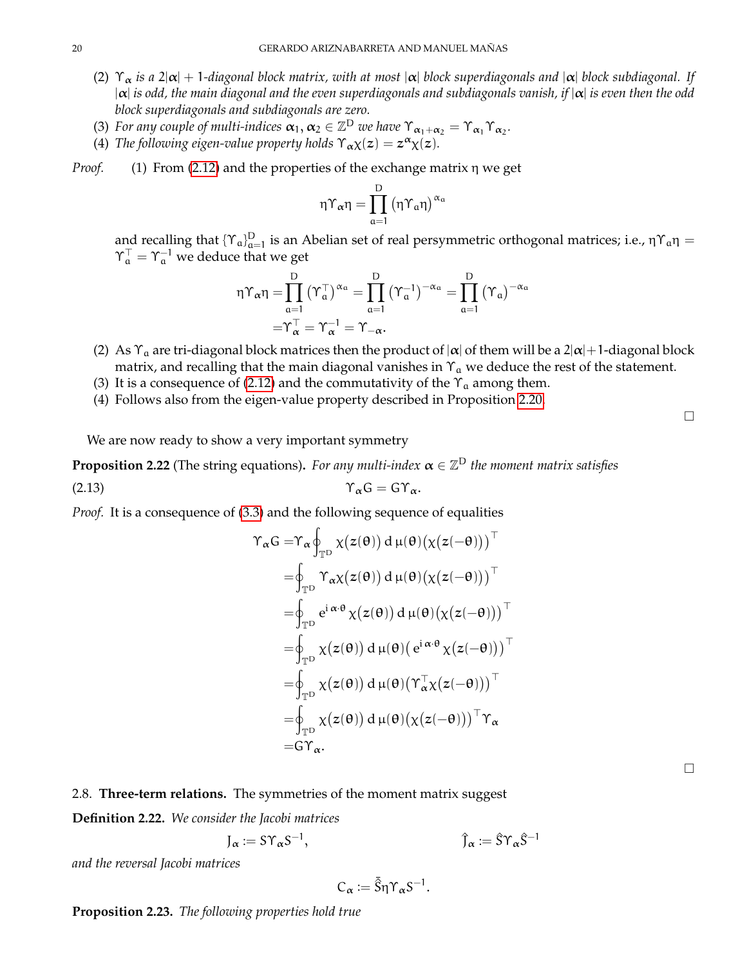- (2) Υ<sup>α</sup> *is a* 2|α| + 1*-diagonal block matrix, with at most* |α| *block superdiagonals and* |α| *block subdiagonal. If* |α| *is odd, the main diagonal and the even superdiagonals and subdiagonals vanish, if* |α| *is even then the odd block superdiagonals and subdiagonals are zero.*
- (3) For any couple of multi-indices  $\alpha_1, \alpha_2 \in \mathbb{Z}^D$  we have  $\Upsilon_{\alpha_1+\alpha_2} = \Upsilon_{\alpha_1}\Upsilon_{\alpha_2}$ .
- (4) *The following eigen-value property holds*  $\Upsilon_{\alpha} \chi(z) = z^{\alpha} \chi(z)$ *.*
- *Proof.* (1) From [\(2.12\)](#page-18-1) and the properties of the exchange matrix η we get

$$
\eta\Upsilon_{\alpha}\eta=\prod_{\alpha=1}^D\left(\eta\Upsilon_{\alpha}\eta\right)^{\alpha_{\alpha}}
$$

and recalling that  $\{\Upsilon_a\}_{a=1}^D$  is an Abelian set of real persymmetric orthogonal matrices; i.e.,  $\eta\Upsilon_a\eta =$  $\Upsilon^\top_a = \Upsilon^{-1}_a$  we deduce that we get

$$
\eta\Upsilon_\alpha\eta=\!\!\prod_{\alpha=1}^D\left(\Upsilon_\alpha^\top\right)^{\alpha_\alpha}=\!\!\prod_{\alpha=1}^D\left(\Upsilon_\alpha^{-1}\right)^{-\alpha_\alpha}=\!\!\prod_{\alpha=1}^D\left(\Upsilon_\alpha\right)^{-\alpha_\alpha}\\=\!\!\Upsilon_\alpha^\top=\Upsilon_{\alpha}^{-1}=\Upsilon_{-\alpha}.
$$

- (2) As  $\Upsilon_a$  are tri-diagonal block matrices then the product of  $|\alpha|$  of them will be a  $2|\alpha|+1$ -diagonal block matrix, and recalling that the main diagonal vanishes in  $\Upsilon_a$  we deduce the rest of the statement.
- (3) It is a consequence of [\(2.12\)](#page-18-1) and the commutativity of the  $\Upsilon_a$  among them.
- (4) Follows also from the eigen-value property described in Proposition [2.20.](#page-18-2)

We are now ready to show a very important symmetry

**Proposition 2.22** (The string equations). *For any multi-index*  $\boldsymbol{\alpha} \in \mathbb{Z}^{\textsf{D}}$  the moment matrix satisfies

$$
\Upsilon_{\alpha}G = G\Upsilon_{\alpha}.
$$

*Proof.* It is a consequence of [\(3.3\)](#page-24-0) and the following sequence of equalities

$$
\begin{aligned}\n\Upsilon_{\alpha}G &= \Upsilon_{\alpha}\oint_{\mathbb{T}^D}\chi\big(z(\theta)\big)\,d\,\mu(\theta)\big(\chi\big(z(-\theta)\big)\big)^{\top} \\
&= \oint_{\mathbb{T}^D}\Upsilon_{\alpha}\chi\big(z(\theta)\big)\,d\,\mu(\theta)\big(\chi\big(z(-\theta)\big)\big)^{\top} \\
&= \oint_{\mathbb{T}^D}e^{i\,\alpha\cdot\theta}\,\chi\big(z(\theta)\big)\,d\,\mu(\theta)\big(\chi\big(z(-\theta)\big)\big)^{\top} \\
&= \oint_{\mathbb{T}^D}\chi\big(z(\theta)\big)\,d\,\mu(\theta)\big(e^{i\,\alpha\cdot\theta}\,\chi\big(z(-\theta)\big)\big)^{\top} \\
&= \oint_{\mathbb{T}^D}\chi\big(z(\theta)\big)\,d\,\mu(\theta)\big(\Upsilon_{\alpha}^{\top}\chi\big(z(-\theta)\big)\big)^{\top} \\
&= \oint_{\mathbb{T}^D}\chi\big(z(\theta)\big)\,d\,\mu(\theta)\big(\chi\big(z(-\theta)\big)\big)^{\top}\Upsilon_{\alpha} \\
&= G\Upsilon_{\alpha}.\n\end{aligned}
$$

### <span id="page-19-0"></span>2.8. **Three-term relations.** The symmetries of the moment matrix suggest

<span id="page-19-1"></span>**Definition 2.22.** *We consider the Jacobi matrices*

$$
J_{\alpha} := S\Upsilon_{\alpha}S^{-1}, \qquad \hat{J}_{\alpha} := \hat{S}\Upsilon_{\alpha}\hat{S}^{-1}
$$

*and the reversal Jacobi matrices*

$$
C_{\alpha} := \overline{\hat{S}} \eta \Upsilon_{\alpha} S^{-1}.
$$

**Proposition 2.23.** *The following properties hold true*

 $\Box$ 

 $\Box$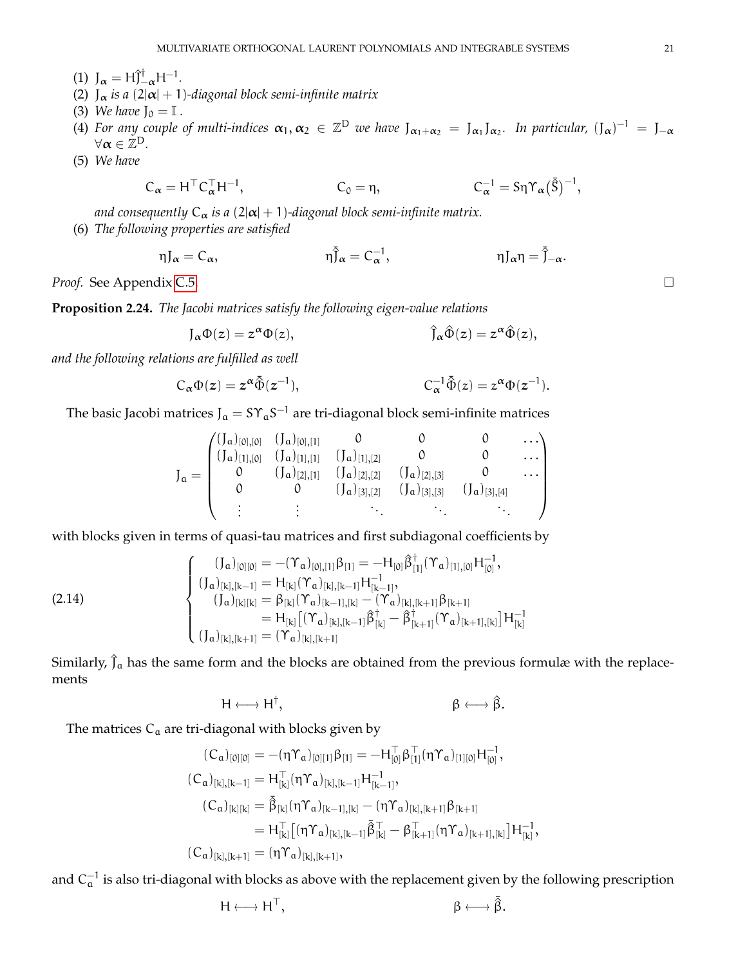- (1)  $J_{\alpha} = H \hat{J}_{-\alpha}^{\dagger} H^{-1}$ .
- (2)  $J_{\alpha}$  *is a* (2| $\alpha$ | + 1)-diagonal block semi-infinite matrix
- (3) *We have*  $J_0 = I$ .
- (4) For any couple of multi-indices  $\alpha_1, \alpha_2 \in \mathbb{Z}^D$  we have  $J_{\alpha_1+\alpha_2} = J_{\alpha_1}J_{\alpha_2}$ . In particular,  $(J_\alpha)^{-1} = J_{-\alpha}$  $\forall \alpha \in \mathbb{Z}^{\mathsf{D}}$ .
- (5) *We have*

$$
C_{\alpha} = H^{\top} C_{\alpha}^{\top} H^{-1}, \qquad C_0 = \eta, \qquad C_{\alpha}^{-1} = S \eta \Upsilon_{\alpha} (\tilde{S})^{-1},
$$

*and consequently*  $C_{\alpha}$  *is a* (2| $\alpha$ | + 1)-diagonal block semi-infinite matrix.

(6) *The following properties are satisfied*

$$
\eta J_{\alpha} = C_{\alpha}, \qquad \eta \bar{J}_{\alpha} = C_{\alpha}^{-1}, \qquad \eta J_{\alpha} \eta = \bar{J}_{-\alpha}.
$$

*Proof.* See Appendix [C.5.](#page-65-0) □

**Proposition 2.24.** *The Jacobi matrices satisfy the following eigen-value relations*

$$
J_{\alpha} \Phi(z) = z^{\alpha} \Phi(z), \qquad \hat{J}_{\alpha} \hat{\Phi}(z) = z^{\alpha} \hat{\Phi}(z),
$$

*and the following relations are fulfilled as well*

$$
C_{\alpha} \Phi(z) = z^{\alpha} \tilde{\Phi}(z^{-1}), \qquad \qquad C_{\alpha}^{-1} \tilde{\Phi}(z) = z^{\alpha} \Phi(z^{-1}).
$$

The basic Jacobi matrices J $_{\rm a} = {\rm S} \Upsilon_{\rm a} {\rm S}^{-1}$  are tri-diagonal block semi-infinite matrices

$$
J_{\mathfrak{a}} = \begin{pmatrix} (J_{\mathfrak{a}})_{[0],[0]} & (J_{\mathfrak{a}})_{[0],[1]} & 0 & 0 & 0 & \dots \\ (J_{\mathfrak{a}})_{[1],[0]} & (J_{\mathfrak{a}})_{[1],[1]} & (J_{\mathfrak{a}})_{[1],[2]} & 0 & 0 & \dots \\ 0 & (J_{\mathfrak{a}})_{[2],[1]} & (J_{\mathfrak{a}})_{[2],[2]} & (J_{\mathfrak{a}})_{[2],[3]} & 0 & \dots \\ 0 & 0 & (J_{\mathfrak{a}})_{[3],[2]} & (J_{\mathfrak{a}})_{[3],[3]} & (J_{\mathfrak{a}})_{[3],[4]} \\ \vdots & \vdots & \ddots & \ddots & \ddots & \ddots \end{pmatrix}
$$

with blocks given in terms of quasi-tau matrices and first subdiagonal coefficients by

$$
(2.14) \qquad \begin{cases} (J_{\mathfrak{a}})_{[0][0]} = -(\Upsilon_{\mathfrak{a}})_{[0],[1]} \beta_{[1]} = -H_{[0]} \hat{\beta}_{[1]}^{\dagger} (\Upsilon_{\mathfrak{a}})_{[1],[0]} H_{[0]}^{-1}, \\ (J_{\mathfrak{a}})_{[k],[k-1]} = H_{[k]} (\Upsilon_{\mathfrak{a}})_{[k],[k-1]} H_{[k-1]}^{-1}, \\ (J_{\mathfrak{a}})_{[k][k]} = \beta_{[k]} (\Upsilon_{\mathfrak{a}})_{[k-1],[k]} - (\Upsilon_{\mathfrak{a}})_{[k],[k+1]} \beta_{[k+1]} \\ = H_{[k]} \big[ (\Upsilon_{\mathfrak{a}})_{[k],[k+1]} \hat{\beta}_{[k]}^{\dagger} - \hat{\beta}_{[k+1]}^{\dagger} (\Upsilon_{\mathfrak{a}})_{[k+1],[k]} \big] H_{[k]}^{-1} \\ (J_{\mathfrak{a}})_{[k],[k+1]} = (\Upsilon_{\mathfrak{a}})_{[k],[k+1]} \end{cases}
$$

Similarly,  $\hat{J}_a$  has the same form and the blocks are obtained from the previous formulæ with the replacements

$$
H \longleftrightarrow H^{\dagger}, \qquad \beta \longleftrightarrow \hat{\beta}.
$$

The matrices  $C_a$  are tri-diagonal with blocks given by

$$
\begin{aligned} (C_a)_{[0][0]}&=-(\eta\Upsilon_a)_{[0][1]}\beta_{[1]}=-H_{[0]}^\top\beta_{[1]}^\top(\eta\Upsilon_a)_{[1][0]}H_{[0]}^{-1},\\ (C_a)_{[k],[k-1]}&=H_{[k]}^\top(\eta\Upsilon_a)_{[k],[k-1]}H_{[k-1]}^{-1},\\ (C_a)_{[k][k]}&=\tilde{\beta}_{[k]}(\eta\Upsilon_a)_{[k-1],[k]}-(\eta\Upsilon_a)_{[k],[k+1]}\beta_{[k+1]}\\ &=H_{[k]}^\top\big[(\eta\Upsilon_a)_{[k],[k-1]}\tilde{\beta}_{[k]}^\top-\beta_{[k+1]}^\top(\eta\Upsilon_a)_{[k+1],[k]}\big]H_{[k]}^{-1},\\ (C_a)_{[k],[k+1]}&=(\eta\Upsilon_a)_{[k],[k+1]}, \end{aligned}
$$

and  $\rm C_a^{-1}$  is also tri-diagonal with blocks as above with the replacement given by the following prescription

$$
H\longleftrightarrow H^{\top}, \qquad \qquad \beta\longleftrightarrow \bar{\beta}.
$$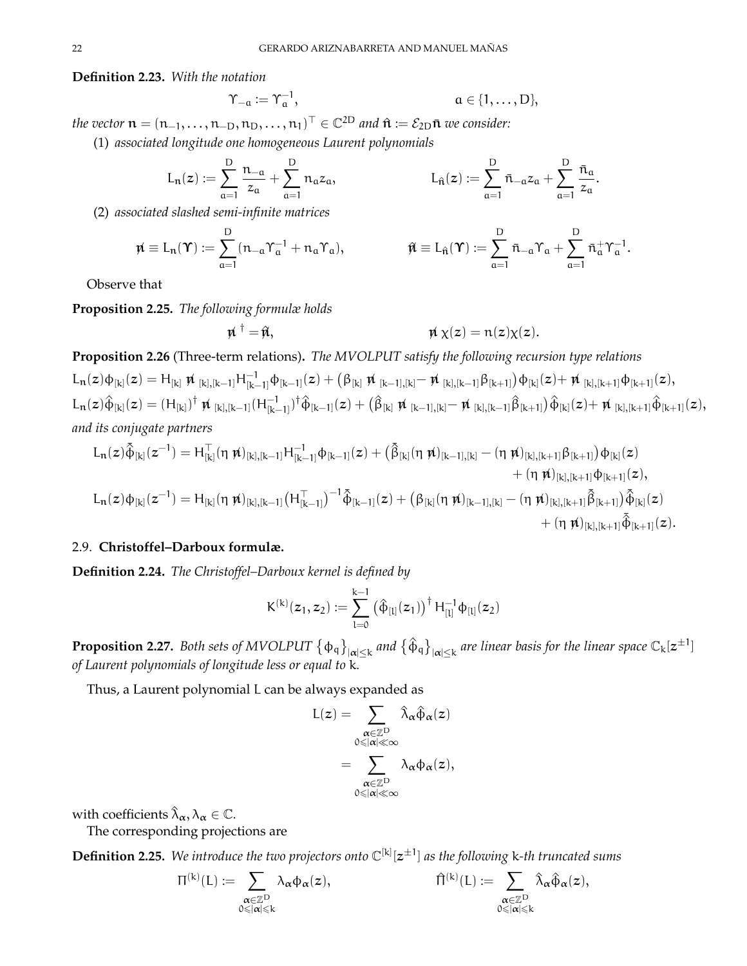**Definition 2.23.** *With the notation*

$$
\Upsilon_{-\alpha} := \Upsilon_{\alpha}^{-1}, \qquad \qquad \alpha \in \{1, \ldots, D\},
$$

 $the\ vector\ \mathfrak{n} = (\mathfrak{n}_{-1}, \dots, \mathfrak{n}_{-D}, \mathfrak{n}_D, \dots, \mathfrak{n}_1)^\top \in \mathbb{C}^{2\text{D}}$  and  $\hat{\mathfrak{n}} \coloneqq \mathcal{E}_{2\text{D}} \bar{\mathfrak{n}}$  we consider:

(1) *associated longitude one homogeneous Laurent polynomials*

$$
L_n(z):=\sum_{\alpha=1}^D\frac{n_{-\alpha}}{z_\alpha}+\sum_{\alpha=1}^D n_\alpha z_\alpha,\hspace{2cm} L_{\hat n}(z):=\sum_{\alpha=1}^D\bar n_{-\alpha} z_\alpha+\sum_{\alpha=1}^D\frac{\bar n_\alpha}{z_\alpha}.
$$

(2) *associated slashed semi-infinite matrices*

$$
\mathbf{\hat{n}} \equiv L_{\mathbf{n}}(\mathbf{\hat{Y}}) := \sum_{\alpha=1}^{D} (n_{-\alpha} \Upsilon_{\alpha}^{-1} + n_{\alpha} \Upsilon_{\alpha}), \qquad \qquad \mathbf{\hat{n}} \equiv L_{\mathbf{\hat{n}}}(\mathbf{\hat{Y}}) := \sum_{\alpha=1}^{D} \bar{n}_{-\alpha} \Upsilon_{\alpha} + \sum_{\alpha=1}^{D} \bar{n}_{\alpha}^{+} \Upsilon_{\alpha}^{-1}.
$$

Observe that

**Proposition 2.25.** *The following formulæ holds*

 $\vec{n}^{\dagger}$ 

$$
\dagger = \hat{\mathfrak{m}}, \qquad \qquad \mathfrak{m} \chi(z) = n(z) \chi(z).
$$

**Proposition 2.26** (Three-term relations)**.** *The MVOLPUT satisfy the following recursion type relations*  $L_n(z) \varphi_{[k]}(z) = H_{[k]} \not \! \! n_{[k],[k-1]} H^{-1}_{[k-1]} \varphi_{[k-1]}(z) + \left( \beta_{[k]} \not \! \! n_{[k-1],[k]} - \not \! \! n_{[k],[k-1]} \beta_{[k+1]} \right) \varphi_{[k]}(z) + \not \! \! \! n_{[k],[k+1]} \varphi_{[k+1]}(z),$  $\text{L}_{\mathbf{n}}(z)\hat{\Phi}_{[k]}(z) = (\text{H}_{[k]})^{\dagger} \mathbf{\not{u}}_{[k],[k-1]}(\text{H}_{[k-1]}^{-1})$ [k−1] ) †φ^ [k−1] (z) + β^ [k] 6n [k−1],[k]− 6n [k],[k−1]β^ [k+1] φ^ [k] (z)+ 6n [k],[k+1]φ^ [k+1] (z), *and its conjugate partners*

$$
\begin{aligned} L_n(z) \tilde{\varphi}_{[k]}(z^{-1}) = & \ H^-_{[k]}(\eta \ \rlap{\,/} \hat{\mu})_{[k],[k-1]} H^{-1}_{[k-1]} \varphi_{[k-1]}(z) + \big( \tilde{\beta}_{[k]}(\eta \ \rlap{\,/} \hat{\mu})_{[k-1],[k]} - (\eta \ \rlap{\,/} \hat{\mu})_{[k],[k+1]} \beta_{[k+1]} \big) \varphi_{[k]}(z) \\ & \qquad \qquad + (\eta \ \rlap{\,/} \hat{\mu})_{[k],[k+1]} \varphi_{[k+1]}(z), \\ L_n(z) \varphi_{[k]}(z^{-1}) = & \ H^-_{[k]}(\eta \ \rlap{\,/} \hat{\mu})_{[k],[k-1]} \big( H^-_{[k-1]} \big)^{-1} \tilde{\varphi}_{[k-1]}(z) + \big( \beta_{[k]}(\eta \ \rlap{\,/} \hat{\mu})_{[k-1],[k]} - (\eta \ \rlap{\,/} \hat{\mu})_{[k],[k+1]} \tilde{\varphi}_{[k+1]}(z) \\ & \qquad \qquad + (\eta \ \rlap{\,/} \hat{\mu})_{[k],[k+1]} \tilde{\varphi}_{[k+1]}(z). \end{aligned}
$$

## <span id="page-21-0"></span>2.9. **Christoffel–Darboux formulæ.**

**Definition 2.24.** *The Christoffel–Darboux kernel is defined by*

$$
K^{(k)}(z_1, z_2) := \sum_{l=0}^{k-1} (\hat{\varphi}_{[l]}(z_1))^{\dagger} H_{[l]}^{-1} \varphi_{[l]}(z_2)
$$

**Proposition 2.27.** Both sets of MVOLPUT  $\{\phi_q\}_{|\alpha|\leq k}$  and  $\{\hat{\phi}_q\}_{|\alpha|\leq k}$  are linear basis for the linear space  $\mathbb{C}_k[z^{\pm 1}]$ *of Laurent polynomials of longitude less or equal to* k*.*

Thus, a Laurent polynomial L can be always expanded as

$$
\begin{aligned} L(z) &= \sum_{\substack{\alpha \in \mathbb{Z}^D \\ 0 \leqslant |\alpha| \leqslant \infty}} \hat{\lambda}_{\alpha} \hat{\varphi}_{\alpha}(z) \\ &= \sum_{\substack{\alpha \in \mathbb{Z}^D \\ 0 \leqslant |\alpha| \leqslant \infty}} \lambda_{\alpha} \varphi_{\alpha}(z), \end{aligned}
$$

with coefficients  $\hat{\lambda}_{\alpha}, \lambda_{\alpha} \in \mathbb{C}$ .

The corresponding projections are

<span id="page-21-1"></span>**Definition 2.25.** *We introduce the two projectors onto* C [k] [z ±1 ] *as the following* k*-th truncated sums*

$$
\Pi^{(k)}(L):=\sum_{\substack{\pmb{\alpha}\in\mathbb{Z}^D\\ 0\leqslant\left|\pmb{\alpha}\right|\leqslant k}}\lambda_{\pmb{\alpha}}\varphi_{\pmb{\alpha}}(z),\qquad \qquad \hat{\Pi}^{(k)}(L):=\sum_{\substack{\pmb{\alpha}\in\mathbb{Z}^D\\ 0\leqslant\left|\pmb{\alpha}\right|\leqslant k}}\hat{\lambda}_{\pmb{\alpha}}\hat{\varphi}_{\pmb{\alpha}}(z),
$$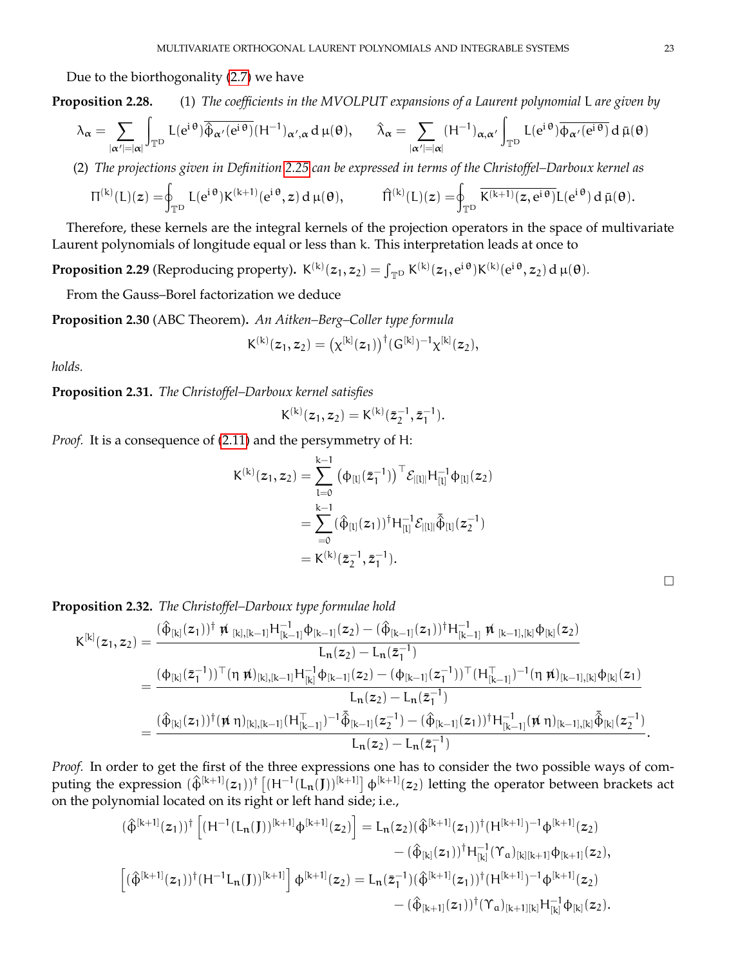Due to the biorthogonality [\(2.7\)](#page-10-2) we have

**Proposition 2.28.** (1) *The coefficients in the MVOLPUT expansions of a Laurent polynomial* L *are given by*

$$
\lambda_\alpha = \sum_{|\alpha'|=|\alpha|} \int_{\mathbb{T}^D} L(e^{i\,\theta}) \overline{\hat{\varphi}_{\alpha'}(e^{i\,\theta})} (H^{-1})_{\alpha',\alpha} \, d\,\mu(\theta), \qquad \hat{\lambda}_\alpha = \sum_{|\alpha'|=|\alpha|} (H^{-1})_{\alpha,\alpha'} \int_{\mathbb{T}^D} L(e^{i\,\theta}) \overline{\varphi_{\alpha'}(e^{i\,\theta})} \, d\,\bar{\mu}(\theta)
$$

(2) *The projections given in Definition [2.25](#page-21-1) can be expressed in terms of the Christoffel–Darboux kernel as*

$$
\Pi^{(k)}(L)(z)=\hspace*{-0.1cm}\oint_{\mathbb{T}^D}L(e^{i\,\theta})K^{(k+1)}(e^{i\,\theta},z)\,d\,\mu(\theta),\hspace{1cm}\widehat{\Pi}^{(k)}(L)(z)=\hspace*{-0.1cm}\oint_{\mathbb{T}^D}\overline{K^{(k+1)}(z,e^{i\,\theta})}L(e^{i\,\theta})\,d\,\bar{\mu}(\theta).
$$

Therefore, these kernels are the integral kernels of the projection operators in the space of multivariate Laurent polynomials of longitude equal or less than k. This interpretation leads at once to

**Proposition 2.29** (Reproducing property).  $K^{(k)}(z_1, z_2) = \int_{\mathbb{T}^D} K^{(k)}(z_1, e^{i\theta}) K^{(k)}(e^{i\theta}, z_2) d\mu(\theta)$ .

From the Gauss–Borel factorization we deduce

**Proposition 2.30** (ABC Theorem)**.** *An Aitken–Berg–Coller type formula*

$$
K^{(k)}(z_1,z_2)=\big(\chi^{[k]}(z_1)\big)^{\dagger}(G^{[k]})^{-1}\chi^{[k]}(z_2),
$$

*holds.*

**Proposition 2.31.** *The Christoffel–Darboux kernel satisfies*

$$
K^{(k)}(z_1, z_2) = K^{(k)}(\bar{z}_2^{-1}, \bar{z}_1^{-1}).
$$

*Proof.* It is a consequence of [\(2.11\)](#page-13-1) and the persymmetry of H:

$$
K^{(k)}(z_1, z_2) = \sum_{l=0}^{k-1} (\Phi_{[l]}(\bar{z}_1^{-1}))^\top \mathcal{E}_{|[l]|} H_{[l]}^{-1} \Phi_{[l]}(z_2)
$$
  
= 
$$
\sum_{=0}^{k-1} (\hat{\Phi}_{[l]}(z_1))^\dagger H_{[l]}^{-1} \mathcal{E}_{|[l]|} \tilde{\hat{\Phi}}_{[l]}(z_2^{-1})
$$
  
= 
$$
K^{(k)}(\bar{z}_2^{-1}, \bar{z}_1^{-1}).
$$

**Proposition 2.32.** *The Christoffel–Darboux type formulae hold*

$$
\begin{aligned} K^{[k]}(z_1,z_2)&=\frac{(\hat{\varphi}_{[k]}(z_1))^{\dagger}\,\check{\varkappa}_{[k],[k-1]}H_{[k-1]}^{-1}\varphi_{[k-1]}(z_2)-(\hat{\varphi}_{[k-1]}(z_1))^{\dagger}H_{[k-1]}^{-1}\,\check{\varkappa}_{[k-1],[k]}\varphi_{[k]}(z_2)}{L_n(z_2)-L_n(\bar{z}_1^{-1})}\\&=\frac{(\varphi_{[k]}(\bar{z}_1^{-1}))^\top(\eta\,\check{\varkappa})_{[k],[k-1]}H_{[k]}^{-1}\varphi_{[k-1]}(z_2)-(\varphi_{[k-1]}(z_1^{-1}))^\top(H_{[k-1]}^\top)^{-1}(\eta\,\check{\varkappa})_{[k-1],[k]}\varphi_{[k]}(z_1)}{L_n(z_2)-L_n(\bar{z}_1^{-1})}\\&=\frac{(\hat{\varphi}_{[k]}(z_1))^\dagger(\check{\varkappa}\,\eta)_{[k],[k-1]}(H_{[k-1]}^\top)^{-1}\bar{\hat{\varphi}}_{[k-1]}(z_2^{-1})-(\hat{\varphi}_{[k-1]}(z_1))^\dagger H_{[k-1]}^{-1}(\check{\varkappa}\,\eta)_{[k-1],[k]}\bar{\hat{\varphi}}_{[k]}(z_2^{-1})}{L_n(z_2)-L_n(\bar{z}_1^{-1})}.\end{aligned}
$$

*Proof.* In order to get the first of the three expressions one has to consider the two possible ways of computing the expression  $(\hat{\Phi}^{[k+1]}(z_1))^{\dagger}$   $[(H^{-1}(L_n(J))]^{[k+1]}$   $\Phi^{[k+1]}(z_2)$  letting the operator between brackets act on the polynomial located on its right or left hand side; i.e.,

$$
\begin{aligned} &(\hat{\varphi}^{[k+1]}(z_1))^{\dagger}\left[(H^{-1}(L_{\mathbf{n}}(\mathbf{J}))^{[k+1]}\varphi^{[k+1]}(z_2)\right]=L_{\mathbf{n}}(z_2)(\hat{\varphi}^{[k+1]}(z_1))^{\dagger}(H^{[k+1]})^{-1}\varphi^{[k+1]}(z_2)\\ &\quad\quad-(\hat{\varphi}_{[k]}(z_1))^{\dagger}H_{[k]}^{-1}(\Upsilon_a)_{[k][k+1]}\varphi_{[k+1]}(z_2),\\ &\left[(\hat{\varphi}^{[k+1]}(z_1))^{\dagger}(H^{-1}L_{\mathbf{n}}(\mathbf{J}))^{[k+1]}\right]\varphi^{[k+1]}(z_2)=L_{\mathbf{n}}(\bar{z}_1^{-1})(\hat{\varphi}^{[k+1]}(z_1))^{\dagger}(H^{[k+1]})^{-1}\varphi^{[k+1]}(z_2)\\ &\qquad\quad-(\hat{\varphi}_{[k+1]}(z_1))^{\dagger}(\Upsilon_a)_{[k+1][k]}H_{[k]}^{-1}\varphi_{[k]}(z_2). \end{aligned}
$$

 $\Box$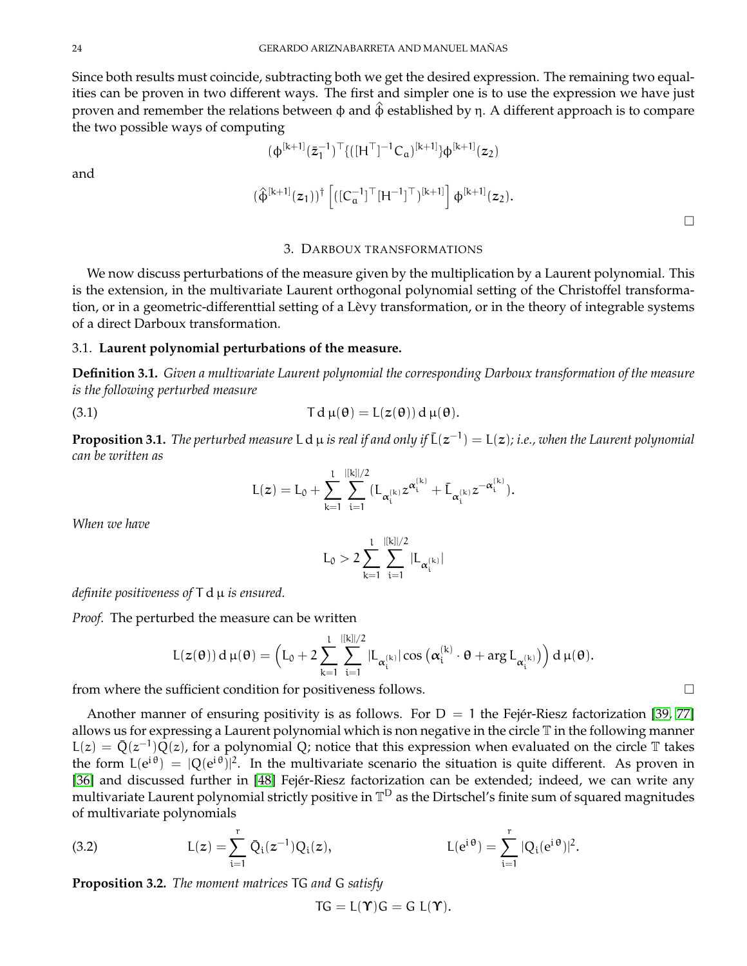Since both results must coincide, subtracting both we get the desired expression. The remaining two equalities can be proven in two different ways. The first and simpler one is to use the expression we have just proven and remember the relations between φ and  $\hat{\varphi}$  established by η. A different approach is to compare the two possible ways of computing

and

$$
(\varphi^{[k+1]}(\bar{z}_1^{-1})^\top \{([H^\top]^{-1}C_a)^{[k+1]}\}\varphi^{[k+1]}(z_2)
$$

$$
(\widehat{\varphi}^{[k+1]}(z_1))^\dagger \left[ ([C_\alpha^{-1}]^\top [H^{-1}]^\top)^{[k+1]} \right] \varphi^{[k+1]}(z_2).
$$

## 3. DARBOUX TRANSFORMATIONS

<span id="page-23-0"></span>We now discuss perturbations of the measure given by the multiplication by a Laurent polynomial. This is the extension, in the multivariate Laurent orthogonal polynomial setting of the Christoffel transformation, or in a geometric-differenttial setting of a Lèvy transformation, or in the theory of integrable systems of a direct Darboux transformation.

### <span id="page-23-1"></span>3.1. **Laurent polynomial perturbations of the measure.**

**Definition 3.1.** *Given a multivariate Laurent polynomial the corresponding Darboux transformation of the measure is the following perturbed measure*

<span id="page-23-2"></span>(3.1) 
$$
\mathsf{T} d \mu(\theta) = \mathsf{L}(z(\theta)) d \mu(\theta).
$$

**Proposition 3.1.** The perturbed measure L  $d$   $\mu$  is real if and only if  $\bar{L}(z^{-1}) = L(z)$ ; i.e., when the Laurent polynomial *can be written as*

$$
L(z)=L_0+\sum_{k=1}^l\sum_{i=1}^{|[k]|/2}(L_{\alpha_i^{(k)}}z^{\alpha_i^{(k)}}+\bar L_{\alpha_i^{(k)}}z^{-\alpha_i^{(k)}}).
$$

*When we have*

$$
L_0>2\sum_{k=1}^l\sum_{i=1}^{|[k]|/2}|L_{\alpha_i^{(k)}}|
$$

*definite positiveness of* T d µ *is ensured.*

*Proof.* The perturbed the measure can be written

$$
L(z(\theta)) d \mu(\theta) = \left( L_0 + 2 \sum_{k=1}^l \sum_{i=1}^{|[k]|/2} |L_{\alpha_i^{(k)}}| \cos \left( \alpha_i^{(k)} \cdot \theta + \arg L_{\alpha_i^{(k)}} \right) \right) d \mu(\theta).
$$

from where the sufficient condition for positiveness follows.  $\Box$ 

Another manner of ensuring positivity is as follows. For  $D = 1$  the Fejér-Riesz factorization [\[39,](#page-70-26) [77\]](#page-71-31) allows us for expressing a Laurent polynomial which is non negative in the circle T in the following manner  $L(z) = \overline{Q}(z^{-1})\overline{Q}(z)$ , for a polynomial Q; notice that this expression when evaluated on the circle T takes the form  $L(e^{i\theta}) = |Q(e^{i\theta})|^2$ . In the multivariate scenario the situation is quite different. As proven in [\[36\]](#page-70-27) and discussed further in [\[48\]](#page-70-28) Fejér-Riesz factorization can be extended; indeed, we can write any multivariate Laurent polynomial strictly positive in  $\mathbb{T}^{\mathrm{D}}$  as the Dirtschel's finite sum of squared magnitudes of multivariate polynomials

(3.2) 
$$
L(z) = \sum_{i=1}^{r} \bar{Q}_i(z^{-1}) Q_i(z), \qquad L(e^{i\theta}) = \sum_{i=1}^{r} |Q_i(e^{i\theta})|^2.
$$

**Proposition 3.2.** *The moment matrices* TG *and* G *satisfy*

$$
TG = L(\Upsilon)G = G L(\Upsilon).
$$

 $\Box$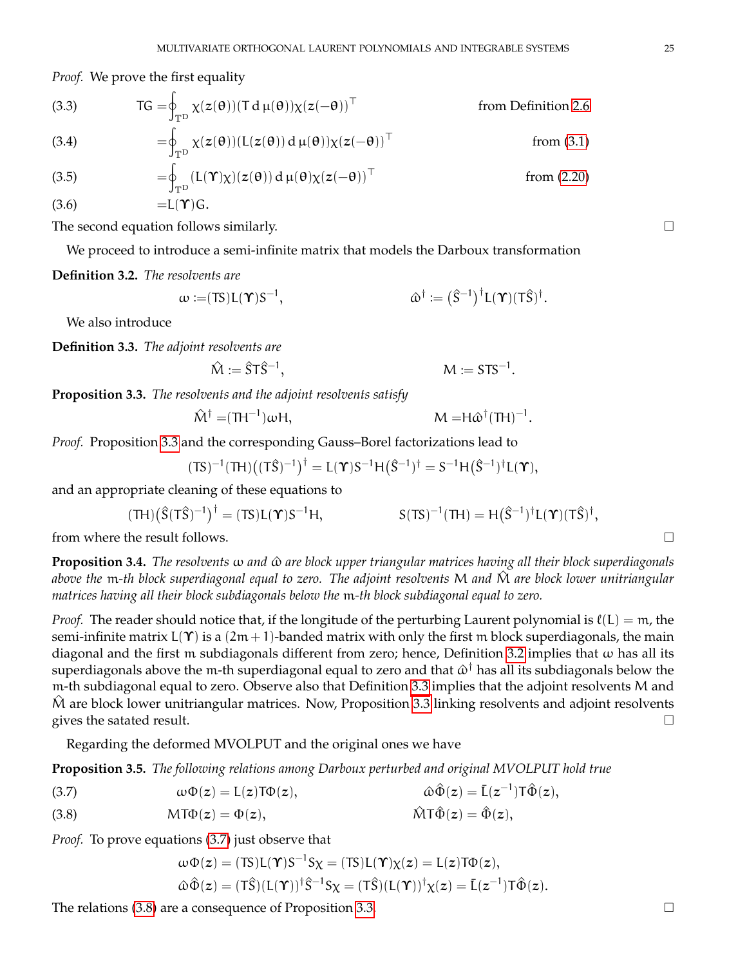*Proof.* We prove the first equality

<span id="page-24-0"></span>(3.3) 
$$
TG = \oint_{\mathbb{T}^D} \chi(z(\theta)) (T d \mu(\theta)) \chi(z(-\theta))^T
$$
 from Definition 2.6

(3.4) 
$$
= \oint_{\mathbb{T}^D} \chi(z(\theta)) (L(z(\theta)) d \mu(\theta)) \chi(z(-\theta))^T
$$
 from (3.1)

(3.5) 
$$
= \oint_{\mathbb{T}^D} (L(\Upsilon)\chi)(z(\theta)) d \mu(\theta) \chi(z(-\theta))^{\top}
$$
 from (2.20)  
(3.6) 
$$
= L(\Upsilon)G.
$$

The second equation follows similarly.  $\Box$ 

We proceed to introduce a semi-infinite matrix that models the Darboux transformation

### <span id="page-24-1"></span>**Definition 3.2.** *The resolvents are*

$$
\omega := (TS)L(\Upsilon)S^{-1}, \qquad \qquad \hat{\omega}^{\dagger} := (\hat{S}^{-1})^{\dagger}L(\Upsilon)(T\hat{S})^{\dagger}.
$$

We also introduce

<span id="page-24-2"></span>**Definition 3.3.** *The adjoint resolvents are*

$$
\hat{M} := \hat{S} T \hat{S}^{-1}, \qquad \qquad M := S T S^{-1}
$$

.

<span id="page-24-3"></span>**Proposition 3.3.** *The resolvents and the adjoint resolvents satisfy*

$$
\hat{M}^{\dagger} = (TH^{-1})\omega H, \qquad \qquad M = H\hat{\omega}^{\dagger}(TH)^{-1}.
$$

*Proof.* Proposition [3.3](#page-24-0) and the corresponding Gauss–Borel factorizations lead to

$$
(TS)^{-1}(TH)\big((T\hat{S})^{-1}\big)^{\dagger} = L(\Upsilon)S^{-1}H(\hat{S}^{-1})^{\dagger} = S^{-1}H(\hat{S}^{-1})^{\dagger}L(\Upsilon),
$$

and an appropriate cleaning of these equations to

$$
(\text{TH})\big(\hat{S}(\text{T}\hat{S})^{-1}\big)^{\dagger} = (\text{TS})L(\boldsymbol{\Upsilon})S^{-1}H, \qquad S(\text{TS})^{-1}(\text{TH}) = H(\hat{S}^{-1})^{\dagger}L(\boldsymbol{\Upsilon})(\text{T}\hat{S})^{\dagger},
$$

from where the result follows.

**Proposition 3.4.** *The resolvents* ω *and* ω^ *are block upper triangular matrices having all their block superdiagonals above the* m*-th block superdiagonal equal to zero. The adjoint resolvents* M *and* M^ *are block lower unitriangular matrices having all their block subdiagonals below the* m*-th block subdiagonal equal to zero.*

*Proof.* The reader should notice that, if the longitude of the perturbing Laurent polynomial is  $\ell(L) = m$ , the semi-infinite matrix  $L(\Upsilon)$  is a  $(2m+1)$ -banded matrix with only the first m block superdiagonals, the main diagonal and the first m subdiagonals different from zero; hence, Definition [3.2](#page-24-1) implies that ω has all its superdiagonals above the m-th superdiagonal equal to zero and that  $\hat\omega^\dagger$  has all its subdiagonals below the m-th subdiagonal equal to zero. Observe also that Definition [3.3](#page-24-2) implies that the adjoint resolvents M and  $\hat{M}$  are block lower unitriangular matrices. Now, Proposition [3.3](#page-24-3) linking resolvents and adjoint resolvents gives the satated result.  $\Box$ 

Regarding the deformed MVOLPUT and the original ones we have

**Proposition 3.5.** *The following relations among Darboux perturbed and original MVOLPUT hold true*

<span id="page-24-5"></span><span id="page-24-4"></span>(3.7) 
$$
\omega \Phi(z) = L(z) \text{Tr} \Phi(z), \qquad \omega \hat{\Phi}(z) = \bar{L}(z^{-1}) \text{Tr} \hat{\Phi}(z),
$$
  
(3.8) 
$$
\text{MT} \Phi(z) = \Phi(z), \qquad \hat{\text{MT}} \hat{\Phi}(z) = \hat{\Phi}(z),
$$

*Proof.* To prove equations [\(3.7\)](#page-24-4) just observe that

$$
\omega \Phi(z) = (\text{TS})L(\Upsilon)S^{-1}S\chi = (\text{TS})L(\Upsilon)\chi(z) = L(z)\text{T}\Phi(z),
$$
  

$$
\hat{\omega}\hat{\Phi}(z) = (\text{T}\hat{S})(L(\Upsilon))^{\dagger}\hat{S}^{-1}S\chi = (\text{T}\hat{S})(L(\Upsilon))^{\dagger}\chi(z) = \bar{L}(z^{-1})\text{T}\hat{\Phi}(z).
$$

The relations  $(3.8)$  are a consequence of Proposition [3.3.](#page-24-3)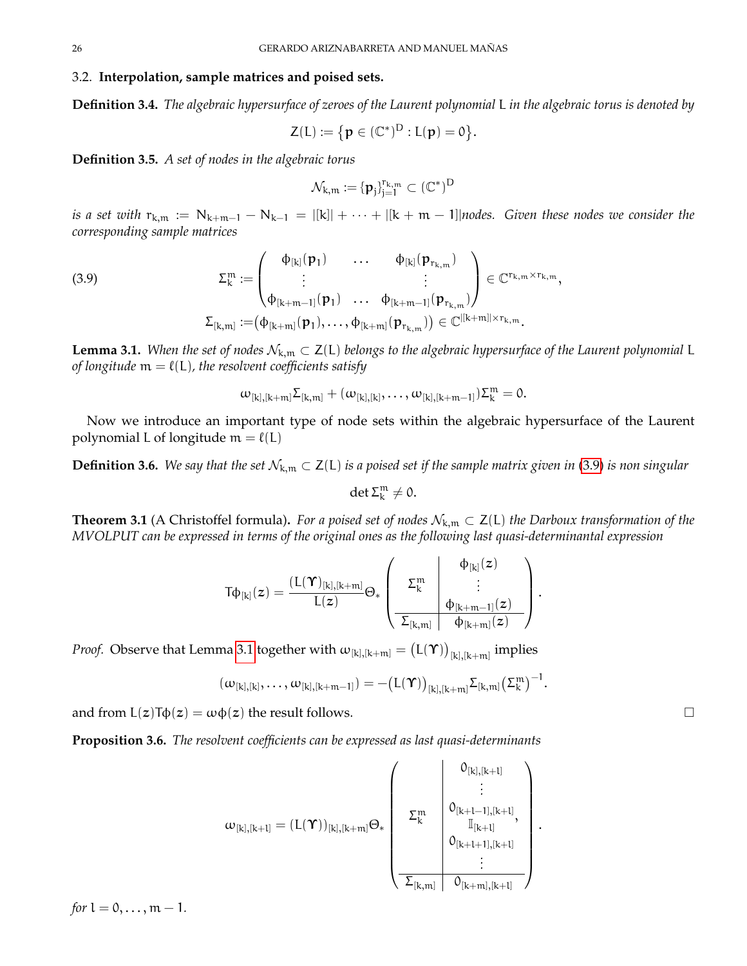### <span id="page-25-0"></span>3.2. **Interpolation, sample matrices and poised sets.**

**Definition 3.4.** *The algebraic hypersurface of zeroes of the Laurent polynomial* L *in the algebraic torus is denoted by*

$$
Z(L) := \{p \in (\mathbb{C}^*)^D : L(p) = 0\}.
$$

**Definition 3.5.** *A set of nodes in the algebraic torus*

$$
\mathcal{N}_{k,m} \mathrel{\mathop:}= \{\boldsymbol{\mathfrak{p}}_j\}_{j=1}^{r_{k,m}} \subset (\mathbb{C}^*)^D
$$

*is a set with*  $r_{k,m} := N_{k+m-1} - N_{k-1} = |[k]| + \cdots + |[k+m-1]|$ *nodes. Given these nodes we consider the corresponding sample matrices*

<span id="page-25-1"></span>(3.9) 
$$
\Sigma_{k}^{m} := \begin{pmatrix} \phi_{[k]}(p_{1}) & \cdots & \phi_{[k]}(p_{r_{k,m}}) \\ \vdots & & \vdots \\ \phi_{[k+m-1]}(p_{1}) & \cdots & \phi_{[k+m-1]}(p_{r_{k,m}}) \end{pmatrix} \in \mathbb{C}^{r_{k,m} \times r_{k,m}},
$$

$$
\Sigma_{[k,m]} := (\phi_{[k+m]}(p_{1}), \ldots, \phi_{[k+m]}(p_{r_{k,m}})) \in \mathbb{C}^{|[k+m]| \times r_{k,m}}.
$$

<span id="page-25-2"></span>**Lemma 3.1.** When the set of nodes  $\mathcal{N}_{k,m} \subset Z(L)$  belongs to the algebraic hypersurface of the Laurent polynomial L *of longitude*  $m = \ell(L)$ *, the resolvent coefficients satisfy* 

$$
\omega_{[k],[k+m]}\Sigma_{[k,m]} + (\omega_{[k],[k]},\ldots,\omega_{[k],[k+m-1]})\Sigma_k^m = 0.
$$

Now we introduce an important type of node sets within the algebraic hypersurface of the Laurent polynomial L of longitude  $m = \ell(L)$ 

**Definition 3.6.** *We say that the set*  $\mathcal{N}_{k,m}$  ⊂ **Z**(**L**) *is a poised set if the sample matrix given in [\(3.9\)](#page-25-1) <i>is non singular* 

$$
\det \Sigma_k^m \neq 0.
$$

**Theorem 3.1** (A Christoffel formula). *For a poised set of nodes*  $\mathcal{N}_{k,m}$  ⊂  $Z(L)$  *the Darboux transformation of the MVOLPUT can be expressed in terms of the original ones as the following last quasi-determinantal expression*

$$
T\varphi_{[k]}(z)=\frac{\left(L(\Upsilon)_{[k],[k+m]}\right.}{L(z)}\Theta_*\left(\begin{array}{c|c} \varphi_{[k]}(z)\\ \hline \varphi_{[k+m-1]}(z)\\ \hline \varphi_{[k+m]}&\varphi_{[k+m]}(z) \end{array}\right).
$$

*Proof.* Observe that Lemma [3.1](#page-25-2) together with  $\omega_{[k],[k+m]} = \bigl( \mathsf{L}(\boldsymbol{\gamma}) \bigr)_{[k],[k+m]}$  implies

$$
(\omega_{[k],[k]},\ldots,\omega_{[k],[k+m-1]}) = -\big(L(\Upsilon)\big)_{[k],[k+m]} \Sigma_{[k,m]} \big(\Sigma_k^m\big)^{-1}.
$$

and from  $L(z)\mathsf{T}\phi(z) = \omega\phi(z)$  the result follows.

**Proposition 3.6.** *The resolvent coefficients can be expressed as last quasi-determinants*

$$
\omega_{[k],[k+l]} = (L(\Upsilon))_{[k],[k+m]} \Theta_* \left( \begin{array}{c} 0_{[k],[k+l]} \\ \vdots \\ 0_{[k+l-1],[k+l]} \\ \frac{\mathbb{I}_{[k+l]} }{\mathbb{I}_{[k+l]} } , \\ 0_{[k+l+1],[k+l]} \\ \vdots \\ \frac{\mathbb{I}_{[k+m]} \setminus [k+l]}{\mathbb{I}_{[k+m],[k+l]} } \end{array} \right).
$$

 $\mathbf{L}$ 

*for*  $l = 0, ..., m - 1$ *.*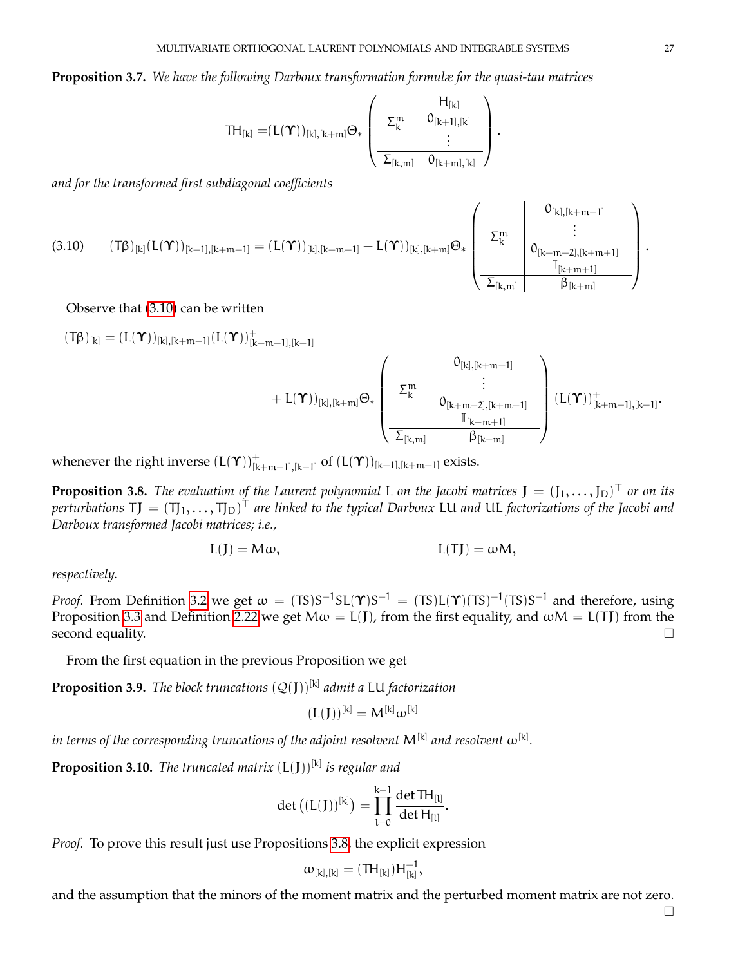## **Proposition 3.7.** *We have the following Darboux transformation formulæ for the quasi-tau matrices*

$$
\text{TH}_{[k]} = \!\! (L(\textbf{\textit{Y}}))_{[k], [k+m]} \Theta_* \left( \begin{array}{c|c} & H_{[k]} & \\ \Sigma_k^m & \textbf{0}_{[k+1], [k]} \\ \hline \sum_{[k,m]} & \textbf{0}_{[k+m], [k]} \end{array} \right)
$$

.

*and for the transformed first subdiagonal coefficients*

<span id="page-26-0"></span>
$$
(3.10) \qquad \left(T\beta)_{[k]}(L(\Upsilon)\right)_{[k-1],[k+m-1]} = \left(L(\Upsilon)\right)_{[k],[k+m-1]} + L(\Upsilon)\right)_{[k],[k+m]} \Theta_*\left(\begin{array}{c|c}0_{[k],[k+m-1]}\\ \Sigma_k^m&\vdots\\ 0_{[k+m-2],[k+m+1]}\\ \hline \Sigma_{[k,m]}&\beta_{[k+m]}\end{array}\right).
$$

### Observe that [\(3.10\)](#page-26-0) can be written

$$
(T\beta)_{[k]} = (L(\Upsilon))_{[k], [k+m-1]} (L(\Upsilon))_{[k+m-1], [k-1]}^+ \\ + L(\Upsilon)_{[k], [k+m]} \Theta_* \left( \begin{array}{c} 0_{[k], [k+m-1]} \\ \sum_k^m \\\sum_{[k+m-2], [k+m+1]}^m \\\frac{\mathbb{I}_{[k+m+1]}}{\mathbb{I}_{[k+m+1]}} \end{array} \right) (L(\Upsilon))_{[k+m-1], [k-1]}^+.
$$

whenever the right inverse  $(L(\Upsilon))_{[k+m-1],[k-1]}^+$  of  $(L(\Upsilon))_{[k-1],[k+m-1]}$  exists.

<span id="page-26-1"></span>**Proposition 3.8.** The evaluation of the Laurent polynomial L on the Jacobi matrices  $J = (J_1, \ldots, J_D)^T$  or on its perturbations TJ  $=(T_1,\ldots,T_D)^\top$  are linked to the typical Darboux LU and UL factorizations of the Jacobi and *Darboux transformed Jacobi matrices; i.e.,*

$$
L(\mathbf{J}) = M\omega, \qquad L(\mathbf{J}) = \omega M,
$$

### *respectively.*

*Proof.* From Definition [3.2](#page-24-1) we get  $\omega = (TS)S^{-1}SL(\Upsilon)S^{-1} = (TS)L(\Upsilon)(TS)^{-1}(TS)S^{-1}$  and therefore, using Proposition [3.3](#page-24-3) and Definition [2.22](#page-19-1) we get  $M\omega = L(J)$ , from the first equality, and  $\omega M = L(TJ)$  from the second equality.

From the first equation in the previous Proposition we get

**Proposition 3.9.** *The block truncations* (Q(J))[k] *admit a* LU *factorization*

$$
(L(\boldsymbol{J}))^{[k]}=M^{[k]}\omega^{[k]}
$$

 $i$ n terms of the corresponding truncations of the adjoint resolvent  $\mathsf{M}^{[\mathsf{k}]}$  and resolvent  $\boldsymbol{\omega}^{[\mathsf{k}]}$ .

<span id="page-26-2"></span>**Proposition 3.10.** The truncated matrix  $(L(J))^{[k]}$  is regular and

$$
\det ((L(J))^{[k]}) = \prod_{l=0}^{k-1} \frac{\det TH_{[l]}}{\det H_{[l]}}.
$$

*Proof.* To prove this result just use Propositions [3.8,](#page-26-1) the explicit expression

$$
\omega_{[k],[k]}=(\text{TH}_{[k]})H_{[k]}^{-1},
$$

and the assumption that the minors of the moment matrix and the perturbed moment matrix are not zero.

 $\Box$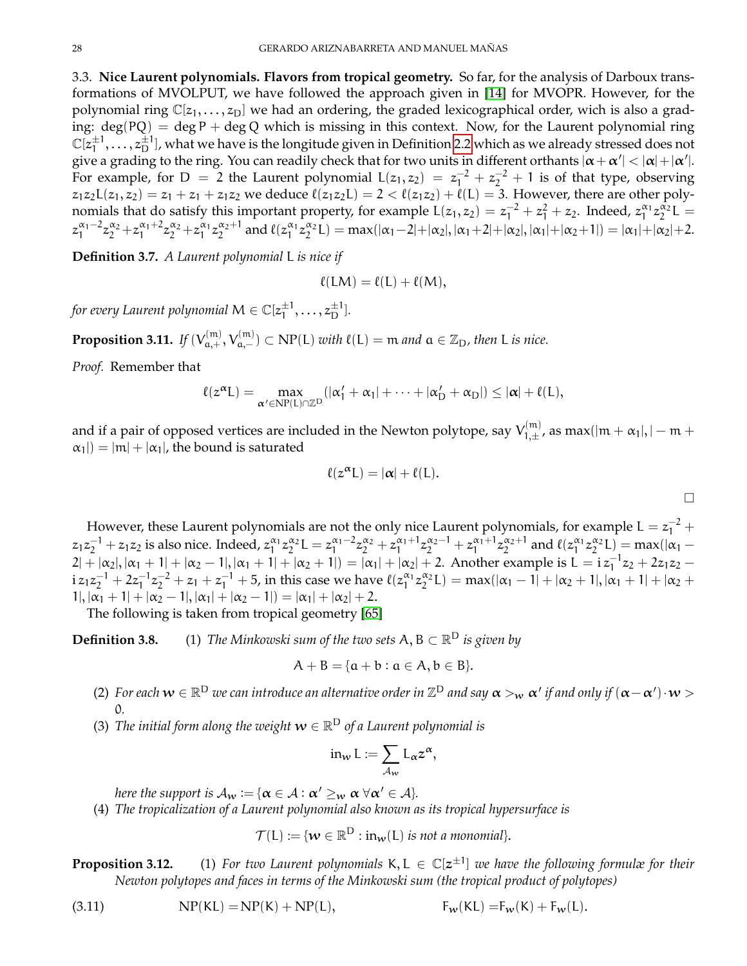<span id="page-27-0"></span>3.3. **Nice Laurent polynomials. Flavors from tropical geometry.** So far, for the analysis of Darboux transformations of MVOLPUT, we have followed the approach given in [\[14\]](#page-69-4) for MVOPR. However, for the polynomial ring  $\mathbb{C}[z_1,\ldots,z_D]$  we had an ordering, the graded lexicographical order, wich is also a grading:  $deg(PQ) = deg P + deg Q$  which is missing in this context. Now, for the Laurent polynomial ring  $\mathbb{C}[z_1^{\pm 1}]$  $\pm 1, \ldots, z_\text{D}^{\pm 1}$  , what we have is the longitude given in Definition [2.2](#page-0-0) which as we already stressed does not give a grading to the ring. You can readily check that for two units in different orthants  $|\alpha+\alpha'|<|\alpha|+|\alpha'|$ . For example, for D = 2 the Laurent polynomial  $L(z_1, z_2) = z_1^{-2} + z_2^{-2} + 1$  is of that type, observing  $z_1z_2L(z_1, z_2) = z_1 + z_1 + z_1z_2$  we deduce  $\ell(z_1z_2L) = 2 < \ell(z_1z_2) + \ell(L) = 3$ . However, there are other polynomials that do satisfy this important property, for example  $L(z_1, z_2) = z_1^{-2} + z_1^2 + z_2$ . Indeed,  $z_1^{\alpha_1} z_2^{\alpha_2} L =$  $z_1^{\alpha_1-2}z_2^{\alpha_2}+z_1^{\alpha_1+2}z_2^{\alpha_2}+z_1^{\alpha_1}z_2^{\alpha_2+1}$  and  $\ell(z_1^{\alpha_1}z_2^{\alpha_2}L) = \max(|\alpha_1-2|+|\alpha_2|, |\alpha_1+2|+|\alpha_2|, |\alpha_1|+|\alpha_2+1|) = |\alpha_1|+|\alpha_2|+2$ .

**Definition 3.7.** *A Laurent polynomial* L *is nice if*

$$
\ell(LM) = \ell(L) + \ell(M),
$$

for every Laurent polynomial  $\mathsf{M} \in \mathbb{C}[z_1^{\pm 1}]$  $z_1^{\pm 1}, \ldots, z_D^{\pm 1}].$ 

**Proposition 3.11.** *If*  $(V_{a,+}^{(m)}, V_{a,-}^{(m)}) \subset NP(L)$  *with*  $\ell(L) = m$  *and*  $a \in \mathbb{Z}_D$ *, then* L *is nice.* 

*Proof.* Remember that

$$
\ell(z^{\alpha}L) = \max_{\alpha' \in NP(L) \cap \mathbb{Z}^D} (|\alpha'_1 + \alpha_1| + \cdots + |\alpha'_D + \alpha_D|) \le |\alpha| + \ell(L),
$$

and if a pair of opposed vertices are included in the Newton polytope, say  $V_{1,+}^{(\mathrm{m})}$  $\sum_{1, \pm}^{(\text{m})}$ , as max(|m +  $\alpha_1$ |,| – m +  $|\alpha_1|$  =  $|m| + |\alpha_1|$ , the bound is saturated

$$
\ell(z^{\alpha}L)=|\alpha|+\ell(L).
$$

 $\Box$ 

However, these Laurent polynomials are not the only nice Laurent polynomials, for example  $L = z_1^{-2} +$  $z_1z_2^{-1} + z_1z_2$  is also nice. Indeed,  $z_1^{\alpha_1}z_2^{\alpha_2}L = z_1^{\alpha_1-2}z_2^{\alpha_2} + z_1^{\alpha_1+1}z_2^{\alpha_2-1} + z_1^{\alpha_1+1}z_2^{\alpha_2+1}$  and  $\ell(z_1^{\alpha_1}z_2^{\alpha_2}L) = \max(|\alpha_1 - \alpha_2|)$  $2|+|\alpha_2|, |\alpha_1+1|+|\alpha_2-1|, |\alpha_1+1|+|\alpha_2+1|$  =  $|\alpha_1|+|\alpha_2|+2$ . Another example is L =  $iz_1^{-1}z_2+2z_1z_2$  $i z_1 z_2^{-1} + 2 z_1^{-1} z_2^{-2} + z_1 + z_1^{-1} + 5$ , in this case we have  $\ell(z_1^{\alpha_1} z_2^{\alpha_2} L) = \max(|\alpha_1 - \overline{1}| + |\alpha_2 + \overline{1}|, |\alpha_1 + \overline{1}| + |\alpha_2 + \overline{1}|$  $1|, |\alpha_1 + 1| + |\alpha_2 - 1|, |\alpha_1| + |\alpha_2 - 1| = |\alpha_1| + |\alpha_2| + 2.$ 

The following is taken from tropical geometry [\[65\]](#page-71-32)

**Definition 3.8.** (1) *The Minkowski sum of the two sets*  $A, B \subset \mathbb{R}^D$  *is given by* 

$$
A+B=\{\alpha+b:a\in A,b\in B\}.
$$

- (2) For each  $w\in\R^D$  we can introduce an alternative order in  $\Z^D$  and say  $\alpha>_{w}\alpha'$  if and only if  $(\alpha-\alpha')\cdot w>$ 0*.*
- (3) *The initial form along the weight*  $\boldsymbol{w} \in \mathbb{R}^{\textsf{D}}$  *of a Laurent polynomial is*

$$
\text{in}_{w} L := \sum_{\mathcal{A}_{w}} L_{\alpha} z^{\alpha},
$$

*here the support is*  $\mathcal{A}_w := {\alpha \in \mathcal{A} : \alpha' \geq_w \alpha \ \forall \alpha' \in \mathcal{A}}.$ 

(4) *The tropicalization of a Laurent polynomial also known as its tropical hypersurface is*

 $\mathcal{T}(L) \coloneqq \{ \boldsymbol{w} \in \mathbb{R}^{\textsf{D}} : \textup{in}_{\boldsymbol{w}}(L) \textup{ is not a monomial} \}.$ 

**Proposition 3.12.** (1) *For two Laurent polynomials* K, L ∈ C[z ±1 ] *we have the following formulæ for their Newton polytopes and faces in terms of the Minkowski sum (the tropical product of polytopes)*

(3.11)  $NP(KL) = NP(K) + NP(L),$   $F_w(KL) = F_w(K) + F_w(L).$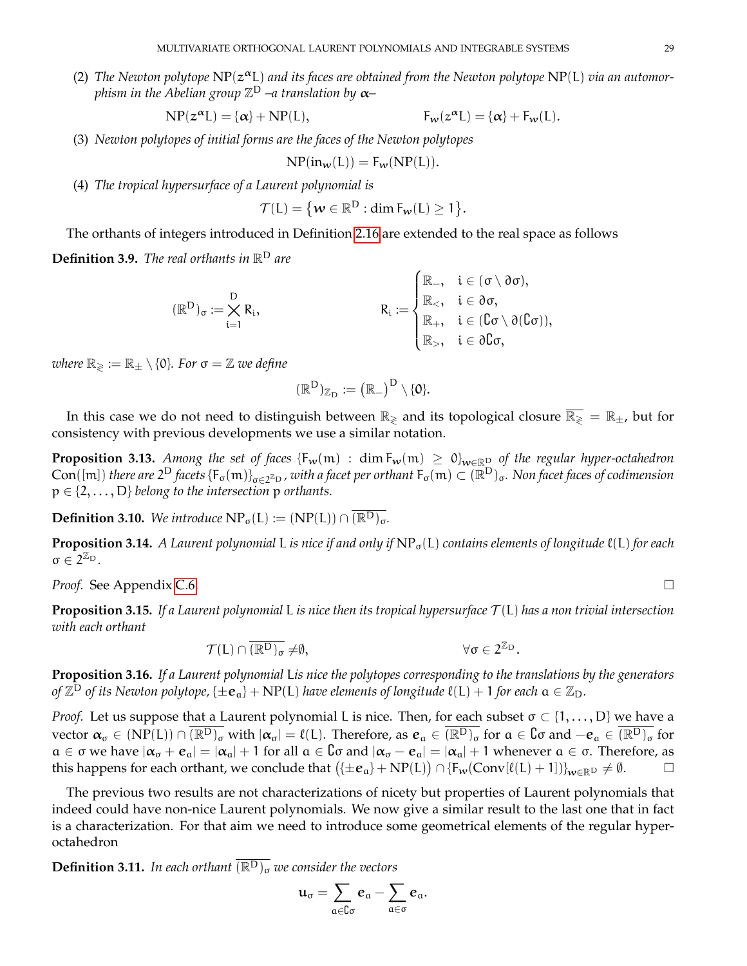(2) The Newton polytope NP( $z^{\alpha}$ L) and its faces are obtained from the Newton polytope NP(L) via an automor*phism in the Abelian group* Z <sup>D</sup> *–a translation by* α*–*

$$
NP(z^{\alpha}L) = {\alpha} + NP(L), \qquad F_w(z^{\alpha}L) = {\alpha} + F_w(L).
$$

(3) *Newton polytopes of initial forms are the faces of the Newton polytopes*

$$
NP(in_w(L)) = F_w(NP(L)).
$$

(4) *The tropical hypersurface of a Laurent polynomial is*

$$
\mathcal{T}(L) = \{ \mathbf{w} \in \mathbb{R}^D : \dim \mathrm{F}_{\mathbf{w}}(L) \geq 1 \}.
$$

The orthants of integers introduced in Definition [2.16](#page-15-3) are extended to the real space as follows **Definition 3.9.** *The real orthants in* R <sup>D</sup> *are*

$$
(\mathbb{R}^D)_\sigma := \bigtimes_{i=1}^D R_i, \hspace{2cm} R_i := \begin{cases} \mathbb{R}_-, & i \in (\sigma \setminus \partial \sigma), \\ \mathbb{R}_<, & i \in \partial \sigma, \\ \mathbb{R}_+, & i \in (\complement \sigma \setminus \partial (\complement \sigma)), \\ \mathbb{R}_>, & i \in \partial \complement \sigma, \end{cases}
$$

*where*  $\mathbb{R}_{\geqslant} := \mathbb{R}_{\pm} \setminus \{0\}$ *. For*  $\sigma = \mathbb{Z}$  *we define* 

$$
(\mathbb{R}^D)_{\mathbb{Z}_D} \mathrel{\mathop:}= \big(\mathbb{R}_-\big)^D \setminus \{ \textbf{0} \}.
$$

In this case we do not need to distinguish between  $\mathbb{R}_{\geq}$  and its topological closure  $\overline{\mathbb{R}_{\geq}} = \mathbb{R}_{\pm}$ , but for consistency with previous developments we use a similar notation.

**Proposition 3.13.** Among the set of faces  $\{F_w(m) : dim F_w(m) \ge 0\}_{w \in \mathbb{R}^D}$  of the regular hyper-octahedron  $Con([m])$  *there are*  $2^D$  *facets*  $\{F_\sigma(m)\}_{\sigma\in 2^{\mathbb{Z}_D}}$ , with a facet per orthant  $F_\sigma(m)\subset (\mathbb{R}^D)_\sigma$ . Non facet faces of codimension  $p \in \{2, \ldots, D\}$  *belong to the intersection* p *orthants.* 

**Definition 3.10.** *We introduce*  $NP_{\sigma}(L) := (NP(L)) \cap \overline{(R^{D})_{\sigma}}$ .

**Proposition 3.14.** *A Laurent polynomial* L *is nice if and only if*  $NP_{\sigma}(L)$  *contains elements of longitude*  $\ell(L)$  *for each*  $\sigma \in 2^{\mathbb{Z}_{D}}.$ 

*Proof.* See Appendix [C.6.](#page-66-0) □

**Proposition 3.15.** *If a Laurent polynomial* L *is nice then its tropical hypersurface* T (L) *has a non trivial intersection with each orthant*

$$
\mathcal{T}(L) \cap \overline{(\mathbb{R}^D)_{\sigma}} \neq \emptyset, \qquad \qquad \forall \sigma \in 2^{\mathbb{Z}_D}.
$$

**Proposition 3.16.** *If a Laurent polynomial* L*is nice the polytopes corresponding to the translations by the generators of*  $\mathbb{Z}^{\text{D}}$  *of its Newton polytope,* { $\pm \mathbf{e}_a$ } + NP(L) *have elements of longitude*  $\ell$ (L) + 1 *for each*  $a \in \mathbb{Z}_\text{D}$ *.* 

*Proof.* Let us suppose that a Laurent polynomial L is nice. Then, for each subset  $\sigma \subset \{1, \ldots, D\}$  we have a vector  $\alpha_{\sigma} \in (NP(L)) \cap (\overline{R^{D}})_{\sigma}$  with  $|\alpha_{\sigma}| = \ell(L)$ . Therefore, as  $e_{\alpha} \in (\overline{R^{D}})_{\sigma}$  for  $\alpha \in \mathbb{C}$  and  $-e_{\alpha} \in (\overline{R^{D}})_{\sigma}$  for  $a \in \sigma$  we have  $|\alpha_{\sigma} + e_{\sigma}| = |\alpha_{\sigma}| + 1$  for all  $a \in \sigma$  and  $|\alpha_{\sigma} - e_{\sigma}| = |\alpha_{\sigma}| + 1$  whenever  $a \in \sigma$ . Therefore, as this happens for each orthant, we conclude that  $(\pm e_a\} + NP(L)) \cap \{F_w(\text{Conv}[\ell(L) + 1])\}_{w \in \mathbb{R}^D} \neq \emptyset$ .

The previous two results are not characterizations of nicety but properties of Laurent polynomials that indeed could have non-nice Laurent polynomials. We now give a similar result to the last one that in fact is a characterization. For that aim we need to introduce some geometrical elements of the regular hyperoctahedron

**Definition 3.11.** In each orthant  $\overline{(\mathbb{R}^D)_\sigma}$  we consider the vectors

$$
u_\sigma=\sum_{\alpha\in\complement\sigma}e_\alpha-\sum_{\alpha\in\sigma}e_\alpha.
$$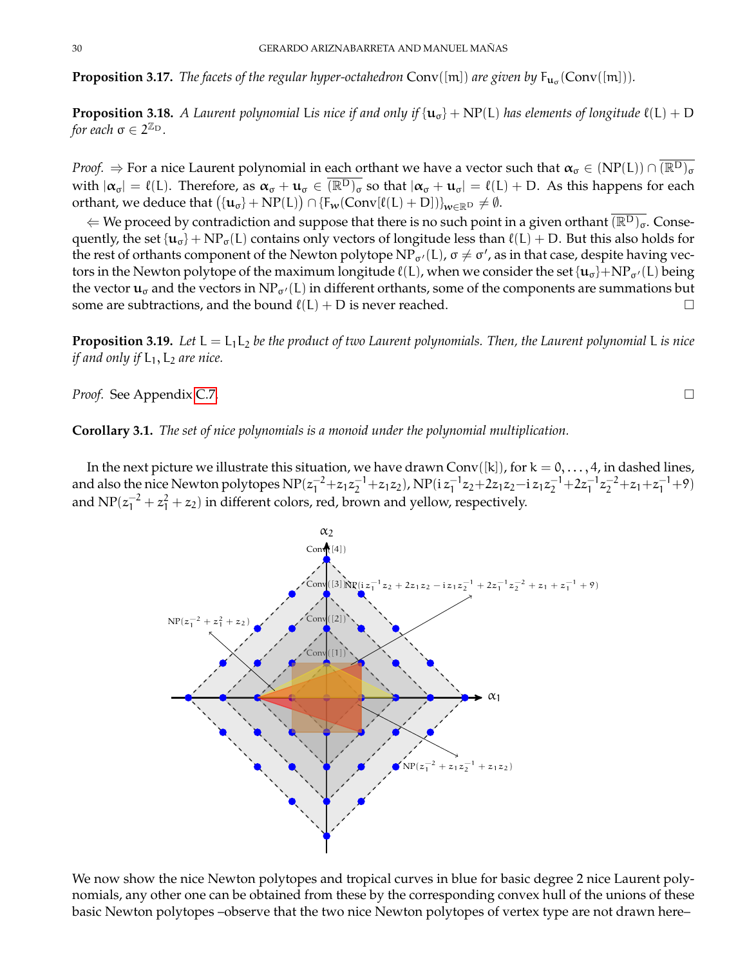**Proposition 3.17.** *The facets of the regular hyper-octahedron*  $Conv([m])$  *are given by*  $F_{\mathbf{u}_{\sigma}}(Conv([m]))$ *.* 

**Proposition 3.18.** *A Laurent polynomial Lis nice if and only if*  $\{u_{\sigma}\}$  + NP(L) *has elements of longitude*  $\ell(L)$  + D *for each*  $\sigma \in 2^{\mathbb{Z}_{\text{D}}}$ .

*Proof.*  $\Rightarrow$  For a nice Laurent polynomial in each orthant we have a vector such that  $\alpha_{\sigma} \in (NP(L)) \cap (\overline{{\mathbb R}^D})_{\sigma}$ with  $|\alpha_{\sigma}| = \ell(L)$ . Therefore, as  $\alpha_{\sigma} + u_{\sigma} \in (\overline{\mathbb{R}^D})_{\sigma}$  so that  $|\alpha_{\sigma} + u_{\sigma}| = \ell(L) + D$ . As this happens for each orthant, we deduce that  $\big(\{\mathbf{u}_\sigma\}+\mathrm{NP}(\mathsf{L})\big) \cap \{\mathsf{F}_\mathcal{W}(\mathsf{Conv}[\ell(\mathsf{L})+\mathsf{D}])\}_{\mathsf{W}\in\mathbb{R}^\mathsf{D}}\neq\emptyset.$ 

 $\Leftarrow$  We proceed by contradiction and suppose that there is no such point in a given orthant  $\overline{(\mathbb{R}^D)_\sigma}$ . Consequently, the set  $\{u_{\sigma}\}$  + NP<sub> $\sigma$ </sub>(L) contains only vectors of longitude less than  $\ell(L)$  + D. But this also holds for the rest of orthants component of the Newton polytope  $NP_{\sigma'}(L)$ ,  $\sigma \neq \sigma'$ , as in that case, despite having vectors in the Newton polytope of the maximum longitude  $\ell(L)$ , when we consider the set  $\{u_{\sigma}\}+NP_{\sigma'}(L)$  being the vector  $\mathbf{u}_{\sigma}$  and the vectors in NP<sub> $\sigma'$ </sub>(L) in different orthants, some of the components are summations but some are subtractions, and the bound  $\ell(L) + D$  is never reached.

<span id="page-29-0"></span>**Proposition 3.19.** Let  $L = L_1 L_2$  *be the product of two Laurent polynomials. Then, the Laurent polynomial* L *is nice if and only if*  $L_1$ ,  $L_2$  *are nice.* 

*Proof.* See Appendix [C.7.](#page-66-1)

**Corollary 3.1.** *The set of nice polynomials is a monoid under the polynomial multiplication.*

In the next picture we illustrate this situation, we have drawn Conv([k]), for  $k = 0, \ldots, 4$ , in dashed lines, and also the nice Newton polytopes  $NP(z_1^{-2}+z_1z_2^{-1}+z_1z_2)$ ,  $NP(i z_1^{-1}z_2+2z_1z_2-i z_1z_2^{-1}+2z_1^{-1}z_2^{-2}+z_1+z_1^{-1}+9)$ and  $NP(z_1^{-2} + z_1^2 + z_2)$  in different colors, red, brown and yellow, respectively.

We now show the nice Newton polytopes and tropical curves in blue for basic degree 2 nice Laurent polynomials, any other one can be obtained from these by the corresponding convex hull of the unions of these basic Newton polytopes –observe that the two nice Newton polytopes of vertex type are not drawn here–

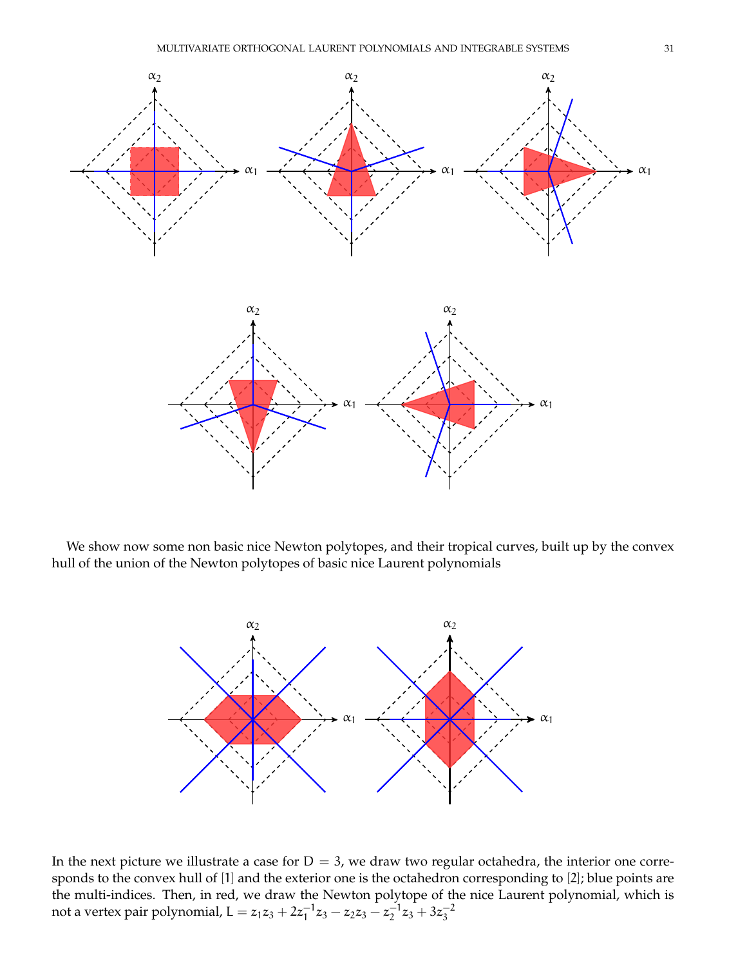

We show now some non basic nice Newton polytopes, and their tropical curves, built up by the convex hull of the union of the Newton polytopes of basic nice Laurent polynomials



In the next picture we illustrate a case for  $D = 3$ , we draw two regular octahedra, the interior one corresponds to the convex hull of [1] and the exterior one is the octahedron corresponding to [2]; blue points are the multi-indices. Then, in red, we draw the Newton polytope of the nice Laurent polynomial, which is not a vertex pair polynomial, L =  $z_1z_3 + 2z_1^{-1}z_3 - z_2z_3 - z_2^{-1}z_3 + 3z_3^{-2}$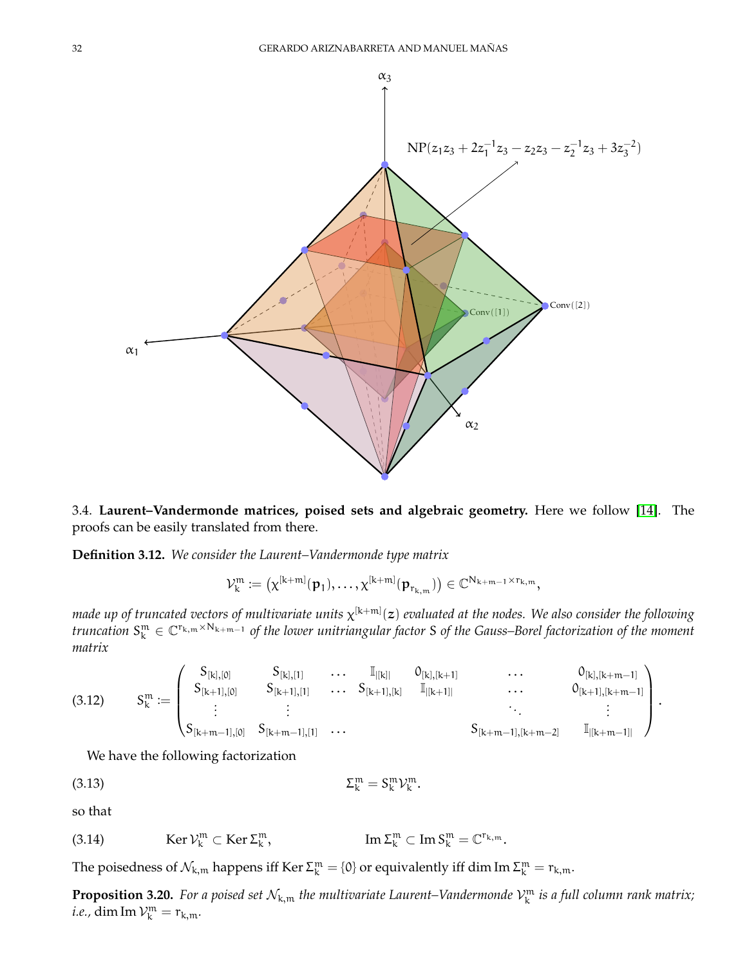

<span id="page-31-0"></span>3.4. **Laurent–Vandermonde matrices, poised sets and algebraic geometry.** Here we follow [\[14\]](#page-69-4). The proofs can be easily translated from there.

**Definition 3.12.** *We consider the Laurent–Vandermonde type matrix*

$$
\mathcal{V}^{\mathfrak{m}}_{k} \coloneqq \big(\chi^{[k+m]}(\mathfrak{p}_{1}), \ldots, \chi^{[k+m]}(\mathfrak{p}_{r_{k,\mathfrak{m}}})\big) \in \mathbb{C}^{N_{k+\mathfrak{m}-1} \times r_{k,\mathfrak{m}}},
$$

made up of truncated vectors of multivariate units  $\chi^{[k+m]}(z)$  evaluated at the nodes. We also consider the following *truncation* S m <sup>k</sup> <sup>∈</sup> <sup>C</sup> <sup>r</sup>k,m×Nk+m−<sup>1</sup> *of the lower unitriangular factor* S *of the Gauss–Borel factorization of the moment matrix*

$$
(3.12) \qquad S_k^m:=\begin{pmatrix} S_{[k],[0]} & S_{[k],[1]} & \ldots & \mathbb{I}_{|[k]|} & 0_{[k],[k+1]} & \ldots & 0_{[k],[k+m-1]} \\ S_{[k+1],[0]} & S_{[k+1],[1]} & \ldots & S_{[k+1],[k]} & \mathbb{I}_{|[k+1]|} & \ldots & 0_{[k+1],[k+m-1]} \\ \vdots & \vdots & & \ddots & \vdots \\ S_{[k+m-1],[0]} & S_{[k+m-1],[1]} & \ldots & S_{[k+m-1],[k+m-2]} & \mathbb{I}_{|[k+m-1]|} \end{pmatrix}.
$$

We have the following factorization

<span id="page-31-1"></span>
$$
\Sigma_k^m = S_k^m \mathcal{V}_k^m.
$$

so that

Ker  $\mathcal{V}_k^m \subset \operatorname{Ker} \Sigma_k^m$ (3.14)  $\qquad \qquad \text{Ker } \mathcal{V}_k^m \subset \text{Ker } \Sigma_k^m, \qquad \qquad \text{Im } \Sigma_k^m \subset \text{Im } S_k^m = \mathbb{C}^{r_{k,m}}.$ 

The poisedness of  $\mathcal{N}_{k,m}$  happens iff Ker  $\Sigma_k^m = \{0\}$  or equivalently iff dim Im  $\Sigma_k^m = r_{k,m}$ .

**Proposition 3.20.** For a poised set  $\mathcal{N}_{k,m}$  the multivariate Laurent–Vandermonde  $\mathcal{V}_k^m$  is a full column rank matrix; *i.e.,* dim Im  $\mathcal{V}_k^m = r_{k,m}$ .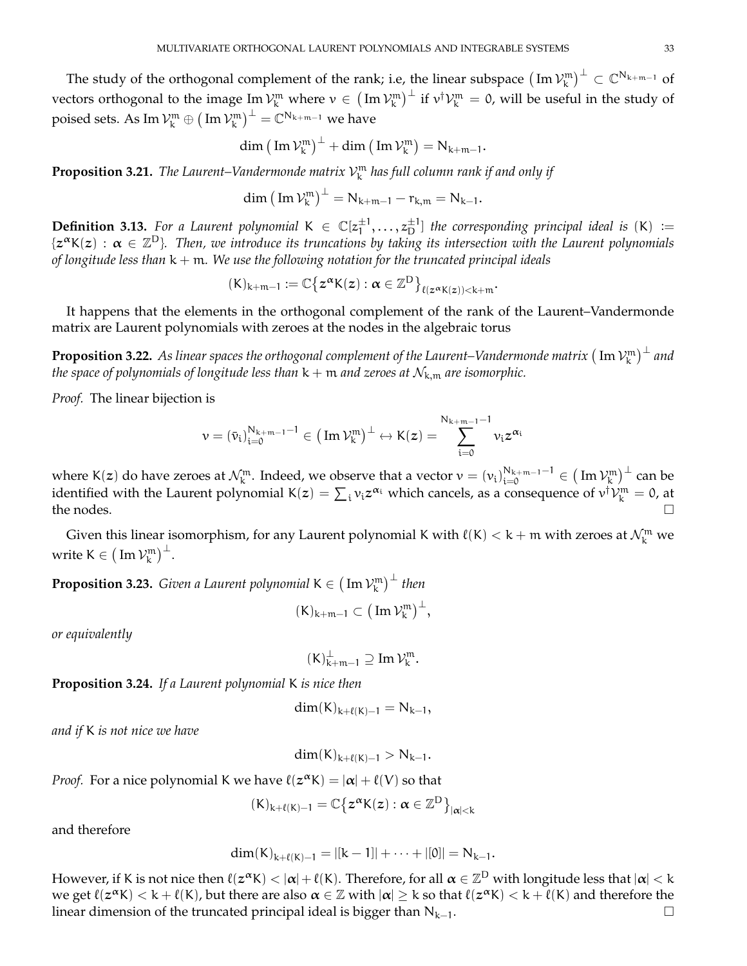The study of the orthogonal complement of the rank; i.e, the linear subspace  $(\rm{Im}\, \mathcal{V}^m_k)^{\perp}\subset \mathbb{C}^{N_{k+m-1}}$  of vectors orthogonal to the image Im  $\mathcal{V}^\mathfrak{m}_k$  where  $v\in \big(\operatorname{Im}\mathcal{V}^\mathfrak{m}_k\big)^\bot$  if  $v^\dagger\mathcal{V}^\mathfrak{m}_k=$  0, will be useful in the study of poised sets. As  $\mathrm{Im}\, \mathcal{V}^\mathfrak{m}_\mathsf{k} \oplus \big( \operatorname{Im} \mathcal{V}^\mathfrak{m}_\mathsf{k} \big)^\perp = \mathbb{C}^{\mathsf{N}_{\mathsf{k}+\mathfrak{m}-1}}$  we have

$$
dim\left(\,Im\,\mathcal{V}_k^m\right)^\perp+dim\left(\,Im\,\mathcal{V}_k^m\right)=N_{k+m-1}.
$$

<span id="page-32-2"></span>**Proposition 3.21.** The Laurent–Vandermonde matrix  $\mathcal{V}_k^m$  has full column rank if and only if

$$
\dim (\text{Im } \mathcal{V}_k^m)^{\perp} = N_{k+m-1} - r_{k,m} = N_{k-1}.
$$

**Definition 3.13.** For a Laurent polynomial  $K \in \mathbb{C}[z_1^{\pm 1}]$  $\{\pm 1, \ldots, z_{D}^{\pm 1}\}$  the corresponding principal ideal is  $(K) :=$  $\{z^\alpha K(z):\alpha\in\mathbb{Z}^D\}$ . Then, we introduce its truncations by taking its intersection with the Laurent polynomials *of longitude less than* k + m*. We use the following notation for the truncated principal ideals*

$$
(\mathsf{K})_{\mathsf{k}+\mathfrak{m}-1}:=\mathbb{C}\big\{z^{\boldsymbol{\alpha}}\mathsf{K}(z):\boldsymbol{\alpha}\in\mathbb{Z}^{\mathsf{D}}\big\}_{\ell(z^{\boldsymbol{\alpha}}\mathsf{K}(z))<\mathsf{k}+\mathfrak{m}}
$$

.

It happens that the elements in the orthogonal complement of the rank of the Laurent–Vandermonde matrix are Laurent polynomials with zeroes at the nodes in the algebraic torus

**Proposition 3.22.** As linear spaces the orthogonal complement of the Laurent–Vandermonde matrix  $(\mathrm{Im}\, \mathcal{V}^\mathfrak{m}_\mathsf{k})^\perp$  and *the space of polynomials of longitude less than*  $k + m$  *and zeroes at*  $\mathcal{N}_{k,m}$  *are isomorphic.* 

*Proof.* The linear bijection is

$$
\nu = \left( \bar{\nu}_i \right)_{i=0}^{N_{k+m-1}-1} \in \big( \operatorname{Im} \mathcal{V}_k^{\mathfrak{m}} \big)^{\perp} \leftrightarrow K(z) = \sum_{i=0}^{N_{k+m-1}-1} \nu_i z^{\alpha_i}
$$

where K(z) do have zeroes at  $\mathcal{N}^{\mathfrak{m}}_{\mathsf{k}}$ . Indeed, we observe that a vector  $\mathsf{v}=(\mathsf{v_i})_{\mathsf{i}=0}^{\mathsf{N_{k+m-1}-1}}\in\big(\mathsf{Im}\,\mathcal{V}^\mathfrak{m}_{\mathsf{k}}\big)^\bot$  can be identified with the Laurent polynomial  $K(z)=\sum_i v_i z^{\alpha_i}$  which cancels, as a consequence of  $v^\dagger V^m_k=0$ , at the nodes.  $\Box$ 

Given this linear isomorphism, for any Laurent polynomial K with  $\ell(K) < k+m$  with zeroes at  $\mathcal{N}^{\mathfrak{m}}_{\mathsf{k}}$  we write K  $\in (\text{Im } \mathcal{V}_k^m)^{\perp}.$ 

<span id="page-32-0"></span>**Proposition 3.23.** Given a Laurent polynomial  $K \in (\text{Im } \mathcal{V}^{\text{m}}_{\text{k}})^\perp$  then

$$
(K)_{k+m-1}\subset \big(\operatorname{Im}\mathcal{V}_k^m\big)^\perp,
$$

*or equivalently*

$$
(K)_{k+m-1}^{\perp} \supseteq \text{Im }\mathcal{V}_k^m.
$$

<span id="page-32-1"></span>**Proposition 3.24.** *If a Laurent polynomial* K *is nice then*

$$
dim(K)_{k+\ell(K)-1} = N_{k-1},
$$

*and if* K *is not nice we have*

$$
dim(K)_{k+\ell(K)-1} > N_{k-1}.
$$

*Proof.* For a nice polynomial K we have  $\ell(z^{\alpha}K) = |\alpha| + \ell(V)$  so that

$$
(K)_{k+\ell(K)-1}=\mathbb{C}\big\{z^{\alpha}K(z):\alpha\in\mathbb{Z}^D\big\}_{|\alpha|< k}
$$

and therefore

$$
dim(K)_{k+\ell(K)-1}=|[k-1]|+\cdots+|[0]|=N_{k-1}.
$$

However, if K is not nice then  $\ell(z^{\alpha}K)<|\alpha|+\ell(K)$ . Therefore, for all  $\alpha\in\mathbb{Z}^D$  with longitude less that  $|\alpha|< k$ we get  $\ell(z^{\alpha}K) < k + \ell(K)$ , but there are also  $\alpha \in \mathbb{Z}$  with  $|\alpha| \geq k$  so that  $\ell(z^{\alpha}K) < k + \ell(K)$  and therefore the linear dimension of the truncated principal ideal is bigger than  $N_{k-1}$ .  $\Box$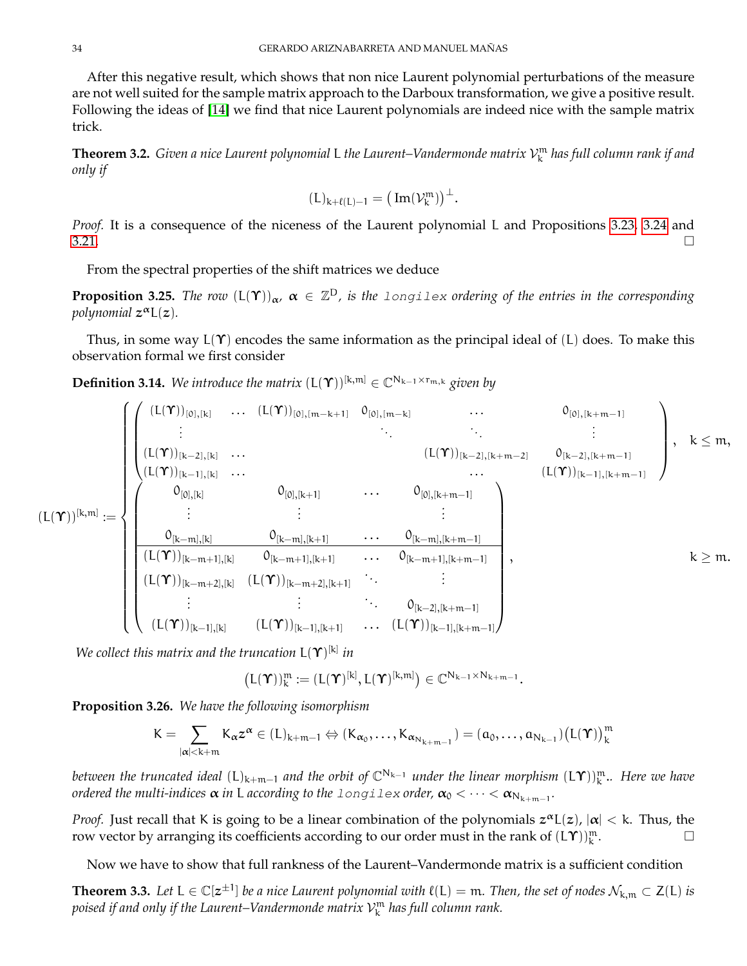After this negative result, which shows that non nice Laurent polynomial perturbations of the measure are not well suited for the sample matrix approach to the Darboux transformation, we give a positive result. Following the ideas of [\[14\]](#page-69-4) we find that nice Laurent polynomials are indeed nice with the sample matrix trick.

<span id="page-33-0"></span>**Theorem 3.2.** *Given a nice Laurent polynomial* L *the Laurent–Vandermonde matrix* V m k *has full column rank if and only if*

$$
(L)_{k+\ell(L)-1}=\big(\operatorname{Im}(\mathcal{V}_k^{\mathfrak{m}})\big)^{\perp}.
$$

*Proof.* It is a consequence of the niceness of the Laurent polynomial L and Propositions [3.23,](#page-32-0) [3.24](#page-32-1) and  $3.21.$ 

From the spectral properties of the shift matrices we deduce

**Proposition 3.25.** The row  $(L(\Upsilon))_{\alpha}$ ,  $\alpha \in \mathbb{Z}^D$ , is the longilex ordering of the entries in the corresponding *polynomial* z <sup>α</sup>L(z)*.*

Thus, in some way  $L(\Upsilon)$  encodes the same information as the principal ideal of (L) does. To make this observation formal we first consider

**Definition 3.14.** We introduce the matrix  $(L(\Upsilon))^{[k,m]} \in \mathbb{C}^{N_{k-1} \times r_{m,k}}$  given by

$$
(L(\Upsilon))^{[k,m]}:=\begin{cases} \begin{pmatrix} (L(\Upsilon))_{[0],[k]} & \ldots & (L(\Upsilon))_{[0],[m-k+1]} & 0_{[0],[m-k]} & \ldots & 0_{[0],[k+m-1]} \\ \vdots & \ddots & \ddots & \vdots \\ (L(\Upsilon))_{[k-2],[k]} & \ldots & & (L(\Upsilon))_{[k-2],[k+m-2]} & 0_{[k-2],[k+m-1]} \\ (L(\Upsilon))_{[k-1],[k]} & \ldots & & \ldots & (L(\Upsilon))_{[k-1],[k+m-1]} \\ \vdots & \vdots & \ddots & \vdots \\ 0_{[k-m],[k]} & 0_{[k-m],[k+1]} & \ldots & 0_{[k-m],[k+m-1]} \\ \hline (L(\Upsilon))_{[k-m+1],[k]} & 0_{[k-m+1],[k+1]} & \ldots & 0_{[k-m+1],[k+m-1]} \\ \vdots & \vdots & \ddots & \vdots \\ (L(\Upsilon))_{[k-m+2],[k]} & (L(\Upsilon))_{[k-m+2],[k+1]} & \ldots & (L(\Upsilon))_{[k-1],[k+m-1]} \\ \end{pmatrix}, & k\geq m. \end{cases}
$$

*We collect this matrix and the truncation* L(Υ) [k] *in*

$$
\big(L(\boldsymbol{\Upsilon})\big)_k^m:=(L(\boldsymbol{\Upsilon})^{[k]},L(\boldsymbol{\Upsilon})^{[k,m]})\in\mathbb{C}^{N_{k-1}\times N_{k+m-1}}.
$$

<span id="page-33-1"></span>**Proposition 3.26.** *We have the following isomorphism*

$$
K=\sum_{|\alpha|< k+m}K_{\alpha}z^{\alpha}\in (L)_{k+m-1}\Leftrightarrow (K_{\alpha_0},\ldots,K_{\alpha_{N_{k+m-1}}})=(\alpha_0,\ldots,\alpha_{N_{k-1}})\big(L(\Upsilon)\big)^m_k
$$

*between the truncated ideal* (L)<sub>k+m−1</sub> and the orbit of C<sup>N</sup>k−1 *under the linear morphism* (L**Y**))µ. *Here we have ordered the multi-indices*  $\alpha$  *in L according to the <code>longilex</code> <i>order,*  $\alpha_0 < \cdots < \alpha_{\rm N_{k+m-1}}.$ 

*Proof.* Just recall that K is going to be a linear combination of the polynomials  $z^{\alpha}L(z)$ ,  $|\alpha| < k$ . Thus, the row vector by arranging its coefficients according to our order must in the rank of  $(L\Upsilon) \right)_{k}^{m}$ . — П

Now we have to show that full rankness of the Laurent–Vandermonde matrix is a sufficient condition

**Theorem 3.3.** Let  $L \in \mathbb{C}[z^{\pm 1}]$  be a nice Laurent polynomial with  $\ell(L) = m$ . Then, the set of nodes  $\mathcal{N}_{k,m} \subset Z(L)$  is *poised if and only if the Laurent–Vandermonde matrix* V m k *has full column rank.*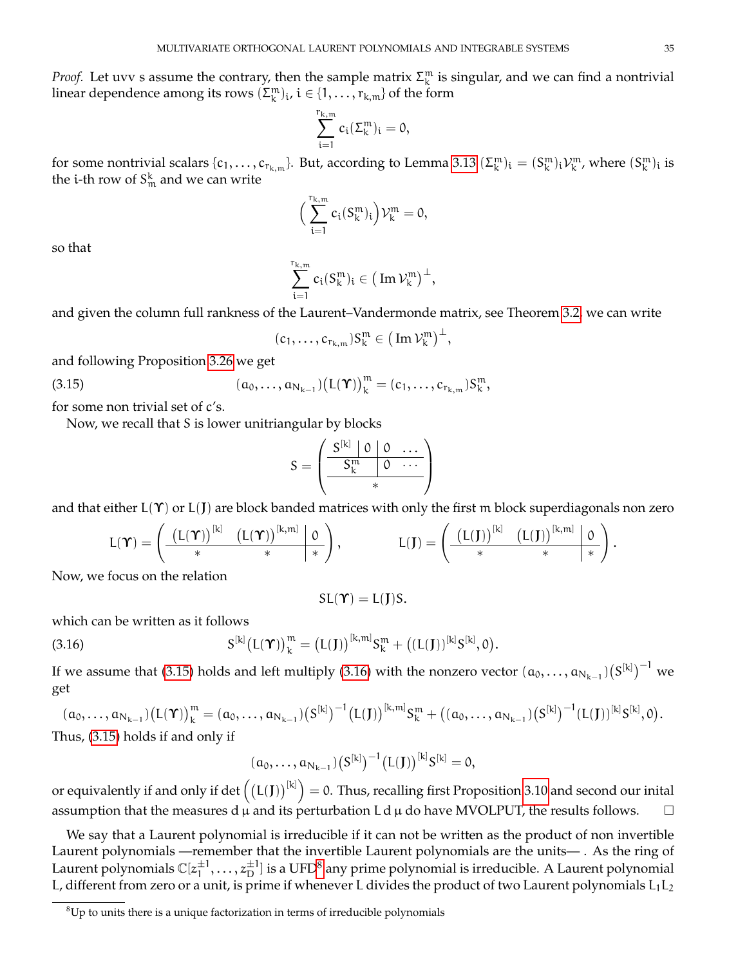*Proof.* Let uvv s assume the contrary, then the sample matrix  $\Sigma_k^m$  is singular, and we can find a nontrivial linear dependence among its rows  $(\Sigma_k^m)_i$ ,  $i \in \{1, \ldots, r_{k,m}\}$  of the form

$$
\sum_{i=1}^{r_{k,m}}c_i(\Sigma_k^m)_i=0,
$$

for some nontrivial scalars  $\{c_1,\ldots,c_{r_{k,m}}\}$ . But, according to Lemma [3.13](#page-31-1)  $(\Sigma_k^m)_i = (S_k^m)_i \mathcal{V}_k^m$ , where  $(S_k^m)_i$  is the i-th row of  $S_{\mathfrak{m}}^{\rm k}$  and we can write

$$
\Big(\sum_{i=1}^{r_{k,m}}c_i(S_k^m)_i\Big)\mathcal{V}_k^m=0,
$$

so that

$$
\sum_{i=1}^{r_{k,m}}c_i(S_k^m)_i\in \big(\operatorname{Im}\mathcal{V}_k^m\big)^\perp,
$$

and given the column full rankness of the Laurent–Vandermonde matrix, see Theorem [3.2,](#page-33-0) we can write

$$
(c_1,\ldots,c_{r_{k,m}})S_k^m\in\big(\operatorname{Im}\mathcal{V}_k^m\big)^{\perp},
$$

and following Proposition [3.26](#page-33-1) we get

<span id="page-34-0"></span>(3.15) 
$$
(a_0,...,a_{N_{k-1}})(L(\Upsilon))_k^m = (c_1,...,c_{r_{k,m}})S_k^m,
$$

for some non trivial set of c's.

Now, we recall that S is lower unitriangular by blocks

$$
S = \left(\begin{array}{c|cc} S^{[k]} & 0 & 0 & \dots \\ \hline S^m_k & 0 & \dots \\ \hline & & * \end{array}\right)
$$

and that either  $L(\Upsilon)$  or  $L(\Upsilon)$  are block banded matrices with only the first m block superdiagonals non zero

$$
L(\boldsymbol{\Upsilon}) = \left( \begin{array}{c|c|c} \left(L(\boldsymbol{\Upsilon})\right)^{[k]} & \left(L(\boldsymbol{\Upsilon})\right)^{[k,m]} & 0 \\ \hline \ast & \ast & \ast \end{array} \right), \qquad \qquad L(J) = \left( \begin{array}{c|c|c} \left(L(J)\right)^{[k]} & \left(L(J)\right)^{[k,m]} & 0 \\ \hline \ast & \ast & \ast \end{array} \right).
$$

Now, we focus on the relation

$$
\mathsf{SL}(\Upsilon)=\mathsf{L}(J)\mathsf{S}.
$$

which can be written as it follows

<span id="page-34-1"></span>(3.16) 
$$
S^{[k]}(L(\Upsilon))^m_k = (L(J))^{[k,m]} S^{m}_{k} + ((L(J))^{[k]} S^{[k]}, 0).
$$

If we assume that [\(3.15\)](#page-34-0) holds and left multiply [\(3.16\)](#page-34-1) with the nonzero vector  $(a_0,\ldots,a_{N_{k-1}})(S^{[k]})^{-1}$  we get

$$
(a_0, ..., a_{N_{k-1}})(L(\Upsilon))^m_k = (a_0, ..., a_{N_{k-1}})(S^{[k]})^{-1}(L(J))^{[k,m]}S_k^m + ((a_0, ..., a_{N_{k-1}})(S^{[k]})^{-1}(L(J))^{[k]}S^{[k]}, 0).
$$
  
Thus, (3.15) holds if and only if

$$
(\alpha_0,\ldots,\alpha_{N_{k-1}})\big(S^{[k]}\big)^{-1}\big(L(J)\big)^{[k]}S^{[k]}=0,
$$

or equivalently if and only if det  $\big((L(J))^{[k]}\big)=$  0. Thus, recalling first Proposition [3.10](#page-26-2) and second our inital assumption that the measures d  $\mu$  and its perturbation L d  $\mu$  do have MVOLPUT, the results follows.  $\Box$ 

We say that a Laurent polynomial is irreducible if it can not be written as the product of non invertible Laurent polynomials —remember that the invertible Laurent polynomials are the units— . As the ring of Laurent polynomials  $\mathbb{C}[z_1^{\pm 1}]$  $\pm 1, \ldots, z_\text{D}^{\pm 1}]$  is a UFD $^8$  $^8$  any prime polynomial is irreducible. A Laurent polynomial L, different from zero or a unit, is prime if whenever L divides the product of two Laurent polynomials  $L_1L_2$ 

<span id="page-34-2"></span> ${}^{8}$ Up to units there is a unique factorization in terms of irreducible polynomials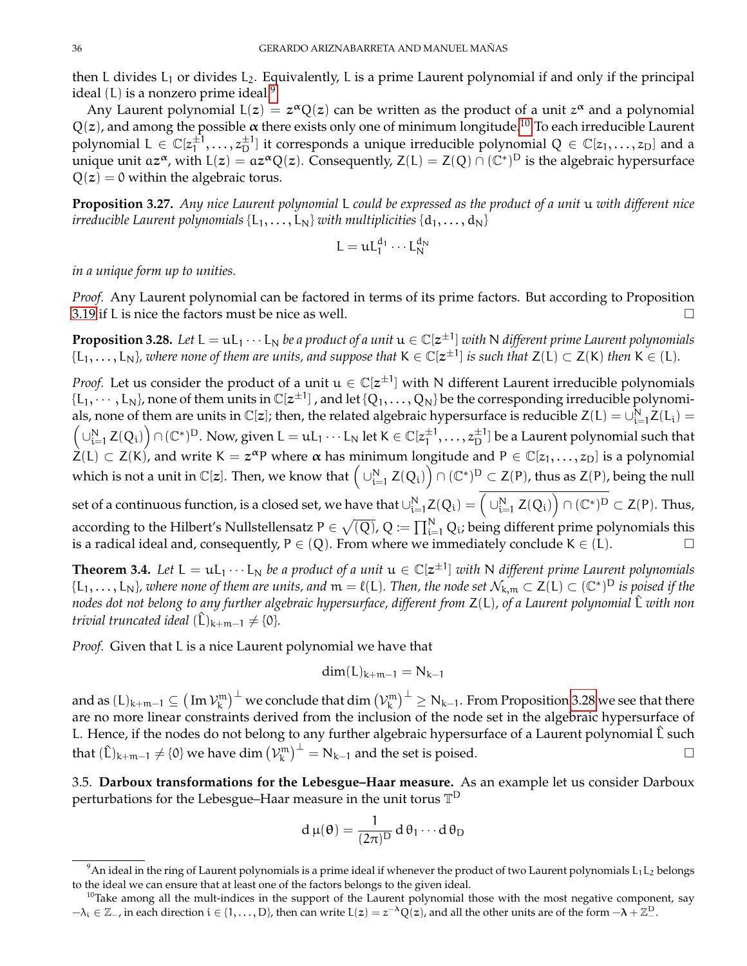then L divides  $L_1$  or divides  $L_2$ . Equivalently, L is a prime Laurent polynomial if and only if the principal ideal  $(L)$  is a nonzero prime ideal.<sup>[9](#page-35-1)</sup>

Any Laurent polynomial  $L(z) = z^{\alpha} Q(z)$  can be written as the product of a unit  $z^{\alpha}$  and a polynomial  $Q(z)$ , and among the possible  $\alpha$  there exists only one of minimum longitude.<sup>[10](#page-35-2)</sup> To each irreducible Laurent polynomial  $L \in \mathbb{C}[z_1^{\pm 1}]$  $\{\pm 1, \ldots, z_{D}^{\pm 1}\}$  it corresponds a unique irreducible polynomial  $Q \in \mathbb{C}[z_1, \ldots, z_D]$  and a unique unit az<sup> $\alpha$ </sup>, with L(z) = az<sup> $\alpha$ </sup>Q(z). Consequently, Z(L) = Z(Q)  $\cap$  (C<sup>\*</sup>)<sup>D</sup> is the algebraic hypersurface  $Q(z) = 0$  within the algebraic torus.

**Proposition 3.27.** *Any nice Laurent polynomial* L *could be expressed as the product of a unit* u *with different nice irreducible Laurent polynomials*  $\{L_1, \ldots, L_N\}$  *with multiplicities*  $\{d_1, \ldots, d_N\}$ 

$$
L = \mathfrak{u} L_1^{d_1} \cdots L_N^{d_N}
$$

*in a unique form up to unities.*

*Proof.* Any Laurent polynomial can be factored in terms of its prime factors. But according to Proposition [3.19](#page-29-0) if L is nice the factors must be nice as well.  $\Box$ 

<span id="page-35-3"></span> $\bf{Proposition 3.28.}$  Let  $\rm L = uL_1 \cdots L_N$  be a product of a unit  $\rm u \in \mathbb{C}[z^{\pm 1}]$  with  $\rm N$  different prime Laurent polynomials  $\{L_1,\ldots,L_N\}$ , where none of them are units, and suppose that  $K\in\mathbb{C}[z^{\pm 1}]$  is such that  $Z(L)\subset Z(K)$  then  $K\in (L)$ .

*Proof.* Let us consider the product of a unit  $u \in \mathbb{C}[z^{\pm 1}]$  with N different Laurent irreducible polynomials  $\{L_1, \cdots, L_N\}$ , none of them units in  $\mathbb{C}[z^{\pm 1}]$  , and let  $\{Q_1, \ldots, Q_N\}$  be the corresponding irreducible polynomials, none of them are units in  $\mathbb{C}[z]$ ; then, the related algebraic hypersurface is reducible  $Z(L) = \bigcup_{i=1}^{N} Z(L_i) =$  $\left(\bigcup_{i=1}^N Z(Q_i)\right)\cap (\mathbb{C}^*)^D$ . Now, given  $L=uL_1\cdots L_N$  let  $K\in \mathbb{C}[z_1^{\pm 1}]$  $\pm 1,\ldots,z_\text{D}^{\pm 1}]$  be a Laurent polynomial such that  $\dot{Z}(L) \subset Z(K)$ , and write  $K = z^{\alpha}P$  where  $\alpha$  has minimum longitude and  $P \in \mathbb{C}[z_1,\ldots,z_D]$  is a polynomial which is not a unit in  $\mathbb C[z].$  Then, we know that  $\Big(\cup_{i=1}^N Z(Q_i)\Big)\cap (\mathbb C^*)^D\subset Z(\mathsf P)$ , thus as  $Z(\mathsf P)$ , being the null

set of a continuous function, is a closed set, we have that  $\cup_{i=1}^N Z(Q_i)=\Big(\cup_{i=1}^N Z(Q_i)\Big)\cap (\mathbb{C}^*)^D\subset Z(P).$  Thus, according to the Hilbert's Nullstellensatz P  $\in\sqrt{(Q)}$ , Q :=  $\prod_{i=1}^N Q_i$ ; being different prime polynomials this is a radical ideal and, consequently,  $P \in (Q)$ . From where we immediately conclude  $K \in (L)$ .

**Theorem 3.4.** Let  $L = uL_1 \cdots L_N$  be a product of a unit  $u \in \mathbb{C}[z^{\pm 1}]$  with N different prime Laurent polynomials  $\{L_1,\ldots,L_N\}$ , where none of them are units, and  $m=\ell(L)$ . Then, the node set  $\mathcal{N}_{k,m}\subset \mathsf{Z}(L)\subset (\mathbb{C}^*)^D$  is poised if the *nodes dot not belong to any further algebraic hypersurface, different from* Z(L)*, of a Laurent polynomial* L^ *with non trivial truncated ideal*  $(\hat{L})_{k+m-1} \neq \{0\}.$ 

*Proof.* Given that L is a nice Laurent polynomial we have that

$$
\dim(L)_{k+m-1} = N_{k-1}
$$

and as  $(L)_{k+m-1}\subseteq \big(\operatorname{Im}\mathcal{V}_k^{\mathfrak{m}}\big)^{\perp}$  we conclude that  $\dim\big(\mathcal{V}_k^{\mathfrak{m}}\big)^{\perp}\geq \mathrm{N}_{k-1}.$  From Proposition [3.28](#page-35-3) we see that there are no more linear constraints derived from the inclusion of the node set in the algebraic hypersurface of L. Hence, if the nodes do not belong to any further algebraic hypersurface of a Laurent polynomial  $\hat{L}$  such that  $(\hat{L})_{k+m-1} \neq \{0\}$  we have dim  $\left(\mathcal{V}_{k}^{m}\right)^{\perp} = N_{k-1}$  and the set is poised.

<span id="page-35-0"></span>3.5. **Darboux transformations for the Lebesgue–Haar measure.** As an example let us consider Darboux perturbations for the Lebesgue–Haar measure in the unit torus  $\mathbb{T}^{\mathsf{D}}$ 

$$
d\,\mu(\theta)=\frac{1}{(2\pi)^D}\,d\,\theta_1\cdots d\,\theta_D
$$

<span id="page-35-1"></span> $^9$ An ideal in the ring of Laurent polynomials is a prime ideal if whenever the product of two Laurent polynomials  $L_1L_2$  belongs to the ideal we can ensure that at least one of the factors belongs to the given ideal.

<span id="page-35-2"></span> $10$ Take among all the mult-indices in the support of the Laurent polynomial those with the most negative component, say  $-\lambda_i\in\mathbb{Z}_-$ , in each direction  $i\in\{1,\ldots,D\}$ , then can write  $L(z)=z^{-\lambda}Q(z)$ , and all the other units are of the form  $-\lambda+\mathbb{Z}_-^D$ .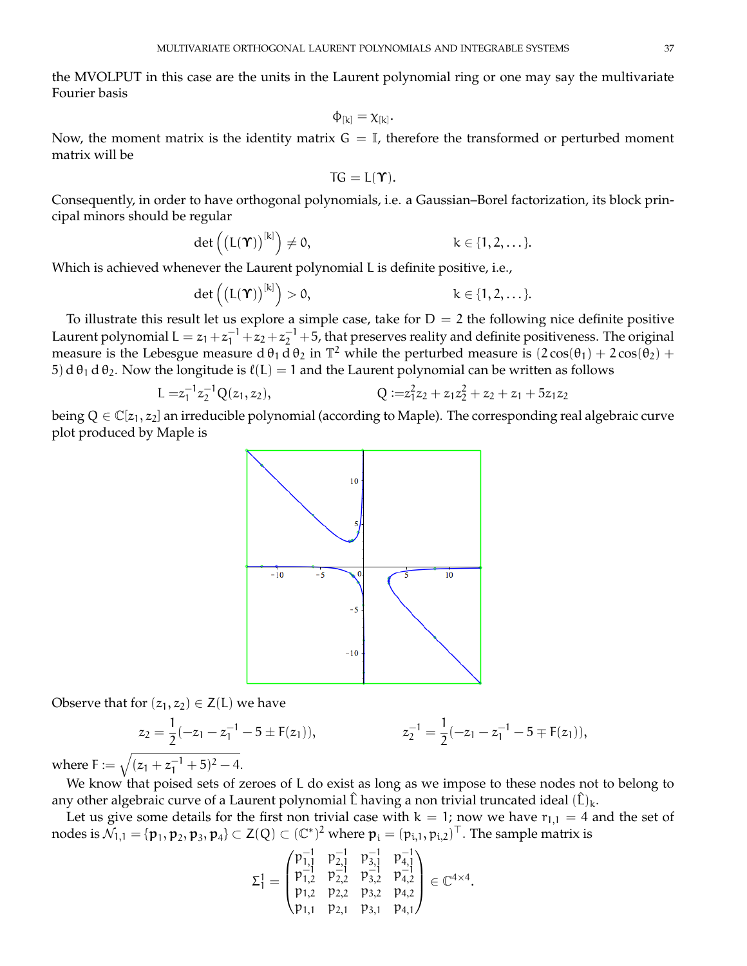the MVOLPUT in this case are the units in the Laurent polynomial ring or one may say the multivariate Fourier basis

$$
\varphi_{[k]}=\chi_{[k]}.
$$

Now, the moment matrix is the identity matrix  $G = \mathbb{I}$ , therefore the transformed or perturbed moment matrix will be

$$
TG=L(\Upsilon).
$$

Consequently, in order to have orthogonal polynomials, i.e. a Gaussian–Borel factorization, its block principal minors should be regular

$$
\det\left(\left(L(\Upsilon)\right)^{[k]}\right)\neq 0, \qquad \qquad k\in\{1,2,\ldots\}.
$$

Which is achieved whenever the Laurent polynomial L is definite positive, i.e.,

$$
\det\left(\left(L(\Upsilon)\right)^{[k]}\right) > 0, \qquad k \in \{1, 2, \dots\}.
$$

To illustrate this result let us explore a simple case, take for  $D = 2$  the following nice definite positive Laurent polynomial  $L = z_1 + z_1^{-1} + z_2 + z_2^{-1} + 5$ , that preserves reality and definite positiveness. The original measure is the Lebesgue measure d  $\theta_1 d \theta_2$  in  $\mathbb{T}^2$  while the perturbed measure is  $(2 \cos(\theta_1) + 2 \cos(\theta_2) +$ 5) d  $\theta_1$  d  $\theta_2$ . Now the longitude is  $\ell(L) = 1$  and the Laurent polynomial can be written as follows

$$
L = z_1^{-1} z_2^{-1} Q(z_1, z_2), \qquad Q := z_1^2 z_2 + z_1 z_2^2 + z_2 + z_1 + 5 z_1 z_2
$$

being  $Q \in \mathbb{C}[z_1, z_2]$  an irreducible polynomial (according to Maple). The corresponding real algebraic curve plot produced by Maple is



Observe that for  $(z_1, z_2) \in Z(L)$  we have

$$
z_2 = \frac{1}{2}(-z_1 - z_1^{-1} - 5 \pm F(z_1)), \qquad z_2^{-1} = \frac{1}{2}(-z_1 - z_1^{-1} - 5 \mp F(z_1)),
$$

where  $F := \sqrt{(z_1 + z_1^{-1} + 5)^2 - 4}.$ 

We know that poised sets of zeroes of L do exist as long as we impose to these nodes not to belong to any other algebraic curve of a Laurent polynomial  $\hat{L}$  having a non trivial truncated ideal  $(\hat{L})_k$ .

Let us give some details for the first non trivial case with  $k = 1$ ; now we have  $r_{1,1} = 4$  and the set of nodes is  $\tilde{\mathcal{N}}_{1,1}=\{\bm p_1,\bm p_2,\bm p_3,\bm p_4\}\subset\mathsf{Z}(\mathsf{Q})\subset(\mathbb{C}^*)^2$  where  $\bm p_i=(p_{i,1},p_{i,2})^\top.$  The sample matrix is

$$
\Sigma_1^1=\begin{pmatrix} \mathfrak{p}_{1,1}^{-1} & \mathfrak{p}_{2,1}^{-1} & \mathfrak{p}_{3,1}^{-1} & \mathfrak{p}_{4,1}^{-1} \\ \mathfrak{p}_{1,2}^{-1} & \mathfrak{p}_{2,2}^{-1} & \mathfrak{p}_{3,2}^{-1} & \mathfrak{p}_{4,2}^{-1} \\ \mathfrak{p}_{1,2} & \mathfrak{p}_{2,2} & \mathfrak{p}_{3,2} & \mathfrak{p}_{4,2} \\ \mathfrak{p}_{1,1} & \mathfrak{p}_{2,1} & \mathfrak{p}_{3,1} & \mathfrak{p}_{4,1} \end{pmatrix}\in \mathbb{C}^{4\times 4}.
$$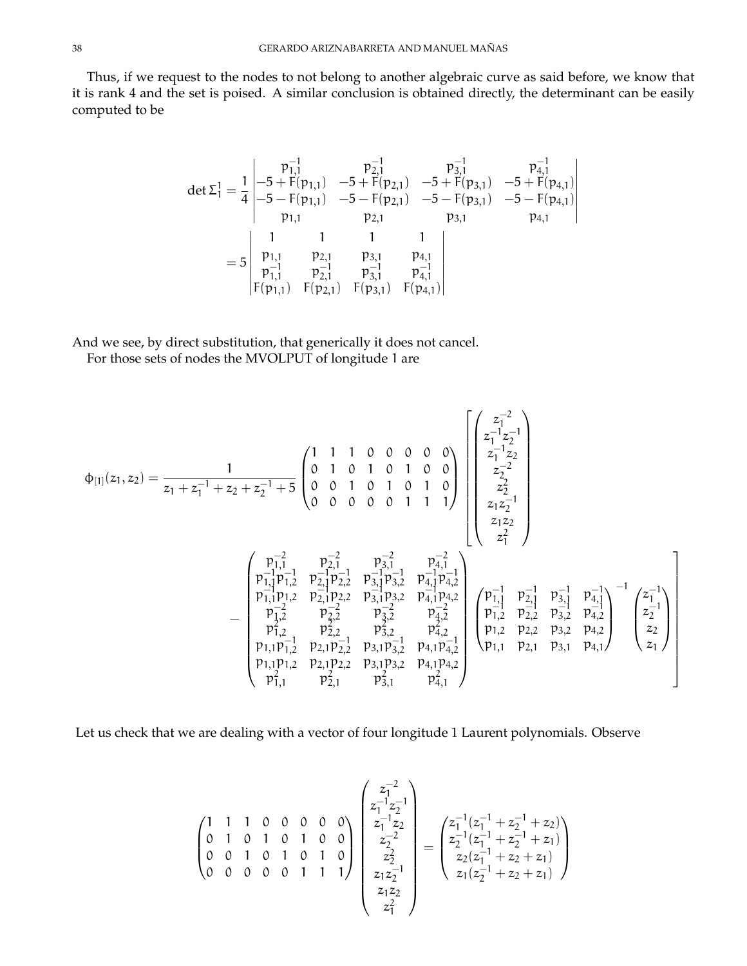Thus, if we request to the nodes to not belong to another algebraic curve as said before, we know that it is rank 4 and the set is poised. A similar conclusion is obtained directly, the determinant can be easily computed to be

$$
\det \Sigma_1^1 = \frac{1}{4} \begin{vmatrix} p_{1,1}^{-1} & p_{2,1}^{-1} & p_{3,1}^{-1} & p_{4,1}^{-1} \\ -5 + F(p_{1,1}) & -5 + F(p_{2,1}) & -5 + F(p_{3,1}) & -5 + F(p_{4,1}) \\ -5 - F(p_{1,1}) & -5 - F(p_{2,1}) & -5 - F(p_{3,1}) & -5 - F(p_{4,1}) \\ p_{1,1} & p_{2,1} & p_{3,1} & p_{4,1} \\ p_{1,1}^{-1} & p_{2,1}^{-1} & p_{3,1}^{-1} & p_{4,1}^{-1} \\ F(p_{1,1}) & F(p_{2,1}) & F(p_{3,1}) & F(p_{4,1}) \end{vmatrix}
$$

And we see, by direct substitution, that generically it does not cancel. For those sets of nodes the MVOLPUT of longitude 1 are

$$
\varphi_{[1]}(z_1, z_2) = \frac{1}{z_1 + z_1^{-1} + z_2 + z_2^{-1} + 5} \begin{pmatrix} 1 & 1 & 1 & 0 & 0 & 0 & 0 & 0 \\ 0 & 1 & 0 & 1 & 0 & 1 & 0 & 0 \\ 0 & 0 & 1 & 0 & 1 & 0 & 1 & 0 \\ 0 & 0 & 0 & 0 & 0 & 1 & 1 & 1 \end{pmatrix} \begin{pmatrix} z_1^{-2} \\ z_1^{-1}z_2 \\ z_2^{-2} \\ z_2^{-2} \\ z_1z_2 \\ z_1z_2 \\ z_1z_2 \\ z_1z_2 \\ z_1z_2 \\ z_1z_2 \\ z_1z_2 \\ z_1z_2 \\ z_1z_2 \\ z_1z_2 \\ z_1z_2 \\ z_1z_2 \\ z_1z_2 \\ z_1z_2 \\ z_1z_2 \\ z_1z_2 \\ z_1z_2 \\ z_1z_2 \\ z_1z_2 \\ z_1z_2 \\ z_1z_2 \\ z_1z_2 \\ z_1z_2 \\ z_1z_2 \\ z_1z_2 \\ z_1z_2 \\ z_1z_2 \\ z_1z_2 \\ z_1z_2 \\ z_1z_2 \\ z_1z_2 \\ z_1z_2 \\ z_1z_2 \\ z_1z_2 \\ z_1z_2 \\ z_1z_2 \\ z_1z_2 \\ z_1z_2 \\ z_1z_2 \\ z_1z_2 \\ z_1z_2 \\ z_1z_2 \\ z_1z_2 \\ z_1z_2 \\ z_1z_2 \\ z_1z_2 \\ z_1z_2 \\ z_1z_2 \\ z_1z_2 \\ z_1z_2 \\ z_1z_2 \\ z_1z_2 \\ z_1z_2 \\ z_1z_2 \\ z_1z_2 \\ z_1z_2 \\ z_1z_2 \\ z_1z_2 \\ z_1z_2 \\ z_1z_2 \\ z_1z_2 \\ z_1z_2 \\ z_1z_2 \\ z_1z_2 \\ z_1z_2 \\ z_1z_2 \\ z_1z_2 \\ z_1z_2 \\ z_1z_2 \\ z_1z_2 \\ z_1z_2 \\ z_1z_2 \\ z_1z_2 \\ z_1z_2 \\ z_1z_2 \\ z_1z_2 \\ z_1z_2 \\ z_1z_2 \\ z_1z_2 \\ z_1z_2 \\ z_1z_2 \\ z_
$$

Let us check that we are dealing with a vector of four longitude 1 Laurent polynomials. Observe

$$
\begin{pmatrix}\n1 & 1 & 1 & 0 & 0 & 0 & 0 & 0 \\
0 & 1 & 0 & 1 & 0 & 1 & 0 & 0 \\
0 & 0 & 1 & 0 & 1 & 0 & 1 & 0 \\
0 & 0 & 0 & 0 & 0 & 1 & 1 & 1\n\end{pmatrix}\n\begin{pmatrix}\nz_1^{-2} \\
z_1^{-1}z_2 \\
z_1^{-2} \\
z_2^{-2} \\
z_2 \\
z_1z_2 \\
z_1z_2 \\
z_1^2 \\
z_1^2\n\end{pmatrix}\n=\n\begin{pmatrix}\nz_1^{-1}(z_1^{-1} + z_2^{-1} + z_2) \\
z_2^{-1}(z_1^{-1} + z_2^{-1} + z_1) \\
z_2(z_1^{-1} + z_2 + z_1) \\
z_1(z_2^{-1} + z_2 + z_1)\n\end{pmatrix}
$$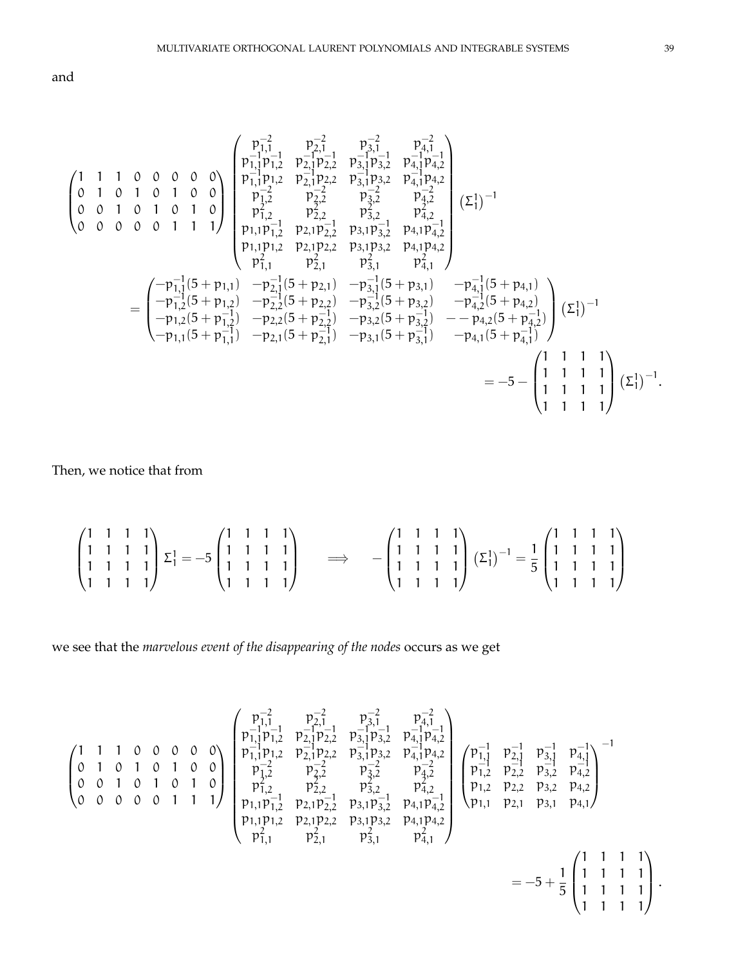and

$$
\begin{pmatrix}\n1 & 1 & 1 & 0 & 0 & 0 & 0 & 0 \\
0 & 1 & 0 & 1 & 0 & 1 & 0 & 0 \\
0 & 0 & 0 & 0 & 0 & 1 & 1 & 1\n\end{pmatrix}\n\begin{pmatrix}\np_{1,1}^{-1} & p_{2,1}^{-1} & p_{2,1}^{-1} & p_{3,1}^{-1} & p_{4,1}^{-1} \\
p_{1,1}^{-1}p_{1,2} & p_{2,1}^{-1}p_{2,2} & p_{3,1}^{-1}p_{3,2} & p_{4,1}^{-1}p_{4,2} \\
p_{1,2}^{-1} & p_{2,2} & p_{3,2}^{-2} & p_{4,2}^{-2} \\
0 & 0 & 0 & 0 & 1 & 1 & 1\n\end{pmatrix}\n\begin{pmatrix}\np_{1,1}^{-1} & p_{1,2}^{-1} & p_{2,1}^{-1} & p_{3,1}^{-1} & p_{4,1}^{-1} \\
p_{1,1}^{-1}p_{1,2} & p_{2,1}^{-2} & p_{3,2}^{-2} & p_{4,1}^{-2} \\
p_{1,2}^{-1} & p_{2,2}^{-2} & p_{3,2}^{-2} & p_{4,2}^{-2} \\
p_{1,1}p_{1,2}^{-1} & p_{2,1}^{-1} & p_{3,1}^{-1} & p_{4,1}^{-1} \\
p_{1,1}p_{1,2} & p_{2,1}p_{2,2} & p_{3,1}p_{3,2} & p_{4,1}p_{4,2} \\
p_{1,1}^{2}p_{1,2} & p_{2,1}^{-1} & p_{3,1}^{-2} & p_{4,1}^{-2} \\
p_{1,1}^{-1} & p_{2,1}^{-1} & p_{3,1}^{-1} & p_{4,1}^{-1}\n\end{pmatrix}
$$
\n
$$
=\n\begin{pmatrix}\n-p_{1,1}^{-1}(5 + p_{1,1}) & -p_{2,1}^{-1}(5 + p_{2,1}) & -p_{3,1}^{-1}(5 + p_{3,1}) & -p_{4,1}^{-1}(5 + p_{4,1}) \\
-p_{1,2}^{-1}(5 + p_{1,2}) & -p_{2,2}^{-1}(5 + p_{2,2}) & -p_{3,2}^{-1}(5 + p_{3,2}) & -p_{4,2}^{-1}(5 +
$$

Then, we notice that from

$$
\begin{pmatrix} 1 & 1 & 1 & 1 \\ 1 & 1 & 1 & 1 \\ 1 & 1 & 1 & 1 \\ 1 & 1 & 1 & 1 \end{pmatrix} \Sigma_1^1 = -5 \begin{pmatrix} 1 & 1 & 1 & 1 \\ 1 & 1 & 1 & 1 \\ 1 & 1 & 1 & 1 \\ 1 & 1 & 1 & 1 \end{pmatrix} \qquad \Longrightarrow \qquad -\begin{pmatrix} 1 & 1 & 1 & 1 \\ 1 & 1 & 1 & 1 \\ 1 & 1 & 1 & 1 \\ 1 & 1 & 1 & 1 \end{pmatrix} (\Sigma_1^1)^{-1} = \frac{1}{5} \begin{pmatrix} 1 & 1 & 1 & 1 \\ 1 & 1 & 1 & 1 \\ 1 & 1 & 1 & 1 \\ 1 & 1 & 1 & 1 \end{pmatrix}
$$

we see that the *marvelous event of the disappearing of the nodes* occurs as we get

$$
\begin{pmatrix}\n1 & 1 & 1 & 0 & 0 & 0 & 0 & 0 \\
0 & 1 & 0 & 1 & 0 & 1 & 0 & 0 \\
0 & 0 & 0 & 0 & 0 & 1 & 1 & 1\n\end{pmatrix}\n\begin{pmatrix}\np_{1,1}^{-2} & p_{2,1}^{-2} & p_{3,1}^{-2} & p_{4,1}^{-2} \\
p_{1,1}^{-1}p_{1,2}^{-1} & p_{2,1}^{-1}p_{2,2}^{-1} & p_{3,1}^{-1}p_{3,2}^{-1} & p_{4,1}^{-1} \\
p_{1,1}^{-1}p_{1,2} & p_{2,1}^{-1}p_{2,2} & p_{3,1}^{-1}p_{3,2} & p_{4,1}^{-1}p_{4,2} \\
p_{2,2}^{-2} & p_{2,2}^{-2} & p_{3,2}^{-2} & p_{4,2}^{-2} \\
p_{1,2}^{-2} & p_{2,2}^{-2} & p_{3,2}^{-2} & p_{4,2}^{-2} \\
p_{1,1}p_{1,2}^{-1} & p_{2,1}p_{2,2}^{-1} & p_{3,1}p_{3,2}^{-1} & p_{4,1}p_{4,2} \\
p_{1,1}p_{1,2}^{-1} & p_{2,1}p_{2,2}^{-1} & p_{3,1}p_{3,2}^{-1} & p_{4,1}p_{4,2} \\
p_{2,1}^{-1} & p_{2,1}^{-1} & p_{2,1}^{-1} & p_{4,1}^{-1} \\
p_{3,1}^{-1} & p_{3,1}^{-1} & p_{4,1}^{-1} \\
p_{4,1}^{-1} & p_{4,1}^{-1} & p_{4,1}^{-1}\n\end{pmatrix} = -5 + \frac{1}{5} \begin{pmatrix} 1 & 1 & 1 & 1 \\ 1 & 1 & 1 & 1 \\ 1 & 1 & 1 & 1 \\ 1 & 1 & 1 & 1 \\ 1 & 1 & 1 & 1 \end{pmatrix}.
$$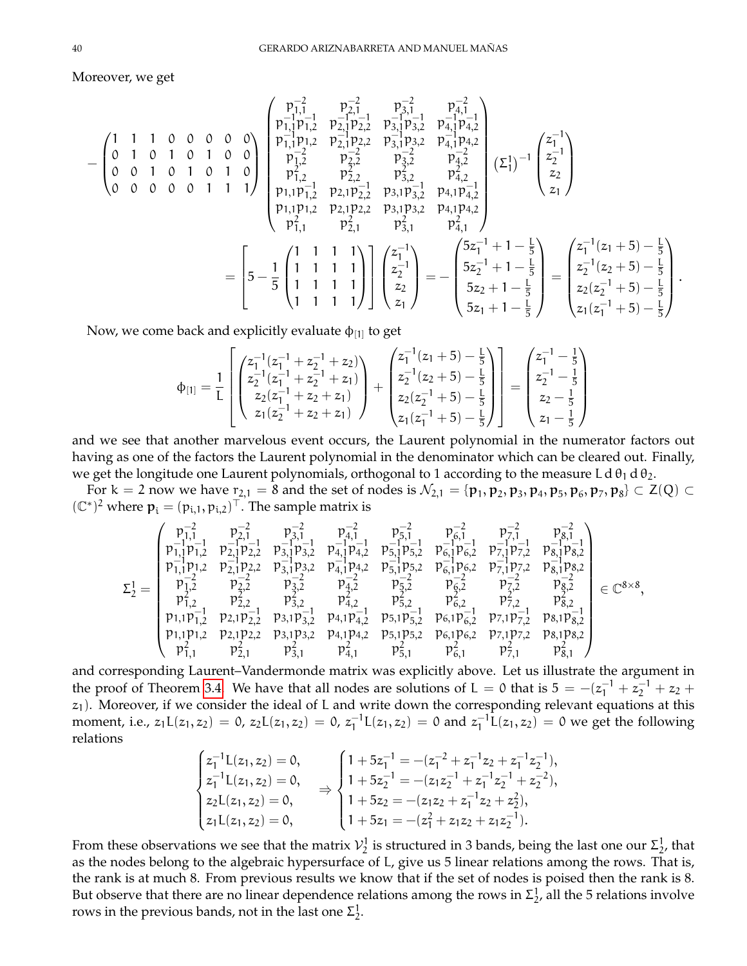Moreover, we get

$$
-\begin{pmatrix} 1 & 1 & 1 & 0 & 0 & 0 & 0 & 0 \\ 0 & 1 & 0 & 1 & 0 & 1 & 0 & 0 \\ 0 & 0 & 1 & 0 & 1 & 0 & 1 & 0 \\ 0 & 0 & 0 & 0 & 0 & 1 & 1 & 1 \end{pmatrix} \begin{pmatrix} p_{1,1}^{-1} & p_{2,1}^{-1} & p_{3,1}^{-1} & p_{4,1}^{-1} \\ p_{1,1}^{-1}p_{1,2} & p_{2,1}^{-1}p_{2,2} & p_{3,1}^{-1}p_{3,2} & p_{4,1}^{-1}p_{4,2} \\ p_{1,2}^{-1} & p_{2,2}^{-1} & p_{3,2}^{-1} & p_{4,2}^{-1} \\ p_{1,2}^{2} & p_{2,2}^{2} & p_{3,2}^{2} & p_{4,2}^{2} \\ p_{1,1}p_{1,2}^{-1} & p_{2,1}p_{2,2} & p_{3,1}^{2}p_{3,2} & p_{4,1}^{2} \\ p_{1,1}p_{1,2}^{-1} & p_{2,1}p_{2,2} & p_{3,1}p_{3,2}^{-1} & p_{4,1}p_{4,2} \\ p_{2,1}^{-1} & p_{2,1}^{2} & p_{3,1}^{-1} & p_{3,1}^{2} \\ p_{3,1}^{2} & p_{3,1}^{2} & p_{3,1}^{2} & p_{4,1}p_{4,2} \\ p_{4,1}^{2} & p_{4,2}^{2} & p_{4,1}^{2} \\ p_{5,1}^{2} & p_{5,1}^{2} & p_{5,1}^{2} & p_{5,1}^{2} \\ p_{6,1}^{2} & p_{6,1}^{2} & p_{6,1}^{2} \\ p_{7,1}^{2} & p_{2,1}^{2} & p_{3,1}^{2} & p_{4,1}^{2} \\ p_{6,1}^{2} & p_{6,1}^{2} & p_{6,1}^{2} \\ p_{7,1}^{2} & p_{7,1}^{2} & p_{5,1}^{2} & p_{5,1}^{2} \\ p_{8,1}^{2} & p_{8,1}^{2} & p_{8,1}^{2} \\ p_{1,1}^{2} & p_{2,1}^{2} & p_{3,1}
$$

.

Now, we come back and explicitly evaluate  $\Phi_{[1]}$  to get

$$
\Phi_{[1]} = \frac{1}{L} \begin{bmatrix} z_1^{-1}(z_1^{-1} + z_2^{-1} + z_2) \\ z_2^{-1}(z_1^{-1} + z_2^{-1} + z_1) \\ z_2(z_1^{-1} + z_2 + z_1) \\ z_1(z_2^{-1} + z_2 + z_1) \end{bmatrix} + \begin{bmatrix} z_1^{-1}(z_1 + 5) - \frac{1}{5} \\ z_2^{-1}(z_2 + 5) - \frac{1}{5} \\ z_2(z_2^{-1} + 5) - \frac{1}{5} \\ z_1(z_1^{-1} + 5) - \frac{1}{5} \end{bmatrix} = \begin{bmatrix} z_1^{-1} - \frac{1}{5} \\ z_2^{-1} - \frac{1}{5} \\ z_2 - \frac{1}{5} \\ z_1 - \frac{1}{5} \end{bmatrix}
$$

and we see that another marvelous event occurs, the Laurent polynomial in the numerator factors out having as one of the factors the Laurent polynomial in the denominator which can be cleared out. Finally, we get the longitude one Laurent polynomials, orthogonal to 1 according to the measure L d  $\theta_1$  d  $\theta_2$ .

For  $k=2$  now we have  $r_{2,1}=8$  and the set of nodes is  $\mathcal{N}_{2,1}=\{\mathbf{p}_1,\mathbf{p}_2,\mathbf{p}_3,\mathbf{p}_4,\mathbf{p}_5,\mathbf{p}_6,\mathbf{p}_7,\mathbf{p}_8\}\subset \mathsf{Z}(\mathrm{Q})\subset\mathsf{Z}$  $(\mathbb{C}^*)^2$  where  $\mathbf{p}_i = (p_{i,1}, p_{i,2})^\top$ . The sample matrix is

$$
\Sigma_2^1 = \left( \begin{matrix} p_{1,1}^{-2} & p_{2,1}^{-2} & p_{3,1}^{-2} & p_{4,1}^{-2} & p_{5,1}^{-2} & p_{6,1}^{-2} & p_{7,1}^{-2} & p_{8,1}^{-2} \\ p_{1,1}^{-1}p_{1,2}^{-1} & p_{2,1}^{-1}p_{2,2}^{-1} & p_{3,1}^{-1}p_{3,2}^{-1} & p_{5,1}^{-1}p_{5,2}^{-1} & p_{6,1}^{-1}p_{6,2}^{-1} & p_{7,1}^{-1}p_{7,2}^{-1} & p_{8,1}^{-1}p_{8,2}^{-1} \\ p_{1,1}^{-1}p_{1,2}^{-1} & p_{2,1}^{-1}p_{2,2} & p_{3,1}^{-1}p_{3,2} & p_{4,1}^{-1}p_{4,2} & p_{5,1}^{-1}p_{5,2} & p_{6,1}^{-1}p_{6,2} & p_{7,1}^{-1}p_{7,2} & p_{8,1}^{-1}p_{8,2} \\ p_{1,2}^{-2} & p_{2,2}^{-2} & p_{3,2}^{-2} & p_{4,2}^{-2} & p_{5,2}^{-2} & p_{6,2}^{-2} & p_{7,2}^{-2} & p_{8,2}^{-2} \\ p_{1,2}^{-1} & p_{2,2}^{-1} & p_{3,2}^{2} & p_{4,2}^{2} & p_{5,2}^{-1} & p_{6,2}^{-2} & p_{7,2}^{-2} & p_{8,2}^{-2} \\ p_{1,1}p_{1,2}^{-1} & p_{2,1}p_{2,2}^{-1} & p_{3,1}p_{3,2}^{-1} & p_{4,1}p_{4,2}^{-1} & p_{5,1}p_{5,2}^{-1} & p_{6,1}p_{6,2}^{-1} & p_{7,1}p_{7,2}^{-1} & p_{8,1}p_{8,2}^{-1} \\ p_{1,1}p_{1,2}^{-1} & p_{2,1}p_{2,2}^{-1} & p_{3,1}p_{3,2}^{-1} & p_{4,1}p_{4,2}^{-1} & p_{5,1}p_{5,2}^{-1} & p_{6,1}p_{6,2}^{-1} & p_{7,1}p_{7,2}^{-1} & p
$$

and corresponding Laurent–Vandermonde matrix was explicitly above. Let us illustrate the argument in the proof of Theorem [3.4.](#page-35-0) We have that all nodes are solutions of L = 0 that is  $5 = -(z_1^{-1} + z_2^{-1} + z_2 +$  $z_1$ ). Moreover, if we consider the ideal of L and write down the corresponding relevant equations at this moment, i.e.,  $z_1L(z_1, z_2) = 0$ ,  $z_2L(z_1, z_2) = 0$ ,  $z_1^{-1}L(z_1, z_2) = 0$  and  $z_1^{-1}L(z_1, z_2) = 0$  we get the following relations

$$
\begin{cases} z_1^{-1}L(z_1,z_2)=0,\\ z_1^{-1}L(z_1,z_2)=0,\\ z_2L(z_1,z_2)=0,\\ z_1L(z_1,z_2)=0,\\ \end{cases} \Rightarrow \begin{cases} 1+5z_1^{-1}=-(z_1^{-2}+z_1^{-1}z_2+z_1^{-1}z_2^{-1}),\\ 1+5z_2^{-1}=-(z_1z_2^{-1}+z_1^{-1}z_2^{-1}+z_2^{-2}),\\ 1+5z_2=-(z_1z_2+z_1^{-1}z_2+z_2^2),\\ 1+5z_1=-(z_1^2+z_1z_2+z_1z_2^{-1}). \end{cases}
$$

From these observations we see that the matrix  $\mathcal{V}_2^1$  is structured in 3 bands, being the last one our  $\Sigma_2^1$ , that as the nodes belong to the algebraic hypersurface of L, give us 5 linear relations among the rows. That is, the rank is at much 8. From previous results we know that if the set of nodes is poised then the rank is 8. But observe that there are no linear dependence relations among the rows in  $\Sigma^1_{2'}$  all the 5 relations involve rows in the previous bands, not in the last one  $\Sigma^1_2$ .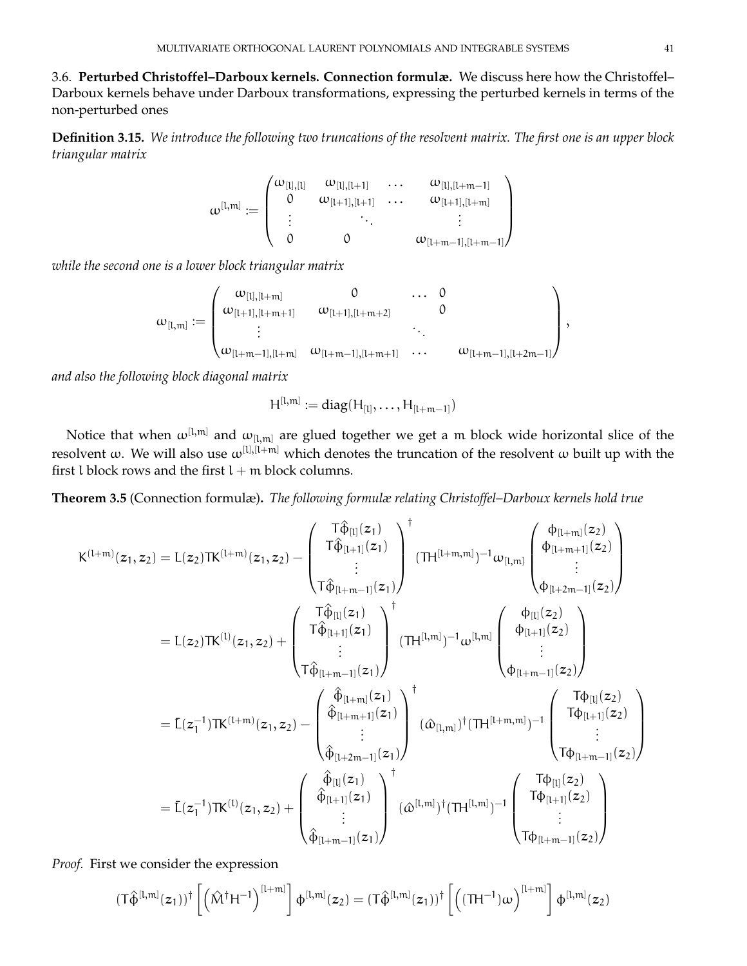3.6. **Perturbed Christoffel–Darboux kernels. Connection formulæ.** We discuss here how the Christoffel– Darboux kernels behave under Darboux transformations, expressing the perturbed kernels in terms of the non-perturbed ones

**Definition 3.15.** *We introduce the following two truncations of the resolvent matrix. The first one is an upper block triangular matrix*

$$
\omega^{[l,m]} := \begin{pmatrix} \omega_{[l],[l]} & \omega_{[l],[l+1]} & \dots & \omega_{[l],[l+m-1]} \\ 0 & \omega_{[l+1],[l+1]} & \dots & \omega_{[l+1],[l+m]} \\ \vdots & \ddots & \vdots & \vdots \\ 0 & 0 & \omega_{[l+m-1],[l+m-1]} \end{pmatrix}
$$

*while the second one is a lower block triangular matrix*

$$
\omega_{[l,m]}:=\begin{pmatrix} \omega_{[l],[l+m]} & 0 & \dots & 0 \\ \omega_{[l+1],[l+m+1]} & \omega_{[l+1],[l+m+2]} & 0 & \\ \vdots & & \vdots & \\ \omega_{[l+m-1],[l+m]} & \omega_{[l+m-1],[l+m+1]} & \dots & \omega_{[l+m-1],[l+2m-1]} \end{pmatrix},
$$

*and also the following block diagonal matrix*

$$
H^{[l,m]} := diag(H_{[l]}, \ldots, H_{[l+m-1]})
$$

Notice that when  $\omega^{[l,m]}$  and  $\omega_{[l,m]}$  are glued together we get a m block wide horizontal slice of the resolvent  $\omega$ . We will also use  $\omega^{[l],[l+m]}$  which denotes the truncation of the resolvent  $\omega$  built up with the first l block rows and the first  $l + m$  block columns.

**Theorem 3.5** (Connection formulæ)**.** *The following formulæ relating Christoffel–Darboux kernels hold true*

$$
K^{(l+m)}(z_1, z_2) = L(z_2)TK^{(l+m)}(z_1, z_2) - \begin{pmatrix} T\hat{\varphi}_{[l]}(z_1) \\ T\hat{\varphi}_{[l+1]}(z_1) \\ \vdots \\ T\hat{\varphi}_{[l+m-1]}(z_1) \end{pmatrix}^{\dagger} (TH^{[l+m,m]})^{-1} \omega_{[l,m]} \begin{pmatrix} \varphi_{[l+m]}(z_2) \\ \varphi_{[l+m+1]}(z_2) \\ \vdots \\ \varphi_{[l+2m-1]}(z_2) \end{pmatrix} \\ = L(z_2)TK^{(l)}(z_1, z_2) + \begin{pmatrix} T\hat{\varphi}_{[l]}(z_1) \\ T\hat{\varphi}_{[l+1]}(z_1) \\ \vdots \\ T\hat{\varphi}_{[l+m-1]}(z_1) \end{pmatrix}^{\dagger} (TH^{[l,m]})^{-1} \omega^{[l,m]} \begin{pmatrix} \varphi_{[l]}(z_2) \\ \varphi_{[l+1]}(z_2) \\ \vdots \\ \varphi_{[l+m-1]}(z_2) \end{pmatrix} \\ = \bar{L}(z_1^{-1})TK^{(l+m)}(z_1, z_2) - \begin{pmatrix} \hat{\varphi}_{[l+m]}(z_1) \\ \hat{\varphi}_{[l+m+1]}(z_1) \\ \vdots \\ \hat{\varphi}_{[l+m-1]}(z_1) \end{pmatrix}^{\dagger} (\omega_{[l,m]})^{\dagger} (TH^{[l+m,m]})^{-1} \begin{pmatrix} T\varphi_{[l]}(z_2) \\ T\varphi_{[l+1]}(z_2) \\ \vdots \\ T\varphi_{[l+m-1]}(z_2) \end{pmatrix} \\ = \bar{L}(z_1^{-1})TK^{(l)}(z_1, z_2) + \begin{pmatrix} \hat{\varphi}_{[l]}(z_1) \\ \hat{\varphi}_{[l+1]}(z_1) \\ \vdots \\ \hat{\varphi}_{[l+m-1]}(z_1) \end{pmatrix}^{\dagger} (\omega^{[l,m]})^{\dagger} (TH^{[l,m]})^{-1} \begin{pmatrix} T\varphi_{[l]}(z_2) \\ T\varphi_{[l+1]}(z_2) \\ \vdots \\ T\varphi_{[l+m-1]}(z_2) \end{pmatrix}
$$

*Proof.* First we consider the expression

$$
(\textsf{T}\hat{\varphi}^{[l,m]}(z_1))^\dagger\left[\left(\hat{M}^\dagger H^{-1}\right)^{[l+m]}\right]\varphi^{[l,m]}(z_2)=(\textsf{T}\hat{\varphi}^{[l,m]}(z_1))^\dagger\left[\left((\textsf{T} H^{-1})\omega\right)^{[l+m]}\right]\varphi^{[l,m]}(z_2)
$$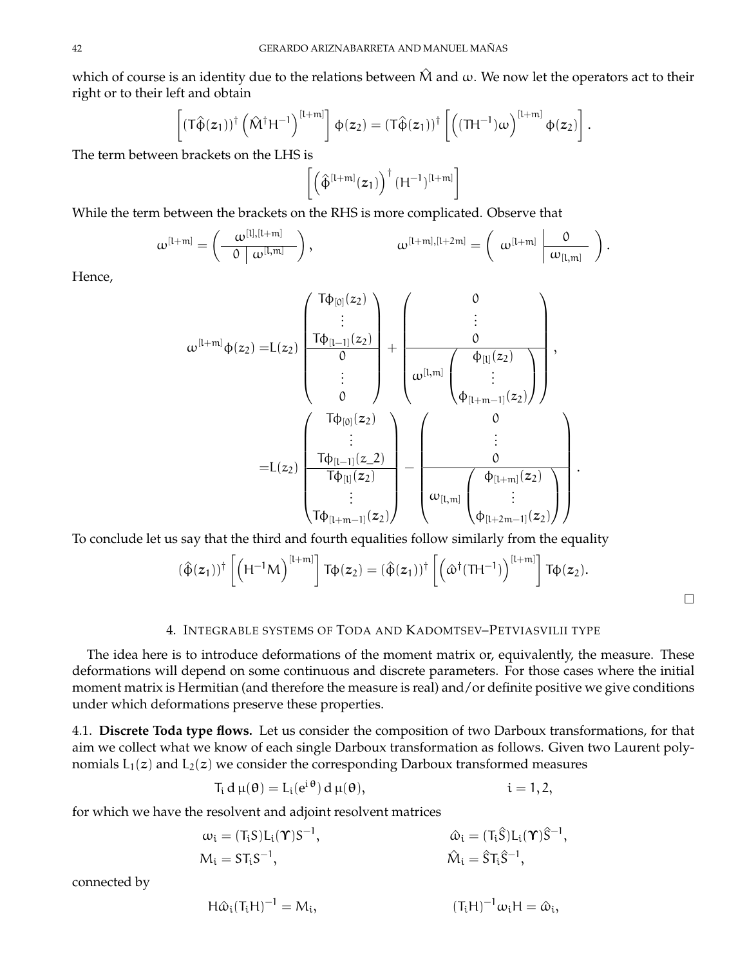which of course is an identity due to the relations between  $\hat{M}$  and  $\omega$ . We now let the operators act to their right or to their left and obtain

$$
\left[ (T\hat{\varphi}(z_1))^{\dagger} \left( \hat{M}^{\dagger} H^{-1} \right)^{[l+m]} \right] \varphi(z_2) = (T\hat{\varphi}(z_1))^{\dagger} \left[ \left( (TH^{-1})\omega \right)^{[l+m]} \varphi(z_2) \right].
$$

The term between brackets on the LHS is

$$
\left[\left(\hat{\varphi}^{[l+m]}(z_1)\right)^\dagger(H^{-1})^{[l+m]}\right]
$$

While the term between the brackets on the RHS is more complicated. Observe that

$$
\omega^{[l+m]} = \left(\begin{array}{c|c} \omega^{[l],[l+m]} \\ \hline 0 & \omega^{[l,m]} \end{array}\right), \qquad \qquad \omega^{[l+m],[l+2m]} = \left(\begin{array}{c|c} \omega^{[l+m]} & \hline 0 \\ \hline \omega_{[l,m]} & \end{array}\right).
$$

Hence,

$$
\omega^{[l+m]} \varphi(z_2) = L(z_2) \begin{pmatrix} T\varphi_{[0]}(z_2) \\ \vdots \\ T\varphi_{[l-1]}(z_2) \\ \vdots \\ 0 \end{pmatrix} + \begin{pmatrix} 0 \\ \vdots \\ 0 \\ \omega^{[l,m]} \begin{pmatrix} \varphi_{[l]}(z_2) \\ \vdots \\ \varphi_{[l+m-1]}(z_2) \end{pmatrix} \end{pmatrix}, \\ = L(z_2) \begin{pmatrix} T\varphi_{[0]}(z_2) \\ \vdots \\ T\varphi_{[l-1]}(z_2) \\ \vdots \\ T\varphi_{[l+m-1]}(z_2) \end{pmatrix} - \begin{pmatrix} 0 \\ \vdots \\ 0 \\ \omega_{[l,m]} \begin{pmatrix} \varphi_{[l+m]}(z_2) \\ \vdots \\ \varphi_{[l+2m-1]}(z_2) \end{pmatrix} \end{pmatrix}.
$$

To conclude let us say that the third and fourth equalities follow similarly from the equality

$$
(\hat{\varphi}(z_1))^{\dagger} \left[ \left( H^{-1}M \right)^{[l+m]} \right] T\varphi(z_2) = (\hat{\varphi}(z_1))^{\dagger} \left[ \left( \varpi^{\dagger} (TH^{-1}) \right)^{[l+m]} \right] T\varphi(z_2).
$$

## 4. INTEGRABLE SYSTEMS OF TODA AND KADOMTSEV–PETVIASVILII TYPE

The idea here is to introduce deformations of the moment matrix or, equivalently, the measure. These deformations will depend on some continuous and discrete parameters. For those cases where the initial moment matrix is Hermitian (and therefore the measure is real) and/or definite positive we give conditions under which deformations preserve these properties.

4.1. **Discrete Toda type flows.** Let us consider the composition of two Darboux transformations, for that aim we collect what we know of each single Darboux transformation as follows. Given two Laurent polynomials  $L_1(z)$  and  $L_2(z)$  we consider the corresponding Darboux transformed measures

$$
T_i d \mu(\theta) = L_i(e^{i\theta}) d \mu(\theta), \qquad i = 1, 2,
$$

for which we have the resolvent and adjoint resolvent matrices

$$
\omega_{i} = (T_{i}S)L_{i}(\Upsilon)S^{-1}, \qquad \qquad \omega_{i} = (T_{i}\hat{S})L_{i}(\Upsilon)\hat{S}^{-1},
$$

$$
M_{i} = ST_{i}S^{-1}, \qquad \qquad \hat{M}_{i} = \hat{S}T_{i}\hat{S}^{-1},
$$

connected by

$$
H\hat{\omega}_i(T_iH)^{-1} = M_i, \qquad (T_iH)^{-1}\omega_iH = \hat{\omega}_i,
$$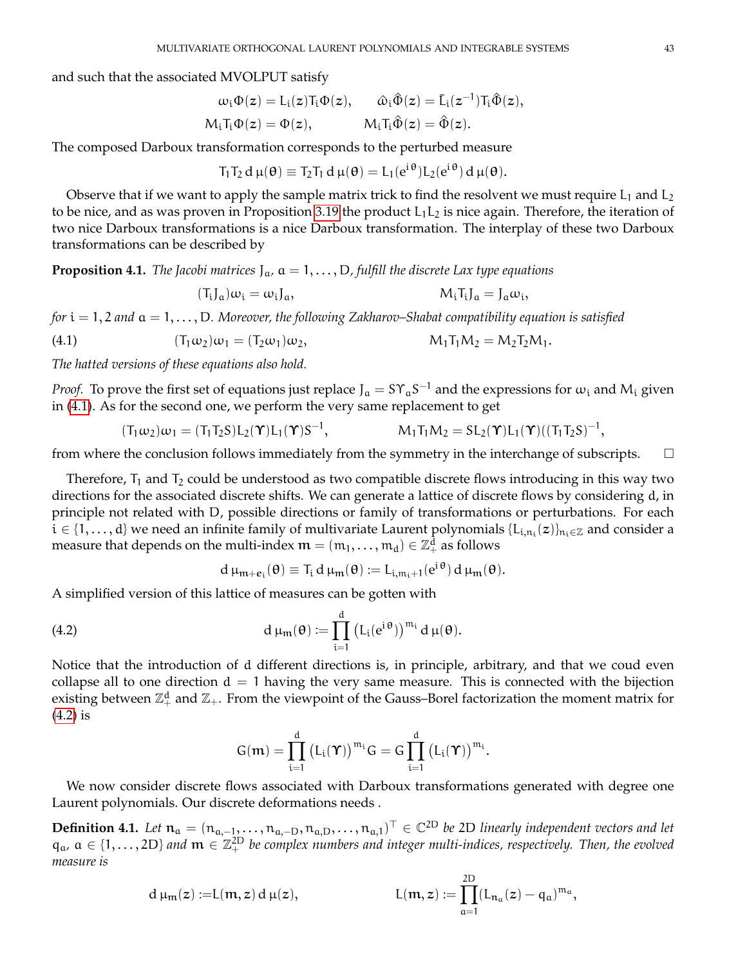and such that the associated MVOLPUT satisfy

$$
\begin{aligned} \omega_i\Phi(z) &= L_i(z)T_i\Phi(z), \qquad \hat{\omega}_i\hat{\Phi}(z) = \bar{L}_i(z^{-1})T_i\hat{\Phi}(z),\\ M_iT_i\Phi(z) &= \Phi(z), \qquad \qquad M_iT_i\hat{\Phi}(z) = \hat{\Phi}(z). \end{aligned}
$$

The composed Darboux transformation corresponds to the perturbed measure

$$
T_1T_2 d \mu(\theta) \equiv T_2T_1 d \mu(\theta) = L_1(e^{i \theta}) L_2(e^{i \theta}) d \mu(\theta).
$$

Observe that if we want to apply the sample matrix trick to find the resolvent we must require  $L_1$  and  $L_2$ to be nice, and as was proven in Proposition [3.19](#page-29-0) the product  $L_1L_2$  is nice again. Therefore, the iteration of two nice Darboux transformations is a nice Darboux transformation. The interplay of these two Darboux transformations can be described by

**Proposition 4.1.** *The Jacobi matrices*  $J_{\alpha}$ ,  $\alpha = 1, \ldots, D$ , fulfill the discrete Lax type equations

$$
(T_i J_a) \omega_i = \omega_i J_a, \qquad M_i T_i J_a = J_a \omega_i,
$$

*for* i = 1, 2 *and* a = 1, . . . , D*. Moreover, the following Zakharov–Shabat compatibility equation is satisfied*

<span id="page-42-0"></span>(4.1) 
$$
(T_1\omega_2)\omega_1 = (T_2\omega_1)\omega_2, \qquad M_1T_1M_2 = M_2T_2M_1.
$$

*The hatted versions of these equations also hold.*

*Proof.* To prove the first set of equations just replace J<sub>a</sub> = SY<sub>a</sub>S<sup>-1</sup> and the expressions for  $\omega_i$  and M<sub>i</sub> given in [\(4.1\)](#page-42-0). As for the second one, we perform the very same replacement to get

$$
(T_1\omega_2)\omega_1 = (T_1T_2S)L_2(\Upsilon)L_1(\Upsilon)S^{-1}, \qquad \qquad M_1T_1M_2 = SL_2(\Upsilon)L_1(\Upsilon)((T_1T_2S)^{-1},
$$

from where the conclusion follows immediately from the symmetry in the interchange of subscripts.  $\Box$ 

Therefore,  $T_1$  and  $T_2$  could be understood as two compatible discrete flows introducing in this way two directions for the associated discrete shifts. We can generate a lattice of discrete flows by considering d, in principle not related with D, possible directions or family of transformations or perturbations. For each  $i \in \{1,\ldots,d\}$  we need an infinite family of multivariate Laurent polynomials  $\{L_{i,n_i}(z)\}_{n_i\in\mathbb{Z}}$  and consider a measure that depends on the multi-index  $\mathfrak{m} = (\mathfrak{m}_1, \dots, \mathfrak{m}_d) \in \mathbb{Z}_+^{\bar{d}}$  as follows

$$
d \mu_{m+e_i}(\theta) \equiv T_i d \mu_m(\theta) \mathrel{\mathop:}= L_{i,m_i+1}(e^{i \theta}) d \mu_m(\theta).
$$

A simplified version of this lattice of measures can be gotten with

<span id="page-42-1"></span>(4.2) 
$$
d \mu_m(\theta) := \prod_{i=1}^d \left( L_i(e^{i\theta}) \right)^{m_i} d \mu(\theta).
$$

Notice that the introduction of d different directions is, in principle, arbitrary, and that we coud even collapse all to one direction  $d = 1$  having the very same measure. This is connected with the bijection existing between  $\mathbb{Z}_+^d$  and  $\mathbb{Z}_+$ . From the viewpoint of the Gauss–Borel factorization the moment matrix for [\(4.2\)](#page-42-1) is

$$
G(\boldsymbol{m})=\prod_{i=1}^d\big(L_i(\boldsymbol{\Upsilon})\big)^{m_i}G=G\prod_{i=1}^d\big(L_i(\boldsymbol{\Upsilon})\big)^{m_i}.
$$

We now consider discrete flows associated with Darboux transformations generated with degree one Laurent polynomials. Our discrete deformations needs .

**Definition 4.1.** Let  $n_a = (n_{a,-1},...,n_{a,-D},n_{a,D},...,n_{a,1})^\top$  ∈  $\mathbb{C}^{2D}$  be 2D linearly independent vectors and let  $q_a$ ,  $a \in \{1,\ldots,2D\}$  and  $m \in \mathbb{Z}_+^{2D}$  be complex numbers and integer multi-indices, respectively. Then, the evolved *measure is*

 $2D$ 

d 
$$
\mu_m(z) := L(m, z) d \mu(z)
$$
,  $L(m, z) := \prod_{a=1}^{2D} (L_{n_a}(z) - q_a)^{m_a}$ ,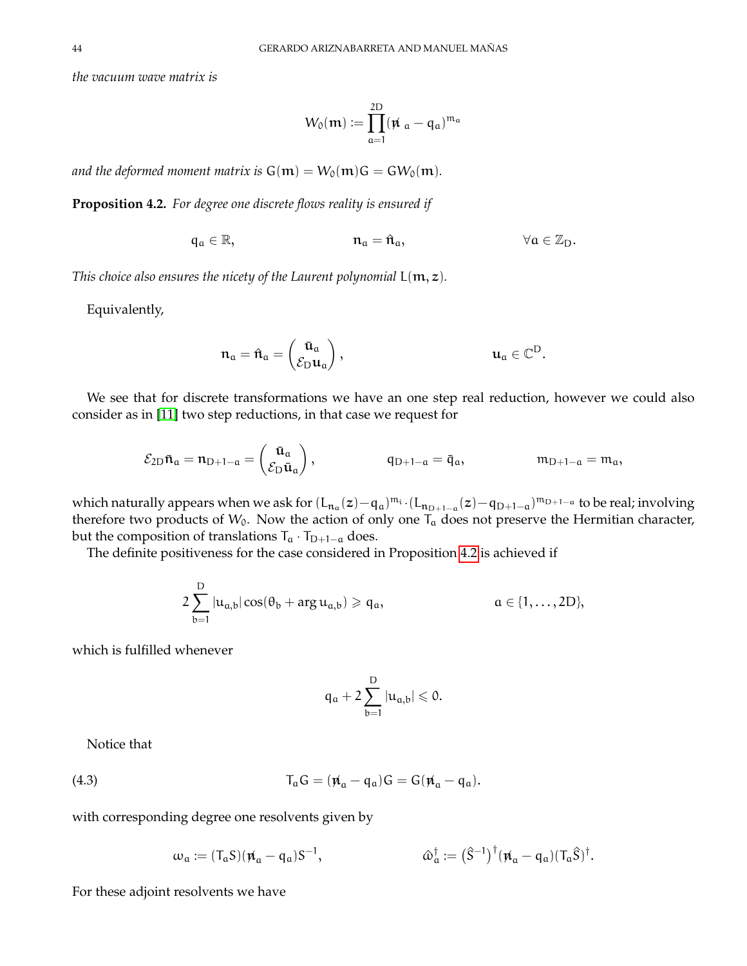*the vacuum wave matrix is*

$$
W_0(\mathfrak{m}) := \prod_{\mathfrak{a}=1}^{2D} (\mathfrak{\not\!{u}}_{\mathfrak{a}} - q_{\mathfrak{a}})^{\mathfrak{m}_{\mathfrak{a}}}
$$

*and the deformed moment matrix is*  $G(m) = W_0(m)G = GW_0(m)$ .

<span id="page-43-0"></span>**Proposition 4.2.** *For degree one discrete flows reality is ensured if*

$$
\mathfrak{q}_\mathfrak{a}\in\mathbb{R},\qquad \qquad \mathfrak{n}_\mathfrak{a}=\hat{\mathfrak{n}}_\mathfrak{a},\qquad \qquad \forall \mathfrak{a}\in\mathbb{Z}_D.
$$

*This choice also ensures the nicety of the Laurent polynomial*  $L(m, z)$ *.* 

Equivalently,

$$
\mathfrak{n}_\mathfrak{a} = \hat{\mathfrak{n}}_\mathfrak{a} = \begin{pmatrix} \bar{u}_\mathfrak{a} \\ \mathcal{E}_D u_\mathfrak{a} \end{pmatrix}, \hspace{2cm} u_\mathfrak{a} \in \mathbb{C}^D.
$$

We see that for discrete transformations we have an one step real reduction, however we could also consider as in [\[11\]](#page-69-0) two step reductions, in that case we request for

$$
\mathcal{E}_{2D}\bar{\mathbf{n}}_{a} = \mathbf{n}_{D+1-a} = \begin{pmatrix} \bar{\mathbf{u}}_{a} \\ \mathcal{E}_{D}\bar{\mathbf{u}}_{a} \end{pmatrix}, \qquad \qquad \mathbf{q}_{D+1-a} = \bar{\mathbf{q}}_{a}, \qquad \qquad \mathbf{m}_{D+1-a} = \mathbf{m}_{a},
$$

which naturally appears when we ask for  $(L_{n_1}(z)-q_1)^{m_1} \cdot (L_{n_{D+1-\alpha}}(z)-q_{D+1-\alpha})^{m_{D+1-\alpha}}$  to be real; involving therefore two products of  $W_0$ . Now the action of only one  $T_a$  does not preserve the Hermitian character, but the composition of translations  $T_a \cdot T_{D+1-a}$  does.

The definite positiveness for the case considered in Proposition [4.2](#page-43-0) is achieved if

$$
2\sum_{b=1}^D|u_{a,b}|\cos(\theta_b+\text{arg}\,u_{a,b})\geqslant q_a,\hspace{1.5cm} \alpha\in\{1,\ldots,2D\},
$$

which is fulfilled whenever

$$
q_\alpha+2\sum_{b=1}^D|u_{\alpha,b}|\leqslant 0.
$$

Notice that

<span id="page-43-1"></span>(4.3) 
$$
T_a G = (\mathbf{\vec{n}}_a - \mathbf{q}_a) G = G(\mathbf{\vec{n}}_a - \mathbf{q}_a).
$$

with corresponding degree one resolvents given by

$$
\omega_\mathfrak{a} \coloneqq (T_\mathfrak{a} S)(\rlap{\hspace{0.8pt}} \pi_\mathfrak{a} - \mathfrak{q}_\mathfrak{a}) S^{-1}, \qquad \qquad \ \ \omega_\mathfrak{a}^\dagger \coloneqq \bigl( \hat{S}^{-1} \bigr)^\dagger (\rlap{\hspace{0.8pt}} \pi_\mathfrak{a} - \mathfrak{q}_\mathfrak{a}) (T_\mathfrak{a} \hat{S})^\dagger.
$$

For these adjoint resolvents we have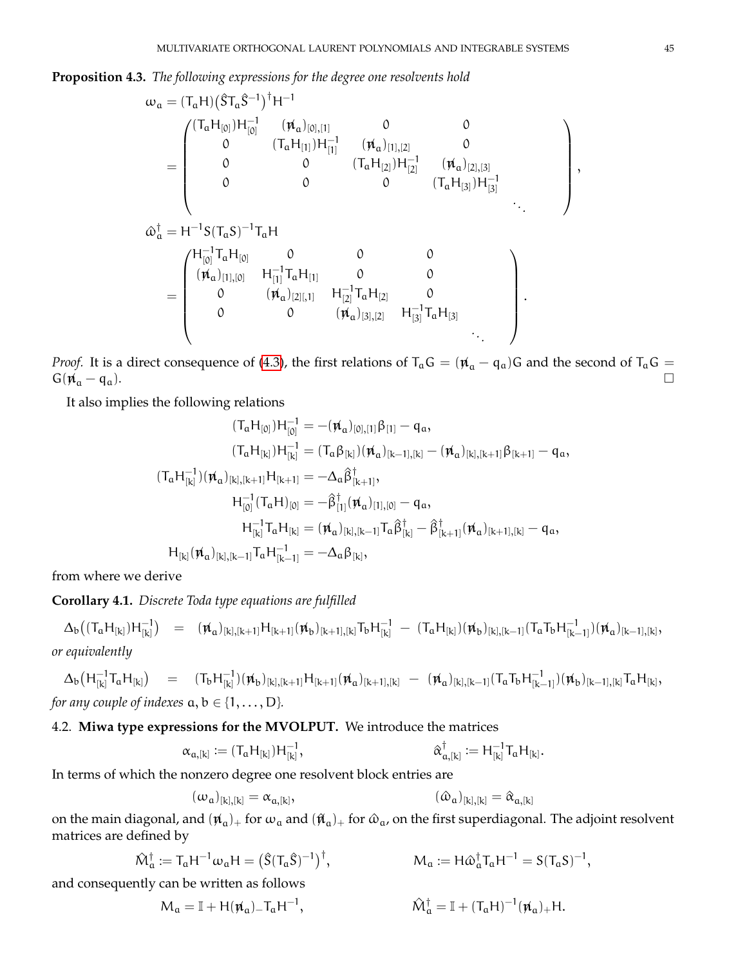**Proposition 4.3.** *The following expressions for the degree one resolvents hold*

ω<sup>a</sup> = (TaH) ST^ <sup>a</sup>S^−<sup>1</sup> †H −1 = (TaH[0] )H −1 [0] (6n<sup>a</sup> )[0],[1] 0 0 0 (TaH[1] )H −1 [1] (6n<sup>a</sup> )[1],[2] 0 0 0 (TaH[2] )H −1 [2] (6n<sup>a</sup> )[2],[3] 0 0 0 (TaH[3] )H −1 [3] *. . .* ω^ † <sup>a</sup> = H <sup>−</sup>1S(TaS) −1 TaH = H −1 [0] TaH[0] 0 0 0 (6n<sup>a</sup> )[1],[0] H −1 [1] TaH[1] 0 0 0 (6n<sup>a</sup> )[2][,1] H −1 [2] TaH[2] 0 0 0 (6n<sup>a</sup> )[3],[2] H −1 [3] TaH[3] *. . .* .

*Proof.* It is a direct consequence of [\(4.3\)](#page-43-1), the first relations of  $T_aG = (\mu_a - q_a)G$  and the second of  $T_aG =$  $G(\vec{\mu}_a - \vec{q}_a).$ 

It also implies the following relations

$$
(T_aH_{[0]})H_{[0]}^{-1}=-(\rlap{\,/}\mu_a)_{[0],[1]}\beta_{[1]}-q_a,\\(T_aH_{[k]})H_{[k]}^{-1}=(T_a\beta_{[k]})(\rlap{\,/}\mu_a)_{[k-1],[k]}-(\rlap{\,/}\mu_a)_{[k],[k+1]}\beta_{[k+1]}-q_a,\\(T_aH_{[k]}^{-1})(\rlap{\,/}\mu_a)_{[k],[k+1]}H_{[k+1]}=-\Delta_a\beta^{\dagger}_{[k+1]},\\H_{[0]}^{-1}(T_aH)_{[0]}=-\beta^{\dagger}_{[1]}(\rlap{\,/}\mu_a)_{[1],[0]}-q_a,\\H_{[k]}^{-1}T_aH_{[k]}=(\rlap{\,/}\mu_a)_{[k],[k-1]}T_a\beta^{\dagger}_{[k]}-\beta^{\dagger}_{[k+1]}(\rlap{\,/}\mu_a)_{[k+1],[k]}-q_a,\\H_{[k]}(\rlap{\,/}\mu_a)_{[k],[k-1]}T_aH_{[k-1]}^{-1}=-\Delta_a\beta_{[k]},
$$

from where we derive

**Corollary 4.1.** *Discrete Toda type equations are fulfilled*

 $\Delta_{\rm b} \big( (T_{\rm a} H_{[{\rm k}]}) H_{[{\rm k}]}^{-1}$  $\left[ \begin{matrix} -1 \ k \end{matrix} \right] \quad = \quad (\not\!{u}_a)_{[k],[k+1]} H_{[k+1]} (\not\!{u}_b)_{[k+1],[k]} T_b H_{[k]}^{-1} \; - \; (T_a H_{[k]}) (\not\!{u}_b)_{[k],[k-1]} (T_a T_b H_{[k-1]}^{-1})$  $\frac{-1}{[k-1]}$  $(\pi_a)_{[k-1],[k]},$ *or equivalently*

$$
\Delta_{b}(H_{[k]}^{-1}T_{a}H_{[k]}) = (T_{b}H_{[k]}^{-1})(\mathbf{\hat{u}}_{b})_{[k],[k+1]}H_{[k+1]}(\mathbf{\hat{u}}_{a})_{[k+1],[k]} - (\mathbf{\hat{u}}_{a})_{[k],[k-1]}(T_{a}T_{b}H_{[k-1]}^{-1})(\mathbf{\hat{u}}_{b})_{[k-1],[k]}T_{a}H_{[k]},
$$
  
for any couple of indexes  $a, b \in \{1, ..., D\}.$ 

## 4.2. **Miwa type expressions for the MVOLPUT.** We introduce the matrices

$$
\alpha_{\alpha,[k]}:=(T_{\alpha}H_{[k]})H_{[k]}^{-1}, \qquad \qquad \alpha_{\alpha,[k]}^{\dagger}:=H_{[k]}^{-1}T_{\alpha}H_{[k]}.
$$

In terms of which the nonzero degree one resolvent block entries are

$$
(\omega_{\mathfrak{a}})_{[k],[k]} = \alpha_{\mathfrak{a},[k]}, \qquad (\hat{\omega}_{\mathfrak{a}})_{[k],[k]} = \hat{\alpha}_{\mathfrak{a},[k]}
$$

on the main diagonal, and  $(\bm{\varkappa}_{a})_+$  for  $\omega_a$  and  $(\bm{\hat{\mu}}_a)_+$  for  $\hat\omega_a$ , on the first superdiagonal. The adjoint resolvent matrices are defined by

$$
\hat{M}_\alpha^\dagger := T_\alpha H^{-1} \omega_\alpha H = \big(\hat{S}(T_\alpha \hat{S})^{-1}\big)^\dagger, \qquad \qquad M_\alpha := H \hat{\omega}_\alpha^\dagger T_\alpha H^{-1} = S(T_\alpha S)^{-1},
$$

and consequently can be written as follows

$$
\mathcal{M}_{\mathfrak{a}} = \mathbb{I} + H(\mathfrak{p}_{\mathfrak{a}})_{-} T_{\mathfrak{a}} H^{-1}, \qquad \mathcal{\hat{M}}_{\mathfrak{a}}^{\dagger} = \mathbb{I} + (T_{\mathfrak{a}} H)^{-1}(\mathfrak{p}_{\mathfrak{a}})_{+} H.
$$

,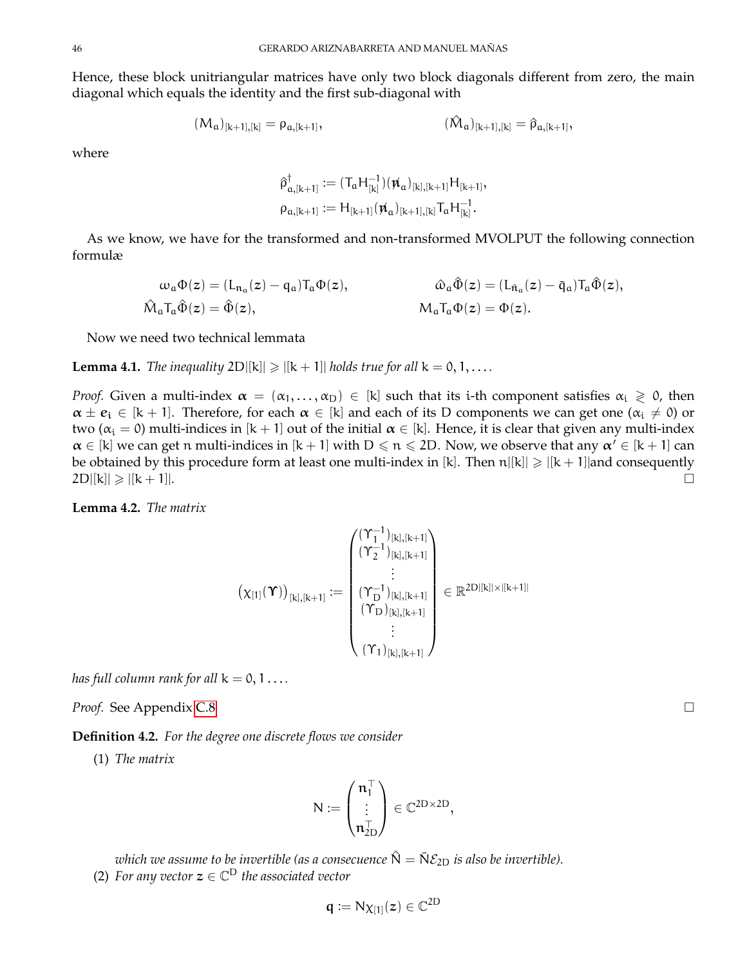Hence, these block unitriangular matrices have only two block diagonals different from zero, the main diagonal which equals the identity and the first sub-diagonal with

$$
(M_{\mathfrak{a}})_{[k+1],[k]} = \rho_{\mathfrak{a},[k+1]}, \qquad \qquad (\hat{M}_{\mathfrak{a}})_{[k+1],[k]} = \hat{\rho}_{\mathfrak{a},[k+1]},
$$

where

$$
\begin{aligned} \hat{\rho}_{\alpha,[k+1]}^{\dagger} &:= (T_{\alpha}H_{[k]}^{-1})(\rlap{\hspace{0.02cm}/} n_{\alpha})_{[k],[k+1]}H_{[k+1]},\\ \rho_{\alpha,[k+1]} &:= H_{[k+1]}(\rlap{\hspace{0.02cm}/} n_{\alpha})_{[k+1],[k]}T_{\alpha}H_{[k]}^{-1}. \end{aligned}
$$

As we know, we have for the transformed and non-transformed MVOLPUT the following connection formulæ

$$
\begin{aligned} \omega_\mathfrak{a}\Phi(z)&=(L_{\mathfrak{n}_\mathfrak{a}}(z)-\mathfrak{q}_\mathfrak{a})T_\mathfrak{a}\Phi(z),\qquad&\hat{\omega}_\mathfrak{a}\hat{\Phi}(z)=(L_{\hat{\mathfrak{n}}_\mathfrak{a}}(z)-\bar{\mathfrak{q}}_\mathfrak{a})T_\mathfrak{a}\hat{\Phi}(z),\\ \hat{\mathsf{M}}_\mathfrak{a}T_\mathfrak{a}\hat{\Phi}(z)&=\hat{\Phi}(z),\qquad&\mathsf{M}_\mathfrak{a}T_\mathfrak{a}\Phi(z)=\Phi(z). \end{aligned}
$$

Now we need two technical lemmata

**Lemma 4.1.** *The inequality*  $2D[[k]] \ge |[k+1]|$  *holds true for all*  $k = 0, 1, \ldots$ 

*Proof.* Given a multi-index  $\alpha = (\alpha_1, \dots, \alpha_D) \in [k]$  such that its i-th component satisfies  $\alpha_i \geq 0$ , then  $\alpha \pm e_i \in [k+1]$ . Therefore, for each  $\alpha \in [k]$  and each of its D components we can get one  $(\alpha_i \neq 0)$  or two ( $\alpha_i = 0$ ) multi-indices in [k + 1] out of the initial  $\alpha \in [k]$ . Hence, it is clear that given any multi-index  $\alpha \in [k]$  we can get n multi-indices in  $[k+1]$  with  $D \leq n \leq 2D$ . Now, we observe that any  $\alpha' \in [k+1]$  can be obtained by this procedure form at least one multi-index in [k]. Then  $n|[k]| \ge |[k+1]|$  and consequently  $2D(|k| \geqslant |k+1|).$ 

<span id="page-45-1"></span>**Lemma 4.2.** *The matrix*

$$
\left(\chi_{[1]}(\boldsymbol{\Upsilon})\right)_{[k],[k+1]} := \begin{pmatrix} (\Upsilon_{1}^{-1})_{[k],[k+1]} \\ (\Upsilon_{2}^{-1})_{[k],[k+1]} \\ \vdots \\ (\Upsilon_{D}^{-1})_{[k],[k+1]} \\ (\Upsilon_{D})_{[k],[k+1]} \\ \vdots \\ (\Upsilon_{1})_{[k],[k+1]} \end{pmatrix} \in \mathbb{R}^{2D|[k] \times |[k+1]|}
$$

*has full column rank for all*  $k = 0, 1...$ 

*Proof.* See Appendix [C.8](#page-66-0)

<span id="page-45-0"></span>**Definition 4.2.** *For the degree one discrete flows we consider*

(1) *The matrix*

$$
N:=\begin{pmatrix}\mathfrak{n}_1^\top\\ \vdots\\ \mathfrak{n}_{2D}^\top\end{pmatrix}\in \mathbb{C}^{2D\times 2D},
$$

*which we assume to be invertible (as a consecuence*  $\hat{N} = \bar{N} \mathcal{E}_{2D}$  *is also be invertible).* 

(2) For any vector  $z \in \mathbb{C}^D$  the associated vector

$$
q:=N\chi_{[1]}(z)\in\mathbb{C}^{2D}
$$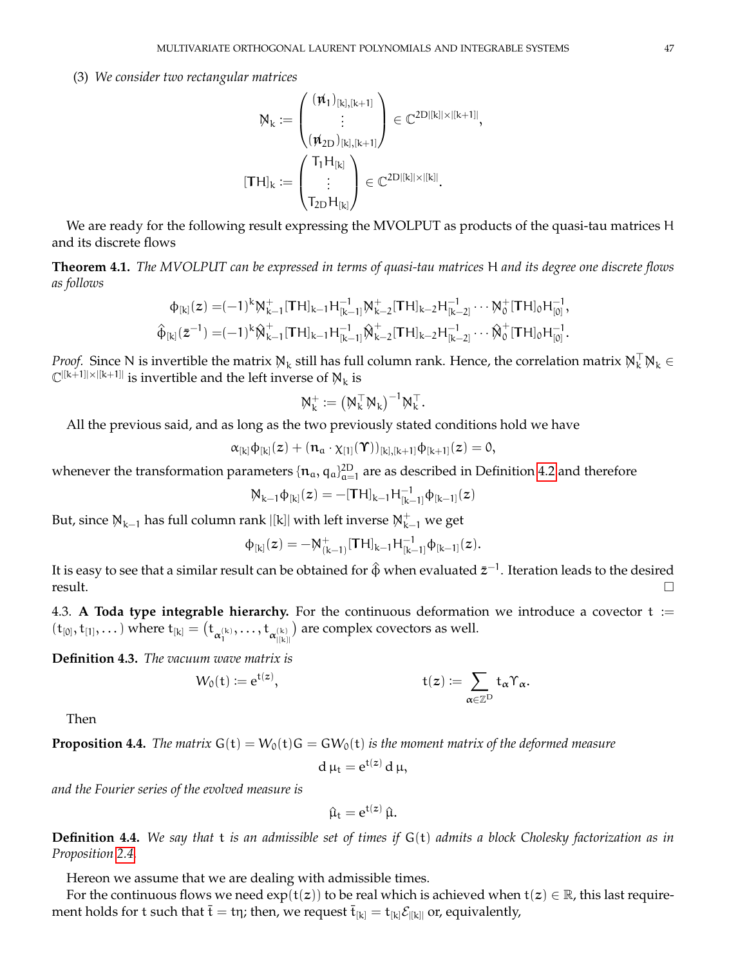(3) *We consider two rectangular matrices*

$$
M_k := \begin{pmatrix} (\rlap{\,/} \pi_1)_{[k],[k+1]} \\ \vdots \\ (\rlap{\,/} \pi_{2D})_{[k],[k+1]} \end{pmatrix} \in \mathbb{C}^{2D|[k]| \times |[k+1]|}
$$
\n
$$
[TH]_k := \begin{pmatrix} T_1 H_{[k]} \\ \vdots \\ T_{2D} H_{[k]} \end{pmatrix} \in \mathbb{C}^{2D|[k]| \times |[k]|}.
$$

,

We are ready for the following result expressing the MVOLPUT as products of the quasi-tau matrices H and its discrete flows

<span id="page-46-0"></span>**Theorem 4.1.** *The MVOLPUT can be expressed in terms of quasi-tau matrices* H *and its degree one discrete flows as follows*

$$
\varphi_{[k]}(z) = (-1)^k M_{k-1}^+[TH]_{k-1}H_{[k-1]}^{-1}M_{k-2}^+[TH]_{k-2}H_{[k-2]}^{-1}\cdots M_0^+[TH]_0H_{[0]}^{-1},
$$
  

$$
\hat{\varphi}_{[k]}(\bar{z}^{-1}) = (-1)^k \hat{M}_{k-1}^+[TH]_{k-1}H_{[k-1]}^{-1}\hat{M}_{k-2}^+[TH]_{k-2}H_{[k-2]}^{-1}\cdots \hat{M}_0^+[TH]_0H_{[0]}^{-1}.
$$

*Proof.* Since N is invertible the matrix  $M_k$  still has full column rank. Hence, the correlation matrix  $M_k^T M_k \in$  $\mathbb{C}^{|\mathbf{[k+1]}|\times|\mathbf{[k+1]}|}$  is invertible and the left inverse of  $\mathcal{N}_k$  is

$$
\mathbb{M}_{k}^{+}:=\big(\mathbb{M}_{k}^{\top}\mathbb{M}_{k}\big)^{-1}\mathbb{M}_{k}^{\top}.
$$

All the previous said, and as long as the two previously stated conditions hold we have

$$
\alpha_{[k]}\varphi_{[k]}(z)+(\mathfrak{n}_\alpha\cdot\chi_{[1]}(\Upsilon))_{[k],[k+1]}\varphi_{[k+1]}(z)=0,
$$

whenever the transformation parameters  $\{n_\alpha, q_\alpha\}_{\alpha=1}^{2D}$  are as described in Definition [4.2](#page-45-0) and therefore

$$
M_{k-1}\varphi_{[k]}(z) = -[TH]_{k-1}H_{[k-1]}^{-1}\varphi_{[k-1]}(z)
$$

But, since  $\mathcal{N}_{k-1}$  has full column rank  $|[k]|$  with left inverse  $\mathcal{N}_{k-1}^+$  we get

$$
\varphi_{[k]}(z)=-N_{(k-1)}^+[TH]_{k-1}H_{[k-1]}^{-1}\varphi_{[k-1]}(z).
$$

It is easy to see that a similar result can be obtained for  $\hat{\Phi}$  when evaluated  $\bar{z}^{-1}.$  Iteration leads to the desired  $r$ esult.

4.3. A Toda type integrable hierarchy. For the continuous deformation we introduce a covector  $t :=$  $(\mathrm{t}_{[0]}, \mathrm{t}_{[1]}, \dots)$  where  $\mathrm{t}_{[k]} = \big(\mathrm{t}_{\alpha_1^{(k)}}, \dots, \mathrm{t}_{\alpha_{|[\mathrm{k}]_{[k]}}^{(\mathrm{k})}}\big)$ ) are complex covectors as well.

**Definition 4.3.** *The vacuum wave matrix is*

$$
W_0(t):=e^{t(z)}, \qquad \qquad t(z):=\sum_{\alpha\in\mathbb{Z}^D}t_\alpha\Upsilon_\alpha.
$$

Then

**Proposition 4.4.** *The matrix*  $G(t) = W_0(t)G = GW_0(t)$  *is the moment matrix of the deformed measure* 

$$
d\,\mu_t = e^{t(z)}\,d\,\mu,
$$

*and the Fourier series of the evolved measure is*

$$
\hat{\mu}_t = e^{t(z)} \, \hat{\mu}.
$$

**Definition 4.4.** *We say that* t *is an admissible set of times if* G(t) *admits a block Cholesky factorization as in Proposition [2.4.](#page-0-0)*

Hereon we assume that we are dealing with admissible times.

For the continuous flows we need  $exp(t(z))$  to be real which is achieved when  $t(z) \in \mathbb{R}$ , this last requirement holds for  $t$  such that  $\bar{t} = t\eta$ ; then, we request  $\bar{t}_{[k]} = t_{[k]} \mathcal{E}_{[[k]]}$  or, equivalently,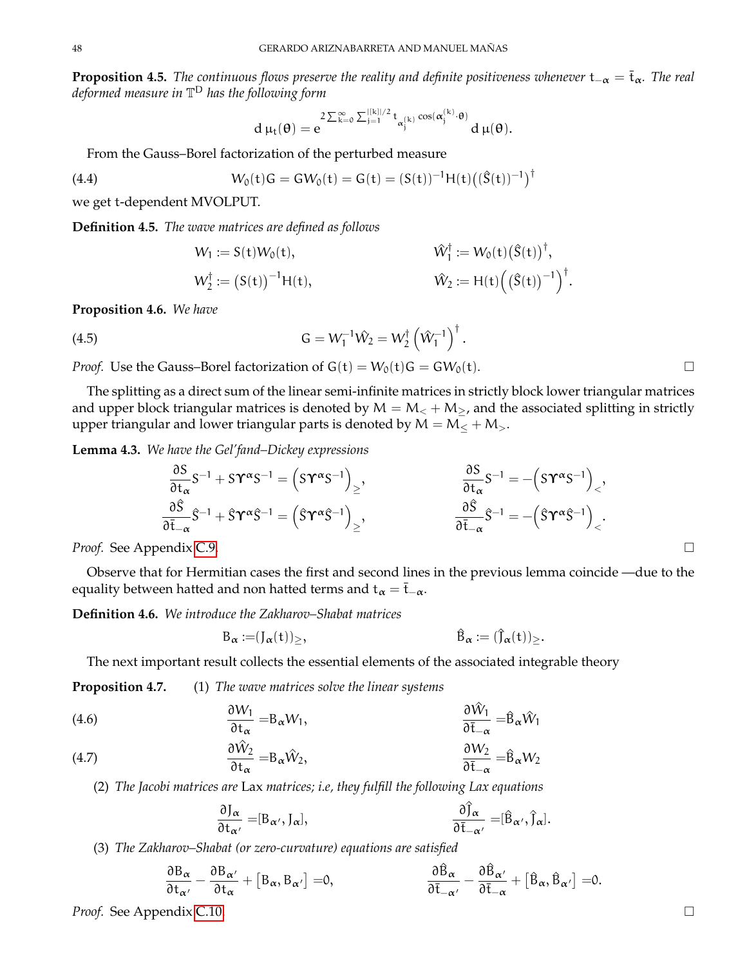**Proposition 4.5.** *The continuous flows preserve the reality and definite positiveness whenever*  $t_{-\alpha} = \bar{t}_{\alpha}$ *. The real deformed measure in* T <sup>D</sup> *has the following form*

$$
d\,\mu_t(\theta)=e^{2\sum_{k=0}^\infty\sum_{j=1}^{|[k]|/2}t_{\alpha_j^{(k)}}\cos(\alpha_j^{(k)}\cdot\theta)}d\,\mu(\theta).
$$

From the Gauss–Borel factorization of the perturbed measure

<span id="page-47-3"></span>(4.4)

$$
W_0(t)G=GW_0(t)=G(t)=(S(t))^{-1}H(t)\big((\hat{S}(t))^{-1}\big)^\dagger
$$

we get t-dependent MVOLPUT.

<span id="page-47-0"></span>**Definition 4.5.** *The wave matrices are defined as follows*

$$
W_1 := S(t)W_0(t), \qquad \qquad \hat{W}_1^{\dagger} := W_0(t) (\hat{S}(t))^{\dagger},
$$

$$
W_2^{\dagger} := (S(t))^{-1}H(t), \qquad \qquad \hat{W}_2 := H(t) ((\hat{S}(t))^{-1})^{\dagger}.
$$

**Proposition 4.6.** *We have*

<span id="page-47-2"></span>(4.5) 
$$
G = W_1^{-1} \hat{W}_2 = W_2^{\dagger} \left( \hat{W}_1^{-1} \right)^{\dagger}.
$$

*Proof.* Use the Gauss–Borel factorization of  $G(t) = W_0(t)G = GW_0(t)$ .

The splitting as a direct sum of the linear semi-infinite matrices in strictly block lower triangular matrices and upper block triangular matrices is denoted by  $M = M_{<} + M_{>}$ , and the associated splitting in strictly upper triangular and lower triangular parts is denoted by  $M = M< + M>$ .

<span id="page-47-1"></span>**Lemma 4.3.** *We have the Gel'fand–Dickey expressions*

$$
\begin{aligned}\n\frac{\partial S}{\partial t_{\alpha}} S^{-1} + S \Upsilon^{\alpha} S^{-1} &= \left( S \Upsilon^{\alpha} S^{-1} \right)_{\ge}, &\frac{\partial S}{\partial t_{\alpha}} S^{-1} &= -\left( S \Upsilon^{\alpha} S^{-1} \right)_{\le}, \\
\frac{\partial \hat{S}}{\partial \overline{t}_{-\alpha}} \hat{S}^{-1} + \hat{S} \Upsilon^{\alpha} \hat{S}^{-1} &= \left( \hat{S} \Upsilon^{\alpha} \hat{S}^{-1} \right)_{\ge}, &\frac{\partial \hat{S}}{\partial \overline{t}_{-\alpha}} \hat{S}^{-1} &= -\left( \hat{S} \Upsilon^{\alpha} \hat{S}^{-1} \right)_{\le}.\n\end{aligned}
$$

*Proof.* See Appendix [C.9.](#page-67-0)

Observe that for Hermitian cases the first and second lines in the previous lemma coincide —due to the equality between hatted and non hatted terms and  $t_{\alpha} = \overline{t}_{-\alpha}$ .

**Definition 4.6.** *We introduce the Zakharov–Shabat matrices*

$$
\mathsf{B}_{\alpha} := (J_{\alpha}(t))_{\geq}, \qquad \qquad \mathsf{B}_{\alpha} := (\hat{J}_{\alpha}(t))_{\geq}.
$$

The next important result collects the essential elements of the associated integrable theory

**Proposition 4.7.** (1) *The wave matrices solve the linear systems*

(4.6) 
$$
\frac{\partial W_1}{\partial t_{\alpha}} = B_{\alpha} W_1, \qquad \frac{\partial \hat{W}_1}{\partial \bar{t}_{-\alpha}} = \hat{B}_{\alpha} \hat{W}_1
$$

(4.7) 
$$
\frac{\partial \hat{W}_2}{\partial t_{\alpha}} = B_{\alpha} \hat{W}_2, \qquad \frac{\partial W_2}{\partial \bar{t}_{-\alpha}} = \hat{B}_{\alpha} W_2
$$

(2) *The Jacobi matrices are* Lax *matrices; i.e, they fulfill the following Lax equations*

$$
\frac{\partial J_{\alpha}}{\partial t_{\alpha'}} = [B_{\alpha'}, J_{\alpha}], \qquad \qquad \frac{\partial \hat{J}_{\alpha}}{\partial \bar{t}_{-\alpha'}} = [\hat{B}_{\alpha'}, \hat{J}_{\alpha}].
$$

(3) *The Zakharov–Shabat (or zero-curvature) equations are satisfied*

$$
\frac{\partial B_{\alpha}}{\partial t_{\alpha'}}-\frac{\partial B_{\alpha'}}{\partial t_{\alpha}}+\left[B_{\alpha},B_{\alpha'}\right]=0, \qquad \qquad \frac{\partial \hat{B}_{\alpha}}{\partial \bar{t}_{-\alpha'}}-\frac{\partial \hat{B}_{\alpha'}}{\partial \bar{t}_{-\alpha}}+\left[\hat{B}_{\alpha},\hat{B}_{\alpha'}\right]=0.
$$

*Proof.* See Appendix [C.10.](#page-67-1)

$$
\Box
$$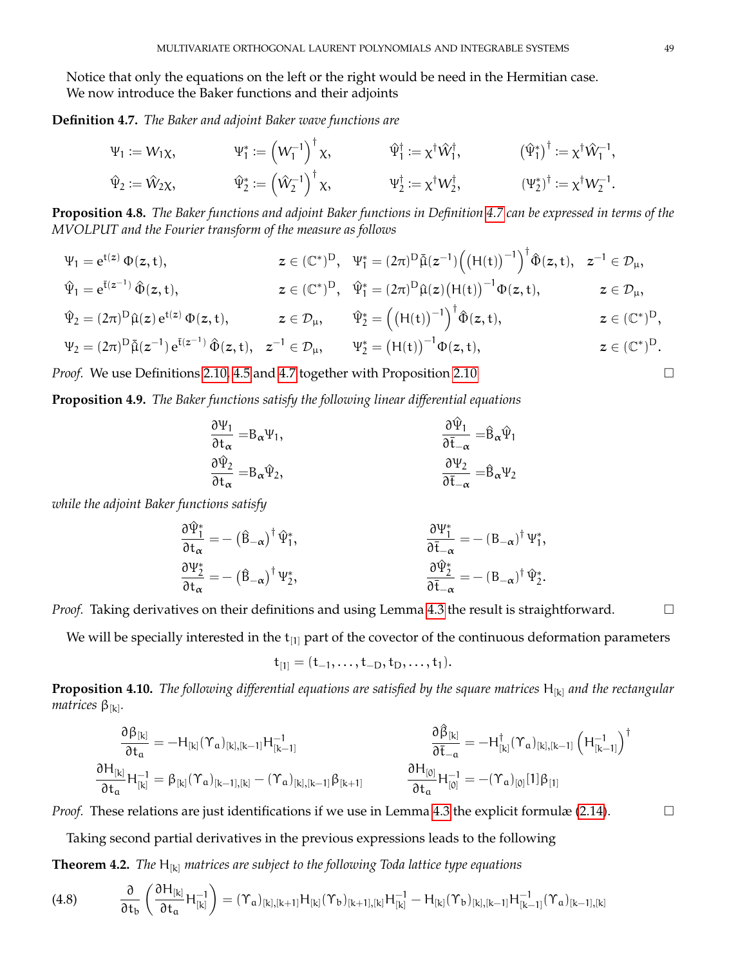Notice that only the equations on the left or the right would be need in the Hermitian case. We now introduce the Baker functions and their adjoints

<span id="page-48-0"></span>**Definition 4.7.** *The Baker and adjoint Baker wave functions are*

$$
\begin{aligned}\n\Psi_1 &:= W_1 \chi, &\Psi_1^* &:= \left(W_1^{-1}\right)^{\dagger} \chi, &\Psi_1^{\dagger} &:= \chi^{\dagger} \hat{W}_1^{\dagger}, &\left(\hat{\Psi}_1^*\right)^{\dagger} &:= \chi^{\dagger} \hat{W}_1^{-1}, \\
\hat{\Psi}_2 &:= \hat{W}_2 \chi, &\hat{\Psi}_2^* &:= \left(\hat{W}_2^{-1}\right)^{\dagger} \chi, &\Psi_2^{\dagger} &:= \chi^{\dagger} W_2^{\dagger}, &\left(\Psi_2^*\right)^{\dagger} &:= \chi^{\dagger} W_2^{-1}.\n\end{aligned}
$$

<span id="page-48-1"></span>**Proposition 4.8.** *The Baker functions and adjoint Baker functions in Definition [4.7](#page-48-0) can be expressed in terms of the MVOLPUT and the Fourier transform of the measure as follows*

$$
\begin{aligned} \Psi_1 &= e^{t(z)}\,\Phi(z,t), & z \in (\mathbb{C}^*)^D, & \Psi_1^* &= (2\pi)^D\bar{\hat{\mu}}(z^{-1}) \Big( \big( H(t) \big)^{-1} \Big)^\dagger \hat{\Phi}(z,t), & z^{-1} & \in \mathcal{D}_\mu, \\ \hat{\Psi}_1 &= e^{\bar{t}(z^{-1})}\,\hat{\Phi}(z,t), & z \in (\mathbb{C}^*)^D, & \hat{\Psi}_1^* &= (2\pi)^D\hat{\mu}(z) \big( H(t) \big)^{-1} \Phi(z,t), & z \in \mathcal{D}_\mu, \\ \hat{\Psi}_2 &= (2\pi)^D\hat{\mu}(z)\,e^{t(z)}\,\Phi(z,t), & z \in \mathcal{D}_\mu, & \hat{\Psi}_2^* &= \Big( \big( H(t) \big)^{-1} \Big)^\dagger \hat{\Phi}(z,t), & z \in (\mathbb{C}^*)^D, \\ \Psi_2 &= (2\pi)^D\bar{\hat{\mu}}(z^{-1})\,e^{\bar{t}(z^{-1})}\,\hat{\Phi}(z,t), & z^{-1} & \in \mathcal{D}_\mu, & \Psi_2^* &= \big( H(t) \big)^{-1} \Phi(z,t), & z \in (\mathbb{C}^*)^D. \end{aligned}
$$

*Proof.* We use Definitions [2.10,](#page-12-0) [4.5](#page-47-0) and [4.7](#page-48-0) together with Proposition [2.10](#page-12-1) □

**Proposition 4.9.** *The Baker functions satisfy the following linear differential equations*

$$
\frac{\partial \Psi_1}{\partial t_\alpha} = B_\alpha \Psi_1, \n\frac{\partial \hat{\Psi}_2}{\partial t_\alpha} = B_\alpha \hat{\Psi}_2, \n\frac{\partial \hat{\Psi}_2}{\partial t_\alpha} = \hat{B}_\alpha \Psi_2 \n\frac{\partial \Psi_2}{\partial t_\alpha} = \hat{B}_\alpha \Psi_2
$$

*while the adjoint Baker functions satisfy*

 $\lambda$ akan  $\lambda$ 

$$
\begin{aligned} \frac{\partial \hat{\Psi}_1^*}{\partial t_\alpha} &= -\left(\hat{B}_{-\alpha}\right)^\dagger \hat{\Psi}_1^*, \qquad & \frac{\partial \Psi_1^*}{\partial \bar{t}_{-\alpha}} &= -\left(B_{-\alpha}\right)^\dagger \Psi_1^*, \\ \frac{\partial \Psi_2^*}{\partial t_\alpha} &= -\left(\hat{B}_{-\alpha}\right)^\dagger \Psi_2^*, \qquad & \frac{\partial \hat{\Psi}_2^*}{\partial \bar{t}_{-\alpha}} &= -\left(B_{-\alpha}\right)^\dagger \hat{\Psi}_2^*. \end{aligned}
$$

*Proof.* Taking derivatives on their definitions and using Lemma [4.3](#page-47-1) the result is straightforward. □

We will be specially interested in the  $t_{[1]}$  part of the covector of the continuous deformation parameters

$$
\mathbf{t}_{[1]} = (t_{-1}, \ldots, t_{-D}, t_D, \ldots, t_1).
$$

**Proposition 4.10.** *The following differential equations are satisfied by the square matrices* H<sub>[k]</sub> *and the rectangular matrices* β[k] *.*

$$
\begin{aligned} \frac{\partial \beta_{[k]}}{\partial t_{\alpha}} & = -H_{[k]}(\Upsilon_{a})_{[k], [k-1]} H_{[k-1]}^{-1} & \frac{\partial \widehat{\beta}_{[k]}}{\partial \bar{t}_{-\alpha}} & = -H_{[k]}^{\dagger}(\Upsilon_{a})_{[k], [k-1]} \left( H_{[k-1]}^{-1} \right)^{\dagger} \\ \frac{\partial H_{[k]}}{\partial t_{\alpha}} & H_{[k]}^{-1} & = \beta_{[k]}(\Upsilon_{a})_{[k-1], [k]} - (\Upsilon_{a})_{[k], [k-1]} \beta_{[k+1]} & \frac{\partial H_{[0]}}{\partial t_{\alpha}} H_{[0]}^{-1} & = -(\Upsilon_{a})_{[0]} [1] \beta_{[1]} \end{aligned}
$$

*Proof.* These relations are just identifications if we use in Lemma [4.3](#page-47-1) the explicit formulæ [\(2.14\)](#page-20-0).  $\Box$ 

Taking second partial derivatives in the previous expressions leads to the following

**Theorem 4.2.** *The* H[k] *matrices are subject to the following Toda lattice type equations*

$$
(4.8) \qquad \frac{\partial}{\partial t_b} \left( \frac{\partial H_{[k]}}{\partial t_a} H_{[k]}^{-1} \right) = (\Upsilon_a)_{[k], [k+1]} H_{[k]}(\Upsilon_b)_{[k+1], [k]} H_{[k]}^{-1} - H_{[k]}(\Upsilon_b)_{[k], [k-1]} H_{[k-1]}^{-1} (\Upsilon_a)_{[k-1], [k]}
$$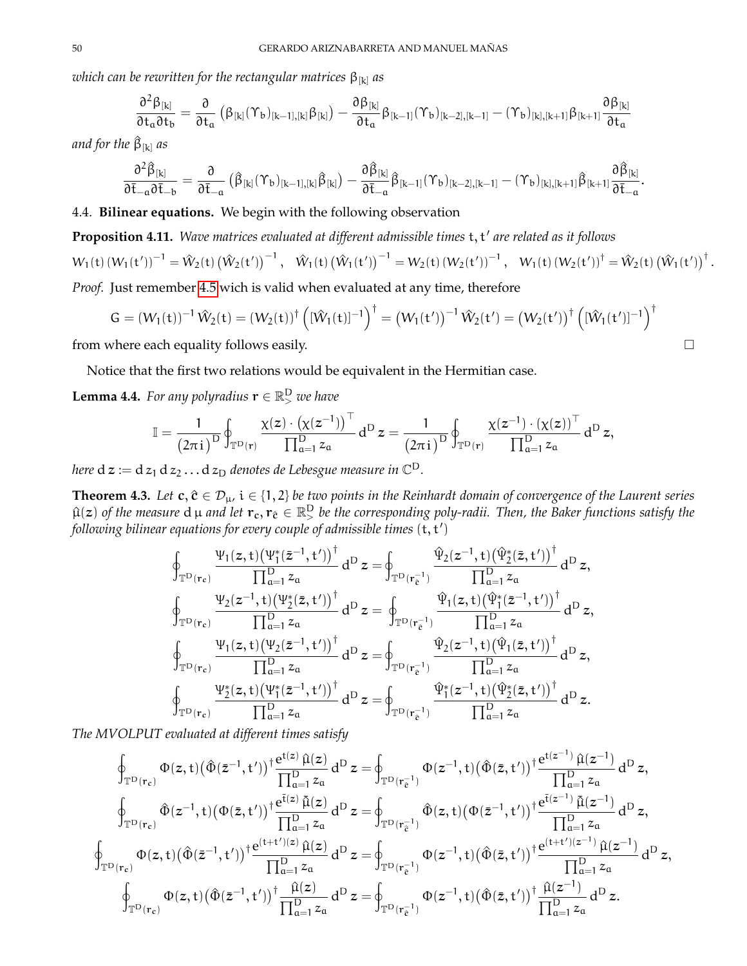*which can be rewritten for the rectangular matrices*  $\beta_{[k]}$  *as* 

$$
\frac{\partial^2 \beta_{[k]}}{\partial t_a \partial t_b} = \frac{\partial}{\partial t_a} \left( \beta_{[k]} (\Upsilon_b)_{[k-1],[k]} \beta_{[k]} \right) - \frac{\partial \beta_{[k]}}{\partial t_a} \beta_{[k-1]} (\Upsilon_b)_{[k-2],[k-1]} - (\Upsilon_b)_{[k],[k+1]} \beta_{[k+1]} \frac{\partial \beta_{[k]}}{\partial t_a}
$$

*and for the* β^ [k] *as*

$$
\frac{\partial^2 \hat \beta_{[k]}}{\partial \bar t_{-a} \partial \bar t_{-b}} = \frac{\partial}{\partial \bar t_{-a}} \left(\hat \beta_{[k]} (\Upsilon_b)_{[k-1],[k]} \hat \beta_{[k]} \right) - \frac{\partial \hat \beta_{[k]}}{\partial \bar t_{-a}} \hat \beta_{[k-1]} (\Upsilon_b)_{[k-2],[k-1]} - (\Upsilon_b)_{[k],[k+1]} \hat \beta_{[k+1]} \frac{\partial \hat \beta_{[k]}}{\partial \bar t_{-a}}.
$$

4.4. **Bilinear equations.** We begin with the following observation

<span id="page-49-1"></span>**Proposition 4.11.** Wave matrices evaluated at different admissible times t, t' are related as it follows

$$
W_1(t)\left(W_1(t^\prime)\right)^{-1}=\hat{W}_2(t)\left(\hat{W}_2(t^\prime)\right)^{-1},\quad \hat{W}_1(t)\left(\hat{W}_1(t^\prime)\right)^{-1}=W_2(t)\left(W_2(t^\prime)\right)^{-1},\quad W_1(t)\left(W_2(t^\prime)\right)^{\dagger}=\hat{W}_2(t)\left(\hat{W}_1(t^\prime)\right)^{\dagger}.
$$

*Proof.* Just remember [4.5](#page-47-2) wich is valid when evaluated at any time, therefore

$$
G = (W_1(t))^{-1} \hat{W}_2(t) = (W_2(t))^{\dagger} \left( [\hat{W}_1(t)]^{-1} \right)^{\dagger} = (W_1(t'))^{-1} \hat{W}_2(t') = (W_2(t'))^{\dagger} \left( [\hat{W}_1(t')]^{-1} \right)^{\dagger}
$$

from where each equality follows easily.  $\Box$ 

Notice that the first two relations would be equivalent in the Hermitian case.

<span id="page-49-0"></span>**Lemma 4.4.** For any polyradius  $\mathbf{r} \in \mathbb{R}^D$  we have

$$
\mathbb{I}=\frac{1}{\left(2\pi\,i\,\right)^D}\oint_{\mathbb{T}^D\left(\mathbf{r}\right)}\frac{\chi(z)\cdot\left(\chi(z^{-1})\right)^\top}{\prod_{\alpha=1}^Dz_\alpha}d^D\,z=\frac{1}{\left(2\pi\,i\,\right)^D}\oint_{\mathbb{T}^D\left(\mathbf{r}\right)}\frac{\chi(z^{-1})\cdot\left(\chi(z)\right)^\top}{\prod_{\alpha=1}^Dz_\alpha}d^D\,z,
$$

here  $\textnormal{d} \, \boldsymbol{z} := \textnormal{d} \, z_1 \, \textnormal{d} \, z_2 \ldots \textnormal{d} \, z_{\textnormal{D}}$  denotes de Lebesgue measure in  $\mathbb{C}^{\textnormal{D}}.$ 

**Theorem 4.3.** *Let*  $c, \hat{c} \in \mathcal{D}_{\mu}$ ,  $i \in \{1, 2\}$  *be two points in the Reinhardt domain of convergence of the Laurent series*  $\hat\mu(z)$  of the measure  $d$   $\mu$  and let  $r_c, r_{\hat c}\in\mathbb R^D_>$  be the corresponding poly-radii. Then, the Baker functions satisfy the  $\mathit{following}$  bilinear equations for every couple of admissible times  $(\mathsf{t},\mathsf{t}')$ 

$$
\begin{array}{l} \oint_{{\mathbb T}^D(r_c)} \frac{\Psi_1(z,t) \big( \Psi_1^*(\bar{z}^{-1},t') \big)^\dagger}{\prod_{\alpha=1}^D z_\alpha} \, d^D \, z = \oint_{{\mathbb T}^D(r_c^{-1})} \frac{\widehat{\Psi}_2(z^{-1},t) \big( \widehat{\Psi}_2^*(\bar{z},t') \big)^\dagger}{\prod_{\alpha=1}^D z_\alpha} \, d^D \, z, \\ \oint_{{\mathbb T}^D(r_c)} \frac{\Psi_2(z^{-1},t) \big( \Psi_2^*(\bar{z},t') \big)^\dagger}{\prod_{\alpha=1}^D z_\alpha} \, d^D \, z = \oint_{{\mathbb T}^D(r_c^{-1})} \frac{\widehat{\Psi}_1(z,t) \big( \widehat{\Psi}_1^*(\bar{z}^{-1},t') \big)^\dagger}{\prod_{\alpha=1}^D z_\alpha} \, d^D \, z, \\ \oint_{{\mathbb T}^D(r_c)} \frac{\Psi_1(z,t) \big( \Psi_2(\bar{z}^{-1},t') \big)^\dagger}{\prod_{\alpha=1}^D z_\alpha} \, d^D \, z = \oint_{{\mathbb T}^D(r_c^{-1})} \frac{\widehat{\Psi}_2(z^{-1},t) \big( \widehat{\Psi}_1(\bar{z},t') \big)^\dagger}{\prod_{\alpha=1}^D z_\alpha} \, d^D \, z, \\ \oint_{{\mathbb T}^D(r_c)} \frac{\Psi_2^*(z,t) \big( \Psi_1^*(\bar{z}^{-1},t') \big)^\dagger}{\prod_{\alpha=1}^D z_\alpha} \, d^D \, z = \oint_{{\mathbb T}^D(r_c^{-1})} \frac{\widehat{\Psi}_1^*(z^{-1},t) \big( \widehat{\Psi}_2^*(\bar{z},t') \big)^\dagger}{\prod_{\alpha=1}^D z_\alpha} \, d^D \, z. \end{array}
$$

*The MVOLPUT evaluated at different times satisfy*

$$
\oint_{\mathbb{T}^D(\mathbf{r}_c)} \Phi(z,t) (\hat{\Phi}(\bar{z}^{-1},t'))^{\dagger} \frac{e^{t(z)} \hat{\mu}(z)}{\prod_{\alpha=1}^D z_{\alpha}} d^D z = \oint_{\mathbb{T}^D(\mathbf{r}_e^{-1})} \Phi(z^{-1},t) (\hat{\Phi}(\bar{z},t'))^{\dagger} \frac{e^{t(z^{-1})} \hat{\mu}(z^{-1})}{\prod_{\alpha=1}^D z_{\alpha}} d^D z,
$$
\n
$$
\oint_{\mathbb{T}^D(\mathbf{r}_c)} \hat{\Phi}(z^{-1},t) (\Phi(\bar{z},t'))^{\dagger} \frac{e^{t(z)} \hat{\mu}(z)}{\prod_{\alpha=1}^D z_{\alpha}} d^D z = \oint_{\mathbb{T}^D(\mathbf{r}_e^{-1})} \hat{\Phi}(z,t) (\Phi(\bar{z}^{-1},t'))^{\dagger} \frac{e^{t(z^{-1})} \hat{\mu}(z^{-1})}{\prod_{\alpha=1}^D z_{\alpha}} d^D z,
$$
\n
$$
\oint_{\mathbb{T}^D(\mathbf{r}_c)} \Phi(z,t) (\hat{\Phi}(\bar{z}^{-1},t'))^{\dagger} \frac{e^{(t+t')(z)} \hat{\mu}(z)}{\prod_{\alpha=1}^D z_{\alpha}} d^D z = \oint_{\mathbb{T}^D(\mathbf{r}_e^{-1})} \Phi(z^{-1},t) (\hat{\Phi}(\bar{z},t'))^{\dagger} \frac{e^{(t+t')(z^{-1})} \hat{\mu}(z^{-1})}{\prod_{\alpha=1}^D z_{\alpha}} d^D z,
$$
\n
$$
\oint_{\mathbb{T}^D(\mathbf{r}_c)} \Phi(z,t) (\hat{\Phi}(\bar{z}^{-1},t'))^{\dagger} \frac{\hat{\mu}(z)}{\prod_{\alpha=1}^D z_{\alpha}} d^D z = \oint_{\mathbb{T}^D(\mathbf{r}_e^{-1})} \Phi(z^{-1},t) (\hat{\Phi}(\bar{z},t'))^{\dagger} \frac{\hat{\mu}(z^{-1})}{\prod_{\alpha=1}^D z_{\alpha}} d^D z.
$$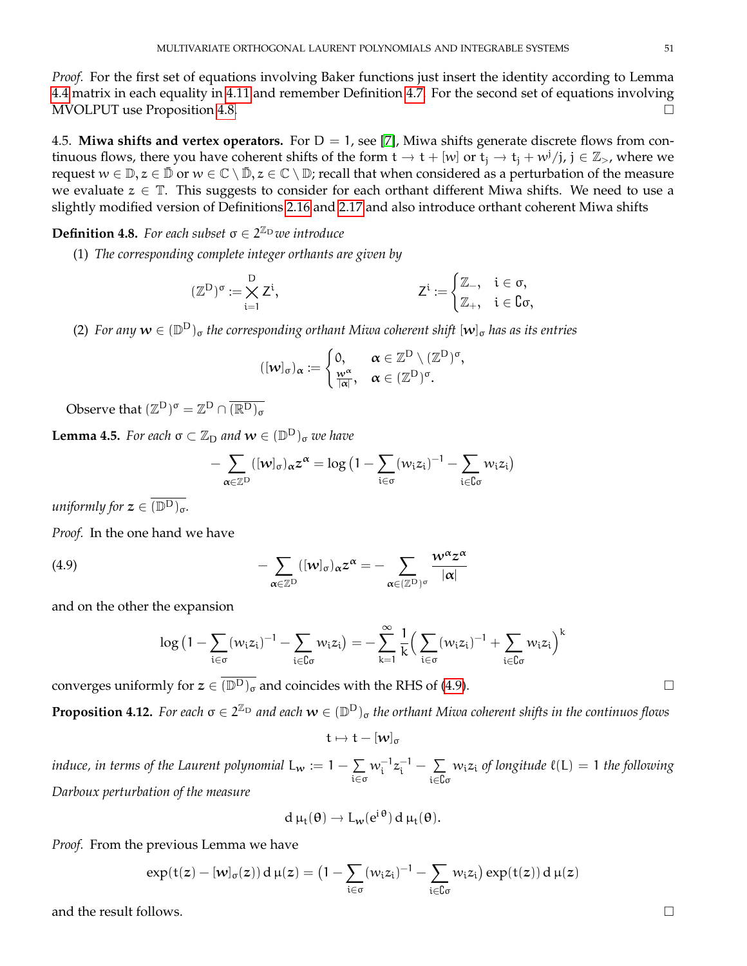*Proof.* For the first set of equations involving Baker functions just insert the identity according to Lemma [4.4](#page-49-0) matrix in each equality in [4.11](#page-49-1) and remember Definition [4.7.](#page-48-0) For the second set of equations involving MVOLPUT use Proposition [4.8.](#page-48-1)

4.5. **Miwa shifts and vertex operators.** For  $D = 1$ , see [\[7\]](#page-69-1), Miwa shifts generate discrete flows from continuous flows, there you have coherent shifts of the form  $t \to t + [w]$  or  $t_j \to t_j + w^j/j$ ,  $j \in \mathbb{Z}_{>}$ , where we request  $w \in \mathbb{D}, z \in \mathbb{D}$  or  $w \in \mathbb{C} \setminus \mathbb{D}, z \in \mathbb{C} \setminus \mathbb{D}$ ; recall that when considered as a perturbation of the measure we evaluate  $z \in \mathbb{T}$ . This suggests to consider for each orthant different Miwa shifts. We need to use a slightly modified version of Definitions [2.16](#page-15-0) and [2.17](#page-15-1) and also introduce orthant coherent Miwa shifts

## **Definition 4.8.** For each subset  $\sigma \in 2^{\mathbb{Z}_{D}}$  we introduce

(1) *The corresponding complete integer orthants are given by*

$$
(\mathbb{Z}^D)^\sigma:=\bigtimes_{i=1}^D Z^i, \hspace{2cm} Z^i:=\begin{cases} \mathbb{Z}_- , & i\in \sigma, \\ \mathbb{Z}_+ , & i\in \complement \sigma, \end{cases}
$$

(2) For any  $w \in (\mathbb{D}^D)_{\sigma}$  the corresponding orthant Miwa coherent shift  $[w]_{\sigma}$  has as its entries

$$
([\mathbf{w}]_{\sigma})_{\alpha}:=\begin{cases}0,&\alpha\in\mathbb{Z}^D\setminus(\mathbb{Z}^D)^{\sigma},\\ \frac{\mathbf{w}^{\alpha}}{|\alpha|},&\alpha\in(\mathbb{Z}^D)^{\sigma}. \end{cases}
$$

Observe that  $(\mathbb{Z}^{\mathrm{D}})^{\sigma} = \mathbb{Z}^{\mathrm{D}} \cap \overline{(\mathbb{R}^{\mathrm{D}})_{\sigma}}$ 

**Lemma 4.5.** For each  $\sigma \subset \mathbb{Z}_{D}$  and  $\boldsymbol{w} \in (\mathbb{D}^{\mathrm{D}})_{\sigma}$  we have

$$
-\sum_{\alpha\in\mathbb{Z}^D}([w]_\sigma)_{\alpha}z^\alpha=\log\big(1-\sum_{i\in\sigma}^{}(w_iz_i)^{-1}-\sum_{i\in\complement\sigma}^{}w_iz_i\big)
$$

*uniformly for*  $z \in \overline{(\mathbb{D}^D)_\sigma}$ .

*Proof.* In the one hand we have

<span id="page-50-0"></span>(4.9) 
$$
- \sum_{\alpha \in \mathbb{Z}^D} ([w]_{\sigma})_{\alpha} z^{\alpha} = - \sum_{\alpha \in (\mathbb{Z}^D)^{\sigma}} \frac{w^{\alpha} z^{\alpha}}{|\alpha|}
$$

and on the other the expansion

$$
\log (1 - \sum_{i \in \sigma} (w_i z_i)^{-1} - \sum_{i \in \complement \sigma} w_i z_i) = -\sum_{k=1}^{\infty} \frac{1}{k} \Big( \sum_{i \in \sigma} (w_i z_i)^{-1} + \sum_{i \in \complement \sigma} w_i z_i \Big)^k
$$

converges uniformly for  $z \in (\overline{\mathbb{D}^D})_{\sigma}$  and coincides with the RHS of [\(4.9\)](#page-50-0).

**Proposition 4.12.** For each  $\sigma \in 2^{\mathbb{Z}_D}$  and each  $w \in (\mathbb{D}^D)_{\sigma}$  the orthant Miwa coherent shifts in the continuos flows

$$
t\mapsto t-[w]_{\sigma}
$$

*induce, in terms of the Laurent polynomial*  $L_w := 1 - \sum$ i∈σ  $w_i^{-1}z_i^{-1} - \sum_i$ i∈{σ  $w_iz_i$  *of longitude*  $\ell(L) = 1$  *the following Darboux perturbation of the measure*

$$
d \mu_t(\theta) \to L_w(e^{i \theta}) d \mu_t(\theta).
$$

*Proof.* From the previous Lemma we have

$$
exp(t(z) - [w]_\sigma(z)) d\,\mu(z) = \big(1 - \sum_{i \in \sigma} (w_iz_i)^{-1} - \sum_{i \in \complement \sigma} w_iz_i\big) \exp(t(z)) d\,\mu(z)
$$

and the result follows.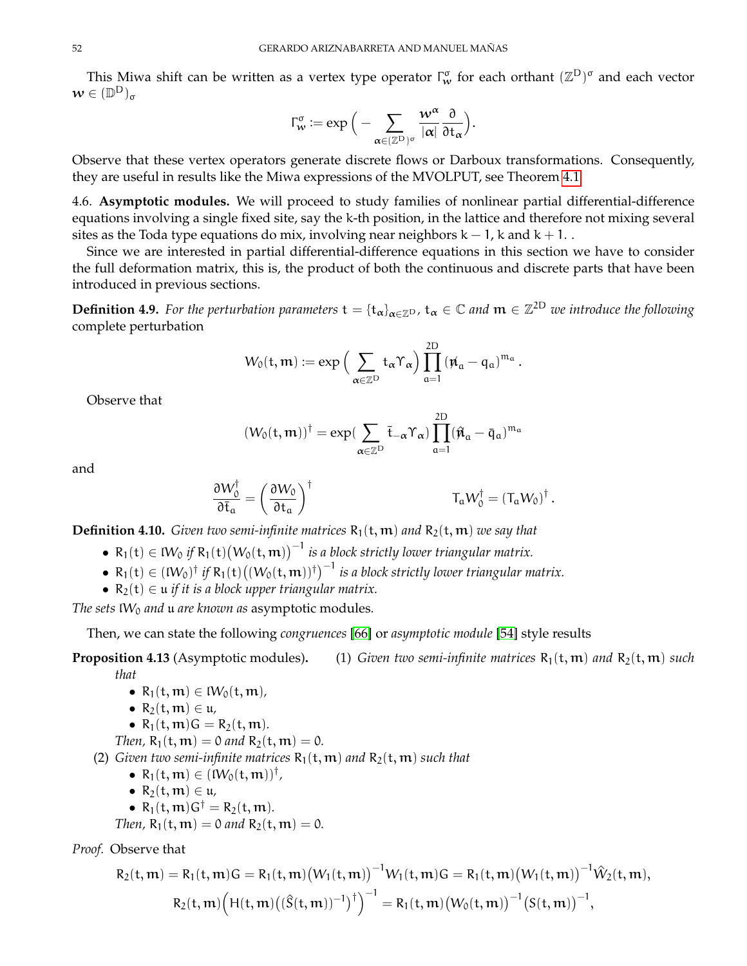This Miwa shift can be written as a vertex type operator  $\Gamma_w^{\sigma}$  for each orthant  $(\mathbb{Z}^{\mathrm{D}})^{\sigma}$  and each vector  $\boldsymbol{w} \in (\mathbb{D}^{\mathrm{D}})_{\sigma}$ 

$$
\Gamma_{\mathbf{w}}^{\sigma}:=\exp\Big(-\sum_{\alpha\in(\mathbb{Z}^{\mathrm{D}})^{\sigma}}\frac{\mathbf{w}^{\alpha}}{|\alpha|}\frac{\partial}{\partial t_{\alpha}}\Big).
$$

Observe that these vertex operators generate discrete flows or Darboux transformations. Consequently, they are useful in results like the Miwa expressions of the MVOLPUT, see Theorem [4.1](#page-46-0)

4.6. **Asymptotic modules.** We will proceed to study families of nonlinear partial differential-difference equations involving a single fixed site, say the k-th position, in the lattice and therefore not mixing several sites as the Toda type equations do mix, involving near neighbors  $k - 1$ , k and  $k + 1$ .

Since we are interested in partial differential-difference equations in this section we have to consider the full deformation matrix, this is, the product of both the continuous and discrete parts that have been introduced in previous sections.

**Definition 4.9.** For the perturbation parameters  $t = {t_\alpha}_{\alpha \in \mathbb{Z}^D}$ ,  $t_\alpha \in \mathbb{C}$  and  $m \in \mathbb{Z}^{2D}$  we introduce the following complete perturbation

$$
W_0(\mathsf{t},\mathfrak{m}):=\exp\Big(\sum_{\alpha\in\mathbb{Z}^{\mathsf{D}}}\mathsf{t}_{\alpha}\boldsymbol{\Upsilon}_{\alpha}\Big)\prod_{a=1}^{2\mathsf{D}}\left(\boldsymbol{\varkappa}_a-\mathfrak{q}_a\right)^{\mathfrak{m}_a}.
$$

Observe that

$$
(W_0(t,m))^\dagger = \exp(\sum_{\alpha \in \mathbb{Z}^D} \overline{t}_{-\alpha} \Upsilon_\alpha) \prod_{a=1}^{2D} (\hat{\pi}_a - \overline{q}_a)^{m_a}
$$

and

$$
\frac{\partial W_0^\dagger}{\partial \bar t_\alpha} = \left(\frac{\partial W_0}{\partial t_\alpha}\right)^\dagger \hspace{2.5cm} T_\alpha W_0^\dagger = \left(T_\alpha W_0\right)^\dagger.
$$

**Definition 4.10.** *Given two semi-infinite matrices*  $R_1(t, m)$  *and*  $R_2(t, m)$  *we say that* 

- $R_1(t) \in W_0$  if  $R_1(t) (W_0(t, m))^{-1}$  is a block strictly lower triangular matrix.
- $R_1(t) \in (iW_0)^{\dagger}$  if  $R_1(t) \big((W_0(t, m))^{\dagger}\big)^{-1}$  is a block strictly lower triangular matrix.
- $R_2(t) \in \mathfrak{u}$  *if it is a block upper triangular matrix.*

*The sets*  $W_0$  *and* **u** *are known as* asymptotic modules.

Then, we can state the following *congruences* [\[66\]](#page-71-0) or *asymptotic module* [\[54\]](#page-70-0) style results

**Proposition 4.13** (Asymptotic modules). (1) *Given two semi-infinite matrices*  $R_1(t, m)$  *and*  $R_2(t, m)$  *such that*

•  $R_1(t, m) \in W_0(t, m)$ ,

$$
\bullet \ \ R_2(t,m) \in \mathfrak{u},
$$

•  $R_1(t, m)G = R_2(t, m)$ .

*Then,*  $R_1(t, m) = 0$  *and*  $R_2(t, m) = 0$ .

(2) *Given two semi-infinite matrices*  $R_1(t, m)$  *and*  $R_2(t, m)$  *such that* 

- $R_1(t, m) \in (IW_0(t, m))^\dagger$ ,
- $R_2(t, m) \in \mathfrak{u}$ ,
- $R_1(t, m)G^{\dagger} = R_2(t, m)$ .
- *Then,*  $R_1(t, m) = 0$  *and*  $R_2(t, m) = 0$ *.*

*Proof.* Observe that

$$
R_2(t,m) = R_1(t,m)G = R_1(t,m) (W_1(t,m))^{-1} W_1(t,m)G = R_1(t,m) (W_1(t,m))^{-1} \hat{W}_2(t,m),
$$
  

$$
R_2(t,m) (H(t,m) ((\hat{S}(t,m))^{-1})^{\dagger})^{-1} = R_1(t,m) (W_0(t,m))^{-1} (S(t,m))^{-1},
$$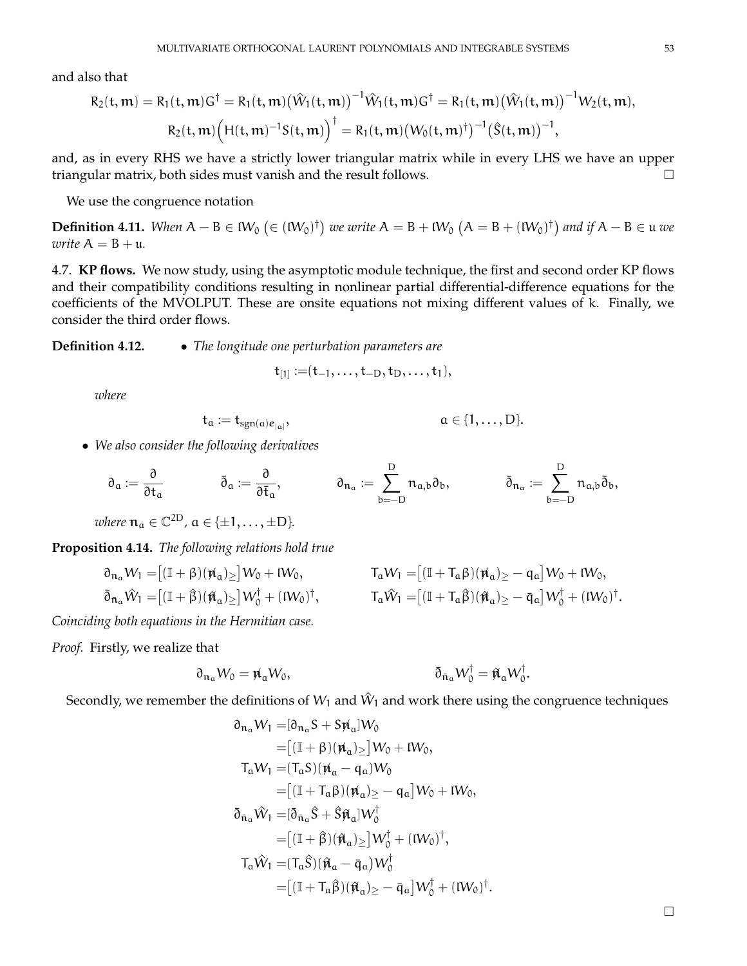and also that

$$
R_2(t,m) = R_1(t,m)G^{\dagger} = R_1(t,m) (\hat{W}_1(t,m))^{-1} \hat{W}_1(t,m)G^{\dagger} = R_1(t,m) (\hat{W}_1(t,m))^{-1} W_2(t,m),
$$
  

$$
R_2(t,m) (H(t,m)^{-1}S(t,m))^{\dagger} = R_1(t,m) (W_0(t,m)^{\dagger})^{-1} (\hat{S}(t,m))^{-1},
$$

and, as in every RHS we have a strictly lower triangular matrix while in every LHS we have an upper triangular matrix, both sides must vanish and the result follows.

We use the congruence notation

**Definition 4.11.** When  $A - B \in W_0$   $(∈ (iW_0)^{\dagger})$  we write  $A = B + iW_0$   $(A = B + (iW_0)^{\dagger})$  and if  $A - B ∈ u$  we *write*  $A = B + u$ *.* 

4.7. **KP flows.** We now study, using the asymptotic module technique, the first and second order KP flows and their compatibility conditions resulting in nonlinear partial differential-difference equations for the coefficients of the MVOLPUT. These are onsite equations not mixing different values of k. Finally, we consider the third order flows.

**Definition 4.12.** • *The longitude one perturbation parameters are*

$$
\mathsf{t}_{[1]} \mathbin{:=} (\mathsf{t}_{-1}, \ldots, \mathsf{t}_{-D}, \mathsf{t}_D, \ldots, \mathsf{t}_1),
$$

*where*

$$
t_{\alpha} := t_{sgn(\alpha)e_{|\alpha|}}, \qquad \qquad \alpha \in \{1,\ldots,D\}.
$$

• *We also consider the following derivatives*

$$
\partial_{\mathfrak{a}}:=\frac{\partial}{\partial t_{\mathfrak{a}}} \hspace{1cm} \bar{\partial}_{\mathfrak{a}}:=\frac{\partial}{\partial \bar{t}_{\mathfrak{a}}}, \hspace{1cm} \partial_{\mathfrak{n}_{\mathfrak{a}}}:=\sum_{b=-D}^{D} \mathfrak{n}_{\mathfrak{a},b}\partial_{b}, \hspace{1cm} \bar{\partial}_{\mathfrak{n}_{\mathfrak{a}}}:=\sum_{b=-D}^{D} \mathfrak{n}_{\mathfrak{a},b}\bar{\partial}_{b},
$$

where  $\mathfrak{n}_a \in \mathbb{C}^{2D}$ ,  $a \in \{\pm 1, \ldots, \pm D\}$ *.* 

<span id="page-52-0"></span>**Proposition 4.14.** *The following relations hold true*

$$
\begin{aligned} \partial_{\mathfrak{n}_\alpha} W_1 =& \big[(\mathbb{I} + \beta)(\rlap{/} \pi_\alpha)_\geq\big] W_0 + \mathfrak{l} W_0, \qquad & T_\alpha W_1 =& \big[(\mathbb{I} + T_\alpha \beta)(\rlap{/} \pi_\alpha)_\geq -\mathfrak{q}_\alpha\big] W_0 + \mathfrak{l} W_0, \\ \bar{\partial}_{\bar{\mathfrak{n}}_\alpha} \hat{W}_1 =& \big[(\mathbb{I} + \hat{\beta})(\hat{\pi}_\alpha)_\geq\big] W_0^\dagger + \mathfrak{l} W_0)^\dagger, \qquad & T_\alpha \hat{W}_1 =& \big[(\mathbb{I} + T_\alpha \hat{\beta})(\hat{\pi}_\alpha)_\geq -\bar{\mathfrak{q}}_\alpha\big] W_0^\dagger + \mathfrak{l} W_0)^\dagger \end{aligned}
$$

*Coinciding both equations in the Hermitian case.*

*Proof.* Firstly, we realize that

$$
\partial_{\mathfrak{n}_\alpha} W_0 = \mathfrak{n}_\alpha W_0, \qquad \qquad \bar{\partial}_{\mathfrak{n}_\alpha} W_0^\dagger = \hat{\mathfrak{n}}_\alpha W_0^\dagger.
$$

Secondly, we remember the definitions of  $W_1$  and  $\hat W_1$  and work there using the congruence techniques

$$
\partial_{\mathfrak{n}_\alpha} W_1 = [\partial_{\mathfrak{n}_\alpha} S + S \mathfrak{n}_\alpha] W_0
$$
  
\n
$$
= [(\mathbb{I} + \beta)(\mathfrak{n}_\alpha) \geq] W_0 + \mathfrak{l} W_0,
$$
  
\n
$$
T_\alpha W_1 = (T_\alpha S)(\mathfrak{n}_\alpha - q_\alpha) W_0
$$
  
\n
$$
= [(\mathbb{I} + T_\alpha \beta)(\mathfrak{n}_\alpha) \geq - q_\alpha] W_0 + \mathfrak{l} W_0,
$$
  
\n
$$
\bar{\partial}_{\mathfrak{n}_\alpha} \hat{W}_1 = [\bar{\partial}_{\mathfrak{n}_\alpha} \hat{S} + \hat{S} \hat{\mathfrak{n}}_\alpha] W_0^\dagger
$$
  
\n
$$
= [(\mathbb{I} + \hat{\beta})(\hat{\mathfrak{n}}_\alpha) \geq] W_0^\dagger + (\mathfrak{l} W_0)^\dagger,
$$
  
\n
$$
T_\alpha \hat{W}_1 = (T_\alpha \hat{S})(\hat{\mathfrak{n}}_\alpha - \bar{q}_\alpha) W_0^\dagger
$$
  
\n
$$
= [(\mathbb{I} + T_\alpha \hat{\beta})(\hat{\mathfrak{n}}_\alpha) \geq - \bar{q}_\alpha] W_0^\dagger + (\mathfrak{l} W_0)^\dagger.
$$

.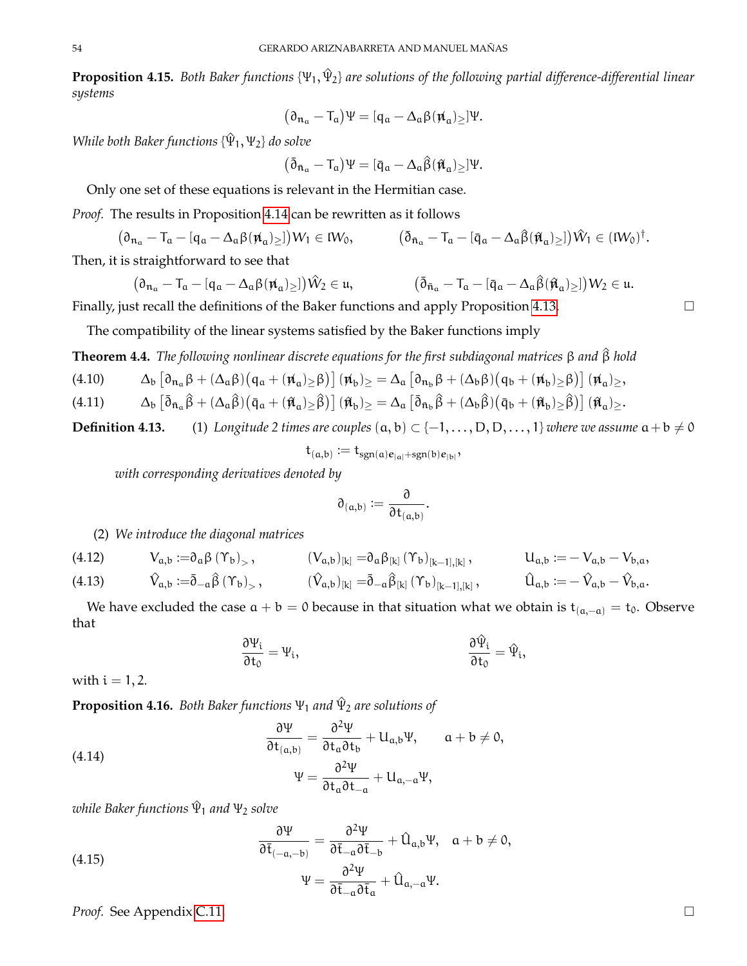**Proposition 4.15.** *Both Baker functions* {Ψ1, Ψ^ <sup>2</sup>} *are solutions of the following partial difference-differential linear systems*

$$
(\partial_{\mathfrak{n}_\alpha}-T_\alpha)\Psi=[\mathfrak{q}_\alpha-\Delta_\alpha\beta(\pmb{\mathfrak{n}}_\alpha)_{\geq}]\Psi.
$$

*While both Baker functions*  $\{\hat{\Psi}_1, \Psi_2\}$  *do solve* 

$$
\big(\bar{\eth}_{\bar{\mathfrak{n}}_\alpha}-T_\alpha\big)\Psi=[\bar{\mathfrak{q}}_\alpha-\Delta_\alpha\widehat{\beta}(\hat{\pi}_\alpha)_{\geq}]\Psi.
$$

Only one set of these equations is relevant in the Hermitian case.

*Proof.* The results in Proposition [4.14](#page-52-0) can be rewritten as it follows

 $(\partial_{\mathfrak{n}_a} - \mathfrak{T}_a - [q_a - \Delta_a \beta(\mathfrak{n}_a)_{\geq}])W_1 \in \mathcal{W}_0, \qquad \qquad (\bar{\partial}_{\bar{\mathfrak{n}}_a} - \mathfrak{T}_a - [\bar{q}_a - \Delta_a \hat{\beta}(\hat{\mathfrak{n}}_a)_{\geq}])\hat{W}_1 \in (\mathcal{W}_0)^{\dagger}.$ 

Then, it is straightforward to see that

$$
(\partial_{\mathfrak{n}_\alpha} - T_\alpha - [q_\alpha - \Delta_\alpha\beta(\mathfrak{n}_\alpha)_{\geq}])\hat{W}_2 \in \mathfrak{u}, \qquad (\bar{\partial}_{\bar{\mathfrak{n}}_\alpha} - T_\alpha - [\bar{q}_\alpha - \Delta_\alpha\hat{\beta}(\hat{\mathfrak{n}}_\alpha)_{\geq}])W_2 \in \mathfrak{u}.
$$

Finally, just recall the definitions of the Baker functions and apply Proposition [4.13.](#page-0-0)

The compatibility of the linear systems satisfied by the Baker functions imply

**Theorem 4.4.** *The following nonlinear discrete equations for the first subdiagonal matrices* β *and* β^ *hold*

$$
(4.10) \hspace{1cm} \Delta_b\left[\partial_{\mathfrak{n}_a}\beta + (\Delta_a\beta)\big(q_a + (\mathfrak{n}_a)_\geq \beta\big)\right](\mathfrak{n}_b)_\geq \\ = \Delta_a\left[\partial_{\mathfrak{n}_b}\beta + (\Delta_b\beta)\big(q_b + (\mathfrak{n}_b)_\geq \beta\big)\right](\mathfrak{n}_a)_\geq,
$$

$$
(4.11)\qquad \quad \Delta_b\left[\bar{\partial}_{\bar{n}_\alpha}\widehat{\beta}+(\Delta_\alpha\widehat{\beta})\big(\bar{q}_\alpha+(\hat{\pi}_\alpha)_\geq \widehat{\beta}\big)\right](\hat{\pi}_b)_\geq\\ =\Delta_\alpha\left[\bar{\partial}_{\bar{n}_b}\widehat{\beta}+(\Delta_b\widehat{\beta})\big(\bar{q}_b+(\hat{\pi}_b)_\geq \widehat{\beta}\big)\right](\hat{\pi}_\alpha)_\geq.
$$

**Definition 4.13.** (1) *Longitude 2 times are couples*  $(a, b)$  ⊂  $\{-1, ..., D, D, ..., 1\}$  *where we assume*  $a + b \neq 0$ 

 $t_{(a,b)} := t_{sgn(a)e_{|a|}+sgn(b)e_{|b|}},$ 

*with corresponding derivatives denoted by*

$$
\mathfrak{d}_{(a,b)} \mathrel{\mathop:}= \frac{\mathfrak{d}}{\mathfrak{d} t_{(a,b)}}
$$

.

## (2) *We introduce the diagonal matrices*

<span id="page-53-2"></span>(4.12) 
$$
V_{a,b} := \partial_a \beta (\Upsilon_b)_{>}, \qquad (V_{a,b})_{[k]} = \partial_a \beta_{[k]} (\Upsilon_b)_{[k-1],[k]}, \qquad U_{a,b} := -V_{a,b} - V_{b,a},
$$
  
(4.13) 
$$
\hat{V}_{a,b} := \bar{\partial}_{-a} \hat{\beta} (\Upsilon_b)_{>}, \qquad (\hat{V}_{a,b})_{[k]} = \bar{\partial}_{-a} \hat{\beta}_{[k]} (\Upsilon_b)_{[k-1],[k]}, \qquad \hat{U}_{a,b} := -\hat{V}_{a,b} - \hat{V}_{b,a}.
$$

We have excluded the case  $a + b = 0$  because in that situation what we obtain is  $t_{(a,-a)} = t_0$ . Observe that

$$
\frac{\partial \Psi_i}{\partial t_0} = \Psi_i, \qquad \qquad \frac{\partial \hat{\Psi}_i}{\partial t_0} = \hat{\Psi}_i,
$$

with  $i = 1, 2$ .

<span id="page-53-3"></span>**Proposition 4.16.** *Both Baker functions* Ψ<sup>1</sup> *and* Ψ^ <sup>2</sup> *are solutions of*

<span id="page-53-0"></span>(4.14) 
$$
\frac{\partial \Psi}{\partial t_{(a,b)}} = \frac{\partial^2 \Psi}{\partial t_a \partial t_b} + U_{a,b} \Psi, \quad a + b \neq 0, \Psi = \frac{\partial^2 \Psi}{\partial t_a \partial t_{-a}} + U_{a,-a} \Psi,
$$

*while Baker functions* Ψ^ <sup>1</sup> *and* Ψ<sup>2</sup> *solve*

<span id="page-53-1"></span>(4.15) 
$$
\frac{\partial \Psi}{\partial \overline{t}_{(-a,-b)}} = \frac{\partial^2 \Psi}{\partial \overline{t}_{-a} \partial \overline{t}_{-b}} + \hat{U}_{a,b} \Psi, \quad a+b \neq 0, \Psi = \frac{\partial^2 \Psi}{\partial \overline{t}_{-a} \partial \overline{t}_a} + \hat{U}_{a,-a} \Psi.
$$

*Proof.* See Appendix [C.11.](#page-68-0)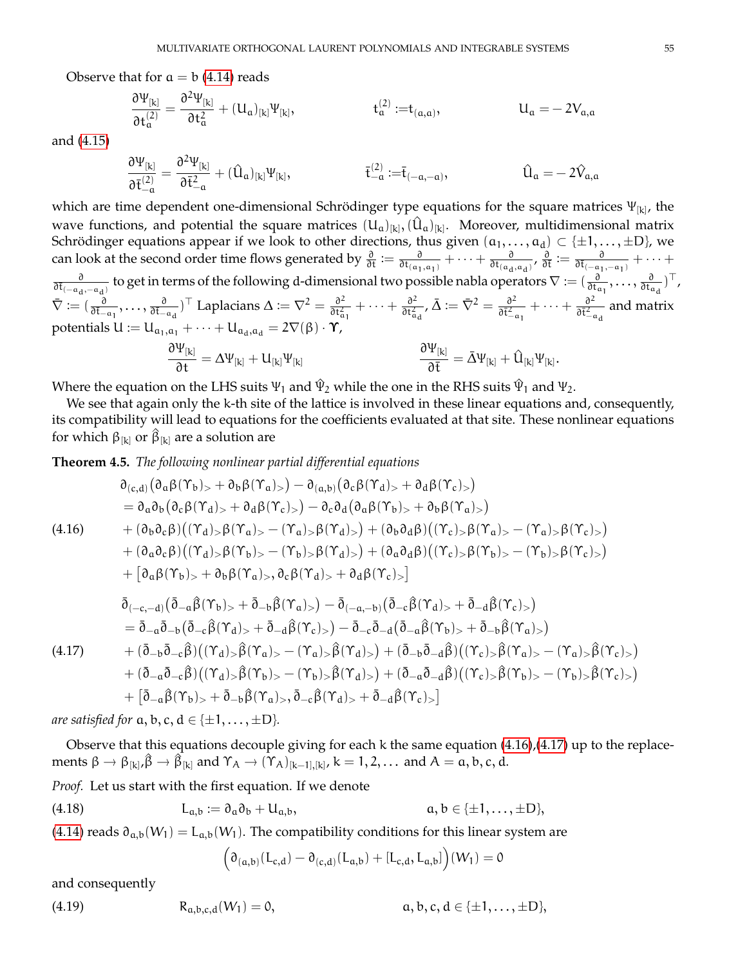Observe that for  $a = b$  [\(4.14\)](#page-53-0) reads

$$
\frac{\partial \Psi_{[k]}}{\partial t^{(2)}_{\mathfrak{a}}}=\frac{\partial^2 \Psi_{[k]}}{\partial t^2_{\mathfrak{a}}}+(U_{\mathfrak{a}})_{[k]} \Psi_{[k]}, \qquad \qquad t^{(2)}_{\mathfrak{a}}:=\! t_{(\mathfrak{a},\mathfrak{a})}, \qquad \qquad U_{\mathfrak{a}}=-\, 2 V_{\mathfrak{a},\mathfrak{a}}
$$

and [\(4.15\)](#page-53-1)

$$
\frac{\partial \Psi_{[k]}}{\partial \bar{t}_{- \alpha}^{(2)}} = \frac{\partial^2 \Psi_{[k]}}{\partial \bar{t}_{- \alpha}^2} + (\hat{U}_{\alpha})_{[k]} \Psi_{[k]}, \hspace{3cm} \bar{t}_{- \alpha}^{(2)} := \bar{t}_{(- \alpha, - \alpha)}, \hspace{3cm} \hat{U}_{\alpha} = -\, 2 \hat{V}_{\alpha, \alpha}
$$

which are time dependent one-dimensional Schrödinger type equations for the square matrices  $\Psi_{[{\bf k}]}$ , the wave functions, and potential the square matrices  $(U_\mathfrak{a})_{[k]}, (\hat{U}_\mathfrak{a})_{[k]}.$  Moreover, multidimensional matrix Schrödinger equations appear if we look to other directions, thus given  $(\frak a_1,\ldots,\frak a_d)\subset\{\pm1,\ldots,\pm \text{D}\}$ , we can look at the second order time flows generated by  $\frac{\partial}{\partial t} := \frac{\partial}{\partial t_{(a)}}$  $\frac{\partial}{\partial t_{(\mathfrak{a}_1,\mathfrak{a}_1)}} + \cdots + \frac{\partial}{\partial t_{(\mathfrak{a}_d)}}$  $\frac{\partial}{\partial t_{(a_d, a_d)}}$ ,  $\frac{\partial}{\partial \overline{t}} := \frac{\partial}{\partial \overline{t}_{(-a_1, -a_1)}} + \cdots +$  $\frac{\partial}{\partial t_{(-\alpha_d, -\alpha_d)}}$  to get in terms of the following d-dimensional two possible nabla operators  $\nabla := (\frac{\partial}{\partial t_{\alpha_1}}, \dots, \frac{\partial}{\partial t_{\alpha_d}})$  $\frac{\partial}{\partial t_{\mathfrak{a}_d}})^\top$ ,  $\bar{\nabla} := (\frac{\partial}{\partial \bar{t}_{-a_1}}, \ldots, \frac{\partial}{\partial \bar{t}_{-a_d}})^\top$  Laplacians  $\Delta := \nabla^2 = \frac{\partial^2}{\partial t_a^2}$  $\frac{\partial^2}{\partial t_{\alpha_1}^2} + \cdots + \frac{\partial^2}{\partial t_{\alpha}^2}$  $\frac{\partial^2}{\partial \mathfrak{t}_{\mathfrak{a}_\mathfrak{d}}^2}$  ,  $\bar{\Delta} := \bar{\nabla}^2 = \frac{\partial^2}{\partial \bar{\mathfrak{t}}_{-\mathfrak{q}}^2}$  $\overline{\partial \bar{\mathfrak{t}}^2_{-\alpha_1}}$  $+\cdots+\frac{\partial^2}{\partial \bar{\epsilon}^2}$  $\frac{\partial^2}{\partial \bar{t}_{-a_d}^2}$  and matrix potentials  $U := U_{\mathfrak{a}_1, \mathfrak{a}_1} + \cdots + U_{\mathfrak{a}_d, \mathfrak{a}_d} = 2\nabla(\beta) \cdot \Upsilon$ , ∂Ψ[k]  $\frac{\partial^2 U_{[k]}}{\partial t} = \Delta \Psi_{[k]} + U_{[k]} \Psi_{[k]}$  $\partial \Psi_{[k]}$  $\frac{\partial^2 I[k]}{\partial \bar{t}} = \bar{\Delta} \Psi_{[k]} + \hat{U}_{[k]} \Psi_{[k]}.$ 

Where the equation on the LHS suits  $\Psi_1$  and  $\hat\Psi_2$  while the one in the RHS suits  $\hat\Psi_1$  and  $\Psi_2$ .

We see that again only the k-th site of the lattice is involved in these linear equations and, consequently, its compatibility will lead to equations for the coefficients evaluated at that site. These nonlinear equations for which  $\beta_{[k]}$  or  $\hat{\beta}_{[k]}$  are a solution are

**Theorem 4.5.** *The following nonlinear partial differential equations*

<span id="page-54-0"></span>
$$
\partial_{(c,d)}(\partial_{\alpha}\beta(\Upsilon_{b})_{>} + \partial_{b}\beta(\Upsilon_{a})_{>} ) - \partial_{(a,b)}(\partial_{c}\beta(\Upsilon_{d})_{>} + \partial_{d}\beta(\Upsilon_{c})_{>} )
$$
\n
$$
= \partial_{\alpha}\partial_{b}(\partial_{c}\beta(\Upsilon_{d})_{>} + \partial_{d}\beta(\Upsilon_{c})_{>} ) - \partial_{c}\partial_{d}(\partial_{\alpha}\beta(\Upsilon_{b})_{>} + \partial_{b}\beta(\Upsilon_{a})_{>} )
$$
\n
$$
+ (\partial_{b}\partial_{c}\beta)((\Upsilon_{d})_{>} \beta(\Upsilon_{a})_{>} - (\Upsilon_{a})_{>} \beta(\Upsilon_{d})_{>} ) + (\partial_{b}\partial_{d}\beta)((\Upsilon_{c})_{>} \beta(\Upsilon_{a})_{>} - (\Upsilon_{a})_{>} \beta(\Upsilon_{c})_{>} )
$$
\n
$$
+ (\partial_{\alpha}\partial_{c}\beta)((\Upsilon_{d})_{>} \beta(\Upsilon_{b})_{>} - (\Upsilon_{b})_{>} \beta(\Upsilon_{d})_{>} ) + (\partial_{\alpha}\partial_{d}\beta)((\Upsilon_{c})_{>} \beta(\Upsilon_{b})_{>} - (\Upsilon_{b})_{>} \beta(\Upsilon_{c})_{>} )
$$
\n
$$
+ [\partial_{\alpha}\beta(\Upsilon_{b})_{>} + \partial_{b}\beta(\Upsilon_{a})_{>} , \partial_{c}\beta(\Upsilon_{d})_{>} + \partial_{d}\beta(\Upsilon_{c})_{>} ]
$$
\n
$$
\bar{\partial}_{(-c,-d)}(\bar{\partial}_{-\alpha}\beta(\Upsilon_{b})_{>} + \bar{\partial}_{-b}\beta(\Upsilon_{a})_{>} ) - \bar{\partial}_{(-a,-b)}(\bar{\partial}_{-c}\beta(\Upsilon_{d})_{>} + \bar{\partial}_{-d}\beta(\Upsilon_{c})_{>} )
$$
\n
$$
= \bar{\partial}_{-\alpha}\bar{\partial}_{-b}(\bar{\partial}_{-c}\beta(\Upsilon_{d})_{>} + \bar{\partial}_{-d}\beta(\Upsilon_{c})_{>} ) - \bar{\partial}_{-c}\bar{\partial}_{-d}(\bar{\partial}_{-a}\beta(\Upsilon_{b})_{>} + \bar{\partial}_{-b}\beta(\Upsilon_{a})_{>} )
$$
\n
$$
+ (\bar{\partial}_{-b}\bar{\partial}_{-c}\beta)((\Upsilon_{d})_{>} \beta(\Upsilon_{a})_{>} - (\Upsilon_{a})_{>} \beta(\Upsilon_{d})_{>} ) + (\bar{\partial}_{-b}\bar{\partial}_{-d}\
$$

<span id="page-54-1"></span>*are satisfied for*  $a, b, c, d \in \{\pm 1, \ldots, \pm D\}$ *.* 

Observe that this equations decouple giving for each k the same equation [\(4.16\)](#page-54-0),[\(4.17\)](#page-54-1) up to the replacements  $\beta \rightarrow \beta_{[k]}, \hat{\beta} \rightarrow \hat{\beta}_{[k]}$  and  $\Upsilon_A \rightarrow (\Upsilon_A)_{[k-1],[k]}, k = 1, 2, \dots$  and  $A = \alpha, b, c, d$ .

*Proof.* Let us start with the first equation. If we denote

(4.18) 
$$
L_{a,b} := \partial_a \partial_b + U_{a,b}, \qquad a, b \in \{\pm 1, \ldots, \pm D\},
$$

[\(4.14\)](#page-53-0) reads  $\partial_{a,b}(W_1) = L_{a,b}(W_1)$ . The compatibility conditions for this linear system are

$$
(\partial_{(a,b)}(L_{c,d}) - \partial_{(c,d)}(L_{a,b}) + [L_{c,d}, L_{a,b}]\big)(W_1) = 0
$$

and consequently

<span id="page-54-2"></span>(4.19) 
$$
R_{a,b,c,d}(W_1) = 0,
$$
  $a, b, c, d \in \{\pm 1, ..., \pm D\},\$ 

 $\mathcal{L}$ 

 $\big)$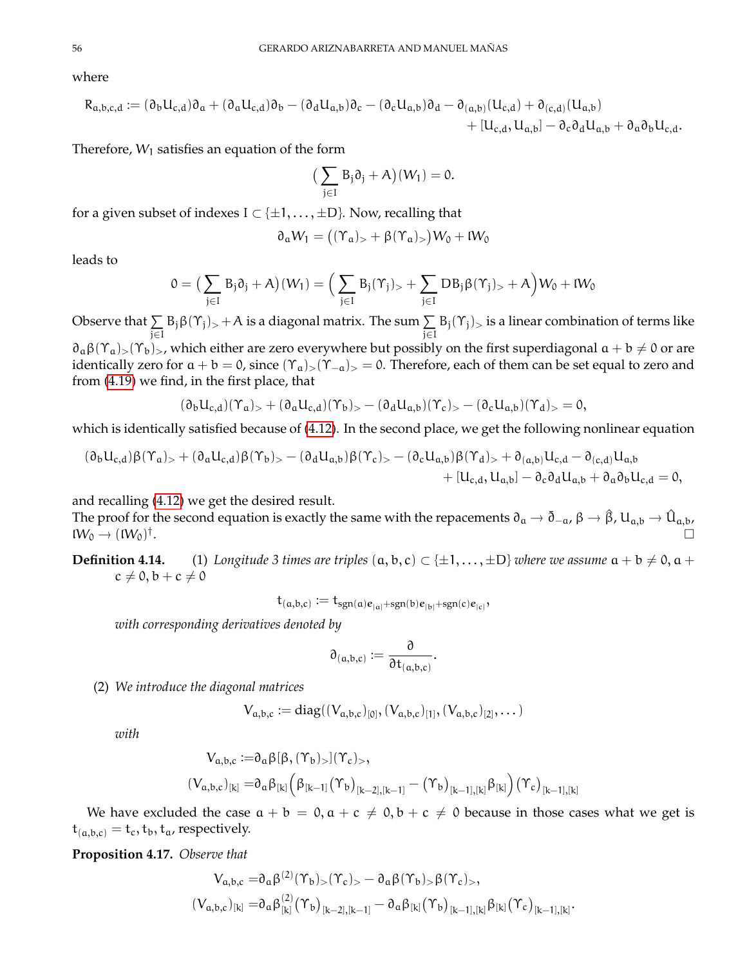where

$$
\begin{aligned} R_{a,b,c,d} &:= (\partial_b U_{c,d}) \partial_a + (\partial_a U_{c,d}) \partial_b - (\partial_d U_{a,b}) \partial_c - (\partial_c U_{a,b}) \partial_d - \partial_{(a,b)} (U_{c,d}) + \partial_{(c,d)} (U_{a,b}) \\ &\qquad + [U_{c,d}, U_{a,b}] - \partial_c \partial_d U_{a,b} + \partial_a \partial_b U_{c,d}. \end{aligned}
$$

Therefore,  $W_1$  satisfies an equation of the form

$$
\big(\sum_{j\in I}\,B_j\partial_j+A\big)(W_1)=0.
$$

for a given subset of indexes  $I \subset \{\pm 1, \ldots, \pm D\}$ . Now, recalling that

$$
\partial_\alpha W_1 = \big( (\Upsilon_\alpha)_> + \beta (\Upsilon_\alpha)_> \big) W_0 + \mathfrak{l} W_0
$$

leads to

$$
0=\big(\sum_{j\in I}B_j\partial_j+A\big)(W_1)=\Big(\sum_{j\in I}B_j(\Upsilon_j)_>+\sum_{j\in I}DB_j\beta(\Upsilon_j)_>+A\Big)W_0+W_0
$$

Observe that  $\Sigma$ j∈I  $B_j \beta(\Upsilon_j)$ , + A is a diagonal matrix. The sum  $\sum$ j∈I  $B_j(\Upsilon_j)_>$  is a linear combination of terms like  $\partial_{\alpha}\beta(\Upsilon_{\alpha})>(\Upsilon_{\alpha})$ , which either are zero everywhere but possibly on the first superdiagonal  $\alpha + b \neq 0$  or are identically zero for  $a + b = 0$ , since  $(\Upsilon_a)_{>}(\Upsilon_{-a})_{>} = 0$ . Therefore, each of them can be set equal to zero and from [\(4.19\)](#page-54-2) we find, in the first place, that

$$
(\partial_b U_{c,d})(\Upsilon_a)_>+ (\partial_a U_{c,d})(\Upsilon_b)_>- (\partial_d U_{a,b})(\Upsilon_c)_- - (\partial_c U_{a,b})(\Upsilon_d)_- = 0,
$$

which is identically satisfied because of [\(4.12\)](#page-53-2). In the second place, we get the following nonlinear equation

$$
\begin{aligned} &(\partial_b U_{c,d})\beta (\Upsilon_a)_> + (\partial_a U_{c,d})\beta (\Upsilon_b)_> - (\partial_d U_{a,b})\beta (\Upsilon_c)_> - (\partial_c U_{a,b})\beta (\Upsilon_d)_> + \partial_{(a,b)} U_{c,d} - \partial_{(c,d)} U_{a,b} \\ &\qquad + [U_{c,d}, U_{a,b}] - \partial_c \partial_d U_{a,b} + \partial_a \partial_b U_{c,d} = 0,\end{aligned}
$$

and recalling [\(4.12\)](#page-53-2) we get the desired result.

The proof for the second equation is exactly the same with the repacements  $\partial_a \to \bar{\partial}_{-a}$ ,  $\beta \to \hat{\beta}$ , U<sub>a,b</sub>  $\to \hat{U}_{a,b}$ ,  $\mathsf{I} \mathsf{W}_0 \rightarrow (\mathsf{I} \mathsf{W}_0)^{\dagger}$ .

**Definition 4.14.** (1) *Longitude 3 times are triples*  $(a, b, c) \subset \{\pm 1, \ldots, \pm D\}$  *where we assume*  $a + b \neq 0, a + c$  $c \neq 0, b + c \neq 0$ 

$$
t_{(a,b,c)}:=t_{sgn(a)\boldsymbol{e}_{|a|}+sgn(b)\boldsymbol{e}_{|b|}+sgn(c)\boldsymbol{e}_{|c|}},
$$

*with corresponding derivatives denoted by*

$$
\mathfrak{d}_{(a,b,c)}:=\frac{\mathfrak{d}}{\mathfrak{d} t_{(a,b,c)}}.
$$

(2) *We introduce the diagonal matrices*

$$
V_{a,b,c} := diag((V_{a,b,c})_{[0]},(V_{a,b,c})_{[1]},(V_{a,b,c})_{[2]},\dots)
$$

*with*

$$
\begin{aligned} V_{\alpha,b,c}:=& \partial_\alpha\beta[\beta,(\Upsilon_b)_>](\Upsilon_c)_>, \\ (V_{\alpha,b,c})_{[k]}=& \partial_\alpha\beta_{[k]}\Big(\beta_{[k-1]} \big(\Upsilon_b\big)_{[k-2],[k-1]}-\big(\Upsilon_b\big)_{[k-1],[k]}\beta_{[k]}\Big) \big(\Upsilon_c\big)_{[k-1],[k]} \end{aligned}
$$

We have excluded the case  $a + b = 0$ ,  $a + c \neq 0$ ,  $b + c \neq 0$  because in those cases what we get is  $t_{(a,b,c)} = t_c, t_b, t_a$ , respectively.

**Proposition 4.17.** *Observe that*

$$
V_{a,b,c} = \partial_a \beta^{(2)}(\Upsilon_b)_{>}(\Upsilon_c)_{>} - \partial_a \beta(\Upsilon_b)_{>} \beta(\Upsilon_c)_{>},
$$
  

$$
(V_{a,b,c})_{[k]} = \partial_a \beta^{(2)}_{[k]}(\Upsilon_b)_{[k-2],[k-1]} - \partial_a \beta_{[k]}(\Upsilon_b)_{[k-1],[k]} \beta_{[k]}(\Upsilon_c)_{[k-1],[k]}.
$$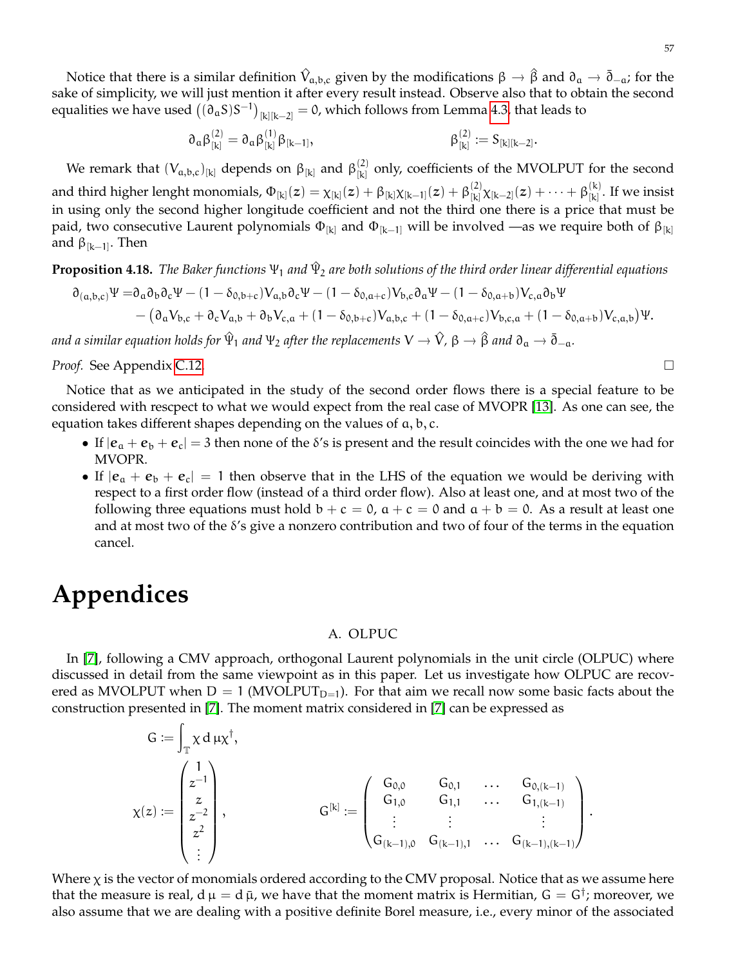Notice that there is a similar definition  $\hat{V}_{a,b,c}$  given by the modifications  $β → β$  and  $∂a → δ<sub>-a</sub>$ ; for the sake of simplicity, we will just mention it after every result instead. Observe also that to obtain the second equalities we have used  $\big((\mathfrak{d}_aS)S^{-1}\big)_{[k][k-2]}=0$ , which follows from Lemma [4.3,](#page-47-1) that leads to

$$
\partial_\alpha \beta^{(2)}_{[k]} = \partial_\alpha \beta^{(1)}_{[k]} \beta_{[k-1]}, \qquad \qquad \beta^{(2)}_{[k]} := S_{[k][k-2]}.
$$

We remark that  $(V_{a,b,c})_{[k]}$  depends on  $\beta_{[k]}$  and  $\beta_{[k]}^{(2)}$  $\begin{bmatrix} (k) \\ (k) \end{bmatrix}$  only, coefficients of the MVOLPUT for the second and third higher lenght monomials,  $\Phi_{[k]}(z)=\chi_{[k]}(z)+\beta_{[k]}\chi_{[k-1]}(z)+\beta_{[k]}^{(2)}$  $\frac{f^{(2)}}{[k]}\chi_{[k-2]}(z)+\cdots+\beta_{[k]}^{(k)}$  $\binom{N}{k}$ . If we insist in using only the second higher longitude coefficient and not the third one there is a price that must be paid, two consecutive Laurent polynomials  $\Phi_{[k]}$  and  $\Phi_{[k-1]}$  will be involved —as we require both of  $\beta_{[k]}$ and  $\beta_{[k-1]}$ . Then

<span id="page-56-0"></span>**Proposition 4.18.** *The Baker functions* Ψ<sup>1</sup> *and* Ψ^ <sup>2</sup> *are both solutions of the third order linear differential equations*

$$
\begin{aligned} \partial_{(a,b,c)}\Psi=&\partial_a\partial_b\partial_c\Psi-(1-\delta_{0,b+c})V_{a,b}\partial_c\Psi-(1-\delta_{0,a+c})V_{b,c}\partial_a\Psi-(1-\delta_{0,a+b})V_{c,a}\partial_b\Psi \\ &\quad-\big(\partial_aV_{b,c}+\partial_cV_{a,b}+\partial_bV_{c,a}+(1-\delta_{0,b+c})V_{a,b,c}+(1-\delta_{0,a+c})V_{b,c,a}+(1-\delta_{0,a+b})V_{c,a,b}\big)\Psi. \end{aligned}
$$

 $a$ nd a similar equation holds for  $\hat{\Psi}_1$  and  $\Psi_2$  after the replacements  $V\to \hat{V}$ , β  $\to \hat{\beta}$  and  $\partial_a\to \bar{\partial}_{-a}.$ 

*Proof.* See Appendix [C.12.](#page-68-1)

Notice that as we anticipated in the study of the second order flows there is a special feature to be considered with rescpect to what we would expect from the real case of MVOPR [\[13\]](#page-69-2). As one can see, the equation takes different shapes depending on the values of a, b, c.

- If  $|e_a + e_b + e_c| = 3$  then none of the  $\delta$ 's is present and the result coincides with the one we had for MVOPR.
- If  $|e_a + e_b + e_c| = 1$  then observe that in the LHS of the equation we would be deriving with respect to a first order flow (instead of a third order flow). Also at least one, and at most two of the following three equations must hold  $b + c = 0$ ,  $a + c = 0$  and  $a + b = 0$ . As a result at least one and at most two of the δ's give a nonzero contribution and two of four of the terms in the equation cancel.

# **Appendices**

### A. OLPUC

In [\[7\]](#page-69-1), following a CMV approach, orthogonal Laurent polynomials in the unit circle (OLPUC) where discussed in detail from the same viewpoint as in this paper. Let us investigate how OLPUC are recovered as MVOLPUT when  $D = 1$  (MVOLPUT<sub>D=1</sub>). For that aim we recall now some basic facts about the construction presented in [\[7\]](#page-69-1). The moment matrix considered in [\[7\]](#page-69-1) can be expressed as

$$
G:=\int_{\mathbb T} \chi \, d\, \mu \chi^\dagger, \\ \chi(z):=\begin{pmatrix} 1 \\ z^{-1} \\ z \\ z^{-2} \\ \vdots \end{pmatrix}, \qquad \qquad G^{[k]}:=\begin{pmatrix} G_{0,0} & G_{0,1} & \dots & G_{0,(k-1)} \\ G_{1,0} & G_{1,1} & \dots & G_{1,(k-1)} \\ \vdots & \vdots & & \vdots \\ G_{(k-1),0} & G_{(k-1),1} & \dots & G_{(k-1),(k-1)} \end{pmatrix}.
$$

Where  $\chi$  is the vector of monomials ordered according to the CMV proposal. Notice that as we assume here that the measure is real, d  $\mu=d$   $\bar{\mu}$ , we have that the moment matrix is Hermitian,  $G=G^{\dag}$ ; moreover, we also assume that we are dealing with a positive definite Borel measure, i.e., every minor of the associated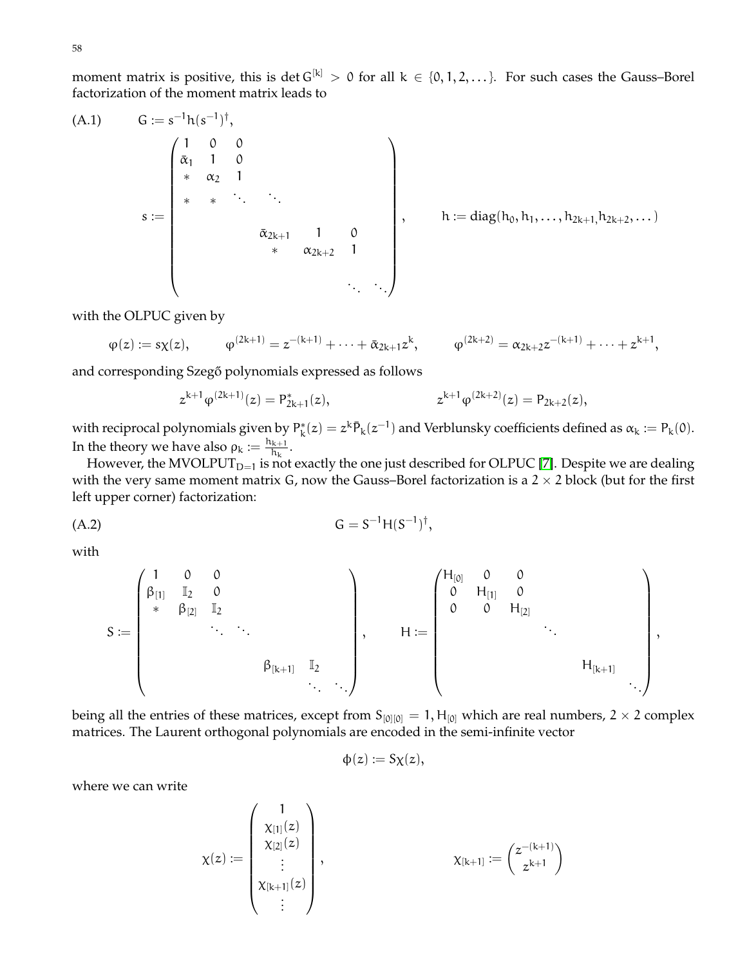58

moment matrix is positive, this is det  $G^{[k]} > 0$  for all  $k \in \{0, 1, 2, ...\}$ . For such cases the Gauss–Borel factorization of the moment matrix leads to

<span id="page-57-0"></span>(A.1) 
$$
G := s^{-1}h(s^{-1})^{\dagger},
$$
\n
$$
s := \begin{pmatrix}\n1 & 0 & 0 & & & \\
\bar{\alpha}_1 & 1 & 0 & & & \\
& \ast & \alpha_2 & 1 & & & \\
& \ast & \ast & \ddots & \ddots & & \\
& & & & & \bar{\alpha}_{2k+1} & 1 & 0 \\
& & & & & & \bar{\alpha}_{2k+2} & 1 \\
& & & & & & & \ddots\n\end{pmatrix}, \qquad h := diag(h_0, h_1, \ldots, h_{2k+1}, h_{2k+2}, \ldots)
$$

with the OLPUC given by

$$
\phi(z):=s\chi(z),\hspace{1cm}\phi^{(2k+1)}=z^{-(k+1)}+\cdots+\bar\alpha_{2k+1}z^k,\hspace{1cm}\phi^{(2k+2)}=\alpha_{2k+2}z^{-(k+1)}+\cdots+z^{k+1},
$$

and corresponding Szegő polynomials expressed as follows

$$
z^{k+1}\phi^{(2k+1)}(z) = P_{2k+1}^*(z), \qquad \qquad z^{k+1}\phi^{(2k+2)}(z) = P_{2k+2}(z),
$$

with reciprocal polynomials given by  $P_k^*(z) = z^k \bar{P}_k(z^{-1})$  and Verblunsky coefficients defined as  $\alpha_k := P_k(0)$ . In the theory we have also  $\rho_k := \frac{h_{k+1}}{h_k}$  $\frac{k+1}{h_k}$ .

However, the MVOLPUT<sub>D=1</sub> is not exactly the one just described for OLPUC [\[7\]](#page-69-1). Despite we are dealing with the very same moment matrix G, now the Gauss–Borel factorization is a  $2 \times 2$  block (but for the first left upper corner) factorization:

<span id="page-57-1"></span>
$$
(A.2) \tG = S^{-1}H(S^{-1})^{\dagger},
$$

with

$$
S:=\begin{pmatrix}1&0&0&&&\\ \beta_{[1]}&\mathbb{I}_2&0&&&\\ &\ast&\beta_{[2]}&\mathbb{I}_2&&&\\ &&\ddots&\ddots&&\\ &&&&\beta_{[k+1]}&\mathbb{I}_2&\\ &&&&\ddots&\ddots\end{pmatrix},\qquad H:=\begin{pmatrix}H_{[0]}&0&0&&&\\ 0&H_{[1]}&0&&&\\ 0&0&H_{[2]}&&\\ &&&\ddots&&\\ &&&&&H_{[k+1]}&\\ &&&&&\ddots\end{pmatrix},
$$

being all the entries of these matrices, except from  $S_{[0][0]} = 1, H_{[0]}$  which are real numbers, 2 × 2 complex matrices. The Laurent orthogonal polynomials are encoded in the semi-infinite vector

$$
\varphi(z) := S\chi(z),
$$

where we can write

$$
\chi(z) := \begin{pmatrix} 1 \\ \chi_{[1]}(z) \\ \chi_{[2]}(z) \\ \vdots \\ \chi_{[k+1]}(z) \\ \vdots \end{pmatrix}, \qquad \qquad \chi_{[k+1]} := \binom{z^{-(k+1)}}{z^{k+1}}
$$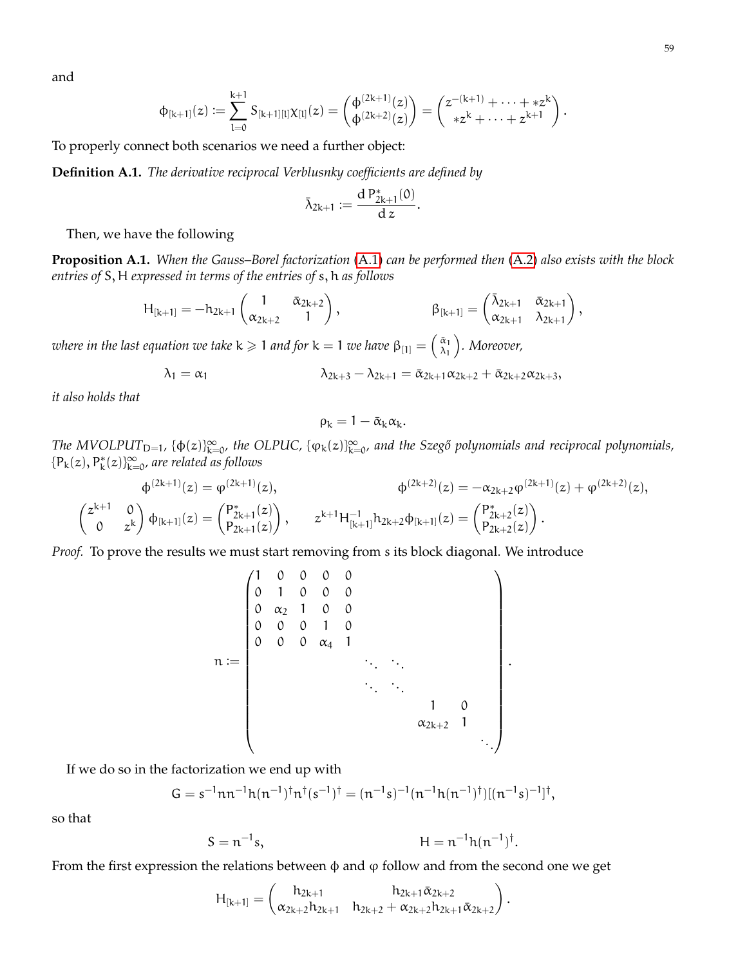and

$$
\varphi_{[k+1]}(z) \mathrel{\mathop:}= \sum_{l=0}^{k+1} S_{[k+1][l]} \chi_{[l]}(z) = \begin{pmatrix} \varphi^{(2k+1)}(z) \\ \varphi^{(2k+2)}(z) \end{pmatrix} = \begin{pmatrix} z^{-(k+1)} + \cdots + z^k \\ * z^k + \cdots + z^{k+1} \end{pmatrix}.
$$

To properly connect both scenarios we need a further object:

**Definition A.1.** *The derivative reciprocal Verblusnky coefficients are defined by*

$$
\bar{\lambda}_{2k+1}:=\frac{d\,P^*_{2k+1}(0)}{d\,z}.
$$

Then, we have the following

**Proposition A.1.** *When the Gauss–Borel factorization* [\(A.1\)](#page-57-0) *can be performed then* [\(A.2\)](#page-57-1) *also exists with the block entries of* S, H *expressed in terms of the entries of* s, h *as follows*

$$
H_{[k+1]}=-h_{2k+1}\begin{pmatrix}1&\bar{\alpha}_{2k+2}\\ \alpha_{2k+2}&1\end{pmatrix}, \qquad \qquad \beta_{[k+1]}=\begin{pmatrix} \bar{\lambda}_{2k+1}&\bar{\alpha}_{2k+1}\\ \alpha_{2k+1}&\lambda_{2k+1}\end{pmatrix},
$$

where in the last equation we take **k**  $\geqslant$  1 and for **k**  $=$  1 we have  $\beta_{[1]} = \left( \frac{\tilde{\alpha}_1}{\lambda_1} \right)$  $\begin{pmatrix} \bar{\alpha}_1 \ \lambda_1 \end{pmatrix}$ . Moreover,

$$
\lambda_1 = \alpha_1 \qquad \qquad \lambda_{2k+3} - \lambda_{2k+1} = \bar{\alpha}_{2k+1} \alpha_{2k+2} + \bar{\alpha}_{2k+2} \alpha_{2k+3},
$$

*it also holds that*

$$
\rho_k=1-\bar{\alpha}_k\alpha_k.
$$

The MVOLPUT<sub>D=1</sub>, { $\phi(z)_{k=0}^{\infty}$ , the OLPUC, { $\phi_k(z)_{k=0}^{\infty}$ , and the Szegő polynomials and reciprocal polynomials,  ${P_k(z), P_k^*(z)}_{k=0}^{\infty}$ , are related as follows

$$
\varphi^{(2k+1)}(z) = \varphi^{(2k+1)}(z), \qquad \qquad \varphi^{(2k+2)}(z) = -\alpha_{2k+2}\varphi^{(2k+1)}(z) + \varphi^{(2k+2)}(z),
$$
\n
$$
\begin{pmatrix} z^{k+1} & 0 \\ 0 & z^k \end{pmatrix} \varphi_{[k+1]}(z) = \begin{pmatrix} P^*_{2k+1}(z) \\ P_{2k+1}(z) \end{pmatrix}, \qquad z^{k+1} H^{-1}_{[k+1]} h_{2k+2} \varphi_{[k+1]}(z) = \begin{pmatrix} P^*_{2k+2}(z) \\ P_{2k+2}(z) \end{pmatrix}.
$$

*Proof.* To prove the results we must start removing from s its block diagonal. We introduce

$$
n:=\begin{pmatrix}1&0&0&0&0&0&\\0&1&0&0&0&&\\0&\alpha_2&1&0&0&&\\0&0&0&1&0&&&\\0&0&0&\alpha_4&1&&&\\&&&\ddots&\ddots&&&\\&&&&&\ddots&\ddots&&\\&&&&&&&1&0&\\&&&&&&&\alpha_{2k+2}&1&\\&&&&&&&\ddots\end{pmatrix}.
$$

If we do so in the factorization we end up with

$$
G = s^{-1}nn^{-1}h(n^{-1})^{\dagger}n^{\dagger}(s^{-1})^{\dagger} = (n^{-1}s)^{-1}(n^{-1}h(n^{-1})^{\dagger})[(n^{-1}s)^{-1}]^{\dagger},
$$

so that

$$
S = n^{-1}s,
$$
  $H = n^{-1}h(n^{-1})^{\dagger}.$ 

From the first expression the relations between  $\phi$  and  $\phi$  follow and from the second one we get

$$
H_{[k+1]} = \begin{pmatrix} h_{2k+1} & h_{2k+1} \bar{\alpha}_{2k+2} \\ \alpha_{2k+2}h_{2k+1} & h_{2k+2} + \alpha_{2k+2}h_{2k+1} \bar{\alpha}_{2k+2} \end{pmatrix}
$$

.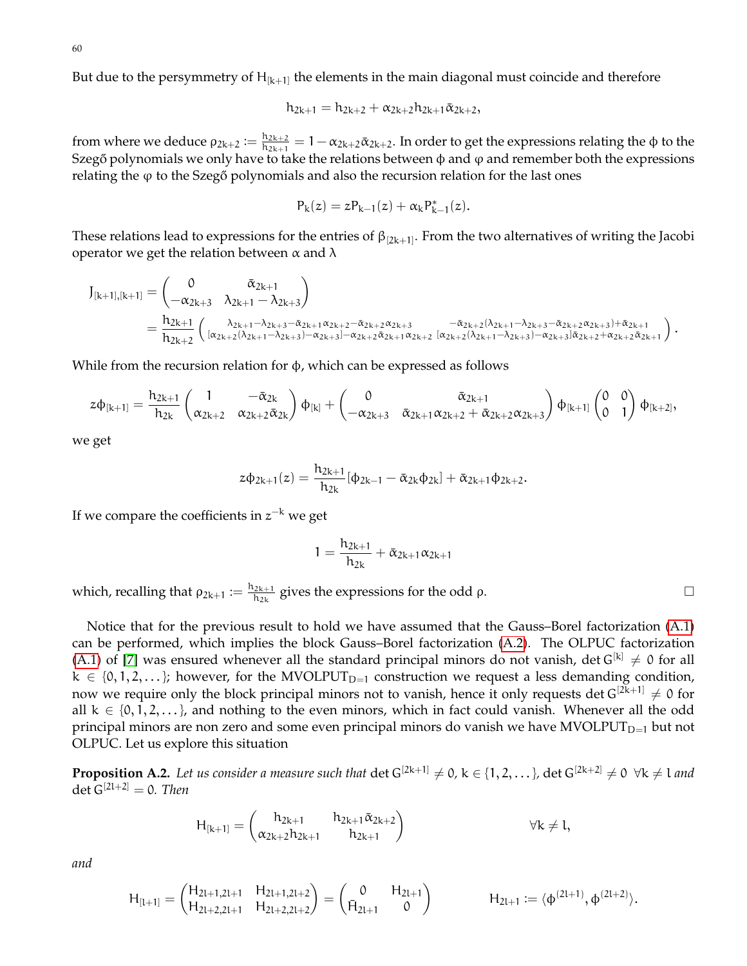But due to the persymmetry of  $H_{[k+1]}$  the elements in the main diagonal must coincide and therefore

$$
h_{2k+1}=h_{2k+2}+\alpha_{2k+2}h_{2k+1}\bar{\alpha}_{2k+2},
$$

from where we deduce  $\rho_{2k+2} := \frac{h_{2k+2}}{h_{2k+1}}$  $\frac{n_{2k+2}}{n_{2k+1}} = 1 - \alpha_{2k+2}\bar{\alpha}_{2k+2}$ . In order to get the expressions relating the  $\phi$  to the Szegő polynomials we only have to take the relations between  $\phi$  and  $\phi$  and remember both the expressions relating the  $\varphi$  to the Szeg $\varphi$  polynomials and also the recursion relation for the last ones

$$
P_k(z) = z P_{k-1}(z) + \alpha_k P_{k-1}^*(z).
$$

These relations lead to expressions for the entries of  $\beta_{[2k+1]}$ . From the two alternatives of writing the Jacobi operator we get the relation between  $\alpha$  and  $\lambda$ 

$$
\begin{array}{ll} J_{[k+1],[k+1]} = \begin{pmatrix} 0 & \bar{\alpha}_{2k+1} \\ -\alpha_{2k+3} & \lambda_{2k+1} - \lambda_{2k+3} \end{pmatrix} \\ = \frac{h_{2k+1}}{h_{2k+2}} \begin{pmatrix} \frac{\lambda_{2k+1} - \lambda_{2k+3} - \bar{\alpha}_{2k+1} \alpha_{2k+2} - \bar{\alpha}_{2k+2} \alpha_{2k+3}}{[\alpha_{2k+2} (\lambda_{2k+1} - \lambda_{2k+3} - \bar{\alpha}_{2k+2} (\lambda_{2k+1} - \lambda_{2k+3} - \bar{\alpha}_{2k+2} \alpha_{2k+3}) + \bar{\alpha}_{2k+1}} \\ \frac{\lambda_{2k+2}}{[\alpha_{2k+2} (\lambda_{2k+1} - \lambda_{2k+3}) - \alpha_{2k+3} - \bar{\alpha}_{2k+2} \bar{\alpha}_{2k+1} \alpha_{2k+2}}{[\alpha_{2k+2} (\lambda_{2k+1} - \lambda_{2k+3}) - \alpha_{2k+3} \bar{\alpha}_{2k+2} + \alpha_{2k+2} \bar{\alpha}_{2k+1}} \end{pmatrix} . \end{array}
$$

While from the recursion relation for  $\phi$ , which can be expressed as follows

$$
z\varphi_{[k+1]} = \frac{h_{2k+1}}{h_{2k}} \begin{pmatrix} 1 & -\bar{\alpha}_{2k} \\ \alpha_{2k+2} & \alpha_{2k+2}\bar{\alpha}_{2k} \end{pmatrix} \varphi_{[k]} + \begin{pmatrix} 0 & \bar{\alpha}_{2k+1} \\ -\alpha_{2k+3} & \bar{\alpha}_{2k+1}\alpha_{2k+2} + \bar{\alpha}_{2k+2}\alpha_{2k+3} \end{pmatrix} \varphi_{[k+1]} \begin{pmatrix} 0 & 0 \\ 0 & 1 \end{pmatrix} \varphi_{[k+2]},
$$

we get

$$
z\varphi_{2k+1}(z)=\frac{h_{2k+1}}{h_{2k}}[\varphi_{2k-1}-\bar{\alpha}_{2k}\varphi_{2k}]+\bar{\alpha}_{2k+1}\varphi_{2k+2}.
$$

If we compare the coefficients in  $z^{-k}$  we get

$$
1=\frac{h_{2k+1}}{h_{2k}}+\bar{\alpha}_{2k+1}\alpha_{2k+1}
$$

which, recalling that  $\rho_{2k+1} := \frac{h_{2k+1}}{h_{2k}}$  $\frac{2k+1}{h_{2k}}$  gives the expressions for the odd  $\rho$ .

Notice that for the previous result to hold we have assumed that the Gauss–Borel factorization [\(A.1\)](#page-57-0) can be performed, which implies the block Gauss–Borel factorization [\(A.2\)](#page-57-1). The OLPUC factorization [\(A.1\)](#page-57-0) of [\[7\]](#page-69-1) was ensured whenever all the standard principal minors do not vanish, det  $G^{[k]} \neq 0$  for all  $k \in \{0, 1, 2, \dots\}$ ; however, for the MVOLPUT<sub>D=1</sub> construction we request a less demanding condition, now we require only the block principal minors not to vanish, hence it only requests det  $G^{[2k+1]} \neq 0$  for all  $k \in \{0, 1, 2, \ldots\}$ , and nothing to the even minors, which in fact could vanish. Whenever all the odd principal minors are non zero and some even principal minors do vanish we have  $MVOLPUT_{D=1}$  but not OLPUC. Let us explore this situation

**Proposition A.2.** Let us consider a measure such that  $det G^{[2k+1]} \neq 0$ ,  $k \in \{1, 2, ...\}$ ,  $det G^{[2k+2]} \neq 0 \ \forall k \neq l$  and det  $G^{[2l+2]} = 0$ . Then

$$
H_{[k+1]} = \begin{pmatrix} h_{2k+1} & h_{2k+1} \tilde{\alpha}_{2k+2} \\ \alpha_{2k+2} h_{2k+1} & h_{2k+1} \end{pmatrix} \qquad \forall k \neq l,
$$

*and*

$$
H_{[l+1]} = \begin{pmatrix} H_{2l+1,2l+1} & H_{2l+1,2l+2} \\ H_{2l+2,2l+1} & H_{2l+2,2l+2} \end{pmatrix} = \begin{pmatrix} 0 & H_{2l+1} \\ \bar{H}_{2l+1} & 0 \end{pmatrix} \hspace{1cm} H_{2l+1} := \langle \varphi^{(2l+1)}, \varphi^{(2l+2)} \rangle.
$$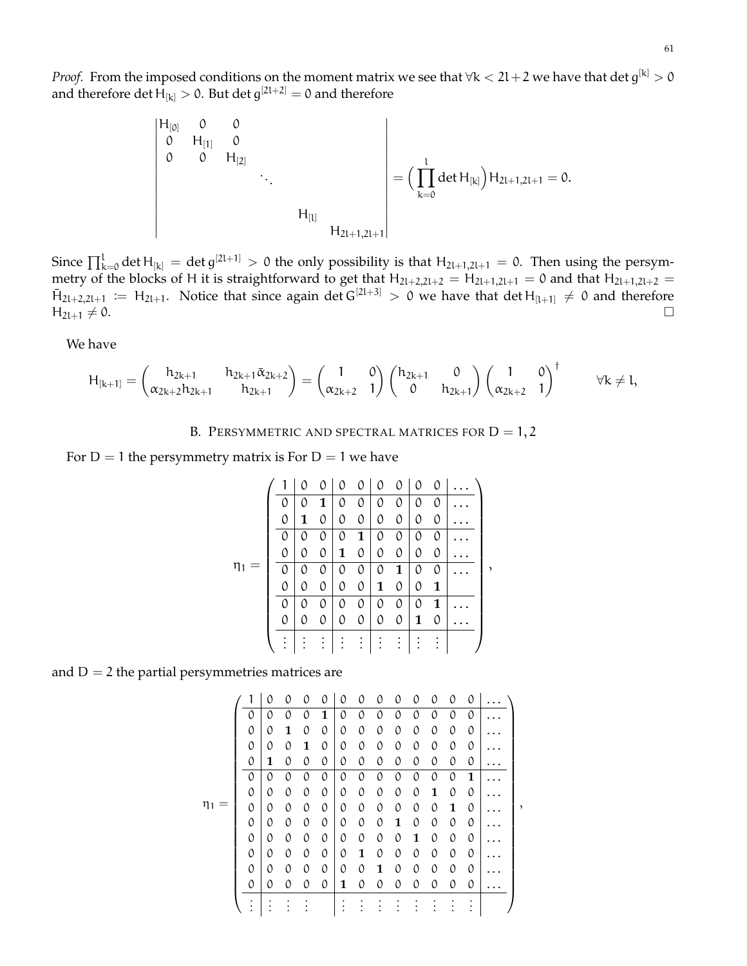*Proof.* From the imposed conditions on the moment matrix we see that  $\forall k < 2l+2$  we have that  $\det g^{[k]} > 0$ and therefore det  $H_{[k]} > 0$ . But det  $g^{[2l+2]} = 0$  and therefore

$$
\left| \begin{matrix} H_{[0]} & 0 & 0 \\ 0 & H_{[1]} & 0 \\ 0 & 0 & H_{[2]} & \\ & & \ddots & \\ & & & H_{[l]} \end{matrix} \right| = \Big( \prod_{k=0}^l \det H_{[k]} \Big) H_{2l+1,2l+1} = 0.
$$

Since  $\prod_{k=0}^{l}$  det  $H_{[k]} =$  det  $g^{[2l+1]} > 0$  the only possibility is that  $H_{2l+1,2l+1} = 0$ . Then using the persymmetry of the blocks of H it is straightforward to get that  $H_{2l+2,2l+2} = H_{2l+1,2l+1} = 0$  and that  $H_{2l+1,2l+2} =$  $\bar{H}_{2l+2,2l+1} := H_{2l+1}$ . Notice that since again det  $G^{[2l+3]} > 0$  we have that det  $H_{[l+1]} \neq 0$  and therefore  $H_{2l+1} \neq 0.$ 

We have

$$
H_{[k+1]} = \begin{pmatrix} h_{2k+1} & h_{2k+1} \bar{\alpha}_{2k+2} \\ \alpha_{2k+2} h_{2k+1} & h_{2k+1} \end{pmatrix} = \begin{pmatrix} 1 & 0 \\ \alpha_{2k+2} & 1 \end{pmatrix} \begin{pmatrix} h_{2k+1} & 0 \\ 0 & h_{2k+1} \end{pmatrix} \begin{pmatrix} 1 & 0 \\ \alpha_{2k+2} & 1 \end{pmatrix}^\dagger \hspace{1cm} \forall k \neq l,
$$

B. PERSYMMETRIC AND SPECTRAL MATRICES FOR  $D = 1, 2$ 

For  $D = 1$  the persymmetry matrix is For  $D = 1$  we have

|    |   | 0 | 0 | 0 | 0 | $\mathcal{O}$ | $\Omega$ | $\Omega$ | 0            |  |
|----|---|---|---|---|---|---------------|----------|----------|--------------|--|
|    | 0 | 0 | 1 | 0 | 0 | 0             | 0        | 0        | 0            |  |
|    | 0 | 1 | 0 | 0 | 0 | 0             | 0        | 0        | 0            |  |
|    | 0 | 0 | 0 | 0 | 1 | 0             | 0        | 0        | 0            |  |
|    | 0 | 0 | 0 | 1 | 0 | 0             | 0        | 0        | 0            |  |
| η1 | 0 | 0 | 0 | 0 | 0 | 0             | 1        | 0        | 0            |  |
|    | 0 | 0 | 0 | 0 | 0 | 1             | 0        | 0        | 1            |  |
|    | 0 | 0 | 0 | 0 | 0 | 0             | 0        | 0        | $\mathbf{1}$ |  |
|    | 0 | 0 | 0 | 0 | 0 | $\theta$      | 0        | 1        | 0            |  |
|    |   |   |   |   |   |               |          |          |              |  |

and  $D = 2$  the partial persymmetries matrices are

1 0 0 0 0 0 0 0 0 0 0 0 0 . . . 0 0 0 0 **1** 0 0 0 0 0 0 0 0 . . . 0 0 **1** 0 0 0 0 0 0 0 0 0 0 . . . 0 0 0 **1** 0 0 0 0 0 0 0 0 0 . . . 0 **1** 0 0 0 0 0 0 0 0 0 0 0 . . . 0 0 0 0 0 0 0 0 0 0 0 0 **1** . . . 0 0 0 0 0 0 0 0 0 0 **1** 0 0 . . . ,η<sup>1</sup> = 0 0 0 0 0 0 0 0 0 0 0 **1** 0 . . . 0 0 0 0 0 0 0 0 **1** 0 0 0 0 . . . 0 0 0 0 0 0 0 0 0 **1** 0 0 0 . . . 0 0 0 0 0 0 **1** 0 0 0 0 0 0 . . . 0 0 0 0 0 0 0 **1** 0 0 0 0 0 . . . 0 0 0 0 0 **1** 0 0 0 0 0 0 0 . . . . . . . . . . . . . . . . . . . . . . . . . . . . . . . . . . . . . . .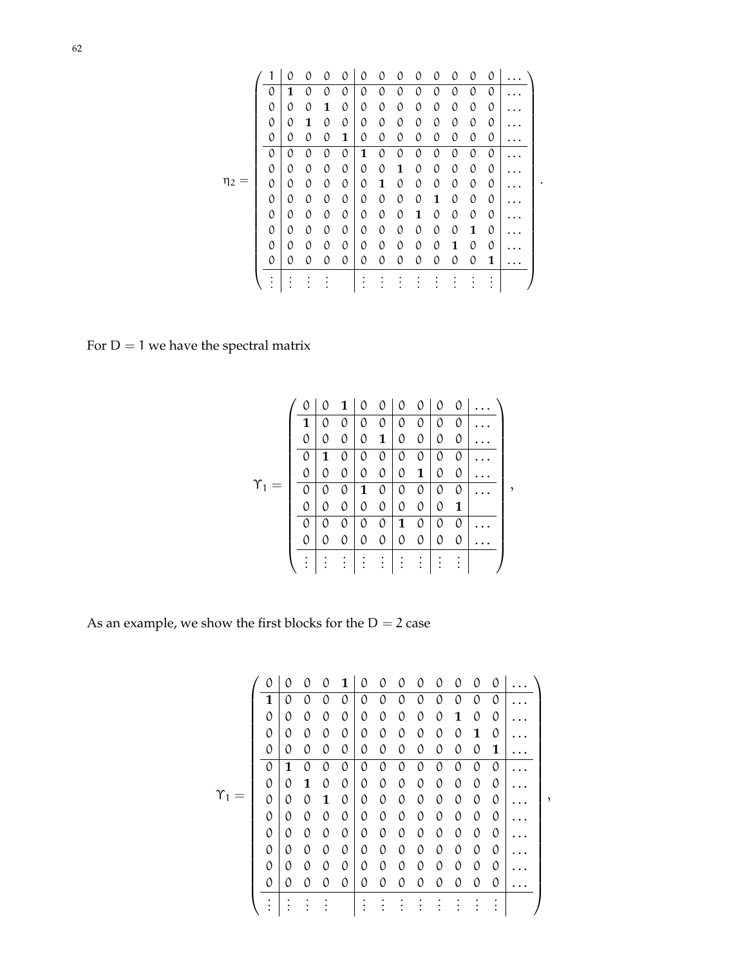|          |                | 0        | 0        | 0        | 0 | 0 | 0 | 0        | 0 | 0        | $\Omega$ | 0 | 0        |  |
|----------|----------------|----------|----------|----------|---|---|---|----------|---|----------|----------|---|----------|--|
|          | 0              | 1        | 0        | 0        | 0 | 0 | 0 | 0        | ∩ | Λ        | Λ        | 0 | $\Omega$ |  |
|          | 0              | 0        | 0        | 1        | 0 | 0 | 0 | 0        | 0 | 0        | 0        | 0 | 0        |  |
|          | 0              | 0        | 1        | 0        | 0 | 0 | 0 | 0        | 0 | $\Omega$ | $\Omega$ | 0 | 0        |  |
|          | 0              | 0        | 0        | $\Omega$ | 1 | 0 | 0 | 0        | 0 | 0        | 0        | 0 | 0        |  |
|          | 0              | 0        | 0        | 0        | 0 | 1 | 0 | $\Omega$ | 0 | 0        | $\Omega$ | 0 | $\Omega$ |  |
|          | 0              | 0        | $\Omega$ | 0        | 0 | 0 | 0 | 1        | 0 | 0        | 0        | 0 | 0        |  |
| $\eta_2$ | 0              | 0        | 0        | 0        | 0 | 0 | 1 | 0        | 0 | $\Omega$ | $\Omega$ | 0 | 0        |  |
|          | 0              | $\Omega$ | $\Omega$ | 0        | 0 | 0 | 0 | 0        | 0 | 1        | 0        | 0 | 0        |  |
|          | 0              | 0        | 0        | 0        | 0 | 0 | 0 | 0        | 1 | 0        | $\Omega$ | 0 | $\Omega$ |  |
|          | $\Omega$       | 0        | 0        | 0        | 0 | 0 | 0 | 0        | 0 | 0        | 0        | 1 | 0        |  |
|          | 0              | 0        | 0        | 0        | 0 | 0 | 0 | 0        | 0 | 0        | 1        | 0 | $\Omega$ |  |
|          | 0              | 0        | 0        | 0        | 0 | 0 | 0 | 0        | 0 | 0        | 0        | 0 | 1        |  |
|          | ٠<br>$\bullet$ |          |          |          |   |   |   |          |   |          |          |   | ٠        |  |

For  $\mathsf{D}=1$  we have the spectral matrix

|                     |          | $\Omega$ |   | $1 \vert 0 \vert 0 \vert$ |               |                | $0 \quad 0$    | $\mathcal{O}$ | $\mathfrak{o}$ |  |
|---------------------|----------|----------|---|---------------------------|---------------|----------------|----------------|---------------|----------------|--|
| $\gamma_{1}$<br>$=$ |          |          |   |                           |               | 0              | 0              |               | 0              |  |
|                     | $\Omega$ | 0        | 0 | 0                         | $\mathbf{1}$  | $\Omega$       | $\mathcal{O}$  | 0             | 0              |  |
|                     | 0        | 1        | 0 | 0                         | $\mathcal{O}$ | 0              | 0              | 0             | 0              |  |
|                     | 0        | $\Omega$ | 0 | 0                         | $\mathcal{O}$ | $\mathfrak{o}$ | 1 <sup>1</sup> | 0             | 0              |  |
|                     | 0        | 0        | 0 | 1                         | 0             | 0              | 0              | 0             | 0              |  |
|                     | 0        | $\Omega$ | 0 | $\Omega$                  | $\Omega$      | $\Omega$       | $\mathcal{O}$  | $\Omega$      | 1              |  |
|                     |          |          | 0 | 0                         | $\Omega$      | 1              | 0              | 0             | $\Omega$       |  |
|                     | 0        |          | 0 | $\mathcal{O}$             | $\mathcal{O}$ | 0              | 0              | 0             | 0              |  |
|                     |          |          |   |                           |               |                |                |               |                |  |

As an example, we show the first blocks for the  $D = 2$  case

 0 0 0 0 **1** 0 0 0 0 0 0 0 0 . . . **1** 0 0 0 0 0 0 0 0 0 0 0 0 . . . 0 0 0 0 0 0 0 0 0 0 **1** 0 0 . . . 0 0 0 0 0 0 0 0 0 0 0 **1** 0 . . . 0 0 0 0 0 0 0 0 0 0 0 0 **1** . . . 0 **1** 0 0 0 0 0 0 0 0 0 0 0 . . . 0 0 **1** 0 0 0 0 0 0 0 0 0 0 . . . Υ<sup>1</sup> = ,0 0 0 **1** 0 0 0 0 0 0 0 0 0 . . . 0 0 0 0 0 0 0 0 0 0 0 0 0 . . . 0 0 0 0 0 0 0 0 0 0 0 0 0 . . . 0 0 0 0 0 0 0 0 0 0 0 0 0 . . . 0 0 0 0 0 0 0 0 0 0 0 0 0 . . . 0 0 0 0 0 0 0 0 0 0 0 0 0 . . . . . . . . . . . . . . . . . . . . . . . . . . . . . . . . . . . . . . .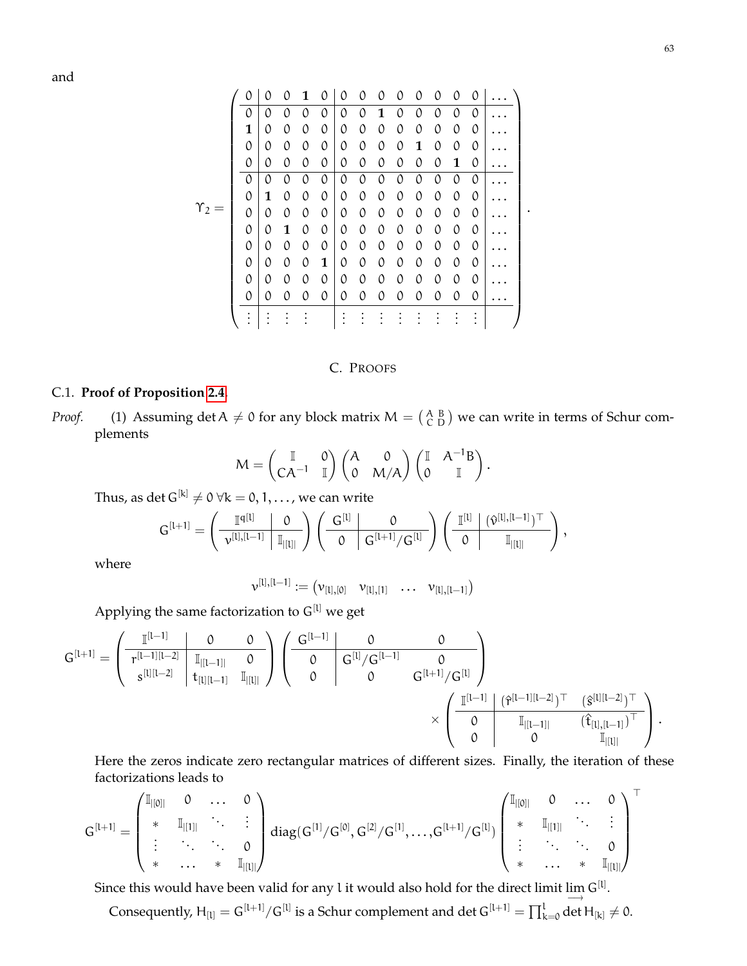and

|                | Λ             |   |          |          |               | ∩        | 0 |               |   |               |               |          | Ω        |  |
|----------------|---------------|---|----------|----------|---------------|----------|---|---------------|---|---------------|---------------|----------|----------|--|
|                | 0             | 0 | Ω        | Ω        | 0             | 0        | 0 | 1             | Ω | Ω             | Λ             | Λ        | Λ        |  |
|                | 1             | 0 | 0        | 0        | 0             | 0        | 0 | 0             | 0 | 0             | 0             | 0        | 0        |  |
|                | 0             | 0 | $\Omega$ | Λ        | $\Omega$      | $\Omega$ | 0 | 0             | 0 | 1             | 0             | $\Omega$ | 0        |  |
|                | 0             | 0 | 0        | 0        | 0             | 0        | 0 | 0             | 0 | 0             | 0             | 1        | 0        |  |
| $\Upsilon_2 =$ | $\mathcal{O}$ | 0 | 0        | 0        | 0             | 0        | 0 | 0             | 0 | $\Omega$      | 0             | 0        | 0        |  |
|                | 0             | 1 | 0        | $\Omega$ | $\mathcal{O}$ | 0        | 0 | $\mathcal{O}$ | 0 | 0             | 0             | 0        | 0        |  |
|                | 0             | 0 | 0        | 0        | 0             | 0        | 0 | 0             | 0 | $\mathcal{O}$ | $\mathcal{O}$ | 0        | 0        |  |
|                | $\mathcal{O}$ | 0 | 1        | $\Omega$ | 0             | 0        | 0 | 0             | 0 | 0             | 0             | 0        | $\Omega$ |  |
|                | $\mathcal{O}$ | 0 | 0        | 0        | 0             | 0        | 0 | 0             | 0 | 0             | $\mathcal{O}$ | 0        | 0        |  |
|                | $\mathcal{O}$ | 0 | $\Omega$ | $\Omega$ | 1             | $\Omega$ | 0 | 0             | 0 | 0             | $\Omega$      | $\Omega$ | $\Omega$ |  |
|                | $\mathcal{O}$ | 0 | 0        | 0        | 0             | 0        | 0 | 0             | 0 | 0             | 0             | 0        | 0        |  |
|                | 0             | 0 | $\Omega$ | 0        | 0             | 0        | 0 | 0             | 0 | 0             | $\Omega$      | 0        | 0        |  |
|                |               |   |          |          |               |          |   |               |   |               |               |          |          |  |

## C. PROOFS

## C.1. **Proof of Proposition [2.4.](#page-0-0)**

*Proof.* (1) Assuming det  $A \neq 0$  for any block matrix  $M = \begin{pmatrix} A & B \\ C & D \end{pmatrix}$  we can write in terms of Schur complements

$$
M = \begin{pmatrix} \mathbb{I} & 0 \\ CA^{-1} & \mathbb{I} \end{pmatrix} \begin{pmatrix} A & 0 \\ 0 & M/A \end{pmatrix} \begin{pmatrix} \mathbb{I} & A^{-1}B \\ 0 & \mathbb{I} \end{pmatrix}.
$$

Thus, as det  $G^{[k]} \neq 0 \ \forall k = 0, 1, \ldots$ , we can write

$$
G^{[l+1]} = \left(\begin{array}{c|c} \mathbb{I}^{q[l]} & 0 \\ \hline \nu^{[l], [l-1]} & \mathbb{I}_{|[l]|} \end{array}\right) \left(\begin{array}{c|c} G^{[l]} & 0 \\ \hline 0 & G^{[l+1]}/G^{[l]} \end{array}\right) \left(\begin{array}{c|c} \mathbb{I}^{[l]} & (\hat{\nu}^{[l], [l-1]})^\top \\ \hline 0 & \mathbb{I}_{|[l]|} \end{array}\right),
$$

where

$$
\nu^{[l],[l-1]} := \begin{pmatrix} \nu_{[l],[0]} & \nu_{[l],[1]} & \dots & \nu_{[l],[l-1]} \end{pmatrix}
$$

Applying the same factorization to  $G^{[1]}$  we get

$$
G^{[l+1]} = \left( \begin{array}{c|c|c} \mathbb{I}^{[l-1]} & 0 & 0 \\ \hline r^{[l-1][l-2]} & \mathbb{I}_{|[l-1]|} & 0 \\ \hline s^{[l][l-2]} & t_{[l][l-1]} & \mathbb{I}_{|[l]} \end{array} \right) \left( \begin{array}{c|c} G^{[l-1]} & 0 & 0 \\ \hline 0 & G^{[l]}/G^{[l-1]} & 0 \\ 0 & 0 & G^{[l+1]}/G^{[l]} \end{array} \right) \\ \times \left( \begin{array}{c|c} \mathbb{I}^{[l-1]} & (\hat r^{[l-1][l-2]})^\top & (\hat s^{[l][l-2]})^\top \\ 0 & \mathbb{I}_{|[l-1]|} & (\hat t_{[l],[l-1]}^\top)^\top \\ 0 & 0 & \mathbb{I}_{|[l]|} \end{array} \right).
$$

Here the zeros indicate zero rectangular matrices of different sizes. Finally, the iteration of these factorizations leads to

$$
G^{[l+1]} = \begin{pmatrix} \mathbb{I}_{|[0]|} & 0 & \dots & 0 \\ \ast & \mathbb{I}_{|[1]|} & \ddots & \vdots \\ \vdots & \ddots & \ddots & 0 \\ \ast & \dots & \ast & \mathbb{I}_{|[l]|} \end{pmatrix} diag(G^{[1]}/G^{[0]},G^{[2]}/G^{[1]},\dots,G^{[l+1]}/G^{[l]}) \begin{pmatrix} \mathbb{I}_{|[0]|} & 0 & \dots & 0 \\ \ast & \mathbb{I}_{|[1]|} & \ddots & \vdots \\ \vdots & \ddots & \ddots & 0 \\ \ast & \dots & \ast & \mathbb{I}_{|[l]|} \end{pmatrix}^\top
$$

Since this would have been valid for any l it would also hold for the direct limit  $\lim_{n \to \infty} G^{[l]}$ .

Consequently,  $H_{[l]}=G^{[l+1]}/G^{[l]}$  is a Schur complement and  $\det G^{[l+1]}=\prod_{k=0}^l \det H_{[k]}\neq 0$ .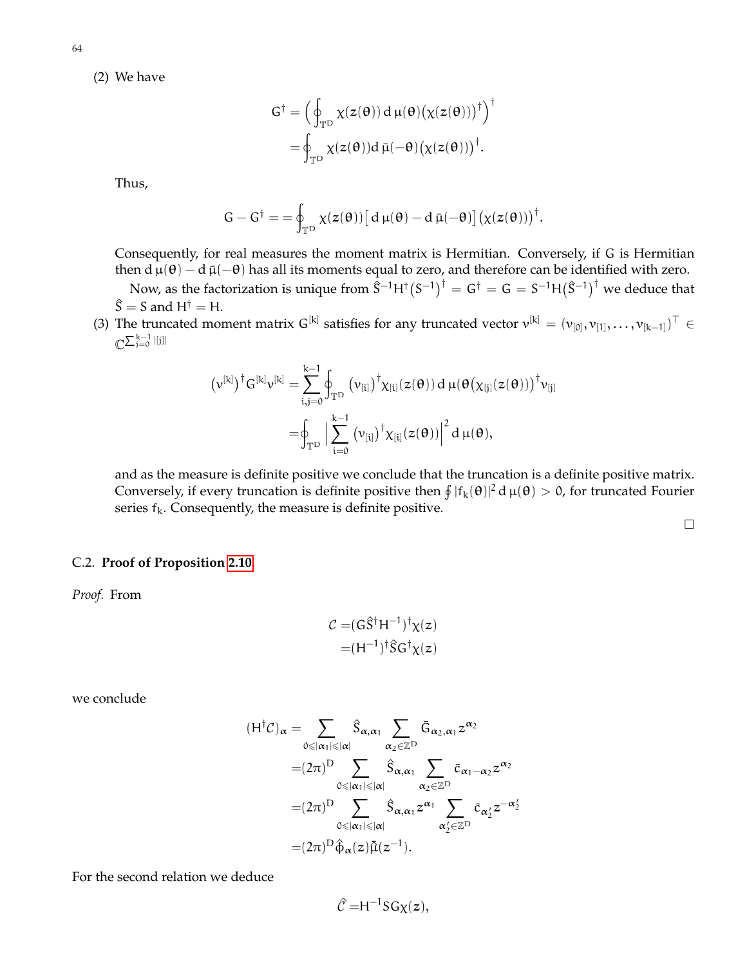(2) We have

$$
G^{\dagger} = \left(\oint_{\mathbb{T}^D} \chi(z(\theta)) d \mu(\theta) (\chi(z(\theta)))^{\dagger}\right)^{\dagger}
$$

$$
= \oint_{\mathbb{T}^D} \chi(z(\theta)) d \bar{\mu}(-\theta) (\chi(z(\theta)))^{\dagger}.
$$

Thus,

$$
G-G^\dagger=-\oint_{\mathbb{T}^D}\chi(z(\theta))\big[\,d\,\mu(\theta)-d\,\bar\mu(-\theta)\big]\big(\chi(z(\theta))\big)^\dagger.
$$

Consequently, for real measures the moment matrix is Hermitian. Conversely, if G is Hermitian then d  $\mu(\theta) - d \bar{\mu}(-\theta)$  has all its moments equal to zero, and therefore can be identified with zero.

Now, as the factorization is unique from  $\hat{S}^{-1}H^{\dagger}(S^{-1})^{\dagger} = G^{\dagger} = G = S^{-1}H(\hat{S}^{-1})^{\dagger}$  we deduce that  $\hat{S} = S$  and H<sup>†</sup> = H.

(3) The truncated moment matrix G<sup>[k]</sup> satisfies for any truncated vector  $v^{[k]} = (v_{[0]}, v_{[1]}, \ldots, v_{[k-1]})^{\top} \in$  $\mathbb{C}^{\sum_{\mathfrak{j}=0}^{\mathfrak{k}-1} |[\mathfrak{j}]]}$ 

$$
\begin{aligned} \left(\nu^{[k]}\right)^\dagger G^{[k]}\nu^{[k]}&=\sum_{i,j=0}^{k-1}\oint_{\mathbb{T}^D}\left(\nu_{[i]}\right)^\dagger\chi_{[i]}(z(\theta))\,d\,\mu(\theta\big(\chi_{[j]}(z(\theta))\big)^\dagger\nu_{[j]}\\ &=\!\!\int_{\mathbb{T}^D}\Big|\sum_{i=0}^{k-1}\left(\nu_{[i]}\right)^\dagger\chi_{[i]}(z(\theta))\Big|^2\,d\,\mu(\theta),\end{aligned}
$$

and as the measure is definite positive we conclude that the truncation is a definite positive matrix. Conversely, if every truncation is definite positive then  $\int |f_k(\theta)|^2 d\mu(\theta) > 0$ , for truncated Fourier series  $f_k$ . Consequently, the measure is definite positive.

 $\Box$ 

C.2. **Proof of Proposition [2.10.](#page-12-1)**

*Proof.* From

$$
\mathcal{C} = (G\hat{S}^{\dagger}H^{-1})^{\dagger}\chi(z)
$$

$$
= (H^{-1})^{\dagger}\hat{S}G^{\dagger}\chi(z)
$$

we conclude

$$
(H^{\dagger}C)_{\alpha} = \sum_{0 \leq |\alpha_1| \leq |\alpha|} \hat{S}_{\alpha,\alpha_1} \sum_{\alpha_2 \in \mathbb{Z}^D} \bar{G}_{\alpha_2,\alpha_1} z^{\alpha_2}
$$
  

$$
= (2\pi)^D \sum_{0 \leq |\alpha_1| \leq |\alpha|} \hat{S}_{\alpha,\alpha_1} \sum_{\alpha_2 \in \mathbb{Z}^D} \bar{c}_{\alpha_1 - \alpha_2} z^{\alpha_2}
$$
  

$$
= (2\pi)^D \sum_{0 \leq |\alpha_1| \leq |\alpha|} \hat{S}_{\alpha,\alpha_1} z^{\alpha_1} \sum_{\alpha_2' \in \mathbb{Z}^D} \bar{c}_{\alpha_2'} z^{-\alpha_2'}
$$
  

$$
= (2\pi)^D \hat{\varphi}_{\alpha}(z) \tilde{\mu}(z^{-1}).
$$

For the second relation we deduce

$$
\hat{\mathcal{C}} = H^{-1}SG\chi(z),
$$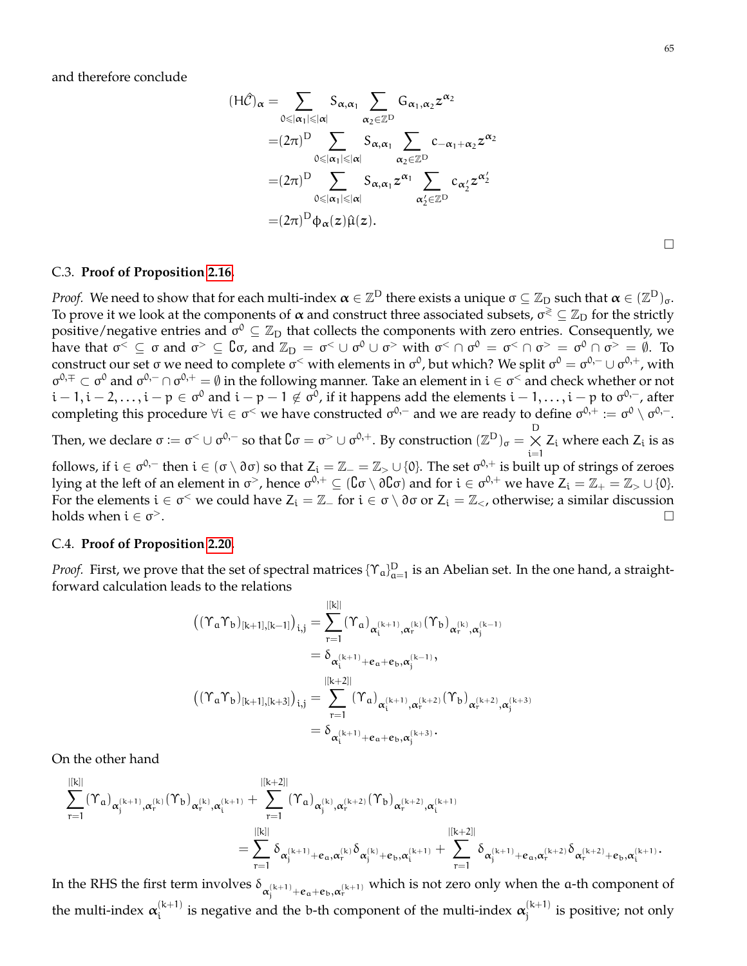and therefore conclude

$$
(H\hat{\mathcal{C}})_{\alpha} = \sum_{0 \leq |\alpha_1| \leq |\alpha|} S_{\alpha, \alpha_1} \sum_{\alpha_2 \in \mathbb{Z}^D} G_{\alpha_1, \alpha_2} z^{\alpha_2}
$$
  

$$
= (2\pi)^D \sum_{0 \leq |\alpha_1| \leq |\alpha|} S_{\alpha, \alpha_1} \sum_{\alpha_2 \in \mathbb{Z}^D} c_{-\alpha_1 + \alpha_2} z^{\alpha_2}
$$
  

$$
= (2\pi)^D \sum_{0 \leq |\alpha_1| \leq |\alpha|} S_{\alpha, \alpha_1} z^{\alpha_1} \sum_{\alpha_2' \in \mathbb{Z}^D} c_{\alpha_2'} z^{\alpha_2'}
$$
  

$$
= (2\pi)^D \varphi_{\alpha}(z) \hat{\mu}(z).
$$

## C.3. **Proof of Proposition [2.16.](#page-15-2)**

*Proof.* We need to show that for each multi-index  $\bm{\alpha}\in\mathbb{Z}^{\textsf{D}}$  there exists a unique  $\sigma\subseteq\mathbb{Z}_{\textsf{D}}$  such that  $\bm{\alpha}\in(\mathbb{Z}^{\textsf{D}})_{\sigma}.$ To prove it we look at the components of  $\alpha$  and construct three associated subsets,  $\sigma^{\gtrless} \subseteq \mathbb{Z}_D$  for the strictly positive/negative entries and  $\sigma^0 \subseteq \mathbb{Z}_D$  that collects the components with zero entries. Consequently, we have that  $\sigma^{\lt}\subseteq \sigma$  and  $\sigma^{\gt}\subseteq \mathbb{C}\sigma$ , and  $\mathbb{Z}_{D} = \sigma^{\lt}\cup \sigma^{0}\cup \sigma^{\gt}$  with  $\sigma^{\lt}\cap \sigma^{0} = \sigma^{\lt}\cap \sigma^{\gt} = \sigma^{0}\cap \sigma^{\gt} = \emptyset$ . To construct our set σ we need to complete σ $^<$  with elements in σ $^0$ , but which? We split σ $^0=\sigma^{0,-}\cup\sigma^{0,+}$ , with  $\sigma^{0,\mp} \subset \sigma^0$  and  $\sigma^{0,-} \cap \sigma^{0,+} = \emptyset$  in the following manner. Take an element in  $i \in \sigma^<$  and check whether or not  $i-1,i-2,\ldots,i-p\in\sigma^0$  and  $i-p-1\not\in\sigma^0$ , if it happens add the elements  $i-1,\ldots,i-p$  to  $\sigma^{0,-}$ , after completing this procedure  $\forall i\in\sigma^<$  we have constructed  $\sigma^{0,-}$  and we are ready to define  $\sigma^{0,+}:=\sigma^0\setminus\sigma^{0,-}.$ Then, we declare  $\sigma \coloneqq \sigma^< \cup \sigma^{0,-}$  so that  $\complement \sigma = \sigma^> \cup \sigma^{0,+}$ . By construction  $(\mathbb{Z}^{\mathrm{D}})_{\sigma} = \underset{{\mathrm{i}} = 1}{\times}$  $Z_i$  where each  $Z_i$  is as

follows, if  $i \in \sigma^{0,-}$  then  $i \in (\sigma \setminus \partial \sigma)$  so that  $Z_i = \mathbb{Z}_- = \mathbb{Z}_> \cup \{0\}.$  The set  $\sigma^{0,+}$  is built up of strings of zeroes lying at the left of an element in σ>, hence  $\sigma^{0,+}\subseteq$  ( $C$ σ \  $\partial C$ σ) and for  $i\in\sigma^{0,+}$  we have  $Z_i=\mathbb{Z}_+=\mathbb{Z}_>\cup\{0\}.$ For the elements  $i \in \sigma^{\lt}$  we could have  $Z_i = \mathbb{Z}_-$  for  $i \in \sigma \setminus \partial \sigma$  or  $Z_i = \mathbb{Z}_{\lt}$ , otherwise; a similar discussion holds when  $i \in \sigma$ <sup>></sup>.  $>$ . The contract of the contract of the contract of the contract of the contract of  $\Box$ 

### C.4. **Proof of Proposition [2.20.](#page-18-0)**

*Proof.* First, we prove that the set of spectral matrices  $\{\Upsilon_a\}_{a=1}^D$  is an Abelian set. In the one hand, a straightforward calculation leads to the relations

$$
\begin{aligned} \left((\Upsilon_a\Upsilon_b)_{[k+1],[k-1]}\right)_{i,j} &= \sum_{r=1}^{|[k]|} (\Upsilon_a)_{\alpha_i^{(k+1)},\alpha_r^{(k)}} (\Upsilon_b)_{\alpha_r^{(k)},\alpha_j^{(k-1)}} \\ &= \delta_{\alpha_i^{(k+1)} + e_a + e_b, \alpha_j^{(k-1)}}, \\ \left((\Upsilon_a\Upsilon_b)_{[k+1],[k+3]}\right)_{i,j} &= \sum_{r=1}^{|[k+2]|} (\Upsilon_a)_{\alpha_i^{(k+1)},\alpha_r^{(k+2)}} (\Upsilon_b)_{\alpha_r^{(k+2)},\alpha_j^{(k+3)}} \\ &= \delta_{\alpha_i^{(k+1)} + e_a + e_b, \alpha_j^{(k+3)}}. \end{aligned}
$$

On the other hand

$$
\begin{aligned} \sum_{r=1}^{|[k]|} (\Upsilon_a)_{\alpha_j^{(k+1)},\alpha_r^{(k)}} (\Upsilon_b)_{\alpha_r^{(k)},\alpha_i^{(k+1)}} + \sum_{r=1}^{|[k+2]|} (\Upsilon_a)_{\alpha_j^{(k)},\alpha_r^{(k+2)}} (\Upsilon_b)_{\alpha_r^{(k+2)},\alpha_i^{(k+1)}} \\ = \sum_{r=1}^{|[k]|} \delta_{\alpha_j^{(k+1)}+e_\alpha,\alpha_r^{(k)}} \delta_{\alpha_j^{(k)}+e_b,\alpha_i^{(k+1)}} + \sum_{r=1}^{|[k+2]|} \delta_{\alpha_j^{(k+1)}+e_\alpha,\alpha_r^{(k+2)}} \delta_{\alpha_r^{(k+2)}+e_b,\alpha_i^{(k+1)}}. \end{aligned}
$$

In the RHS the first term involves  $\delta_{\alpha_j^{(k+1)}+e_a+e_b,\alpha_r^{(k+1)}}$  which is not zero only when the a-th component of the multi-index  $\alpha_i^{(k+1)}$  $\mathbf{a}_{i}^{(k+1)}$  is negative and the b-th component of the multi-index  $\boldsymbol{\alpha}_{j}^{(k+1)}$  $j_j^{(k+1)}$  is positive; not only

 $\Box$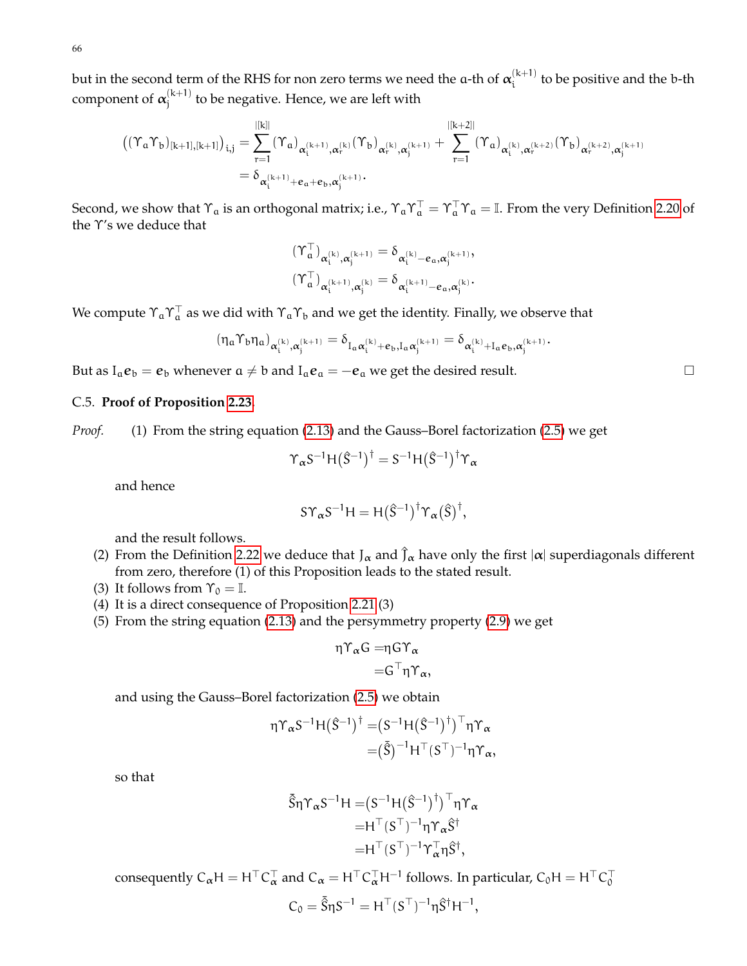66

but in the second term of the RHS for non zero terms we need the a-th of  $\boldsymbol{\alpha}_{\mathsf{i}}^{(\mathsf{k}+1)}$  $\sum_{i=1}^{k+1}$  to be positive and the b-th component of  $\alpha_i^{(k+1)}$  $j_j^{(k+1)}$  to be negative. Hence, we are left with

$$
\begin{aligned} \left((\Upsilon_a\Upsilon_b)_{[k+1],[k+1]}\right)_{i,j} &= \sum_{r=1}^{|[k]|} (\Upsilon_a)_{\alpha_i^{(k+1)},\alpha_r^{(k)}} (\Upsilon_b)_{\alpha_r^{(k)},\alpha_j^{(k+1)}} + \sum_{r=1}^{|[k+2]|} (\Upsilon_a)_{\alpha_i^{(k)},\alpha_r^{(k+2)}} (\Upsilon_b)_{\alpha_r^{(k+2)},\alpha_j^{(k+1)}} \\ &= \delta_{\alpha_i^{(k+1)}+e_a+e_b,\alpha_j^{(k+1)}}. \end{aligned}
$$

Second, we show that  $\Upsilon_a$  is an orthogonal matrix; i.e.,  $\Upsilon_a\Upsilon_a^\top=\Upsilon_a^\top\Upsilon_a=\mathbb{I}$ . From the very Definition [2.20](#page-18-1) of the Υ's we deduce that

$$
\begin{aligned} &(\Upsilon^\top_\mathfrak a)_{\alpha_i^{(k)},\alpha_j^{(k+1)}}=\delta_{\alpha_i^{(k)}-e_\mathfrak a,\alpha_j^{(k+1)}},\\ &(\Upsilon^\top_\mathfrak a)_{\alpha_i^{(k+1)},\alpha_j^{(k)}}=\delta_{\alpha_i^{(k+1)}-e_\mathfrak a,\alpha_j^{(k)}}. \end{aligned}
$$

We compute  $\Upsilon_a\Upsilon_a^\top$  as we did with  $\Upsilon_a\Upsilon_b$  and we get the identity. Finally, we observe that

$$
(\eta_\mathfrak{a} \Upsilon_b \eta_\mathfrak{a})_{\alpha_i^{(k)}, \alpha_j^{(k+1)}} = \delta_{I_\mathfrak{a} \alpha_i^{(k)} + e_b, I_\mathfrak{a} \alpha_j^{(k+1)}} = \delta_{\alpha_i^{(k)} + I_\mathfrak{a} e_b, \alpha_j^{(k+1)}}.
$$

But as  $I_a e_b = e_b$  whenever  $a \neq b$  and  $I_a e_a = -e_a$  we get the desired result.

## C.5. **Proof of Proposition [2.23.](#page-19-0)**

*Proof.* (1) From the string equation [\(2.13\)](#page-19-1) and the Gauss–Borel factorization [\(2.5\)](#page-8-0) we get

$$
\Upsilon_{\alpha} S^{-1} H(\hat{S}^{-1})^{\dagger} = S^{-1} H(\hat{S}^{-1})^{\dagger} \Upsilon_{\alpha}
$$

and hence

$$
S\Upsilon_{\alpha}S^{-1}H=H(\hat{S}^{-1})^{\dagger}\Upsilon_{\alpha}(\hat{S})^{\dagger},
$$

and the result follows.

- (2) From the Definition [2.22](#page-19-2) we deduce that  $J_\alpha$  and  $\hat{J}_\alpha$  have only the first  $|\alpha|$  superdiagonals different from zero, therefore (1) of this Proposition leads to the stated result.
- (3) It follows from  $\Upsilon_0 = \mathbb{I}$ .
- (4) It is a direct consequence of Proposition [2.21](#page-18-2) (3)
- (5) From the string equation [\(2.13\)](#page-19-1) and the persymmetry property [\(2.9\)](#page-13-0) we get

$$
\eta \Upsilon_{\alpha} G = \eta G \Upsilon_{\alpha}
$$

$$
= G^{\top} \eta \Upsilon_{\alpha},
$$

and using the Gauss–Borel factorization [\(2.5\)](#page-8-0) we obtain

$$
\eta \Upsilon_{\alpha} S^{-1} H(\hat{S}^{-1})^{\dagger} = (S^{-1} H(\hat{S}^{-1})^{\dagger})^{\top} \eta \Upsilon_{\alpha}
$$

$$
= (\bar{\hat{S}})^{-1} H^{\top} (S^{\top})^{-1} \eta \Upsilon_{\alpha},
$$

so that

$$
\begin{aligned} \bar{\hat{S}}\eta \Upsilon_{\alpha} S^{-1} H = & (S^{-1} H(\hat{S}^{-1})^{\dagger})^{\top} \eta \Upsilon_{\alpha} \\ = & H^{\top} (S^{\top})^{-1} \eta \Upsilon_{\alpha} \hat{S}^{\dagger} \\ = & H^{\top} (S^{\top})^{-1} \Upsilon_{\alpha}^{\top} \eta \hat{S}^{\dagger}, \end{aligned}
$$

consequently  $C_{\alpha}H = H^{\top}C_{\alpha}^{\top}$  and  $C_{\alpha} = H^{\top}C_{\alpha}^{\top}H^{-1}$  follows. In particular,  $C_0H = H^{\top}C_0^{\top}$ 

$$
C_0=\bar{\hat{S}}\eta S^{-1}=H^\top(S^\top)^{-1}\eta \hat{S}^\dagger H^{-1},
$$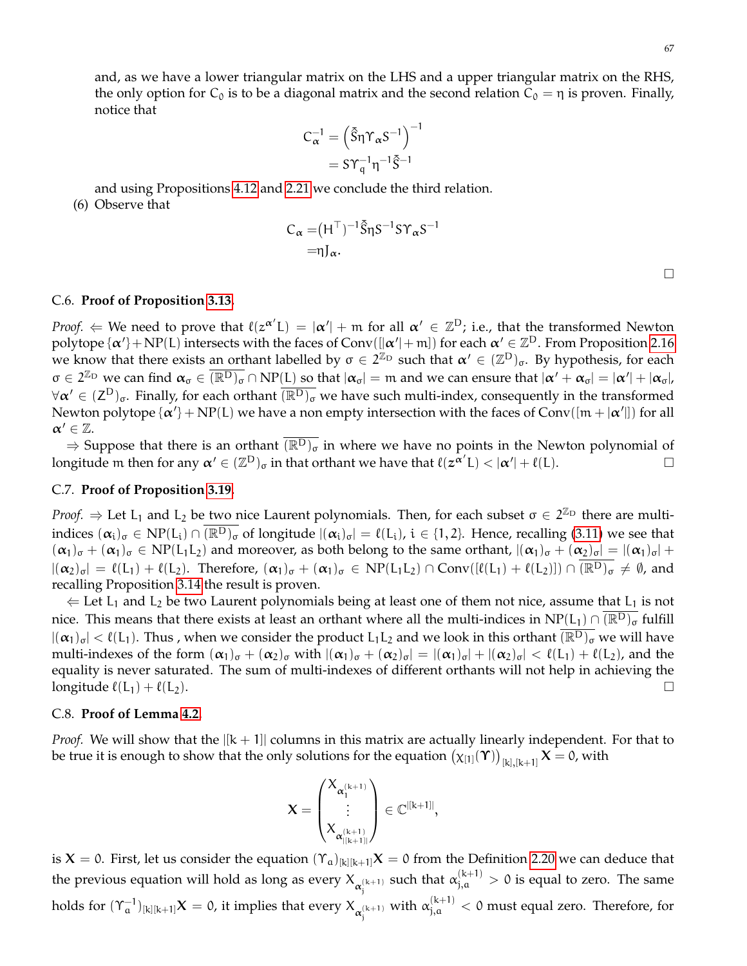$\Box$ 

and, as we have a lower triangular matrix on the LHS and a upper triangular matrix on the RHS, the only option for  $C_0$  is to be a diagonal matrix and the second relation  $C_0 = \eta$  is proven. Finally, notice that

$$
C_{\alpha}^{-1} = \left(\overline{\hat{S}}\eta \Upsilon_{\alpha} S^{-1}\right)^{-1}
$$

$$
= S\Upsilon_{q}^{-1} \eta^{-1} \overline{\hat{S}}^{-1}
$$

and using Propositions [4.12](#page-53-2) and [2.21](#page-18-2) we conclude the third relation. (6) Observe that

$$
C_{\alpha} = (H^{\top})^{-1} \tilde{S} \eta S^{-1} S \Upsilon_{\alpha} S^{-1}
$$

$$
= \eta J_{\alpha}.
$$

#### C.6. **Proof of Proposition [3.13.](#page-28-0)**

*Proof.*  $\Leftarrow$  We need to prove that  $\ell(z^{\alpha'}L) = |\alpha'| + m$  for all  $\alpha' \in \mathbb{Z}^D$ ; i.e., that the transformed Newton polytope  $\{\alpha'\}$  + NP(L) intersects with the faces of Conv( $[\alpha'$ + m]) for each  $\alpha' \in \mathbb{Z}^D$ . From Proposition [2.16](#page-15-2) we know that there exists an orthant labelled by  $\sigma \in 2^{\mathbb{Z}_D}$  such that  $\alpha' \in (\mathbb{Z}^D)_{\sigma}$ . By hypothesis, for each  $\sigma \in 2^{\mathbb{Z}_{\mathrm{D}}}$  we can find  $\alpha_{\sigma} \in \overline{(\mathbb{R}^{\mathrm{D}})_{\sigma}} \cap \mathrm{NP}(\mathrm{L})$  so that  $|\alpha_{\sigma}| = \mathfrak{m}$  and we can ensure that  $|\alpha' + \alpha_{\sigma}| = |\alpha'| + |\alpha_{\sigma}|$ ,  $\forall \alpha' \in (\mathsf{Z}^{\mathrm{D}})_{\sigma}$ . Finally, for each orthant  $\overline{(\mathbb{R}^{\mathrm{D}})_{\sigma}}$  we have such multi-index, consequently in the transformed Newton polytope  $\{\alpha'\} + NP(L)$  we have a non empty intersection with the faces of Conv $([m + |\alpha'|])$  for all  $\alpha' \in \mathbb{Z}$ .

⇒ Suppose that there is an orthant  $\overline{(\mathbb{R}^D)_{\sigma}}$  in where we have no points in the Newton polynomial of neitude m then for any  $\alpha' \in (\mathbb{Z}^D)_{\sigma}$  in that orthant we have that  $\ell(z^{\alpha'}L) < |\alpha'| + \ell(L)$ . longitude m then for any  $\alpha' \in (\mathbb{Z}^D)_{\sigma}$  in that orthant we have that  $\ell(z^{\alpha'}L) < |\alpha'| + \ell(L)$ .

## C.7. **Proof of Proposition [3.19.](#page-29-0)**

*Proof.*  $\Rightarrow$  Let L<sub>1</sub> and L<sub>2</sub> be two nice Laurent polynomials. Then, for each subset  $\sigma \in 2^{\mathbb{Z}_D}$  there are multiindices  $(\alpha_i)_{\sigma} \in NP(L_i) \cap \overline{(R^D)_{\sigma}}$  of longitude  $|(\alpha_i)_{\sigma}| = \ell(L_i)$ ,  $i \in \{1, 2\}$ . Hence, recalling [\(3.11\)](#page-27-0) we see that  $(\alpha_1)_{\sigma} + (\alpha_1)_{\sigma} \in NP(L_1L_2)$  and moreover, as both belong to the same orthant,  $|(\alpha_1)_{\sigma} + (\alpha_2)_{\sigma}| = |(\alpha_1)_{\sigma}| +$  $|(\alpha_2)_{\sigma}| = \ell(L_1) + \ell(L_2)$ . Therefore,  $(\alpha_1)_{\sigma} + (\alpha_1)_{\sigma} \in NP(L_1L_2) \cap Conv([\ell(L_1) + \ell(L_2)]) \cap \overline{(\mathbb{R}^D)_{\sigma}} \neq \emptyset$ , and recalling Proposition [3.14](#page-28-1) the result is proven.

 $\leftarrow$  Let L<sub>1</sub> and L<sub>2</sub> be two Laurent polynomials being at least one of them not nice, assume that L<sub>1</sub> is not nice. This means that there exists at least an orthant where all the multi-indices in NP(L<sub>1</sub>) ∩  $(\overline{\mathbb{R}^D})$ <sub>σ</sub> fulfill  $|(\alpha_1)_{\sigma}| < \ell(L_1)$ . Thus , when we consider the product  $L_1L_2$  and we look in this orthant  $\overline{(\mathbb{R}^D)_{\sigma}}$  we will have multi-indexes of the form  $(\alpha_1)_{\sigma} + (\alpha_2)_{\sigma}$  with  $|(\alpha_1)_{\sigma} + (\alpha_2)_{\sigma}| = |(\alpha_1)_{\sigma}| + |(\alpha_2)_{\sigma}| < \ell(L_1) + \ell(L_2)$ , and the equality is never saturated. The sum of multi-indexes of different orthants will not help in achieving the longitude  $\ell(L_1) + \ell(L_2)$ .

## <span id="page-66-0"></span>C.8. **Proof of Lemma [4.2.](#page-45-1)**

*Proof.* We will show that the  $|k+1|$  columns in this matrix are actually linearly independent. For that to be true it is enough to show that the only solutions for the equation  $\big(\chi_{[1]}(\Upsilon)\big)_{[k],[k+1]}$   ${\sf X}=$  0, with

$$
\boldsymbol{X} = \begin{pmatrix} X_{\boldsymbol{\alpha}_1^{(k+1)}} \\ \vdots \\ X_{\boldsymbol{\alpha}_{|[k+1)]}}^{(k+1)} \end{pmatrix} \in \mathbb{C}^{\left| [k+1] \right|},
$$

is  $X = 0$ . First, let us consider the equation  $(\Upsilon_a)_{[k][k+1]}X = 0$  from the Definition [2.20](#page-18-1) we can deduce that the previous equation will hold as long as every  $X_{\alpha_j^{(k+1)}}$  such that  $\alpha_{j,a}^{(k+1)} > 0$  is equal to zero. The same holds for  $(\Upsilon_{\mathfrak{a}}^{-1})_{[k][k+1]}X = 0$ , it implies that every  $X_{\alpha_j^{(k+1)}}$  with  $\alpha_{j,\mathfrak{a}}^{(k+1)} < 0$  must equal zero. Therefore, for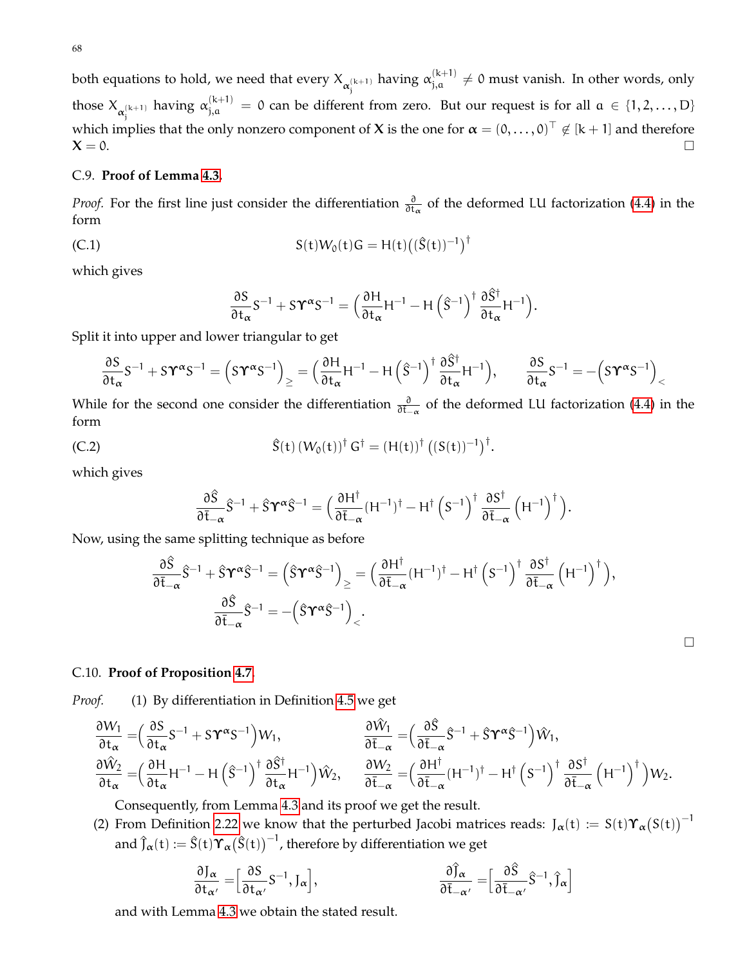68

both equations to hold, we need that every  $X_{\alpha_j^{(k+1)}}$  having  $\alpha_{j,a}^{(k+1)}\neq 0$  must vanish. In other words, only those  $X_{\alpha_j^{(k+1)}}$  having  $\alpha_{j,a}^{(k+1)} = 0$  can be different from zero. But our request is for all  $a \in \{1,2,\ldots,D\}$ which implies that the only nonzero component of X is the one for  $\bm{\alpha}=(0,\ldots,0)^\top\not\in$   $[\mathrm{k+1}]$  and therefore  $X = 0$ .

## <span id="page-67-0"></span>C.9. **Proof of Lemma [4.3.](#page-47-1)**

*Proof.* For the first line just consider the differentiation  $\frac{\partial}{\partial t_\alpha}$  of the deformed LU factorization [\(4.4\)](#page-47-3) in the form

(C.1) 
$$
S(t)W_0(t)G = H(t)((\hat{S}(t))^{-1})^{\dagger}
$$

which gives

$$
\frac{\partial S}{\partial t_\alpha}S^{-1}+S\Upsilon^\alpha S^{-1}=\Big(\frac{\partial H}{\partial t_\alpha}H^{-1}-H\left(\hat{S}^{-1}\right)^\dagger\frac{\partial \hat{S}^\dagger}{\partial t_\alpha}H^{-1}\Big).
$$

Split it into upper and lower triangular to get

$$
\frac{\partial S}{\partial t_{\alpha}}S^{-1}+S\Upsilon^{\alpha}S^{-1}=\left(S\Upsilon^{\alpha}S^{-1}\right)_{\geq}=\Big(\frac{\partial H}{\partial t_{\alpha}}H^{-1}-H\left(\hat{S}^{-1}\right)^{\dagger}\frac{\partial \hat{S}^{\dagger}}{\partial t_{\alpha}}H^{-1}\Big),\qquad \frac{\partial S}{\partial t_{\alpha}}S^{-1}=-\Big(S\Upsilon^{\alpha}S^{-1}\Big)_{<}
$$

While for the second one consider the differentiation  $\frac{\partial}{\partial t-\alpha}$  of the deformed LU factorization [\(4.4\)](#page-47-3) in the form

(C.2) 
$$
\hat{S}(t) (W_0(t))^{\dagger} G^{\dagger} = (H(t))^{\dagger} ((S(t))^{-1})^{\dagger}.
$$

which gives

$$
\frac{\partial \hat{S}}{\partial \bar{t}_{-\alpha}} \hat{S}^{-1} + \hat{S} \Upsilon^{\alpha} \hat{S}^{-1} = \Big( \frac{\partial H^{\dagger}}{\partial \bar{t}_{-\alpha}} (H^{-1})^{\dagger} - H^{\dagger} \left( S^{-1} \right)^{\dagger} \frac{\partial S^{\dagger}}{\partial \bar{t}_{-\alpha}} \left( H^{-1} \right)^{\dagger} \Big).
$$

Now, using the same splitting technique as before

$$
\begin{aligned} \frac{\partial \hat{S}}{\partial \bar{t}_{-\alpha}} \hat{S}^{-1} + \hat{S} \Upsilon^{\alpha} \hat{S}^{-1} &= \left( \hat{S} \Upsilon^{\alpha} \hat{S}^{-1} \right)_{\geq} = \Big( \frac{\partial H^{\dagger}}{\partial \bar{t}_{-\alpha}} (H^{-1})^{\dagger} - H^{\dagger} \left( S^{-1} \right)^{\dagger} \frac{\partial S^{\dagger}}{\partial \bar{t}_{-\alpha}} \left( H^{-1} \right)^{\dagger} \Big), \\ \frac{\partial \hat{S}}{\partial \bar{t}_{-\alpha}} \hat{S}^{-1} &= - \Big( \hat{S} \Upsilon^{\alpha} \hat{S}^{-1} \Big)_{<} . \end{aligned}
$$

 $\Box$ 

## <span id="page-67-1"></span>C.10. **Proof of Proposition [4.7.](#page-0-0)**

*Proof.* (1) By differentiation in Definition [4.5](#page-47-0) we get

$$
\begin{aligned} &\frac{\partial W_1}{\partial t_\alpha}=\!\Big(\frac{\partial S}{\partial t_\alpha}S^{-1}+S\Upsilon^\alpha S^{-1}\Big)W_1, &\frac{\partial \hat{W}_1}{\partial \bar{t}_{-\alpha}}=\!\Big(\frac{\partial \hat{S}}{\partial \bar{t}_{-\alpha}}\hat{S}^{-1}+\hat{S}\Upsilon^\alpha \hat{S}^{-1}\Big)\hat{W}_1,\\ &\frac{\partial \hat{W}_2}{\partial t_\alpha}=\!\Big(\frac{\partial H}{\partial t_\alpha}H^{-1}-H\left(\hat{S}^{-1}\right)^\dagger\frac{\partial \hat{S}^\dagger}{\partial t_\alpha}H^{-1}\Big)\hat{W}_2, &\frac{\partial W_2}{\partial \bar{t}_{-\alpha}}=\!\Big(\frac{\partial H^\dagger}{\partial \bar{t}_{-\alpha}}(H^{-1})^\dagger-H^\dagger\left(S^{-1}\right)^\dagger\frac{\partial S^\dagger}{\partial \bar{t}_{-\alpha}}\left(H^{-1}\right)^\dagger\Big)W_2. \end{aligned}
$$

Consequently, from Lemma [4.3](#page-47-1) and its proof we get the result.

(2) From Definition [2.22](#page-19-2) we know that the perturbed Jacobi matrices reads:  $J_{\alpha}(t) := S(t)\Upsilon_{\alpha}(S(t))^{-1}$ and  $\widehat{\mathfrak f}_\alpha(\mathrm{t}) := \widehat{\mathsf S}(\mathrm{t})\boldsymbol\Upsilon_\alpha\big(\widehat{\mathsf S}(\mathrm{t})\big)^{-1}$ , therefore by differentiation we get

$$
\frac{\partial J_{\alpha}}{\partial t_{\alpha'}} = \left[\frac{\partial S}{\partial t_{\alpha'}} S^{-1}, J_{\alpha}\right], \qquad \qquad \frac{\partial \hat{J}_{\alpha}}{\partial \bar{t}_{-\alpha'}} = \left[\frac{\partial \hat{S}}{\partial \bar{t}_{-\alpha'}} \hat{S}^{-1}, \hat{J}_{\alpha}\right]
$$

and with Lemma [4.3](#page-47-1) we obtain the stated result.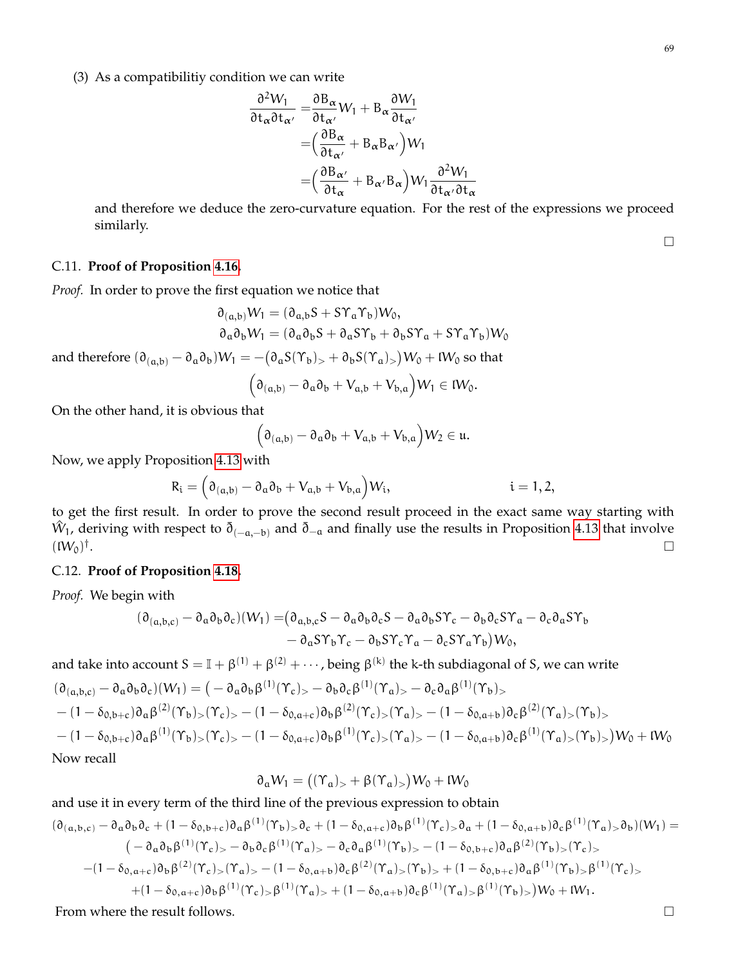$$
\frac{\partial^2 W_1}{\partial t_\alpha \partial t_{\alpha'}} = \frac{\partial B_\alpha}{\partial t_{\alpha'}} W_1 + B_\alpha \frac{\partial W_1}{\partial t_{\alpha'}}
$$
  
=  $\left(\frac{\partial B_\alpha}{\partial t_{\alpha'}} + B_\alpha B_{\alpha'}\right) W_1$   
=  $\left(\frac{\partial B_{\alpha'}}{\partial t_{\alpha}} + B_{\alpha'} B_\alpha\right) W_1 \frac{\partial^2 W_1}{\partial t_{\alpha'} \partial t_{\alpha'}}$ 

and therefore we deduce the zero-curvature equation. For the rest of the expressions we proceed similarly.

## <span id="page-68-0"></span>C.11. **Proof of Proposition [4.16.](#page-53-3)**

*Proof.* In order to prove the first equation we notice that

$$
\partial_{(a,b)}W_1 = (\partial_{a,b}S + S\Upsilon_a\Upsilon_b)W_0,
$$
  
\n
$$
\partial_a\partial_bW_1 = (\partial_a\partial_bS + \partial_aS\Upsilon_b + \partial_bS\Upsilon_a + S\Upsilon_a\Upsilon_b)W_0
$$

and therefore  $(\partial_{(a,b)} - \partial_a\partial_b)W_1 = -(\partial_aS(\Upsilon_b)_> + \partial_bS(\Upsilon_a)_>)W_0 + W_0$  so that

$$
(\partial_{(a,b)} - \partial_a \partial_b + V_{a,b} + V_{b,a})W_1 \in IW_0.
$$

On the other hand, it is obvious that

$$
(\partial_{(a,b)} - \partial_a \partial_b + V_{a,b} + V_{b,a})W_2 \in \mathfrak{u}.
$$

Now, we apply Proposition [4.13](#page-0-0) with

$$
R_i=\Big(\partial_{(a,b)}-\partial_a\partial_b+V_{a,b}+V_{b,a}\Big)W_i,\hspace{1.5cm}i=1,2,
$$

to get the first result. In order to prove the second result proceed in the exact same way starting with  $\hat W_1$ , deriving with respect to  $\bar\eth_{(-a,-b)}$  and  $\bar\eth_{-a}$  and finally use the results in Proposition [4.13](#page-0-0) that involve  $(W_0)^\dagger$ .

## <span id="page-68-1"></span>C.12. **Proof of Proposition [4.18.](#page-56-0)**

*Proof.* We begin with

$$
(\partial_{(a,b,c)} - \partial_a \partial_b \partial_c)(W_1) = (\partial_{a,b,c} S - \partial_a \partial_b \partial_c S - \partial_a \partial_b S Y_c - \partial_b \partial_c S Y_a - \partial_c \partial_a S Y_b - \partial_a S Y_b Y_c - \partial_b S Y_c Y_a - \partial_c S Y_a Y_b)W_0,
$$

and take into account  $S = \mathbb{I} + \beta^{(1)} + \beta^{(2)} + \cdots$ , being  $\beta^{(k)}$  the k-th subdiagonal of S, we can write  $(\partial_{(a,b,c)} - \partial_a \partial_b \partial_c)(W_1) = (-\partial_a \partial_b \beta^{(1)}(\Upsilon_c)_{\gt} - \partial_b \partial_c \beta^{(1)}(\Upsilon_a)_{\gt} - \partial_c \partial_a \beta^{(1)}(\Upsilon_b)_{\gt}$  $-(1-\delta_{0,b+c})\partial_{a}\beta^{(2)}(\Upsilon_{b})_{>}(\Upsilon_{c})_{>}-(1-\delta_{0,a+c})\partial_{b}\beta^{(2)}(\Upsilon_{c})_{>}(\Upsilon_{a})_{>}-(1-\delta_{0,a+b})\partial_{c}\beta^{(2)}(\Upsilon_{a})_{>}(\Upsilon_{b})_{>}$  $-(1-\delta_{0,\mathsf{b}+\mathsf{c}}) \partial_\mathfrak{a} \beta^{(1)}(\Upsilon_\mathfrak{b})_>(\Upsilon_\mathfrak{c})_>= (1-\delta_{0,\mathfrak{a}+\mathfrak{c}}) \partial_\mathfrak{b} \beta^{(1)}(\Upsilon_\mathfrak{c})_>(\Upsilon_\mathfrak{a})_>= (1-\delta_{0,\mathfrak{a}+\mathfrak{b}}) \partial_\mathfrak{c} \beta^{(1)}(\Upsilon_\mathfrak{a})_>(\Upsilon_\mathfrak{b})_>) \mathcal{W}_0 + \mathcal{W}_0$ Now recall

$$
\partial_{\alpha}W_1=\big((\Upsilon_{\alpha})_>+\beta(\Upsilon_{\alpha})_>\big)W_0+W_0
$$

and use it in every term of the third line of the previous expression to obtain

$$
(\partial_{(\alpha,b,c)} - \partial_{\alpha}\partial_{b}\partial_{c} + (1 - \delta_{0,b+c})\partial_{\alpha}\beta^{(1)}(\Upsilon_{b}) > \partial_{c} + (1 - \delta_{0,a+c})\partial_{b}\beta^{(1)}(\Upsilon_{c}) > \partial_{\alpha} + (1 - \delta_{0,a+b})\partial_{c}\beta^{(1)}(\Upsilon_{a}) > \partial_{b})(W_{1}) =
$$
\n
$$
(-\partial_{\alpha}\partial_{b}\beta^{(1)}(\Upsilon_{c}) > -\partial_{b}\partial_{c}\beta^{(1)}(\Upsilon_{a}) > -\partial_{c}\partial_{\alpha}\beta^{(1)}(\Upsilon_{b}) > -(1 - \delta_{0,b+c})\partial_{\alpha}\beta^{(2)}(\Upsilon_{b}) > (\Upsilon_{c}) >
$$
\n
$$
-(1 - \delta_{0,a+c})\partial_{b}\beta^{(2)}(\Upsilon_{c}) > (\Upsilon_{a}) > -(1 - \delta_{0,a+b})\partial_{c}\beta^{(2)}(\Upsilon_{a}) > (\Upsilon_{b}) > +(1 - \delta_{0,b+c})\partial_{\alpha}\beta^{(1)}(\Upsilon_{b}) > \beta^{(1)}(\Upsilon_{c}) >
$$
\n
$$
+(1 - \delta_{0,a+c})\partial_{b}\beta^{(1)}(\Upsilon_{c}) > \beta^{(1)}(\Upsilon_{a}) > +(1 - \delta_{0,a+b})\partial_{c}\beta^{(1)}(\Upsilon_{a}) > \beta^{(1)}(\Upsilon_{b}) > W_{0} + W_{1}.
$$

From where the result follows.

 $\Box$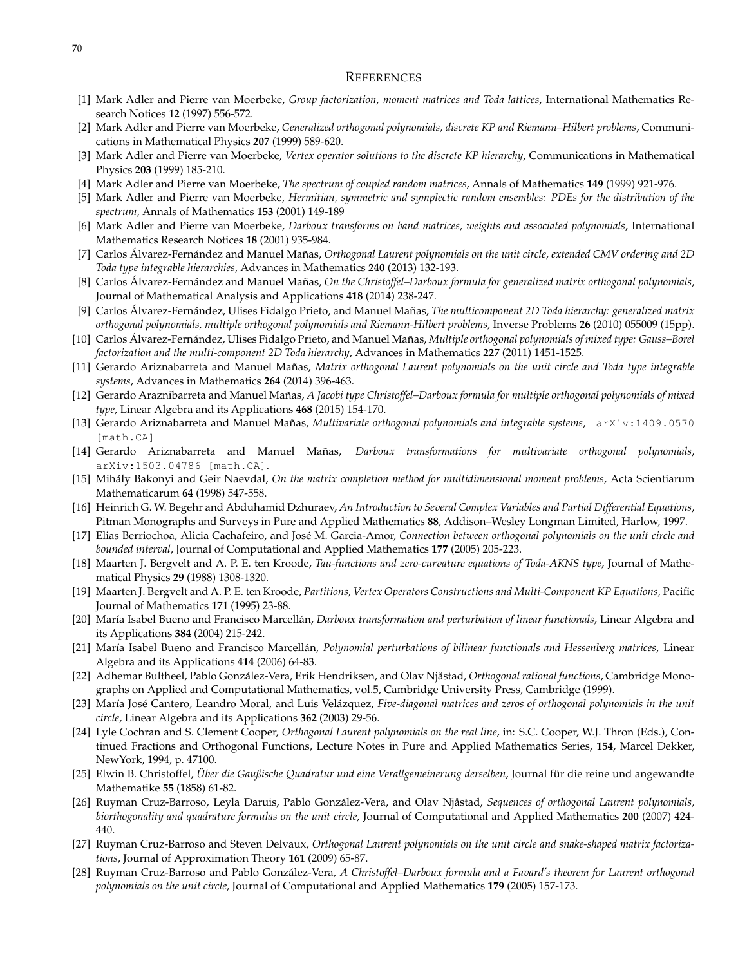#### REFERENCES

- [1] Mark Adler and Pierre van Moerbeke, *Group factorization, moment matrices and Toda lattices*, International Mathematics Research Notices **12** (1997) 556-572.
- [2] Mark Adler and Pierre van Moerbeke, *Generalized orthogonal polynomials, discrete KP and Riemann–Hilbert problems*, Communications in Mathematical Physics **207** (1999) 589-620.
- [3] Mark Adler and Pierre van Moerbeke, *Vertex operator solutions to the discrete KP hierarchy*, Communications in Mathematical Physics **203** (1999) 185-210.
- [4] Mark Adler and Pierre van Moerbeke, *The spectrum of coupled random matrices*, Annals of Mathematics **149** (1999) 921-976.
- [5] Mark Adler and Pierre van Moerbeke, *Hermitian, symmetric and symplectic random ensembles: PDEs for the distribution of the spectrum*, Annals of Mathematics **153** (2001) 149-189
- [6] Mark Adler and Pierre van Moerbeke, *Darboux transforms on band matrices, weights and associated polynomials*, International Mathematics Research Notices **18** (2001) 935-984.
- <span id="page-69-1"></span>[7] Carlos Álvarez-Fernández and Manuel Mañas, *Orthogonal Laurent polynomials on the unit circle, extended CMV ordering and 2D Toda type integrable hierarchies*, Advances in Mathematics **240** (2013) 132-193.
- [8] Carlos Álvarez-Fernández and Manuel Mañas, *On the Christoffel–Darboux formula for generalized matrix orthogonal polynomials*, Journal of Mathematical Analysis and Applications **418** (2014) 238-247.
- [9] Carlos Álvarez-Fernández, Ulises Fidalgo Prieto, and Manuel Mañas, *The multicomponent 2D Toda hierarchy: generalized matrix orthogonal polynomials, multiple orthogonal polynomials and Riemann-Hilbert problems*, Inverse Problems **26** (2010) 055009 (15pp).
- [10] Carlos Álvarez-Fernández, Ulises Fidalgo Prieto, and Manuel Mañas, *Multiple orthogonal polynomials of mixed type: Gauss–Borel factorization and the multi-component 2D Toda hierarchy*, Advances in Mathematics **227** (2011) 1451-1525.
- <span id="page-69-0"></span>[11] Gerardo Ariznabarreta and Manuel Mañas, *Matrix orthogonal Laurent polynomials on the unit circle and Toda type integrable systems*, Advances in Mathematics **264** (2014) 396-463.
- [12] Gerardo Araznibarreta and Manuel Mañas, *A Jacobi type Christoffel–Darboux formula for multiple orthogonal polynomials of mixed type*, Linear Algebra and its Applications **468** (2015) 154-170.
- <span id="page-69-2"></span>[13] Gerardo Ariznabarreta and Manuel Mañas, *Multivariate orthogonal polynomials and integrable systems*, arXiv:1409.0570 [math.CA]
- [14] Gerardo Ariznabarreta and Manuel Mañas, *Darboux transformations for multivariate orthogonal polynomials*, arXiv:1503.04786 [math.CA].
- [15] Mihály Bakonyi and Geir Naevdal, *On the matrix completion method for multidimensional moment problems*, Acta Scientiarum Mathematicarum **64** (1998) 547-558.
- [16] Heinrich G. W. Begehr and Abduhamid Dzhuraev, *An Introduction to Several Complex Variables and Partial Differential Equations*, Pitman Monographs and Surveys in Pure and Applied Mathematics **88**, Addison–Wesley Longman Limited, Harlow, 1997.
- [17] Elias Berriochoa, Alicia Cachafeiro, and José M. Garcia-Amor, *Connection between orthogonal polynomials on the unit circle and bounded interval*, Journal of Computational and Applied Mathematics **177** (2005) 205-223.
- [18] Maarten J. Bergvelt and A. P. E. ten Kroode, *Tau-functions and zero-curvature equations of Toda-AKNS type*, Journal of Mathematical Physics **29** (1988) 1308-1320.
- [19] Maarten J. Bergvelt and A. P. E. ten Kroode, *Partitions, Vertex Operators Constructions and Multi-Component KP Equations*, Pacific Journal of Mathematics **171** (1995) 23-88.
- [20] María Isabel Bueno and Francisco Marcellán, *Darboux transformation and perturbation of linear functionals*, Linear Algebra and its Applications **384** (2004) 215-242.
- [21] María Isabel Bueno and Francisco Marcellán, *Polynomial perturbations of bilinear functionals and Hessenberg matrices*, Linear Algebra and its Applications **414** (2006) 64-83.
- [22] Adhemar Bultheel, Pablo González-Vera, Erik Hendriksen, and Olav Njåstad, *Orthogonal rational functions*, Cambridge Monographs on Applied and Computational Mathematics, vol.5, Cambridge University Press, Cambridge (1999).
- [23] María José Cantero, Leandro Moral, and Luis Velázquez, *Five-diagonal matrices and zeros of orthogonal polynomials in the unit circle*, Linear Algebra and its Applications **362** (2003) 29-56.
- [24] Lyle Cochran and S. Clement Cooper, *Orthogonal Laurent polynomials on the real line*, in: S.C. Cooper, W.J. Thron (Eds.), Continued Fractions and Orthogonal Functions, Lecture Notes in Pure and Applied Mathematics Series, **154**, Marcel Dekker, NewYork, 1994, p. 47100.
- [25] Elwin B. Christoffel, *Über die Gaußische Quadratur und eine Verallgemeinerung derselben*, Journal für die reine und angewandte Mathematike **55** (1858) 61-82.
- [26] Ruyman Cruz-Barroso, Leyla Daruis, Pablo González-Vera, and Olav Njåstad, *Sequences of orthogonal Laurent polynomials, biorthogonality and quadrature formulas on the unit circle*, Journal of Computational and Applied Mathematics **200** (2007) 424- 440.
- [27] Ruyman Cruz-Barroso and Steven Delvaux, *Orthogonal Laurent polynomials on the unit circle and snake-shaped matrix factorizations*, Journal of Approximation Theory **161** (2009) 65-87.
- [28] Ruyman Cruz-Barroso and Pablo González-Vera, *A Christoffel–Darboux formula and a Favard's theorem for Laurent orthogonal polynomials on the unit circle*, Journal of Computational and Applied Mathematics **179** (2005) 157-173.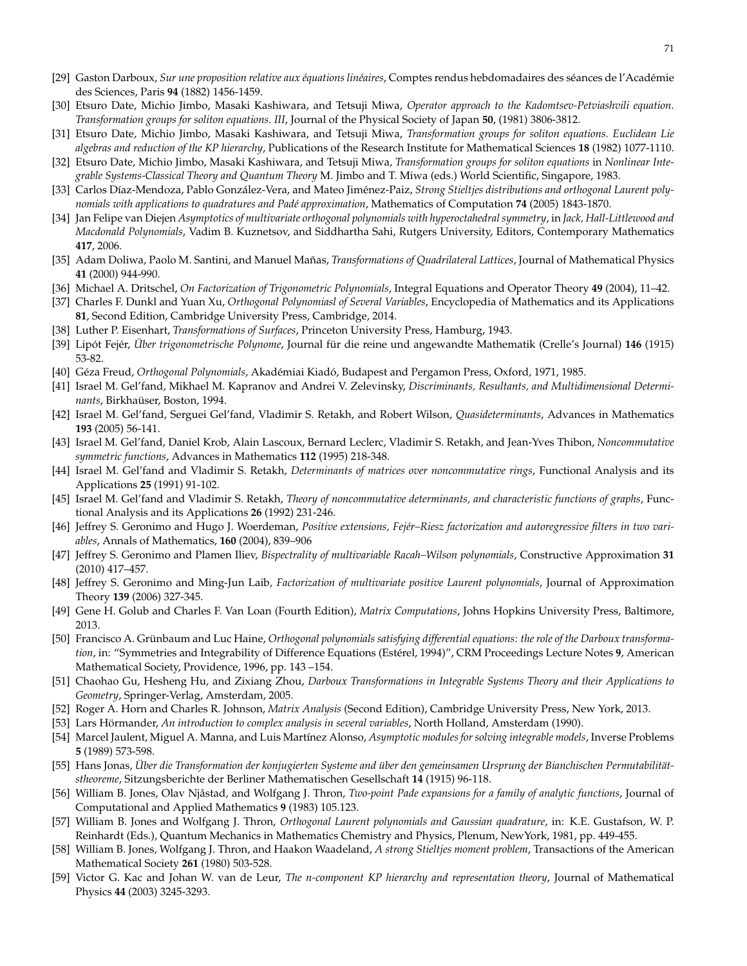- [29] Gaston Darboux, *Sur une proposition relative aux équations linéaires*, Comptes rendus hebdomadaires des séances de l'Académie des Sciences, Paris **94** (1882) 1456-1459.
- [30] Etsuro Date, Michio Jimbo, Masaki Kashiwara, and Tetsuji Miwa, *Operator approach to the Kadomtsev-Petviashvili equation. Transformation groups for soliton equations. III*, Journal of the Physical Society of Japan **50**, (1981) 3806-3812.
- [31] Etsuro Date, Michio Jimbo, Masaki Kashiwara, and Tetsuji Miwa, *Transformation groups for soliton equations. Euclidean Lie algebras and reduction of the KP hierarchy*, Publications of the Research Institute for Mathematical Sciences **18** (1982) 1077-1110.
- [32] Etsuro Date, Michio Jimbo, Masaki Kashiwara, and Tetsuji Miwa, *Transformation groups for soliton equations* in *Nonlinear Integrable Systems-Classical Theory and Quantum Theory* M. Jimbo and T. Miwa (eds.) World Scientific, Singapore, 1983.
- [33] Carlos Díaz-Mendoza, Pablo González-Vera, and Mateo Jiménez-Paiz, *Strong Stieltjes distributions and orthogonal Laurent polynomials with applications to quadratures and Padé approximation*, Mathematics of Computation **74** (2005) 1843-1870.
- [34] Jan Felipe van Diejen *Asymptotics of multivariate orthogonal polynomials with hyperoctahedral symmetry*, in *Jack, Hall-Littlewood and Macdonald Polynomials*, Vadim B. Kuznetsov, and Siddhartha Sahi, Rutgers University, Editors, Contemporary Mathematics **417**, 2006.
- [35] Adam Doliwa, Paolo M. Santini, and Manuel Mañas, *Transformations of Quadrilateral Lattices*, Journal of Mathematical Physics **41** (2000) 944-990.
- [36] Michael A. Dritschel, *On Factorization of Trigonometric Polynomials*, Integral Equations and Operator Theory **49** (2004), 11–42.
- [37] Charles F. Dunkl and Yuan Xu, *Orthogonal Polynomiasl of Several Variables*, Encyclopedia of Mathematics and its Applications **81**, Second Edition, Cambridge University Press, Cambridge, 2014.
- [38] Luther P. Eisenhart, *Transformations of Surfaces*, Princeton University Press, Hamburg, 1943.
- [39] Lipót Fejér, *Über trigonometrische Polynome*, Journal für die reine und angewandte Mathematik (Crelle's Journal) **146** (1915) 53-82.
- [40] Géza Freud, *Orthogonal Polynomials*, Akadémiai Kiadó, Budapest and Pergamon Press, Oxford, 1971, 1985.
- [41] Israel M. Gel'fand, Mikhael M. Kapranov and Andrei V. Zelevinsky, *Discriminants, Resultants, and Multidimensional Determinants*, Birkhaüser, Boston, 1994.
- [42] Israel M. Gel'fand, Serguei Gel'fand, Vladimir S. Retakh, and Robert Wilson, *Quasideterminants*, Advances in Mathematics **193** (2005) 56-141.
- [43] Israel M. Gel'fand, Daniel Krob, Alain Lascoux, Bernard Leclerc, Vladimir S. Retakh, and Jean-Yves Thibon, *Noncommutative symmetric functions*, Advances in Mathematics **112** (1995) 218-348.
- [44] Israel M. Gel'fand and Vladimir S. Retakh, *Determinants of matrices over noncommutative rings*, Functional Analysis and its Applications **25** (1991) 91-102.
- [45] Israel M. Gel'fand and Vladimir S. Retakh, *Theory of noncommutative determinants, and characteristic functions of graphs*, Functional Analysis and its Applications **26** (1992) 231-246.
- [46] Jeffrey S. Geronimo and Hugo J. Woerdeman, *Positive extensions, Fejér–Riesz factorization and autoregressive filters in two variables*, Annals of Mathematics, **160** (2004), 839–906
- [47] Jeffrey S. Geronimo and Plamen Iliev, *Bispectrality of multivariable Racah–Wilson polynomials*, Constructive Approximation **31** (2010) 417–457.
- [48] Jeffrey S. Geronimo and Ming-Jun Laib, *Factorization of multivariate positive Laurent polynomials*, Journal of Approximation Theory **139** (2006) 327-345.
- [49] Gene H. Golub and Charles F. Van Loan (Fourth Edition), *Matrix Computations*, Johns Hopkins University Press, Baltimore, 2013.
- [50] Francisco A. Grünbaum and Luc Haine, *Orthogonal polynomials satisfying differential equations: the role of the Darboux transformation*, in: "Symmetries and Integrability of Difference Equations (Estérel, 1994)", CRM Proceedings Lecture Notes **9**, American Mathematical Society, Providence, 1996, pp. 143 –154.
- [51] Chaohao Gu, Hesheng Hu, and Zixiang Zhou, *Darboux Transformations in Integrable Systems Theory and their Applications to Geometry*, Springer-Verlag, Amsterdam, 2005.
- [52] Roger A. Horn and Charles R. Johnson, *Matrix Analysis* (Second Edition), Cambridge University Press, New York, 2013.
- [53] Lars Hörmander, *An introduction to complex analysis in several variables*, North Holland, Amsterdam (1990).
- <span id="page-70-0"></span>[54] Marcel Jaulent, Miguel A. Manna, and Luis Martínez Alonso, *Asymptotic modules for solving integrable models*, Inverse Problems **5** (1989) 573-598.
- [55] Hans Jonas, *Über die Transformation der konjugierten Systeme and über den gemeinsamen Ursprung der Bianchischen Permutabilitätstheoreme*, Sitzungsberichte der Berliner Mathematischen Gesellschaft **14** (1915) 96-118.
- [56] William B. Jones, Olav Njåstad, and Wolfgang J. Thron, *Two-point Pade expansions for a family of analytic functions*, Journal of Computational and Applied Mathematics **9** (1983) 105.123.
- [57] William B. Jones and Wolfgang J. Thron, *Orthogonal Laurent polynomials and Gaussian quadrature*, in: K.E. Gustafson, W. P. Reinhardt (Eds.), Quantum Mechanics in Mathematics Chemistry and Physics, Plenum, NewYork, 1981, pp. 449-455.
- [58] William B. Jones, Wolfgang J. Thron, and Haakon Waadeland, *A strong Stieltjes moment problem*, Transactions of the American Mathematical Society **261** (1980) 503-528.
- [59] Victor G. Kac and Johan W. van de Leur, *The n-component KP hierarchy and representation theory*, Journal of Mathematical Physics **44** (2003) 3245-3293.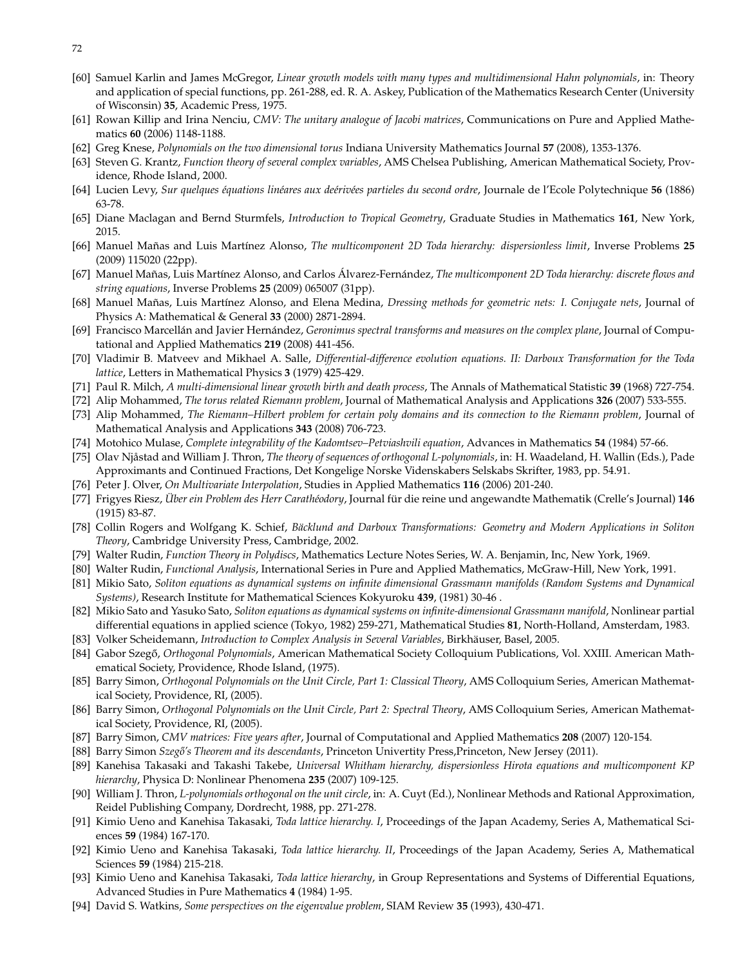- 72
- [60] Samuel Karlin and James McGregor, *Linear growth models with many types and multidimensional Hahn polynomials*, in: Theory and application of special functions, pp. 261-288, ed. R. A. Askey, Publication of the Mathematics Research Center (University of Wisconsin) **35**, Academic Press, 1975.
- [61] Rowan Killip and Irina Nenciu, *CMV: The unitary analogue of Jacobi matrices*, Communications on Pure and Applied Mathematics **60** (2006) 1148-1188.
- [62] Greg Knese, *Polynomials on the two dimensional torus* Indiana University Mathematics Journal **57** (2008), 1353-1376.
- [63] Steven G. Krantz, *Function theory of several complex variables*, AMS Chelsea Publishing, American Mathematical Society, Providence, Rhode Island, 2000.
- [64] Lucien Levy, *Sur quelques équations linéares aux deérivées partieles du second ordre*, Journale de l'Ecole Polytechnique **56** (1886) 63-78.
- [65] Diane Maclagan and Bernd Sturmfels, *Introduction to Tropical Geometry*, Graduate Studies in Mathematics **161**, New York, 2015.
- <span id="page-71-0"></span>[66] Manuel Mañas and Luis Martínez Alonso, *The multicomponent 2D Toda hierarchy: dispersionless limit*, Inverse Problems **25** (2009) 115020 (22pp).
- [67] Manuel Mañas, Luis Martínez Alonso, and Carlos Álvarez-Fernández, *The multicomponent 2D Toda hierarchy: discrete flows and string equations*, Inverse Problems **25** (2009) 065007 (31pp).
- [68] Manuel Mañas, Luis Martínez Alonso, and Elena Medina, *Dressing methods for geometric nets: I. Conjugate nets*, Journal of Physics A: Mathematical & General **33** (2000) 2871-2894.
- [69] Francisco Marcellán and Javier Hernández, *Geronimus spectral transforms and measures on the complex plane*, Journal of Computational and Applied Mathematics **219** (2008) 441-456.
- [70] Vladimir B. Matveev and Mikhael A. Salle, *Differential-difference evolution equations. II: Darboux Transformation for the Toda lattice*, Letters in Mathematical Physics **3** (1979) 425-429.
- [71] Paul R. Milch, *A multi-dimensional linear growth birth and death process*, The Annals of Mathematical Statistic **39** (1968) 727-754.
- [72] Alip Mohammed, *The torus related Riemann problem*, Journal of Mathematical Analysis and Applications **326** (2007) 533-555.
- [73] Alip Mohammed, *The Riemann–Hilbert problem for certain poly domains and its connection to the Riemann problem*, Journal of Mathematical Analysis and Applications **343** (2008) 706-723.
- [74] Motohico Mulase, *Complete integrability of the Kadomtsev–Petviashvili equation*, Advances in Mathematics **54** (1984) 57-66.
- [75] Olav Njåstad and William J. Thron, *The theory of sequences of orthogonal L-polynomials*, in: H. Waadeland, H. Wallin (Eds.), Pade Approximants and Continued Fractions, Det Kongelige Norske Videnskabers Selskabs Skrifter, 1983, pp. 54.91.
- [76] Peter J. Olver, *On Multivariate Interpolation*, Studies in Applied Mathematics **116** (2006) 201-240.
- [77] Frigyes Riesz, *Über ein Problem des Herr Carathéodory*, Journal für die reine und angewandte Mathematik (Crelle's Journal) **146** (1915) 83-87.
- [78] Collin Rogers and Wolfgang K. Schief, *Bäcklund and Darboux Transformations: Geometry and Modern Applications in Soliton Theory*, Cambridge University Press, Cambridge, 2002.
- [79] Walter Rudin, *Function Theory in Polydiscs*, Mathematics Lecture Notes Series, W. A. Benjamin, Inc, New York, 1969.
- [80] Walter Rudin, *Functional Analysis*, International Series in Pure and Applied Mathematics, McGraw-Hill, New York, 1991.
- [81] Mikio Sato, *Soliton equations as dynamical systems on infinite dimensional Grassmann manifolds (Random Systems and Dynamical Systems)*, Research Institute for Mathematical Sciences Kokyuroku **439**, (1981) 30-46 .
- [82] Mikio Sato and Yasuko Sato, *Soliton equations as dynamical systems on infinite-dimensional Grassmann manifold*, Nonlinear partial differential equations in applied science (Tokyo, 1982) 259-271, Mathematical Studies **81**, North-Holland, Amsterdam, 1983.
- [83] Volker Scheidemann, *Introduction to Complex Analysis in Several Variables*, Birkhäuser, Basel, 2005.
- [84] Gabor Szeg˝o, *Orthogonal Polynomials*, American Mathematical Society Colloquium Publications, Vol. XXIII. American Mathematical Society, Providence, Rhode Island, (1975).
- [85] Barry Simon, *Orthogonal Polynomials on the Unit Circle, Part 1: Classical Theory*, AMS Colloquium Series, American Mathematical Society, Providence, RI, (2005).
- [86] Barry Simon, *Orthogonal Polynomials on the Unit Circle, Part 2: Spectral Theory*, AMS Colloquium Series, American Mathematical Society, Providence, RI, (2005).
- [87] Barry Simon, *CMV matrices: Five years after*, Journal of Computational and Applied Mathematics **208** (2007) 120-154.
- [88] Barry Simon *Szeg˝o's Theorem and its descendants*, Princeton Univertity Press,Princeton, New Jersey (2011).
- [89] Kanehisa Takasaki and Takashi Takebe, *Universal Whitham hierarchy, dispersionless Hirota equations and multicomponent KP hierarchy*, Physica D: Nonlinear Phenomena **235** (2007) 109-125.
- [90] William J. Thron, *L-polynomials orthogonal on the unit circle*, in: A. Cuyt (Ed.), Nonlinear Methods and Rational Approximation, Reidel Publishing Company, Dordrecht, 1988, pp. 271-278.
- [91] Kimio Ueno and Kanehisa Takasaki, *Toda lattice hierarchy. I*, Proceedings of the Japan Academy, Series A, Mathematical Sciences **59** (1984) 167-170.
- [92] Kimio Ueno and Kanehisa Takasaki, *Toda lattice hierarchy. II*, Proceedings of the Japan Academy, Series A, Mathematical Sciences **59** (1984) 215-218.
- [93] Kimio Ueno and Kanehisa Takasaki, *Toda lattice hierarchy*, in Group Representations and Systems of Differential Equations, Advanced Studies in Pure Mathematics **4** (1984) 1-95.
- [94] David S. Watkins, *Some perspectives on the eigenvalue problem*, SIAM Review **35** (1993), 430-471.